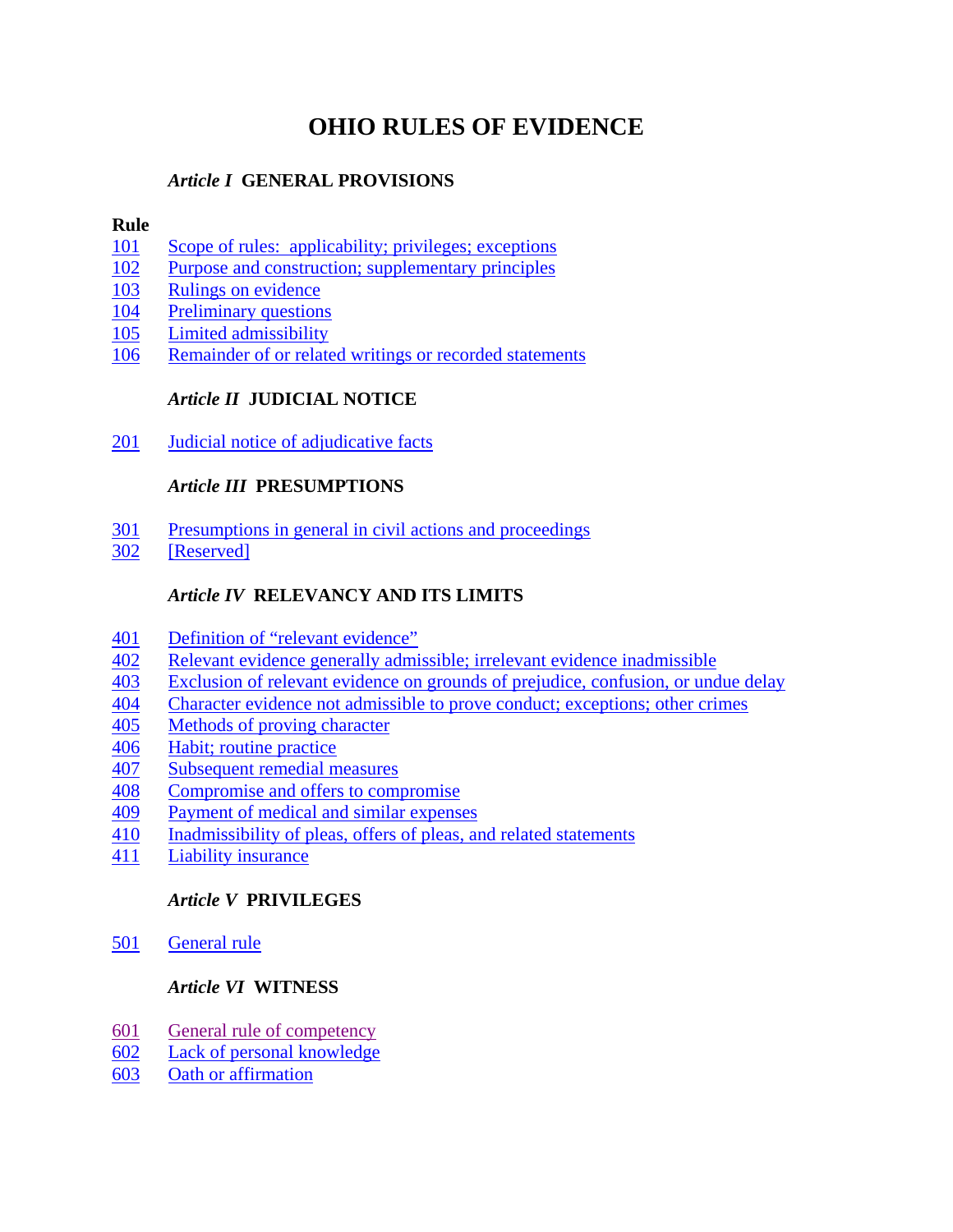# **OHIO RULES OF EVIDENCE**

## *Article I* **GENERAL PROVISIONS**

### **Rule**

- [Scope of rules: applicability; privileges; exceptions](#page-3-0)
- [Purpose and construction; supplementary principles](#page-5-0)
- [Rulings on evidence](#page-7-0)
- [Preliminary questions](#page-8-0)
- [Limited admissibility](#page-9-0)
- [Remainder of or related writings or recorded statements](#page-10-0)

## *Article II* **JUDICIAL NOTICE**

[Judicial notice of adjudicative facts](#page-11-0)

## *Article III* **PRESUMPTIONS**

- [Presumptions in general in civil actions and proceedings](#page-12-0)
- [\[Reserved\]](#page-13-0)

## *Article IV* **RELEVANCY AND ITS LIMITS**

- [Definition of "relevant evidence"](#page-14-0)
- [Relevant evidence generally admissible; irrelevant evidence inadmissible](#page-15-0)
- [Exclusion of relevant evidence on grounds of prejudice, confusion, or undue delay](#page-16-0)
- [Character evidence not admissible to prove conduct; exceptions; other crimes](#page-18-0)
- [Methods of proving character](#page-19-0)
- [Habit; routine practice](#page-20-0)
- [Subsequent remedial measures](#page-21-0)
- [Compromise and offers to compromise](#page-22-0)
- [Payment of medical and similar expenses](#page-23-0)
- [Inadmissibility of pleas, offers of pleas, and related statements](#page-24-0)
- [Liability insurance](#page-26-0)

## *Article V* **PRIVILEGES**

[General rule](#page-27-0)

## *Article VI* **WITNESS**

- [General rule of competency](#page-28-0)
- [Lack of personal knowledge](#page-31-0)
- [Oath or affirmation](#page-32-0)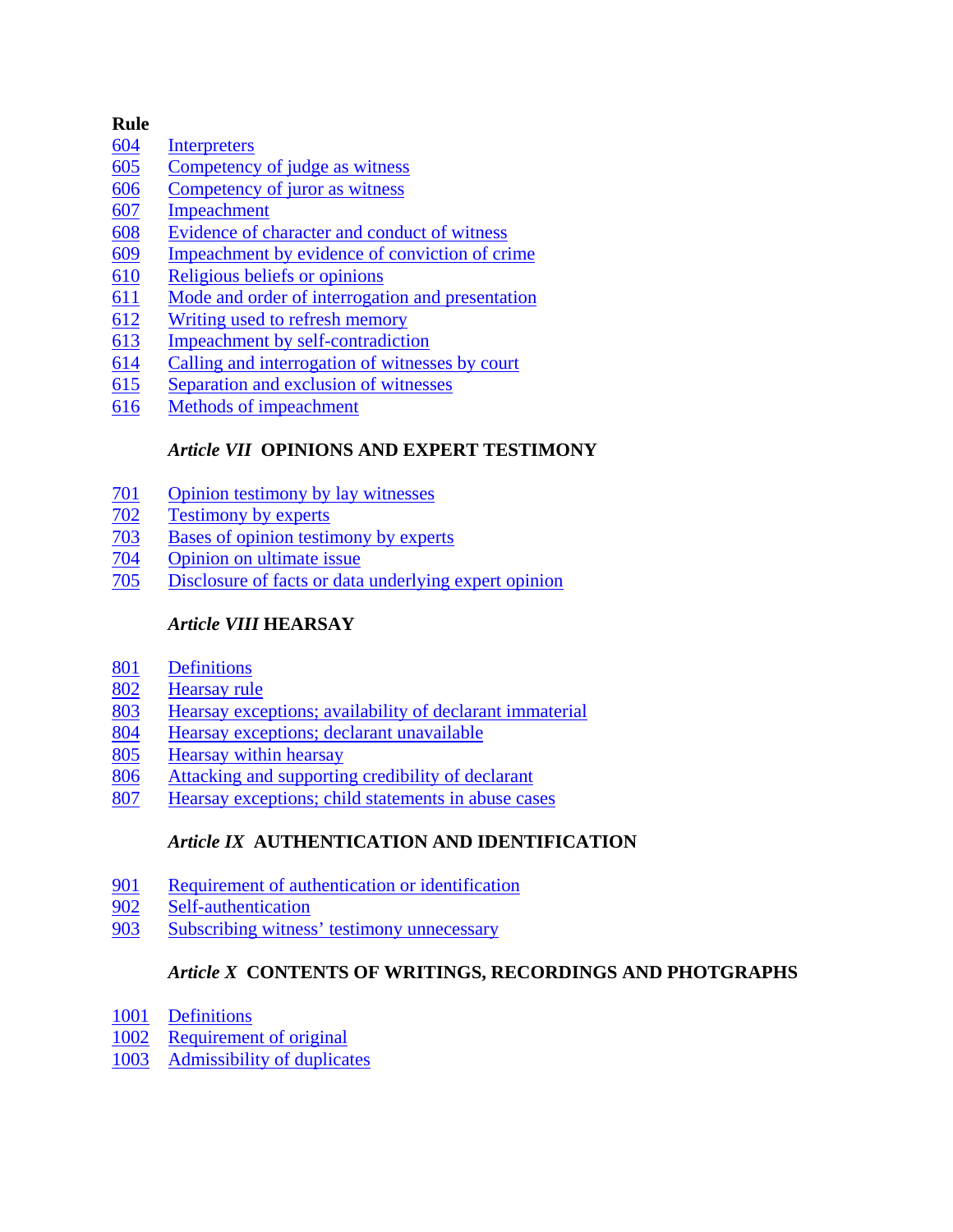### **Rule**

- [Interpreters](#page-33-0)
- [Competency of judge as witness](#page-34-0)
- [Competency of juror as witness](#page-35-0)
- [Impeachment](#page-36-0)
- [Evidence of character and conduct of witness](#page-38-0)
- [Impeachment by evidence of conviction of](#page-40-0) crime
- [Religious beliefs or opinions](#page-44-0)
- [Mode and order of interrogation and presentation](#page-45-0)
- [Writing used to refresh memory](#page-46-0)
- [Impeachment by self-contradiction](#page-47-0)
- [Calling and interrogation of witnesses by court](#page-50-0)
- [Separation and exclusion of witnesses](#page-51-0)
- [Methods of impeachment](#page-54-0)

## *Article VII* **OPINIONS AND EXPERT TESTIMONY**

- [Opinion testimony by lay witnesses](#page-58-0)
- [Testimony by experts](#page-59-0)
- [Bases of opinion testimony by experts](#page-62-0)
- [Opinion on ultimate issue](#page-63-0)
- [Disclosure of facts or data underlying expert opinion](#page-64-0)

## *Article VIII* **HEARSAY**

- [Definitions](#page-66-0)
- [Hearsay rule](#page-68-0)
- [Hearsay exceptions; availability of declarant immaterial](#page-69-0)
- [Hearsay exceptions; declarant unavailable](#page-74-0)
- [Hearsay within hearsay](#page-79-0)
- [Attacking and supporting credibility of declarant](#page-80-0)
- [Hearsay exceptions; child statements in abuse cases](#page-81-0)

## *Article IX* **AUTHENTICATION AND IDENTIFICATION**

- [Requirement of authentication or identification](#page-85-0)
- [Self-authentication](#page-87-0)
- [Subscribing witness' testimony unnecessary](#page-89-0)

## *Article X* **CONTENTS OF WRITINGS, RECORDINGS AND PHOTGRAPHS**

- [Definitions](#page-90-0)
- [Requirement of original](#page-91-0)
- [Admissibility of duplicates](#page-92-0)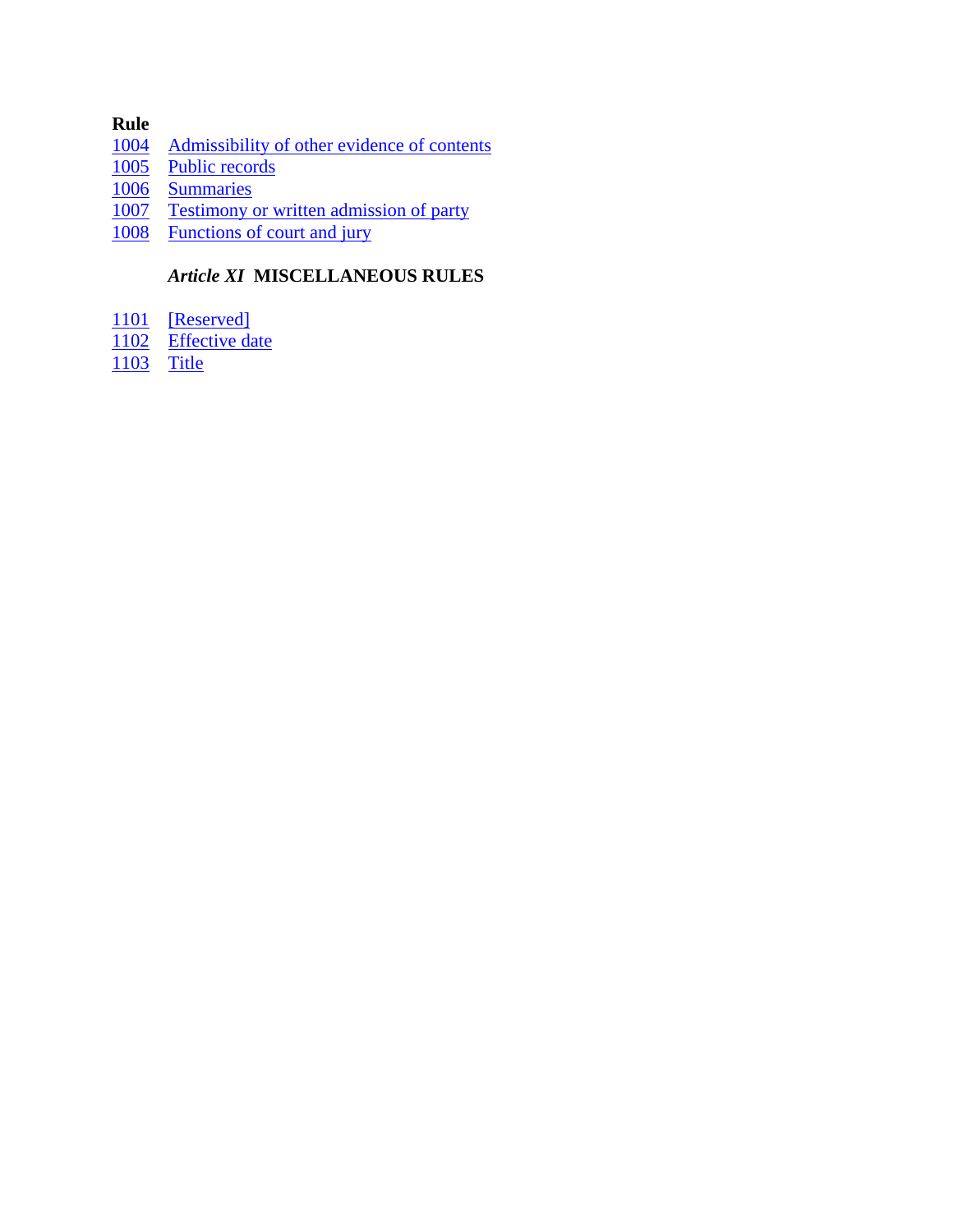## **Rule**

- [Admissibility of other evidence of contents](#page-93-0)
- [Public records](#page-94-0)
- [Summaries](#page-95-0)
- [Testimony or written admission of party](#page-96-0)
- [Functions of court and jury](#page-97-0)

## *Article XI* **MISCELLANEOUS RULES**

- [\[Reserved\]](#page-98-0)
- [Effective date](#page-99-0)
- Title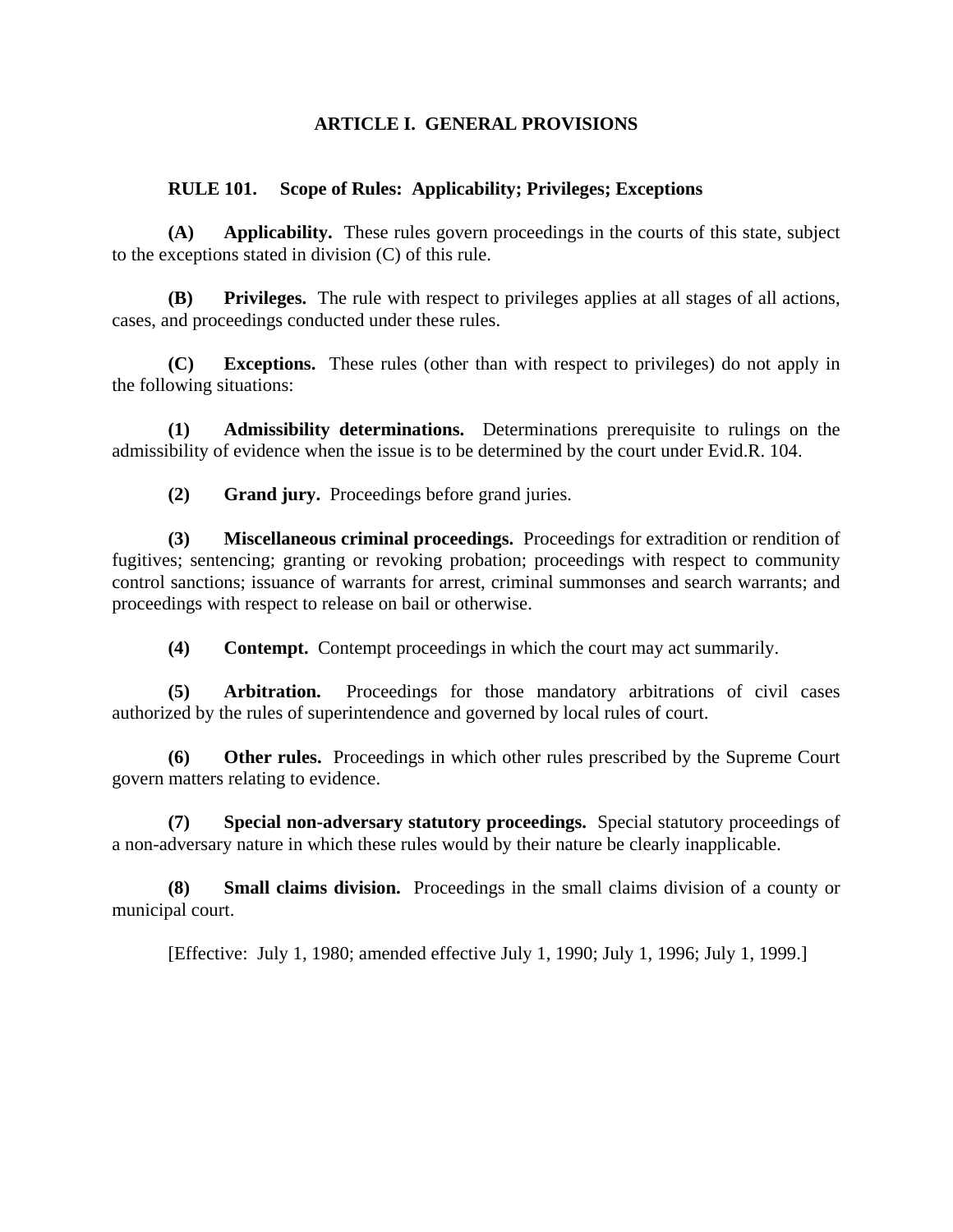### **ARTICLE I. GENERAL PROVISIONS**

### <span id="page-3-0"></span>**RULE 101. Scope of Rules: Applicability; Privileges; Exceptions**

**(A) Applicability.** These rules govern proceedings in the courts of this state, subject to the exceptions stated in division (C) of this rule.

**(B) Privileges.** The rule with respect to privileges applies at all stages of all actions, cases, and proceedings conducted under these rules.

**(C) Exceptions.** These rules (other than with respect to privileges) do not apply in the following situations:

**(1) Admissibility determinations.** Determinations prerequisite to rulings on the admissibility of evidence when the issue is to be determined by the court under Evid.R. 104.

**(2) Grand jury.** Proceedings before grand juries.

**(3) Miscellaneous criminal proceedings.** Proceedings for extradition or rendition of fugitives; sentencing; granting or revoking probation; proceedings with respect to community control sanctions; issuance of warrants for arrest, criminal summonses and search warrants; and proceedings with respect to release on bail or otherwise.

**(4) Contempt.** Contempt proceedings in which the court may act summarily.

**(5) Arbitration.** Proceedings for those mandatory arbitrations of civil cases authorized by the rules of superintendence and governed by local rules of court.

**(6) Other rules.** Proceedings in which other rules prescribed by the Supreme Court govern matters relating to evidence.

**(7) Special non-adversary statutory proceedings.** Special statutory proceedings of a non-adversary nature in which these rules would by their nature be clearly inapplicable.

**(8) Small claims division.** Proceedings in the small claims division of a county or municipal court.

[Effective: July 1, 1980; amended effective July 1, 1990; July 1, 1996; July 1, 1999.]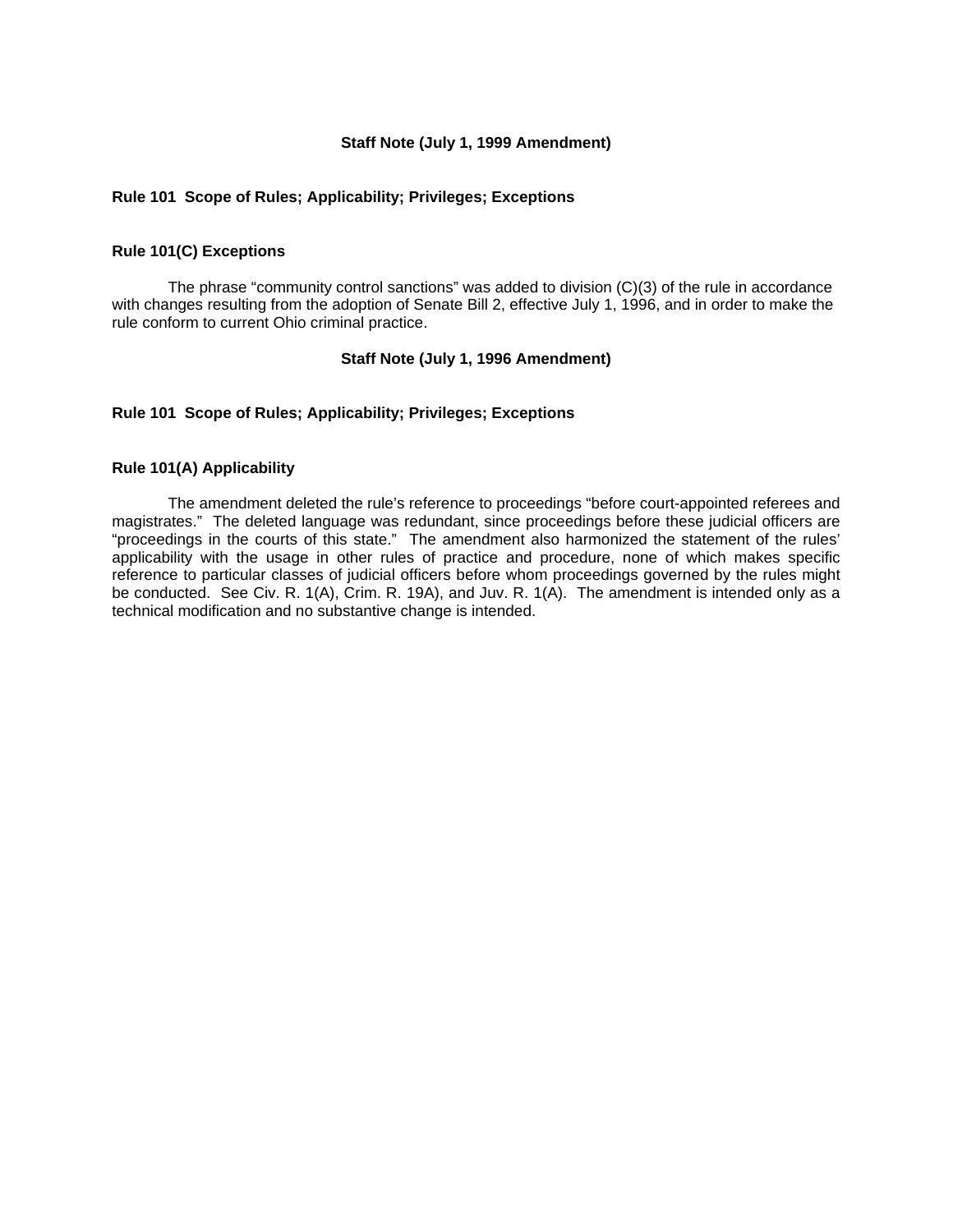#### **Staff Note (July 1, 1999 Amendment)**

#### **Rule 101 Scope of Rules; Applicability; Privileges; Exceptions**

#### **Rule 101(C) Exceptions**

The phrase "community control sanctions" was added to division (C)(3) of the rule in accordance with changes resulting from the adoption of Senate Bill 2, effective July 1, 1996, and in order to make the rule conform to current Ohio criminal practice.

#### **Staff Note (July 1, 1996 Amendment)**

#### **Rule 101 Scope of Rules; Applicability; Privileges; Exceptions**

#### **Rule 101(A) Applicability**

The amendment deleted the rule's reference to proceedings "before court-appointed referees and magistrates." The deleted language was redundant, since proceedings before these judicial officers are "proceedings in the courts of this state." The amendment also harmonized the statement of the rules' applicability with the usage in other rules of practice and procedure, none of which makes specific reference to particular classes of judicial officers before whom proceedings governed by the rules might be conducted. See Civ. R. 1(A), Crim. R. 19A), and Juv. R. 1(A). The amendment is intended only as a technical modification and no substantive change is intended.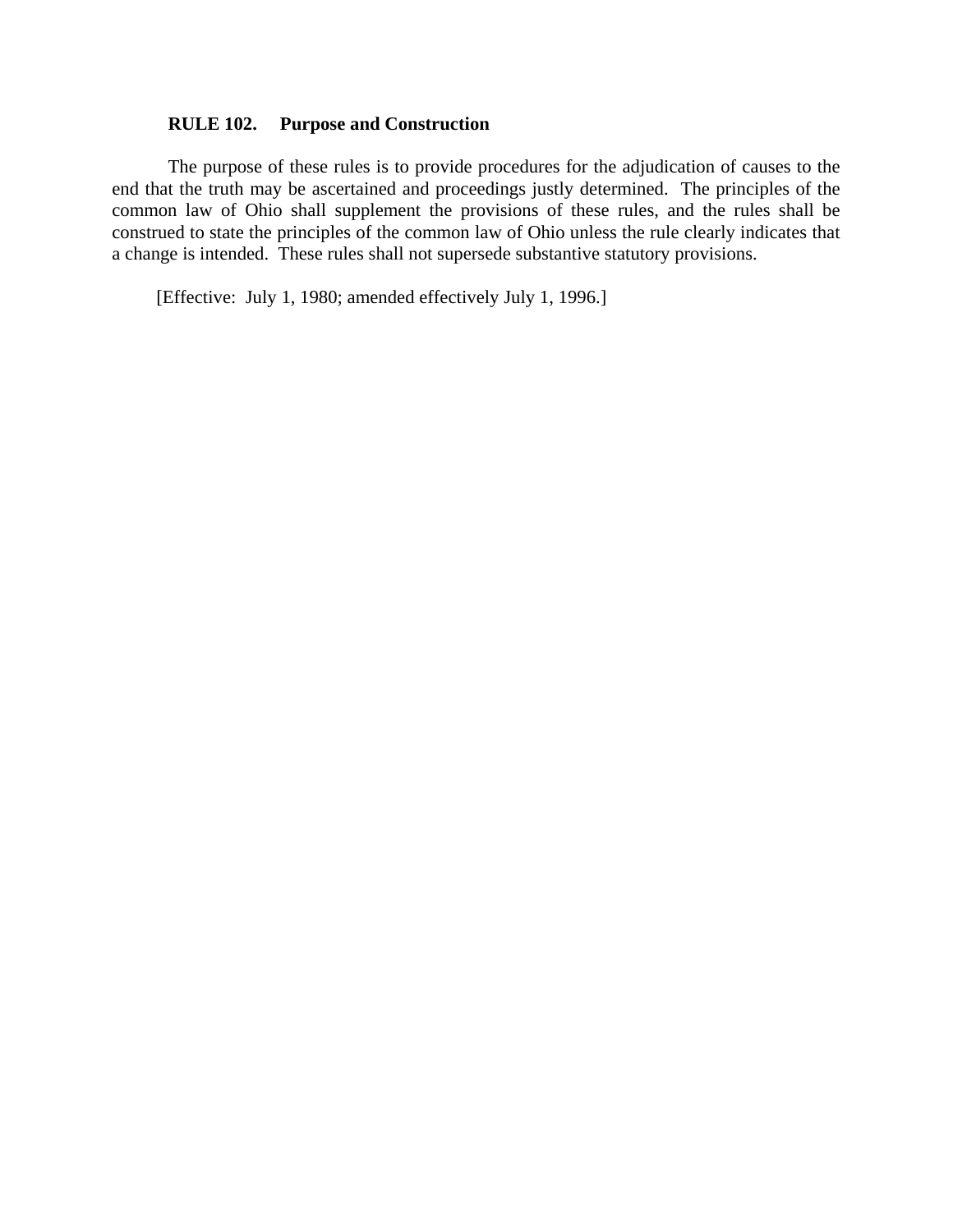### <span id="page-5-0"></span>**RULE 102. Purpose and Construction**

The purpose of these rules is to provide procedures for the adjudication of causes to the end that the truth may be ascertained and proceedings justly determined. The principles of the common law of Ohio shall supplement the provisions of these rules, and the rules shall be construed to state the principles of the common law of Ohio unless the rule clearly indicates that a change is intended. These rules shall not supersede substantive statutory provisions.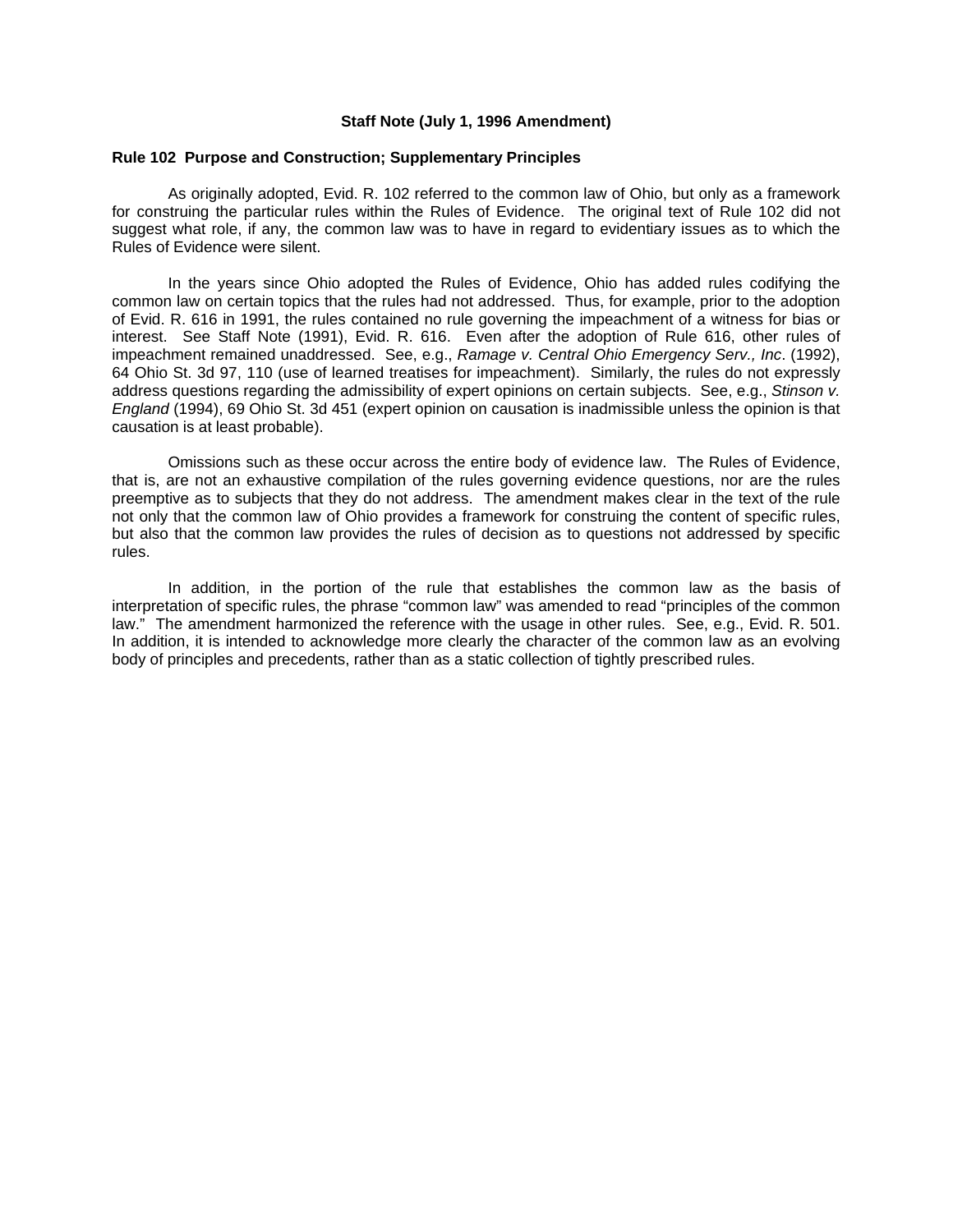#### **Staff Note (July 1, 1996 Amendment)**

#### **Rule 102 Purpose and Construction; Supplementary Principles**

As originally adopted, Evid. R. 102 referred to the common law of Ohio, but only as a framework for construing the particular rules within the Rules of Evidence. The original text of Rule 102 did not suggest what role, if any, the common law was to have in regard to evidentiary issues as to which the Rules of Evidence were silent.

In the years since Ohio adopted the Rules of Evidence, Ohio has added rules codifying the common law on certain topics that the rules had not addressed. Thus, for example, prior to the adoption of Evid. R. 616 in 1991, the rules contained no rule governing the impeachment of a witness for bias or interest. See Staff Note (1991), Evid. R. 616. Even after the adoption of Rule 616, other rules of impeachment remained unaddressed. See, e.g., *Ramage v. Central Ohio Emergency Serv., Inc*. (1992), 64 Ohio St. 3d 97, 110 (use of learned treatises for impeachment). Similarly, the rules do not expressly address questions regarding the admissibility of expert opinions on certain subjects. See, e.g., *Stinson v. England* (1994), 69 Ohio St. 3d 451 (expert opinion on causation is inadmissible unless the opinion is that causation is at least probable).

Omissions such as these occur across the entire body of evidence law. The Rules of Evidence, that is, are not an exhaustive compilation of the rules governing evidence questions, nor are the rules preemptive as to subjects that they do not address. The amendment makes clear in the text of the rule not only that the common law of Ohio provides a framework for construing the content of specific rules, but also that the common law provides the rules of decision as to questions not addressed by specific rules.

In addition, in the portion of the rule that establishes the common law as the basis of interpretation of specific rules, the phrase "common law" was amended to read "principles of the common law." The amendment harmonized the reference with the usage in other rules. See, e.g., Evid. R. 501. In addition, it is intended to acknowledge more clearly the character of the common law as an evolving body of principles and precedents, rather than as a static collection of tightly prescribed rules.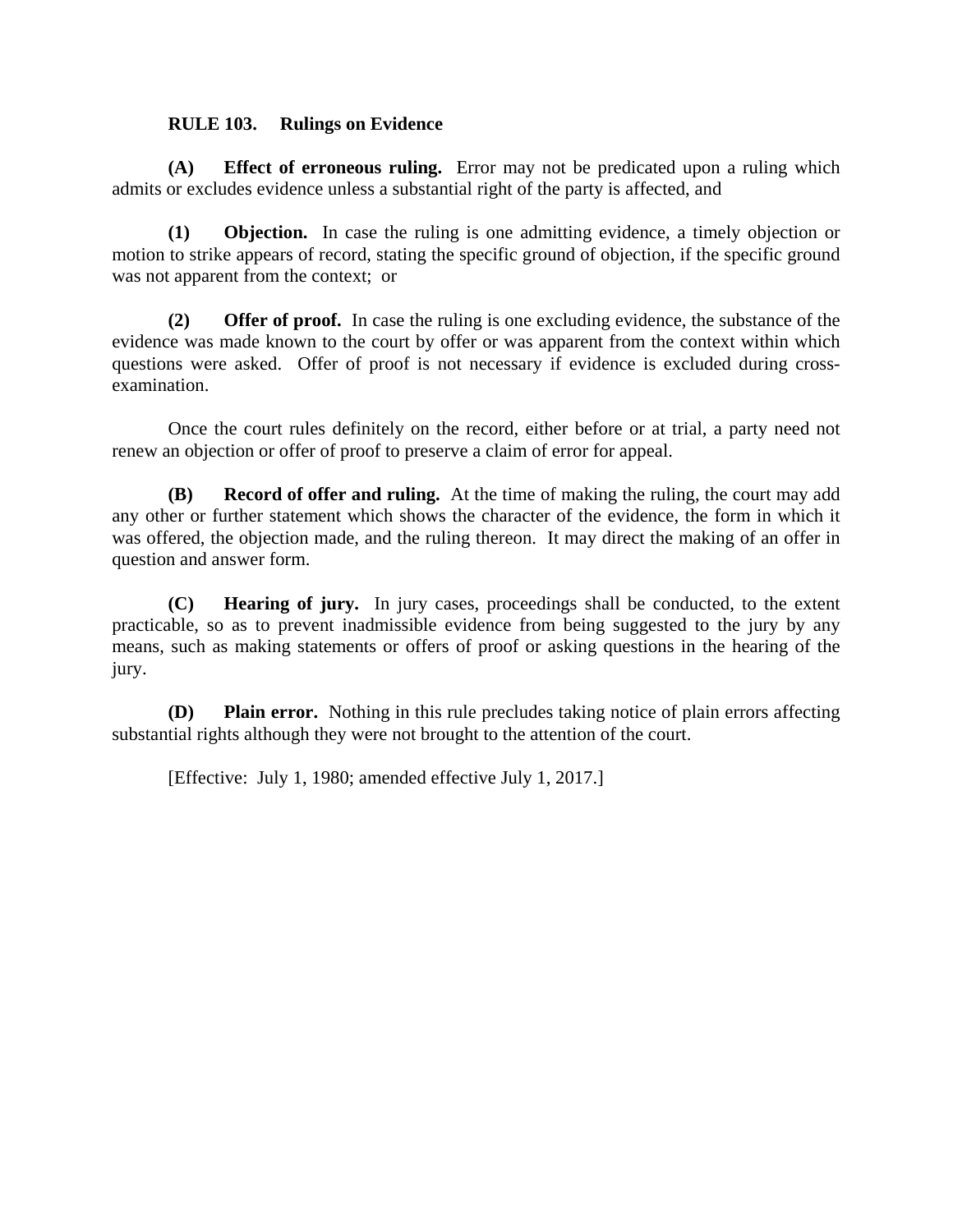#### <span id="page-7-0"></span>**RULE 103. Rulings on Evidence**

**(A) Effect of erroneous ruling.** Error may not be predicated upon a ruling which admits or excludes evidence unless a substantial right of the party is affected, and

**(1) Objection.** In case the ruling is one admitting evidence, a timely objection or motion to strike appears of record, stating the specific ground of objection, if the specific ground was not apparent from the context; or

**(2) Offer of proof.** In case the ruling is one excluding evidence, the substance of the evidence was made known to the court by offer or was apparent from the context within which questions were asked. Offer of proof is not necessary if evidence is excluded during crossexamination.

Once the court rules definitely on the record, either before or at trial, a party need not renew an objection or offer of proof to preserve a claim of error for appeal.

**(B) Record of offer and ruling.** At the time of making the ruling, the court may add any other or further statement which shows the character of the evidence, the form in which it was offered, the objection made, and the ruling thereon. It may direct the making of an offer in question and answer form.

**(C) Hearing of jury.** In jury cases, proceedings shall be conducted, to the extent practicable, so as to prevent inadmissible evidence from being suggested to the jury by any means, such as making statements or offers of proof or asking questions in the hearing of the jury.

**(D) Plain error.** Nothing in this rule precludes taking notice of plain errors affecting substantial rights although they were not brought to the attention of the court.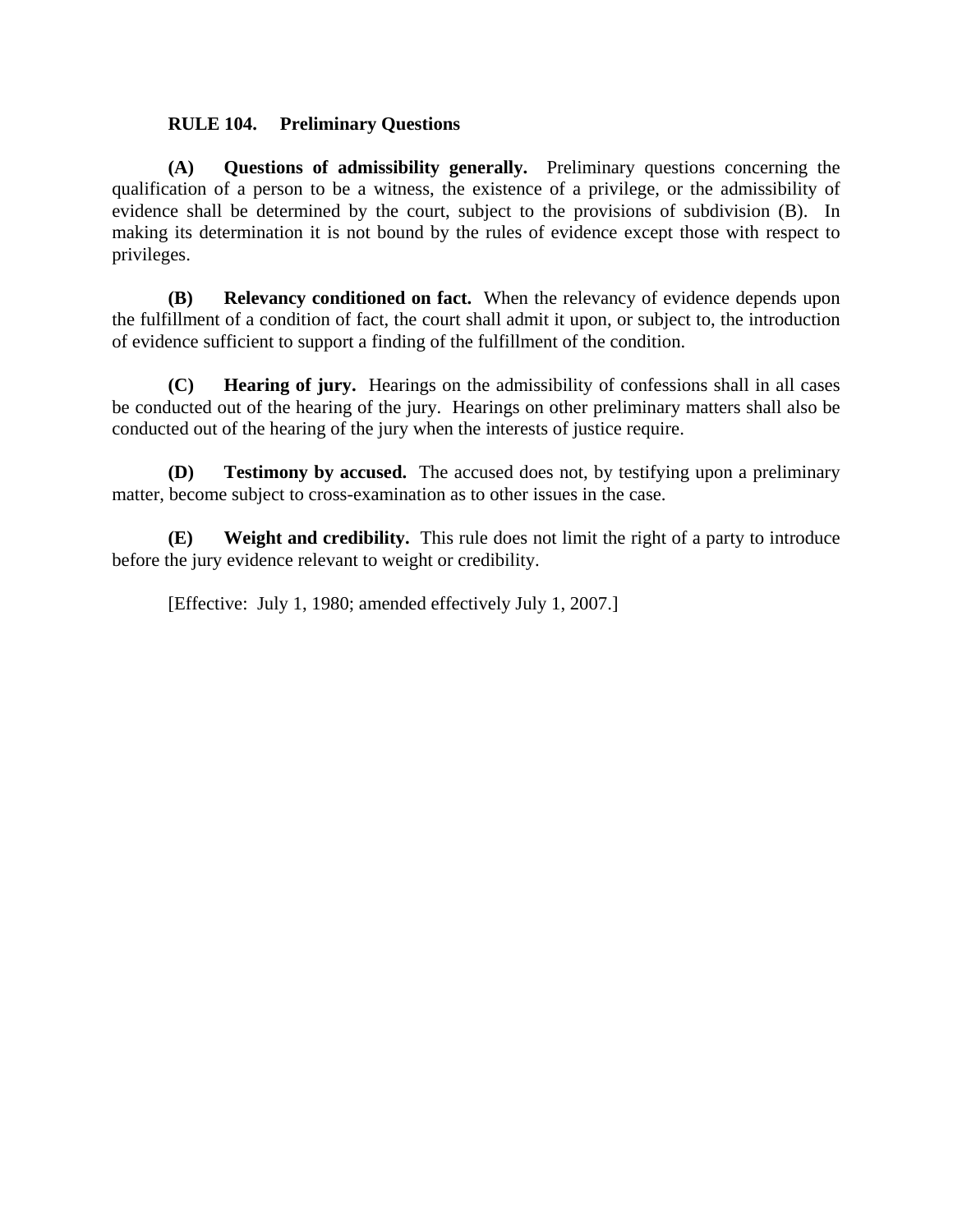### <span id="page-8-0"></span>**RULE 104. Preliminary Questions**

**(A) Questions of admissibility generally.** Preliminary questions concerning the qualification of a person to be a witness, the existence of a privilege, or the admissibility of evidence shall be determined by the court, subject to the provisions of subdivision (B). In making its determination it is not bound by the rules of evidence except those with respect to privileges.

**(B) Relevancy conditioned on fact.** When the relevancy of evidence depends upon the fulfillment of a condition of fact, the court shall admit it upon, or subject to, the introduction of evidence sufficient to support a finding of the fulfillment of the condition.

**(C) Hearing of jury.** Hearings on the admissibility of confessions shall in all cases be conducted out of the hearing of the jury. Hearings on other preliminary matters shall also be conducted out of the hearing of the jury when the interests of justice require.

**(D) Testimony by accused.** The accused does not, by testifying upon a preliminary matter, become subject to cross-examination as to other issues in the case.

**(E) Weight and credibility.** This rule does not limit the right of a party to introduce before the jury evidence relevant to weight or credibility.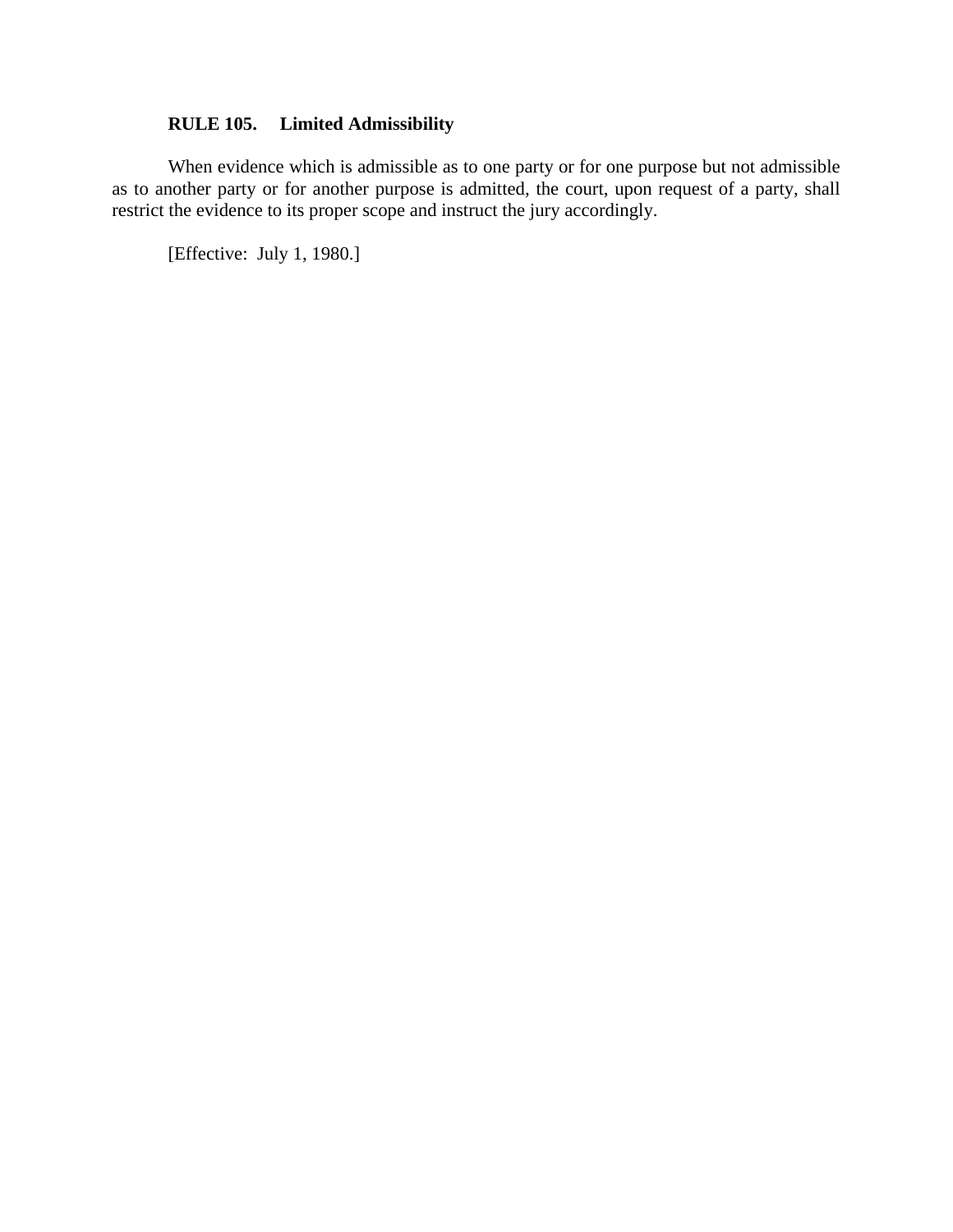## <span id="page-9-0"></span>**RULE 105. Limited Admissibility**

When evidence which is admissible as to one party or for one purpose but not admissible as to another party or for another purpose is admitted, the court, upon request of a party, shall restrict the evidence to its proper scope and instruct the jury accordingly.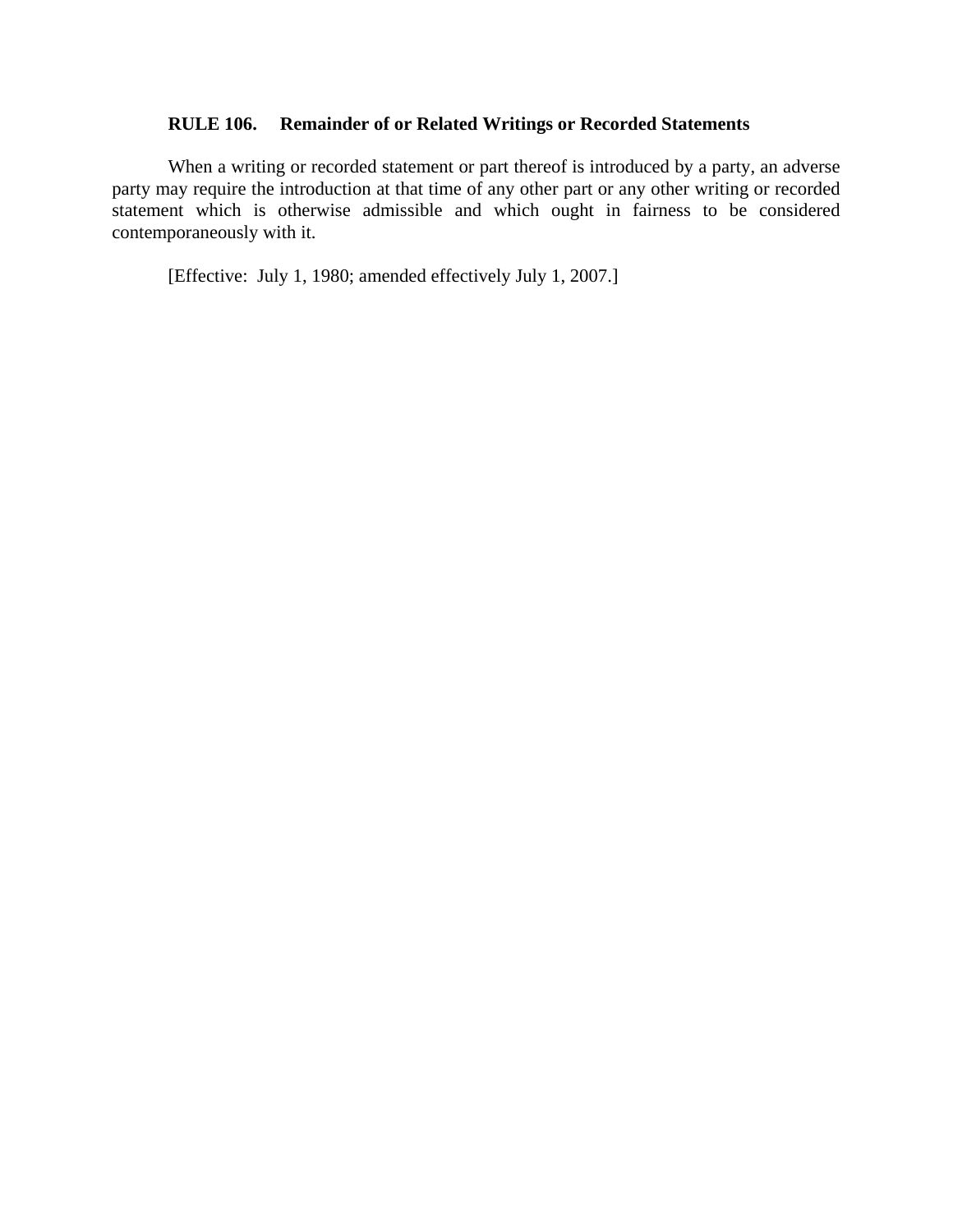### <span id="page-10-0"></span>**RULE 106. Remainder of or Related Writings or Recorded Statements**

When a writing or recorded statement or part thereof is introduced by a party, an adverse party may require the introduction at that time of any other part or any other writing or recorded statement which is otherwise admissible and which ought in fairness to be considered contemporaneously with it.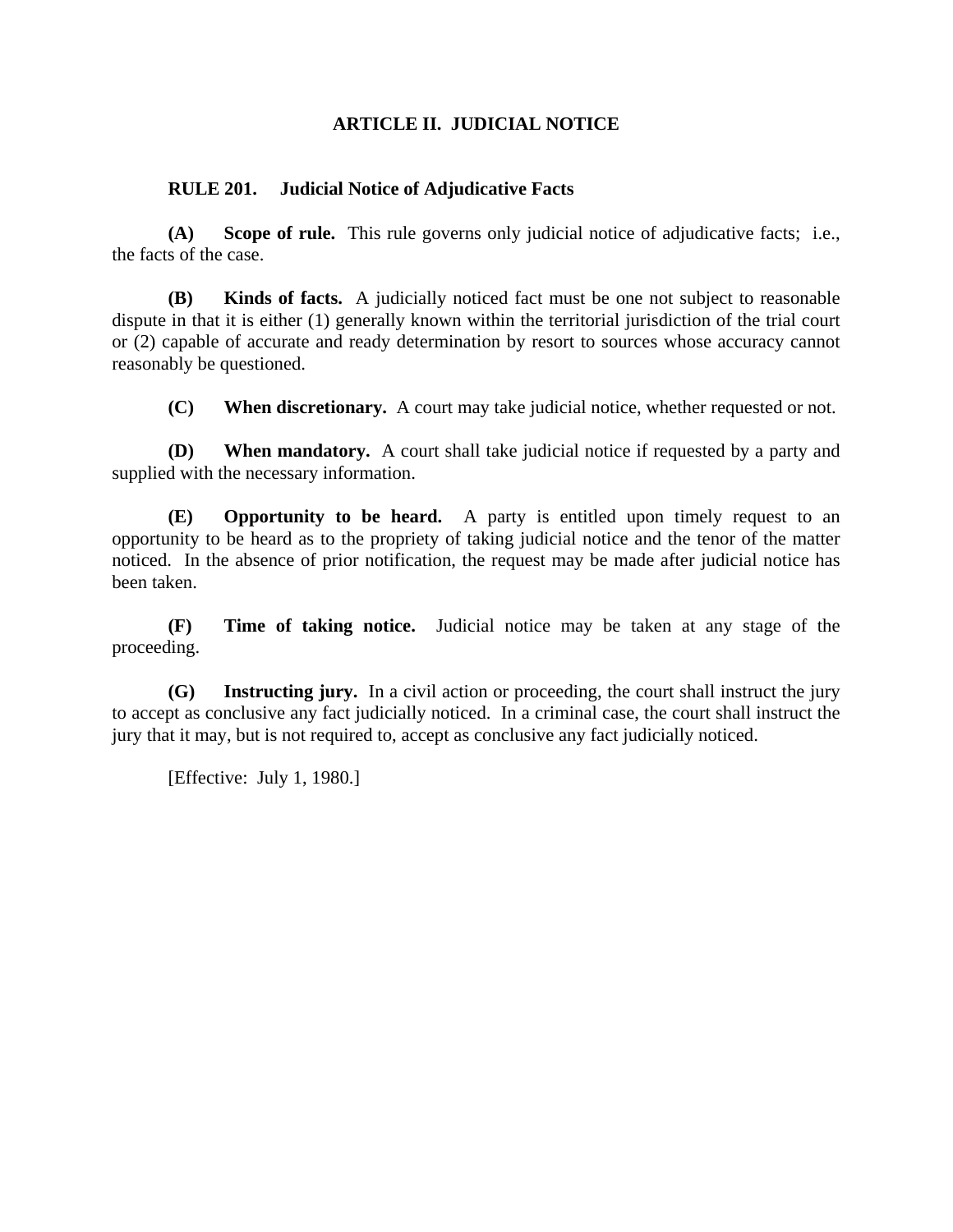### **ARTICLE II. JUDICIAL NOTICE**

### <span id="page-11-0"></span>**RULE 201. Judicial Notice of Adjudicative Facts**

**(A) Scope of rule.** This rule governs only judicial notice of adjudicative facts; i.e., the facts of the case.

**(B) Kinds of facts.** A judicially noticed fact must be one not subject to reasonable dispute in that it is either (1) generally known within the territorial jurisdiction of the trial court or (2) capable of accurate and ready determination by resort to sources whose accuracy cannot reasonably be questioned.

**(C) When discretionary.** A court may take judicial notice, whether requested or not.

**(D) When mandatory.** A court shall take judicial notice if requested by a party and supplied with the necessary information.

**(E) Opportunity to be heard.** A party is entitled upon timely request to an opportunity to be heard as to the propriety of taking judicial notice and the tenor of the matter noticed. In the absence of prior notification, the request may be made after judicial notice has been taken.

**(F) Time of taking notice.** Judicial notice may be taken at any stage of the proceeding.

**(G) Instructing jury.** In a civil action or proceeding, the court shall instruct the jury to accept as conclusive any fact judicially noticed. In a criminal case, the court shall instruct the jury that it may, but is not required to, accept as conclusive any fact judicially noticed.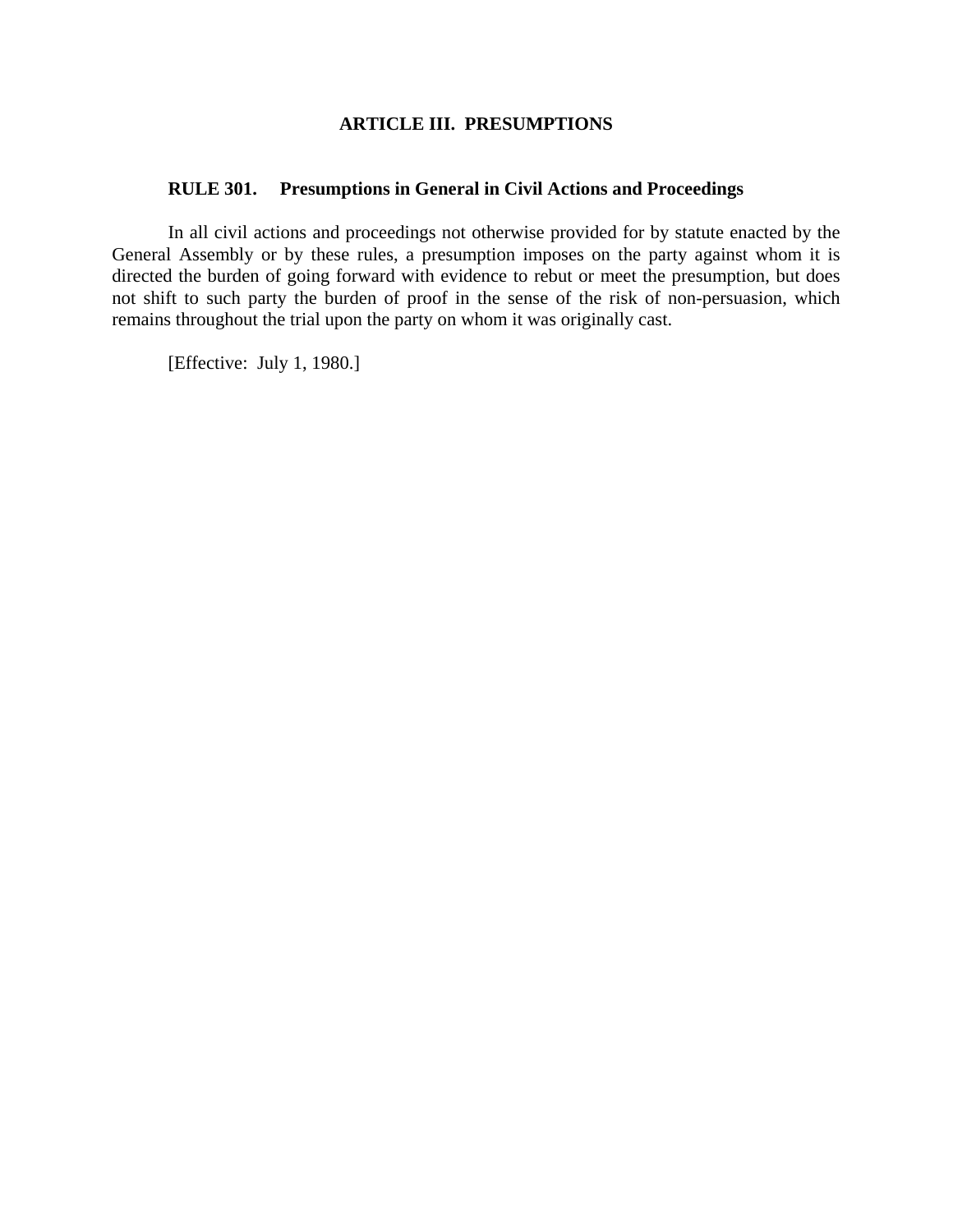### **ARTICLE III. PRESUMPTIONS**

#### <span id="page-12-0"></span>**RULE 301. Presumptions in General in Civil Actions and Proceedings**

In all civil actions and proceedings not otherwise provided for by statute enacted by the General Assembly or by these rules, a presumption imposes on the party against whom it is directed the burden of going forward with evidence to rebut or meet the presumption, but does not shift to such party the burden of proof in the sense of the risk of non-persuasion, which remains throughout the trial upon the party on whom it was originally cast.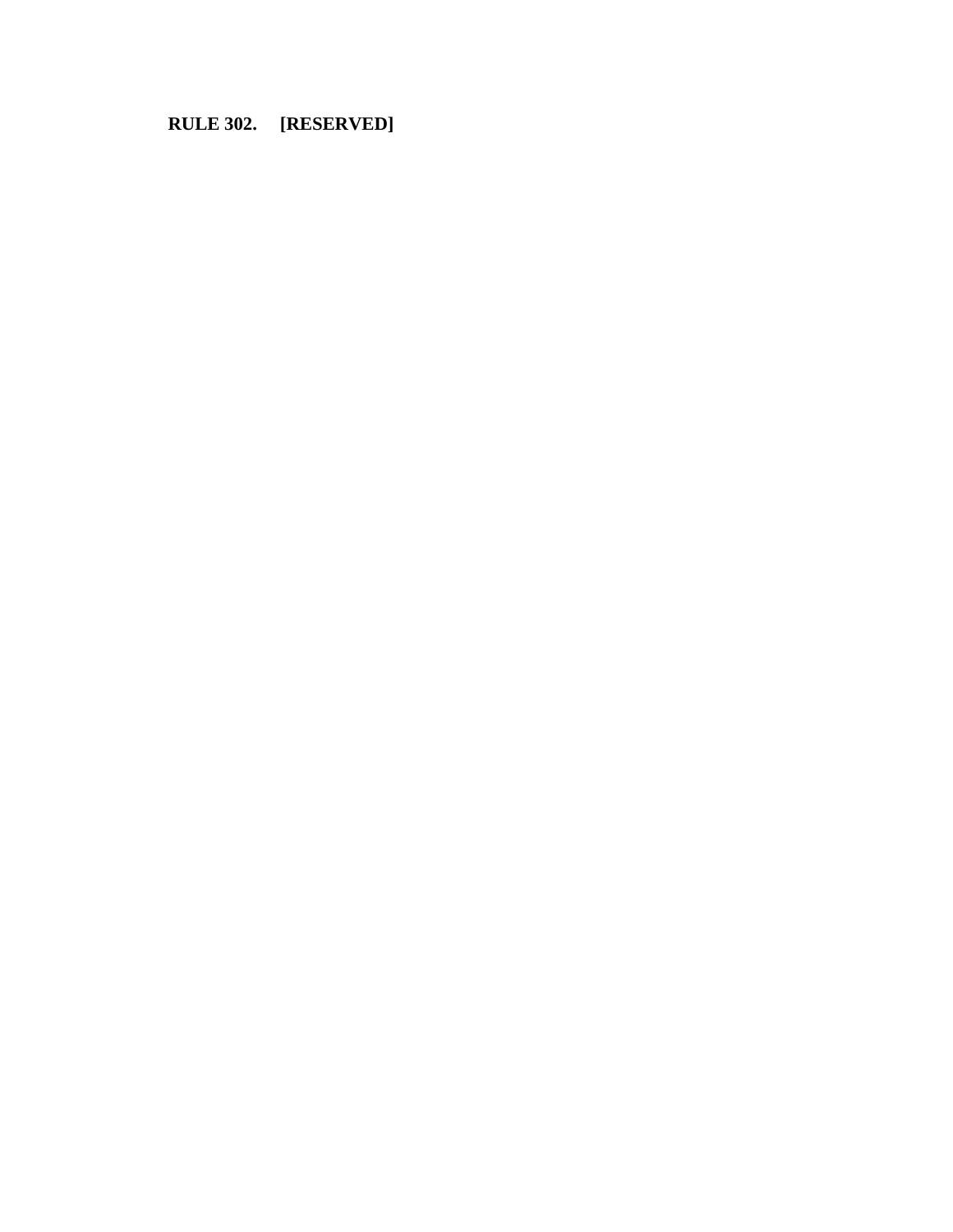## <span id="page-13-0"></span>**RULE 302. [RESERVED]**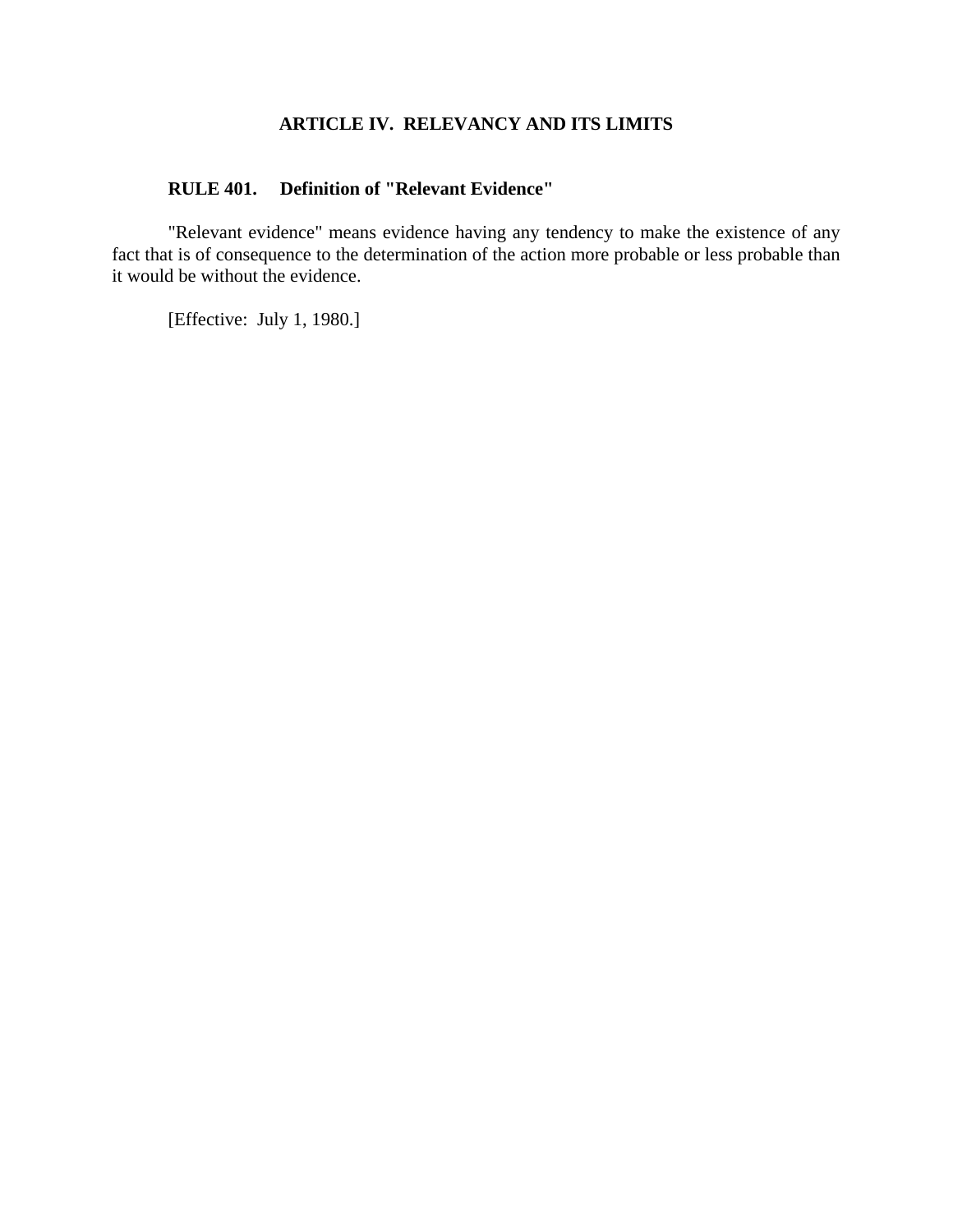## **ARTICLE IV. RELEVANCY AND ITS LIMITS**

### <span id="page-14-0"></span>**RULE 401. Definition of "Relevant Evidence"**

"Relevant evidence" means evidence having any tendency to make the existence of any fact that is of consequence to the determination of the action more probable or less probable than it would be without the evidence.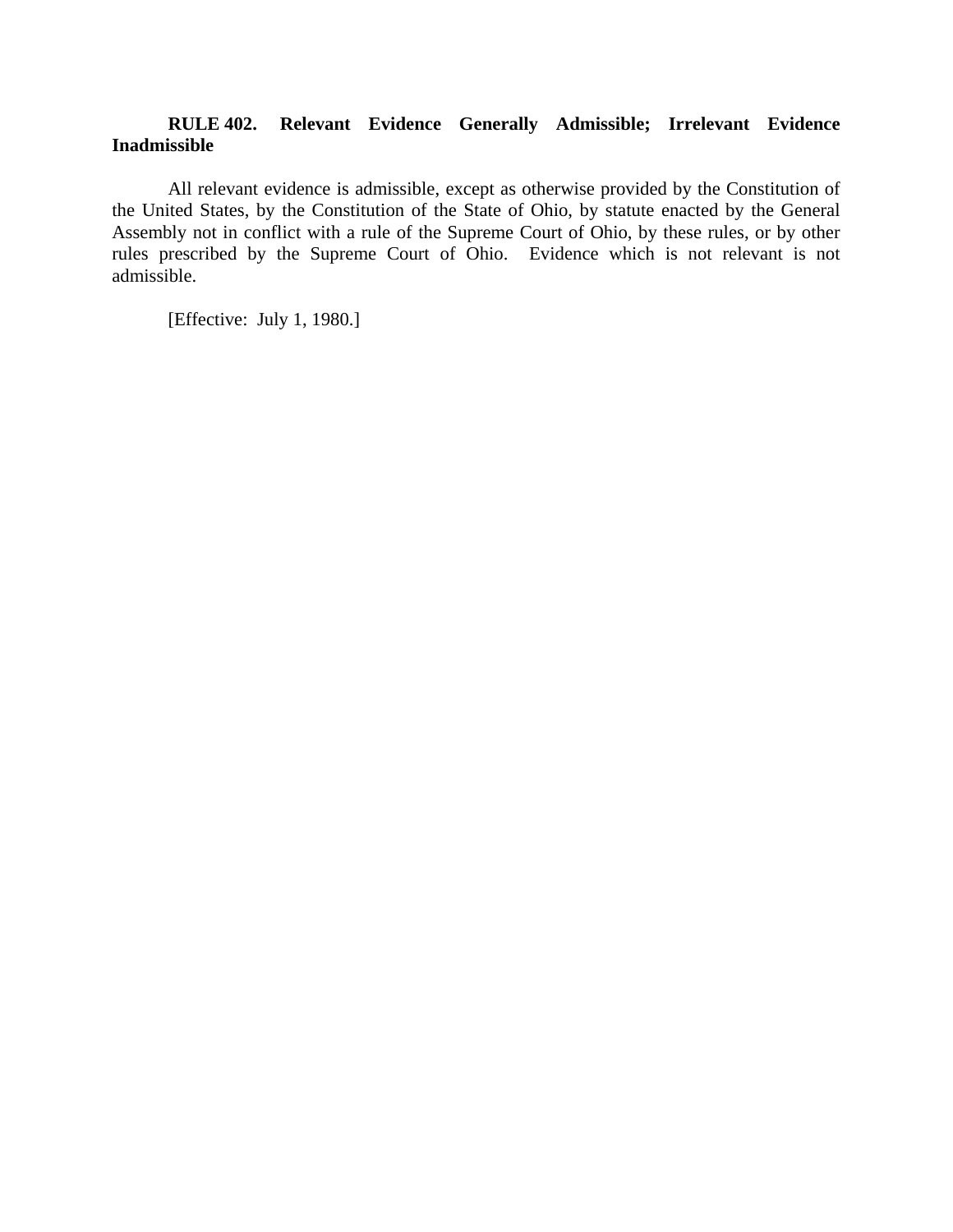### <span id="page-15-0"></span>**RULE 402. Relevant Evidence Generally Admissible; Irrelevant Evidence Inadmissible**

All relevant evidence is admissible, except as otherwise provided by the Constitution of the United States, by the Constitution of the State of Ohio, by statute enacted by the General Assembly not in conflict with a rule of the Supreme Court of Ohio, by these rules, or by other rules prescribed by the Supreme Court of Ohio. Evidence which is not relevant is not admissible.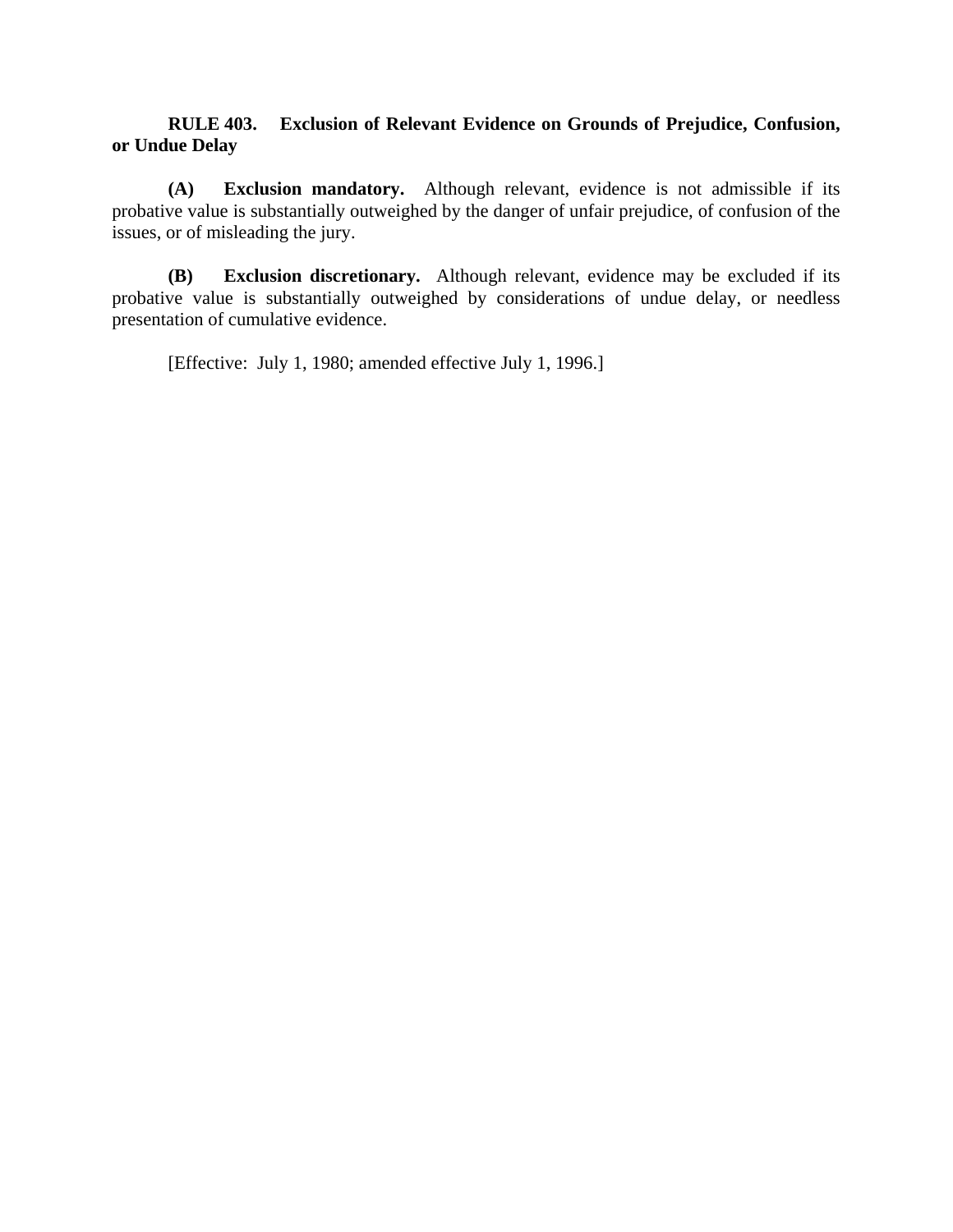<span id="page-16-0"></span>**RULE 403. Exclusion of Relevant Evidence on Grounds of Prejudice, Confusion, or Undue Delay**

**(A) Exclusion mandatory.** Although relevant, evidence is not admissible if its probative value is substantially outweighed by the danger of unfair prejudice, of confusion of the issues, or of misleading the jury.

**(B) Exclusion discretionary.** Although relevant, evidence may be excluded if its probative value is substantially outweighed by considerations of undue delay, or needless presentation of cumulative evidence.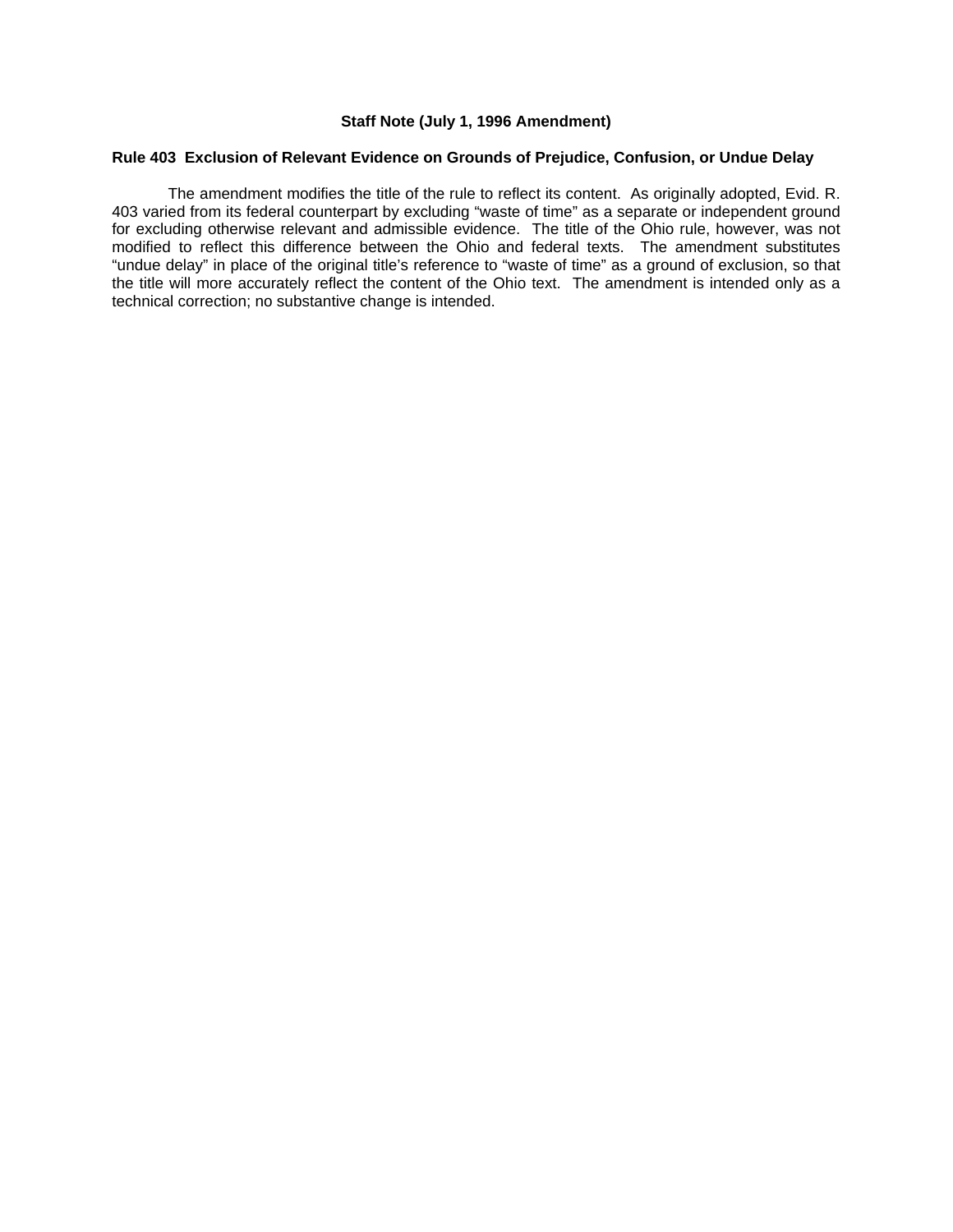#### **Staff Note (July 1, 1996 Amendment)**

#### **Rule 403 Exclusion of Relevant Evidence on Grounds of Prejudice, Confusion, or Undue Delay**

The amendment modifies the title of the rule to reflect its content. As originally adopted, Evid. R. 403 varied from its federal counterpart by excluding "waste of time" as a separate or independent ground for excluding otherwise relevant and admissible evidence. The title of the Ohio rule, however, was not modified to reflect this difference between the Ohio and federal texts. The amendment substitutes "undue delay" in place of the original title's reference to "waste of time" as a ground of exclusion, so that the title will more accurately reflect the content of the Ohio text. The amendment is intended only as a technical correction; no substantive change is intended.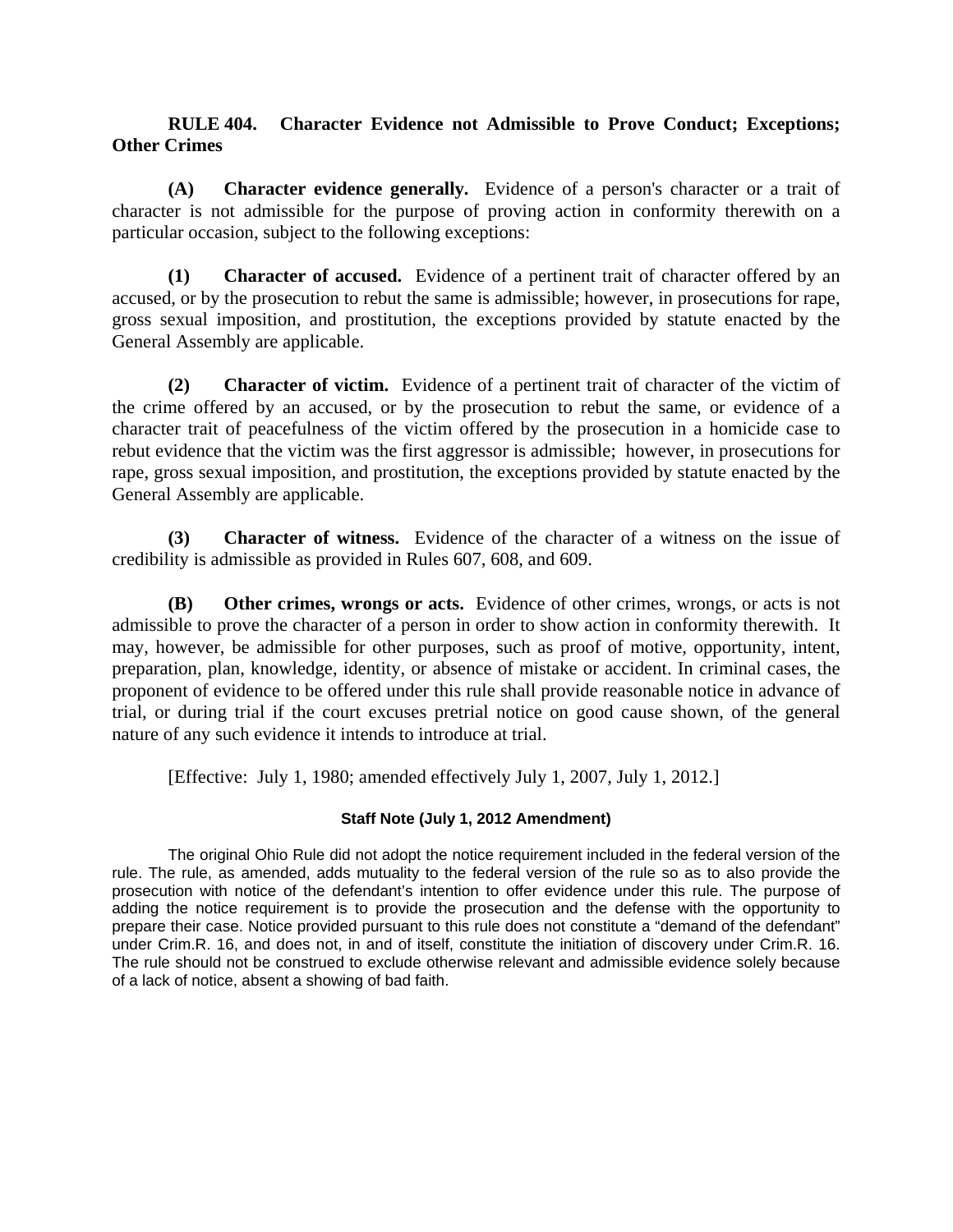### <span id="page-18-0"></span>**RULE 404. Character Evidence not Admissible to Prove Conduct; Exceptions; Other Crimes**

**(A) Character evidence generally.** Evidence of a person's character or a trait of character is not admissible for the purpose of proving action in conformity therewith on a particular occasion, subject to the following exceptions:

**(1) Character of accused.** Evidence of a pertinent trait of character offered by an accused, or by the prosecution to rebut the same is admissible; however, in prosecutions for rape, gross sexual imposition, and prostitution, the exceptions provided by statute enacted by the General Assembly are applicable.

**(2) Character of victim.** Evidence of a pertinent trait of character of the victim of the crime offered by an accused, or by the prosecution to rebut the same, or evidence of a character trait of peacefulness of the victim offered by the prosecution in a homicide case to rebut evidence that the victim was the first aggressor is admissible; however, in prosecutions for rape, gross sexual imposition, and prostitution, the exceptions provided by statute enacted by the General Assembly are applicable.

**(3) Character of witness.** Evidence of the character of a witness on the issue of credibility is admissible as provided in Rules 607, 608, and 609.

**(B) Other crimes, wrongs or acts.** Evidence of other crimes, wrongs, or acts is not admissible to prove the character of a person in order to show action in conformity therewith. It may, however, be admissible for other purposes, such as proof of motive, opportunity, intent, preparation, plan, knowledge, identity, or absence of mistake or accident. In criminal cases, the proponent of evidence to be offered under this rule shall provide reasonable notice in advance of trial, or during trial if the court excuses pretrial notice on good cause shown, of the general nature of any such evidence it intends to introduce at trial.

[Effective: July 1, 1980; amended effectively July 1, 2007, July 1, 2012.]

#### **Staff Note (July 1, 2012 Amendment)**

The original Ohio Rule did not adopt the notice requirement included in the federal version of the rule. The rule, as amended, adds mutuality to the federal version of the rule so as to also provide the prosecution with notice of the defendant's intention to offer evidence under this rule. The purpose of adding the notice requirement is to provide the prosecution and the defense with the opportunity to prepare their case. Notice provided pursuant to this rule does not constitute a "demand of the defendant" under Crim.R. 16, and does not, in and of itself, constitute the initiation of discovery under Crim.R. 16. The rule should not be construed to exclude otherwise relevant and admissible evidence solely because of a lack of notice, absent a showing of bad faith.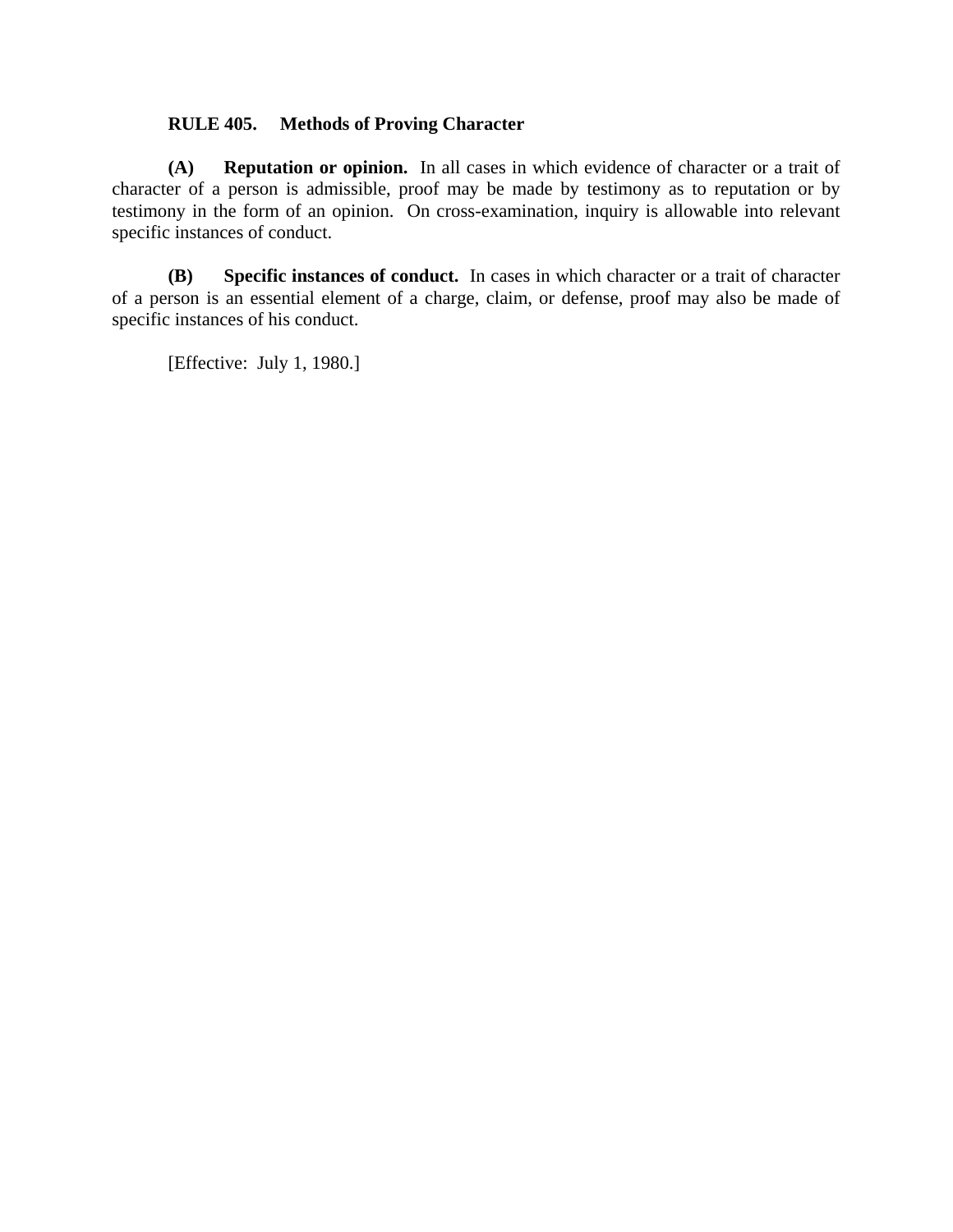### <span id="page-19-0"></span>**RULE 405. Methods of Proving Character**

**(A) Reputation or opinion.** In all cases in which evidence of character or a trait of character of a person is admissible, proof may be made by testimony as to reputation or by testimony in the form of an opinion. On cross-examination, inquiry is allowable into relevant specific instances of conduct.

**(B) Specific instances of conduct.** In cases in which character or a trait of character of a person is an essential element of a charge, claim, or defense, proof may also be made of specific instances of his conduct.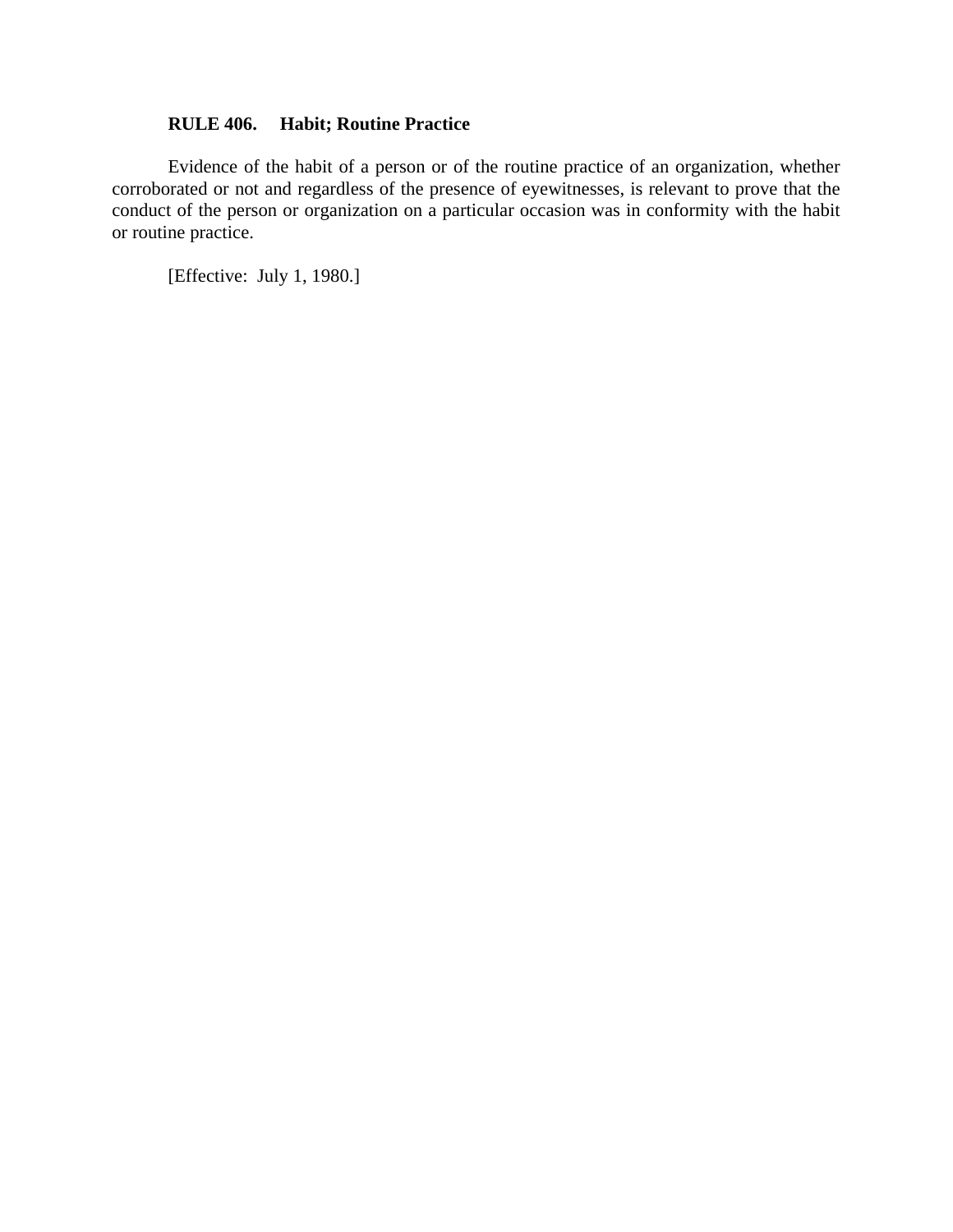## <span id="page-20-0"></span>**RULE 406. Habit; Routine Practice**

Evidence of the habit of a person or of the routine practice of an organization, whether corroborated or not and regardless of the presence of eyewitnesses, is relevant to prove that the conduct of the person or organization on a particular occasion was in conformity with the habit or routine practice.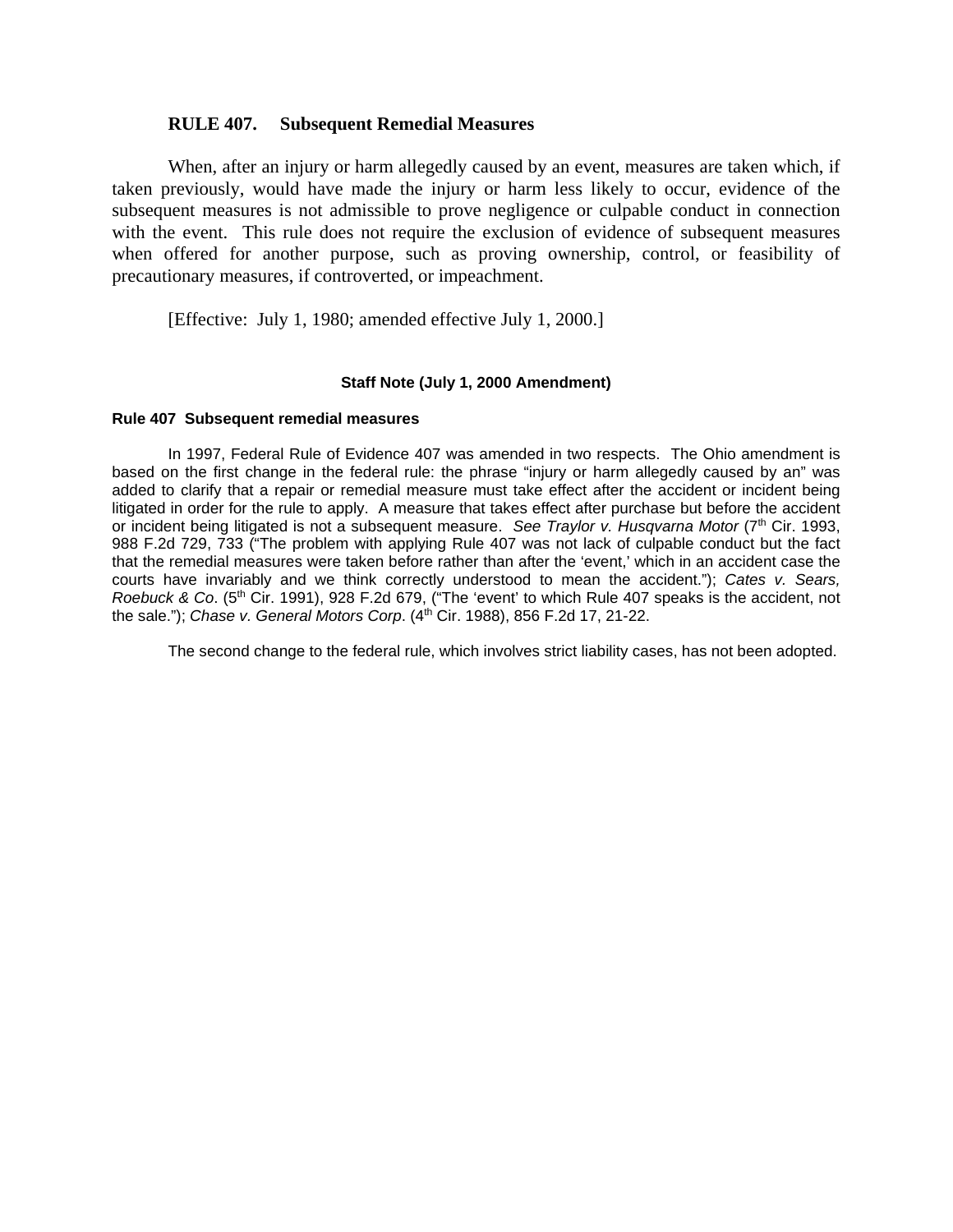#### <span id="page-21-0"></span>**RULE 407. Subsequent Remedial Measures**

When, after an injury or harm allegedly caused by an event, measures are taken which, if taken previously, would have made the injury or harm less likely to occur, evidence of the subsequent measures is not admissible to prove negligence or culpable conduct in connection with the event. This rule does not require the exclusion of evidence of subsequent measures when offered for another purpose, such as proving ownership, control, or feasibility of precautionary measures, if controverted, or impeachment.

[Effective: July 1, 1980; amended effective July 1, 2000.]

#### **Staff Note (July 1, 2000 Amendment)**

#### **Rule 407 Subsequent remedial measures**

In 1997, Federal Rule of Evidence 407 was amended in two respects. The Ohio amendment is based on the first change in the federal rule: the phrase "injury or harm allegedly caused by an" was added to clarify that a repair or remedial measure must take effect after the accident or incident being litigated in order for the rule to apply. A measure that takes effect after purchase but before the accident or incident being litigated is not a subsequent measure. *See Traylor v. Husqvarna Motor* (7<sup>th</sup> Cir. 1993, 988 F.2d 729, 733 ("The problem with applying Rule 407 was not lack of culpable conduct but the fact that the remedial measures were taken before rather than after the 'event,' which in an accident case the courts have invariably and we think correctly understood to mean the accident."); *Cates v. Sears, Roebuck & Co.* (5<sup>th</sup> Cir. 1991), 928 F.2d 679, ("The 'event' to which Rule 407 speaks is the accident, not the sale."); *Chase v. General Motors Corp*. (4th Cir. 1988), 856 F.2d 17, 21-22.

The second change to the federal rule, which involves strict liability cases, has not been adopted.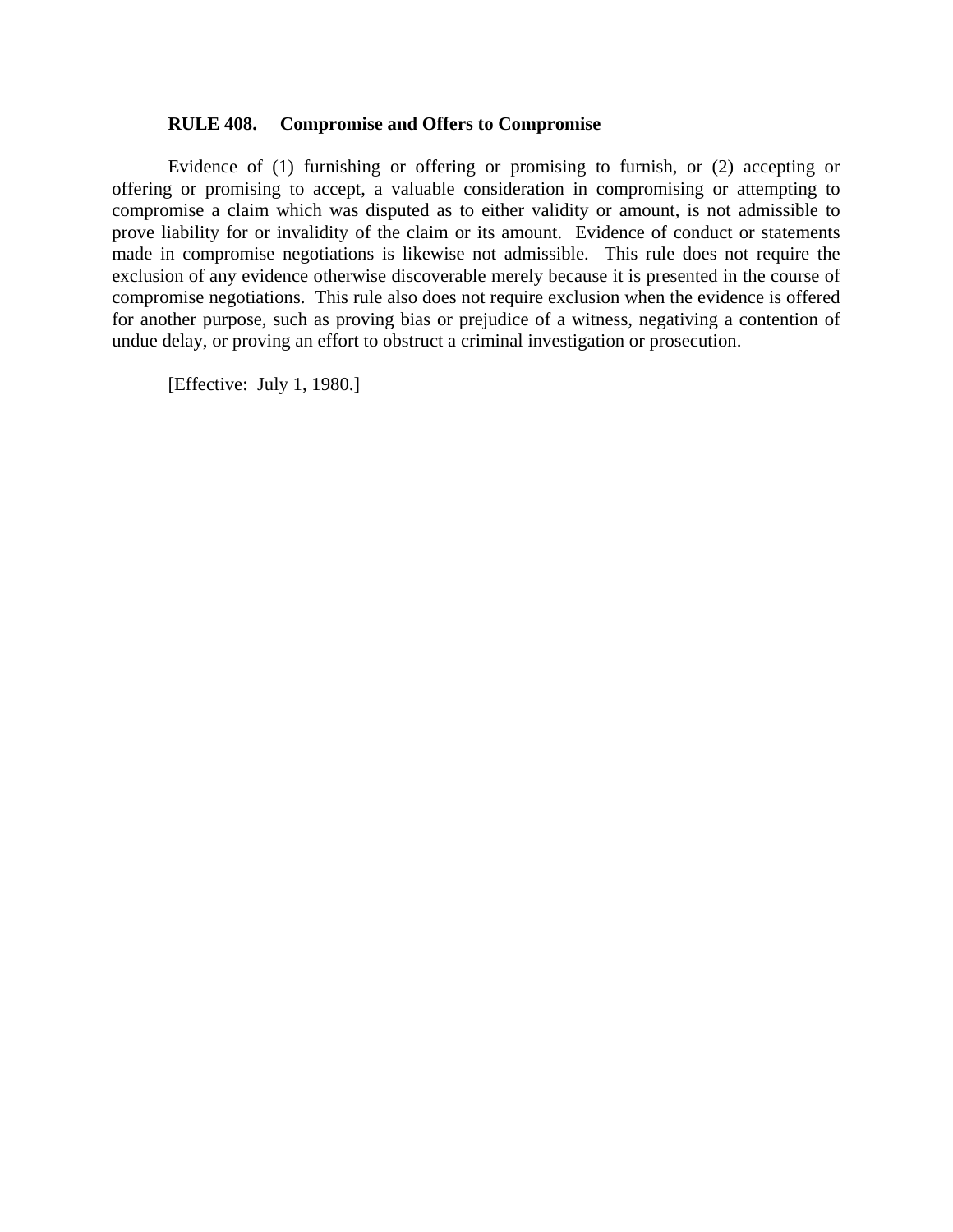#### <span id="page-22-0"></span>**RULE 408. Compromise and Offers to Compromise**

Evidence of (1) furnishing or offering or promising to furnish, or (2) accepting or offering or promising to accept, a valuable consideration in compromising or attempting to compromise a claim which was disputed as to either validity or amount, is not admissible to prove liability for or invalidity of the claim or its amount. Evidence of conduct or statements made in compromise negotiations is likewise not admissible. This rule does not require the exclusion of any evidence otherwise discoverable merely because it is presented in the course of compromise negotiations. This rule also does not require exclusion when the evidence is offered for another purpose, such as proving bias or prejudice of a witness, negativing a contention of undue delay, or proving an effort to obstruct a criminal investigation or prosecution.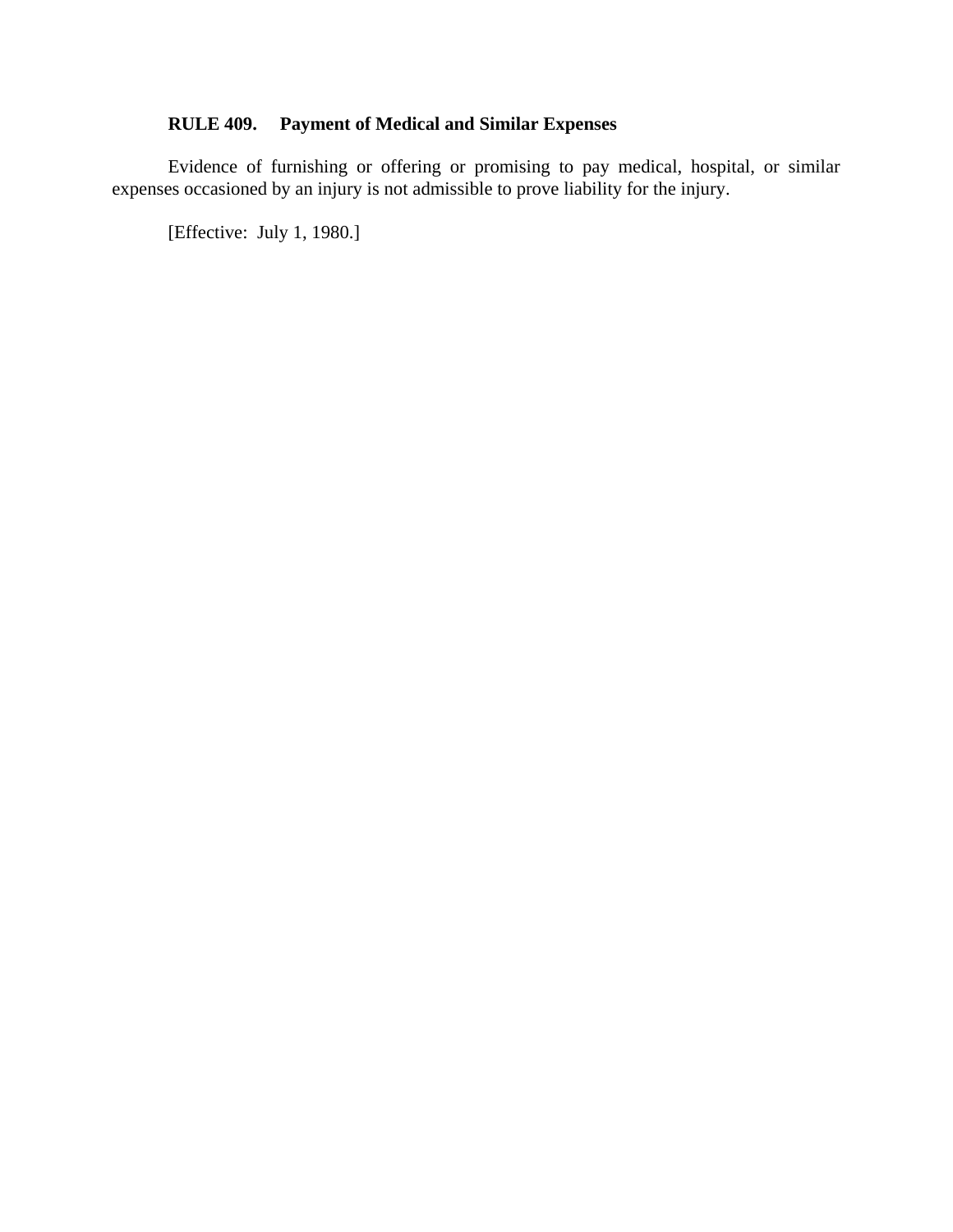### <span id="page-23-0"></span>**RULE 409. Payment of Medical and Similar Expenses**

Evidence of furnishing or offering or promising to pay medical, hospital, or similar expenses occasioned by an injury is not admissible to prove liability for the injury.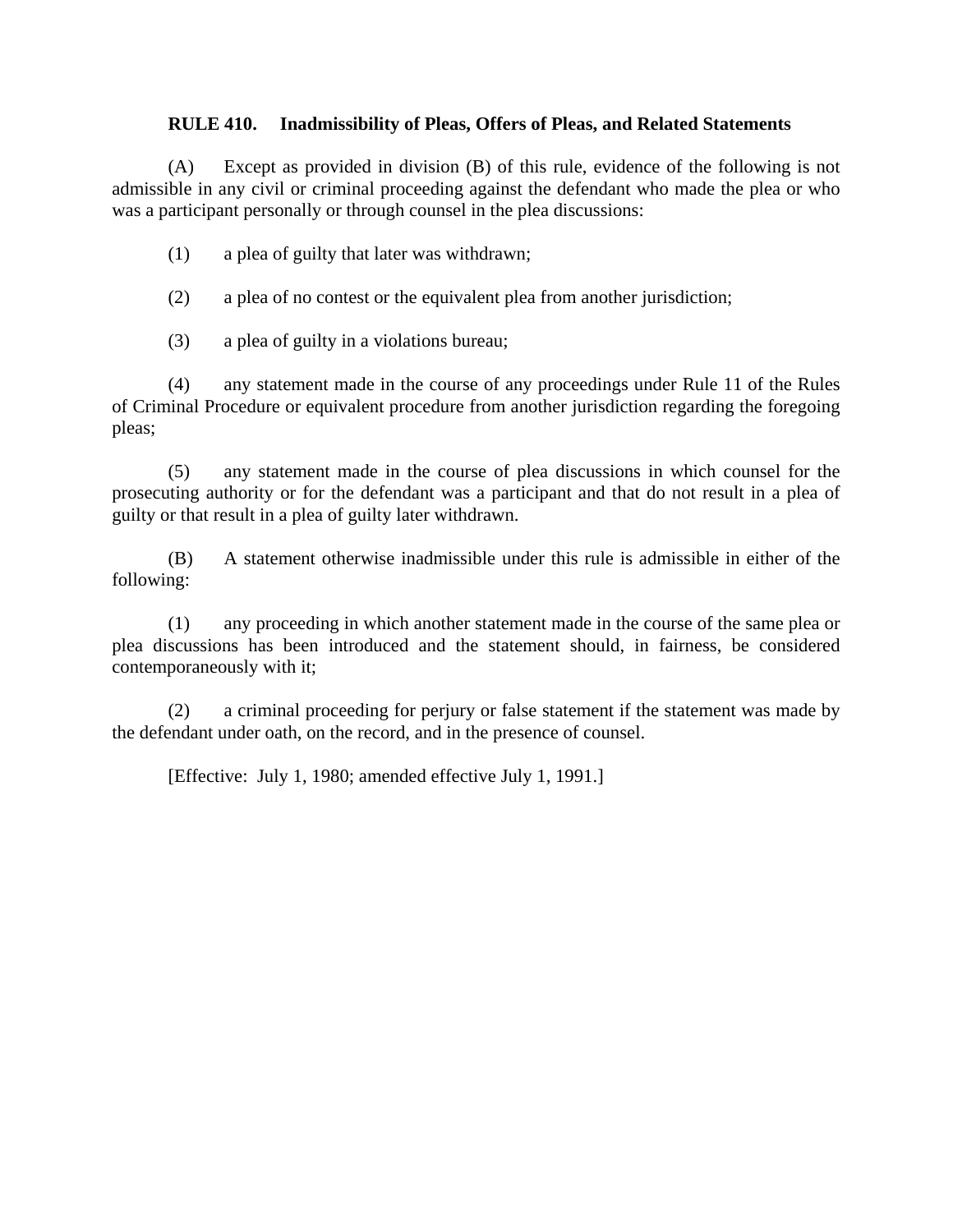#### <span id="page-24-0"></span>**RULE 410. Inadmissibility of Pleas, Offers of Pleas, and Related Statements**

(A) Except as provided in division (B) of this rule, evidence of the following is not admissible in any civil or criminal proceeding against the defendant who made the plea or who was a participant personally or through counsel in the plea discussions:

- (1) a plea of guilty that later was withdrawn;
- (2) a plea of no contest or the equivalent plea from another jurisdiction;
- (3) a plea of guilty in a violations bureau;

(4) any statement made in the course of any proceedings under Rule 11 of the Rules of Criminal Procedure or equivalent procedure from another jurisdiction regarding the foregoing pleas;

(5) any statement made in the course of plea discussions in which counsel for the prosecuting authority or for the defendant was a participant and that do not result in a plea of guilty or that result in a plea of guilty later withdrawn.

(B) A statement otherwise inadmissible under this rule is admissible in either of the following:

(1) any proceeding in which another statement made in the course of the same plea or plea discussions has been introduced and the statement should, in fairness, be considered contemporaneously with it;

(2) a criminal proceeding for perjury or false statement if the statement was made by the defendant under oath, on the record, and in the presence of counsel.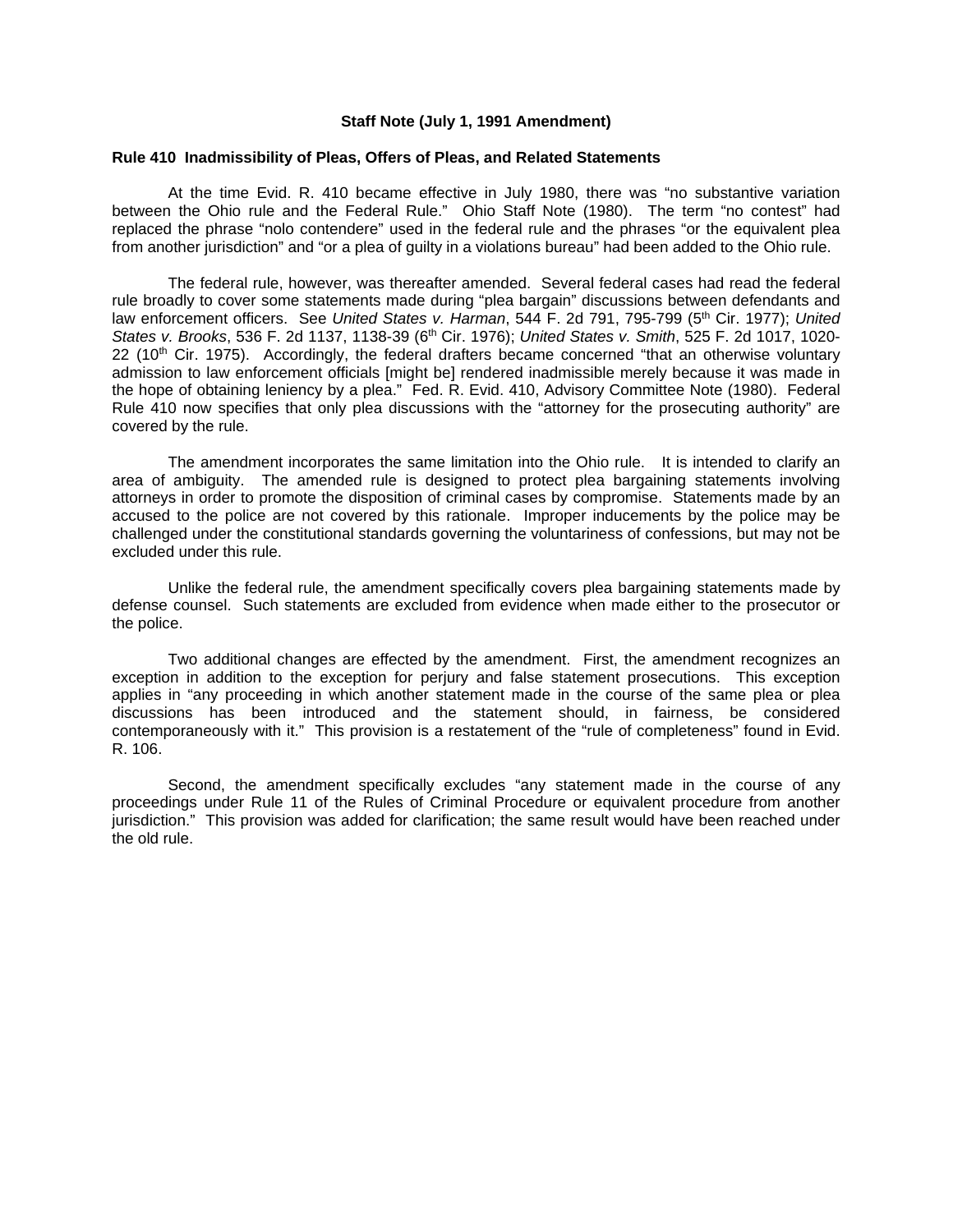#### **Staff Note (July 1, 1991 Amendment)**

#### **Rule 410 Inadmissibility of Pleas, Offers of Pleas, and Related Statements**

At the time Evid. R. 410 became effective in July 1980, there was "no substantive variation between the Ohio rule and the Federal Rule." Ohio Staff Note (1980). The term "no contest" had replaced the phrase "nolo contendere" used in the federal rule and the phrases "or the equivalent plea from another jurisdiction" and "or a plea of guilty in a violations bureau" had been added to the Ohio rule.

The federal rule, however, was thereafter amended. Several federal cases had read the federal rule broadly to cover some statements made during "plea bargain" discussions between defendants and law enforcement officers. See *United States v. Harman*, 544 F. 2d 791, 795-799 (5<sup>th</sup> Cir. 1977); *United States v. Brooks*, 536 F. 2d 1137, 1138-39 (6th Cir. 1976); *United States v. Smith*, 525 F. 2d 1017, 1020-  $22$  (10<sup>th</sup> Cir. 1975). Accordingly, the federal drafters became concerned "that an otherwise voluntary admission to law enforcement officials [might be] rendered inadmissible merely because it was made in the hope of obtaining leniency by a plea." Fed. R. Evid. 410, Advisory Committee Note (1980). Federal Rule 410 now specifies that only plea discussions with the "attorney for the prosecuting authority" are covered by the rule.

The amendment incorporates the same limitation into the Ohio rule. It is intended to clarify an area of ambiguity. The amended rule is designed to protect plea bargaining statements involving attorneys in order to promote the disposition of criminal cases by compromise. Statements made by an accused to the police are not covered by this rationale. Improper inducements by the police may be challenged under the constitutional standards governing the voluntariness of confessions, but may not be excluded under this rule.

Unlike the federal rule, the amendment specifically covers plea bargaining statements made by defense counsel. Such statements are excluded from evidence when made either to the prosecutor or the police.

Two additional changes are effected by the amendment. First, the amendment recognizes an exception in addition to the exception for perjury and false statement prosecutions. This exception applies in "any proceeding in which another statement made in the course of the same plea or plea discussions has been introduced and the statement should, in fairness, be considered contemporaneously with it." This provision is a restatement of the "rule of completeness" found in Evid. R. 106.

Second, the amendment specifically excludes "any statement made in the course of any proceedings under Rule 11 of the Rules of Criminal Procedure or equivalent procedure from another jurisdiction." This provision was added for clarification; the same result would have been reached under the old rule.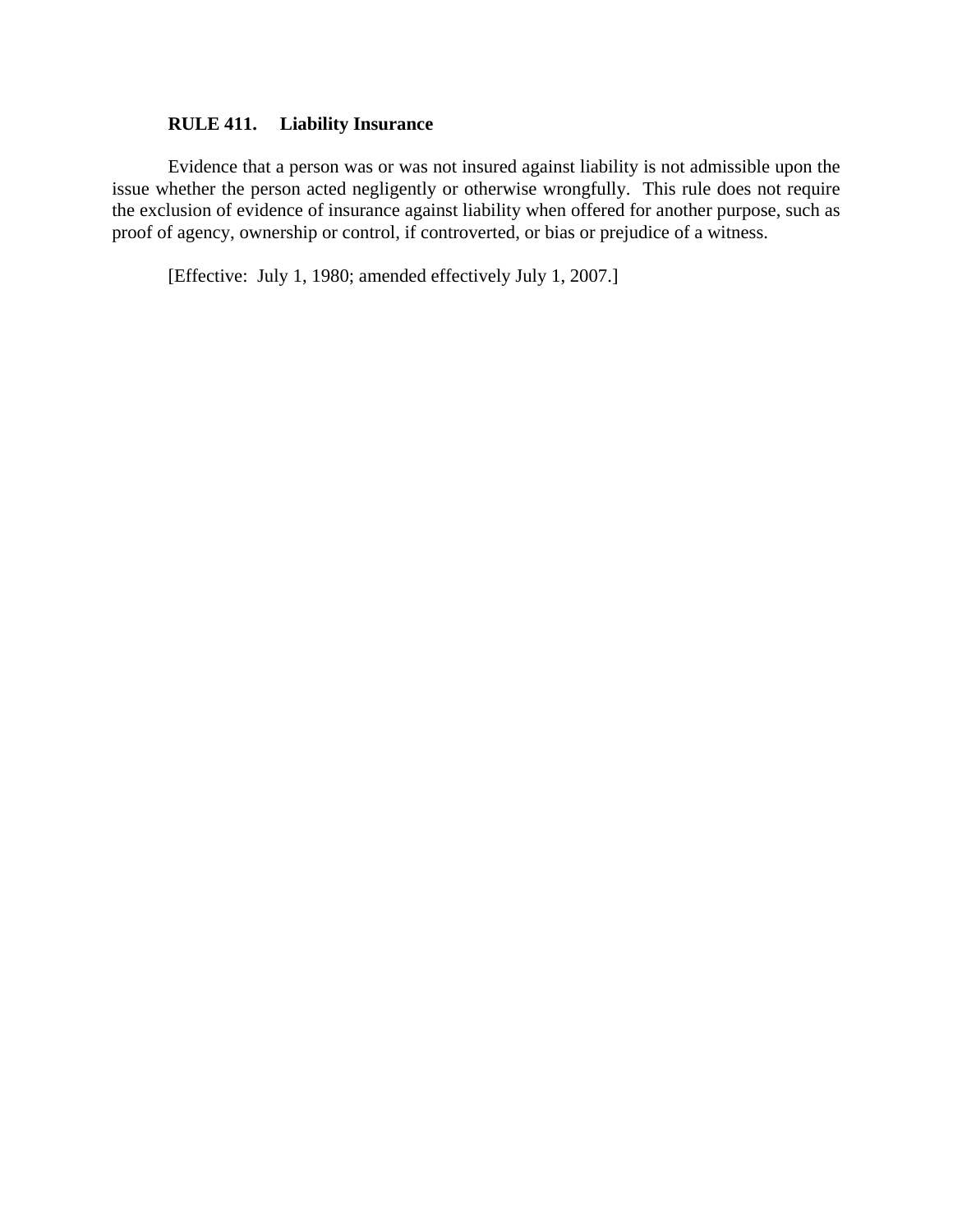### <span id="page-26-0"></span>**RULE 411. Liability Insurance**

Evidence that a person was or was not insured against liability is not admissible upon the issue whether the person acted negligently or otherwise wrongfully. This rule does not require the exclusion of evidence of insurance against liability when offered for another purpose, such as proof of agency, ownership or control, if controverted, or bias or prejudice of a witness.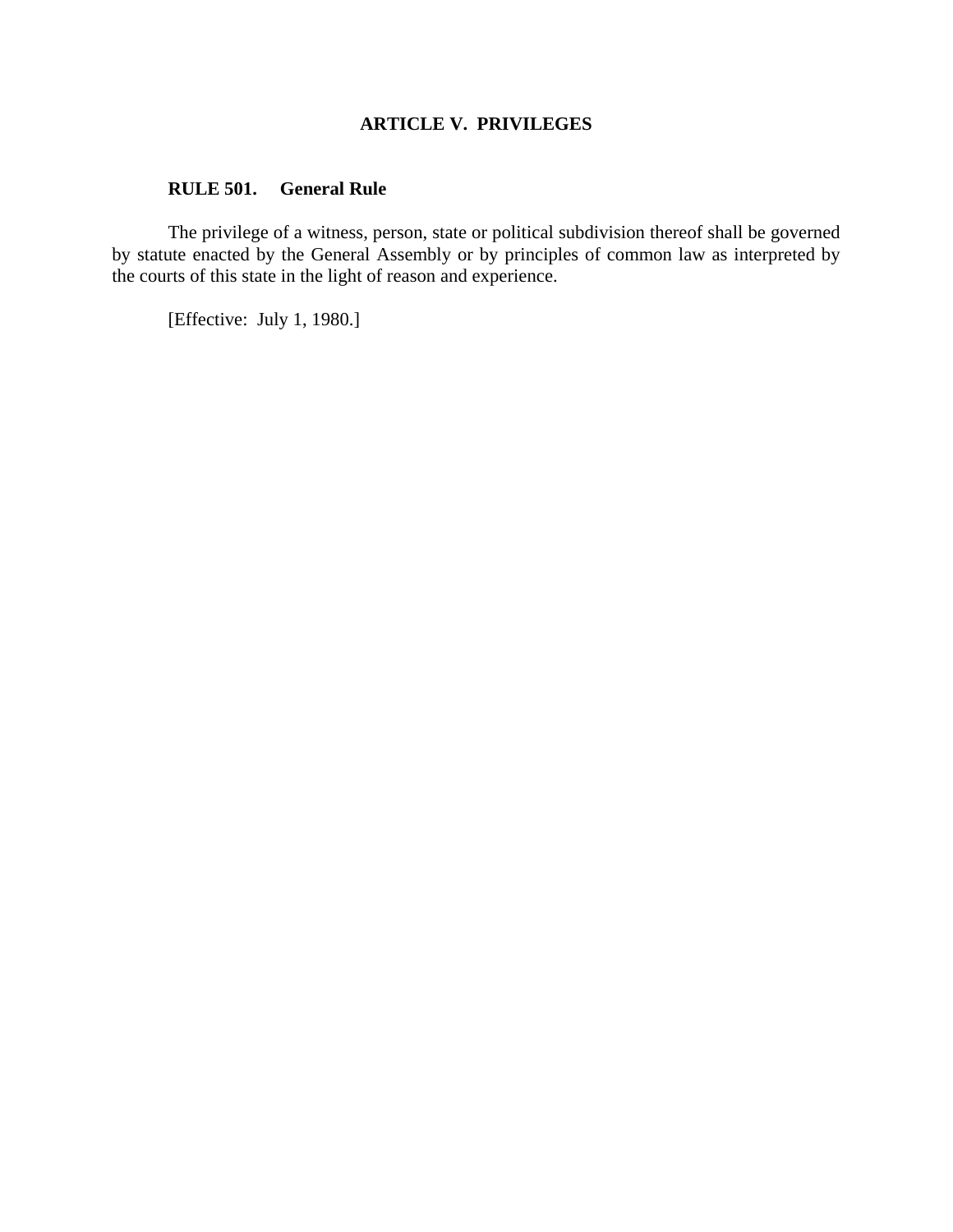### **ARTICLE V. PRIVILEGES**

### <span id="page-27-0"></span>**RULE 501. General Rule**

The privilege of a witness, person, state or political subdivision thereof shall be governed by statute enacted by the General Assembly or by principles of common law as interpreted by the courts of this state in the light of reason and experience.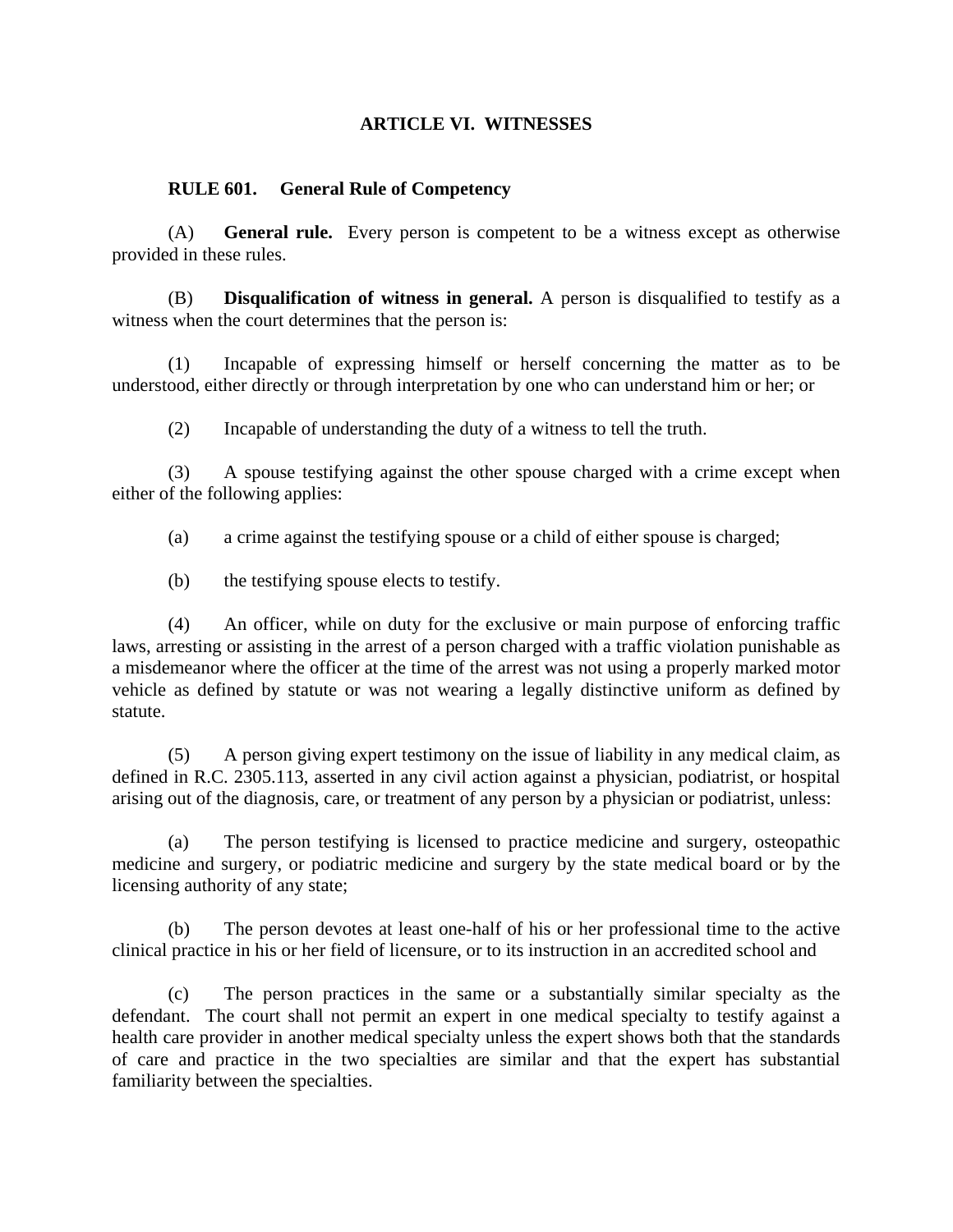### **ARTICLE VI. WITNESSES**

### <span id="page-28-0"></span>**RULE 601. General Rule of Competency**

(A) **General rule.** Every person is competent to be a witness except as otherwise provided in these rules.

(B) **Disqualification of witness in general.** A person is disqualified to testify as a witness when the court determines that the person is:

(1) Incapable of expressing himself or herself concerning the matter as to be understood, either directly or through interpretation by one who can understand him or her; or

(2) Incapable of understanding the duty of a witness to tell the truth.

(3) A spouse testifying against the other spouse charged with a crime except when either of the following applies:

(a) a crime against the testifying spouse or a child of either spouse is charged;

(b) the testifying spouse elects to testify.

(4) An officer, while on duty for the exclusive or main purpose of enforcing traffic laws, arresting or assisting in the arrest of a person charged with a traffic violation punishable as a misdemeanor where the officer at the time of the arrest was not using a properly marked motor vehicle as defined by statute or was not wearing a legally distinctive uniform as defined by statute.

(5) A person giving expert testimony on the issue of liability in any medical claim, as defined in R.C. 2305.113, asserted in any civil action against a physician, podiatrist, or hospital arising out of the diagnosis, care, or treatment of any person by a physician or podiatrist, unless:

(a) The person testifying is licensed to practice medicine and surgery, osteopathic medicine and surgery, or podiatric medicine and surgery by the state medical board or by the licensing authority of any state;

(b) The person devotes at least one-half of his or her professional time to the active clinical practice in his or her field of licensure, or to its instruction in an accredited school and

(c) The person practices in the same or a substantially similar specialty as the defendant. The court shall not permit an expert in one medical specialty to testify against a health care provider in another medical specialty unless the expert shows both that the standards of care and practice in the two specialties are similar and that the expert has substantial familiarity between the specialties.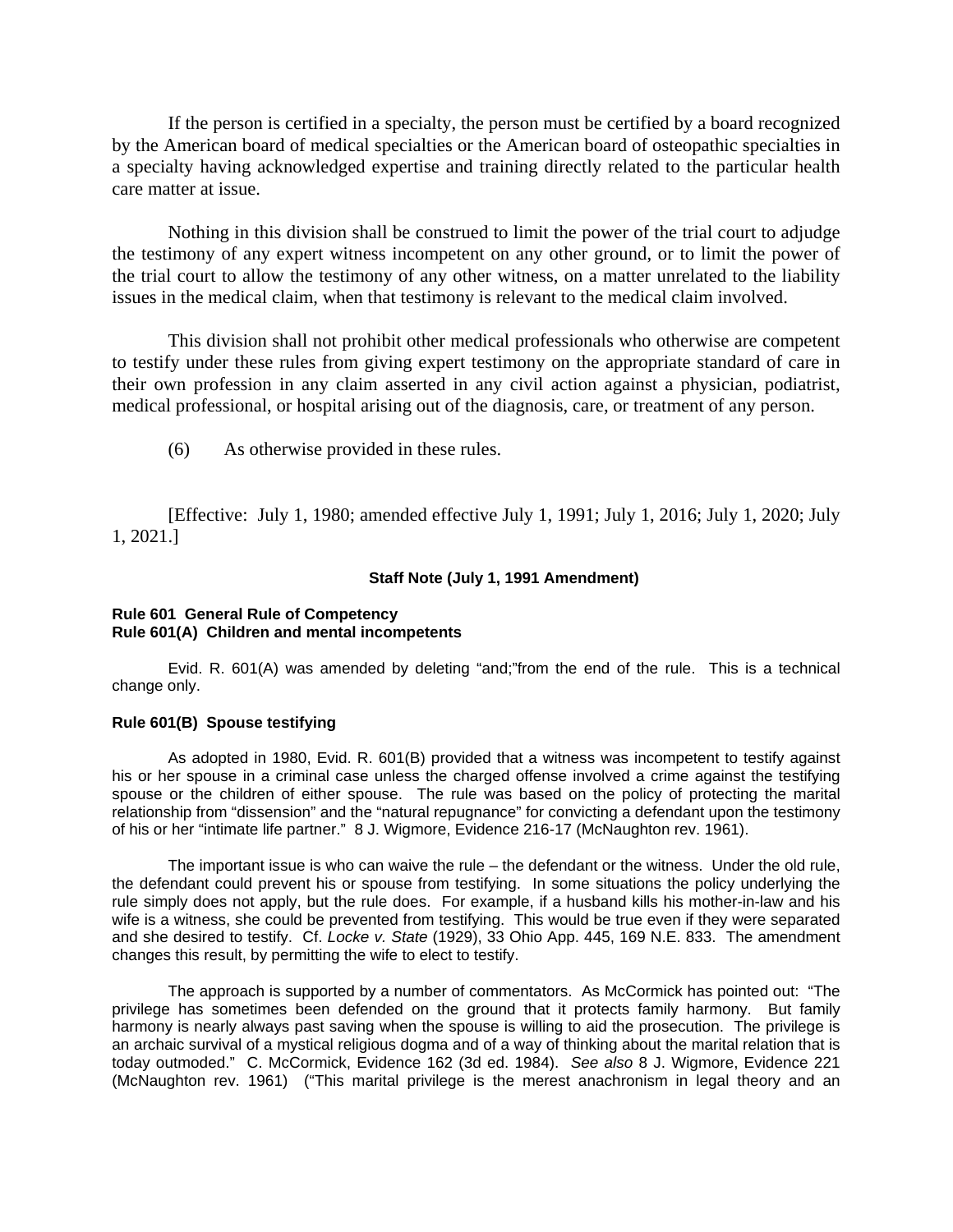If the person is certified in a specialty, the person must be certified by a board recognized by the American board of medical specialties or the American board of osteopathic specialties in a specialty having acknowledged expertise and training directly related to the particular health care matter at issue.

Nothing in this division shall be construed to limit the power of the trial court to adjudge the testimony of any expert witness incompetent on any other ground, or to limit the power of the trial court to allow the testimony of any other witness, on a matter unrelated to the liability issues in the medical claim, when that testimony is relevant to the medical claim involved.

This division shall not prohibit other medical professionals who otherwise are competent to testify under these rules from giving expert testimony on the appropriate standard of care in their own profession in any claim asserted in any civil action against a physician, podiatrist, medical professional, or hospital arising out of the diagnosis, care, or treatment of any person.

(6) As otherwise provided in these rules.

[Effective: July 1, 1980; amended effective July 1, 1991; July 1, 2016; July 1, 2020; July 1, 2021.]

#### **Staff Note (July 1, 1991 Amendment)**

#### **Rule 601 General Rule of Competency Rule 601(A) Children and mental incompetents**

Evid. R. 601(A) was amended by deleting "and;"from the end of the rule. This is a technical change only.

#### **Rule 601(B) Spouse testifying**

As adopted in 1980, Evid. R. 601(B) provided that a witness was incompetent to testify against his or her spouse in a criminal case unless the charged offense involved a crime against the testifying spouse or the children of either spouse. The rule was based on the policy of protecting the marital relationship from "dissension" and the "natural repugnance" for convicting a defendant upon the testimony of his or her "intimate life partner." 8 J. Wigmore, Evidence 216-17 (McNaughton rev. 1961).

The important issue is who can waive the rule – the defendant or the witness. Under the old rule, the defendant could prevent his or spouse from testifying. In some situations the policy underlying the rule simply does not apply, but the rule does. For example, if a husband kills his mother-in-law and his wife is a witness, she could be prevented from testifying. This would be true even if they were separated and she desired to testify. Cf. *Locke v. State* (1929), 33 Ohio App. 445, 169 N.E. 833. The amendment changes this result, by permitting the wife to elect to testify.

The approach is supported by a number of commentators. As McCormick has pointed out: "The privilege has sometimes been defended on the ground that it protects family harmony. But family harmony is nearly always past saving when the spouse is willing to aid the prosecution. The privilege is an archaic survival of a mystical religious dogma and of a way of thinking about the marital relation that is today outmoded." C. McCormick, Evidence 162 (3d ed. 1984). *See also* 8 J. Wigmore, Evidence 221 (McNaughton rev. 1961) ("This marital privilege is the merest anachronism in legal theory and an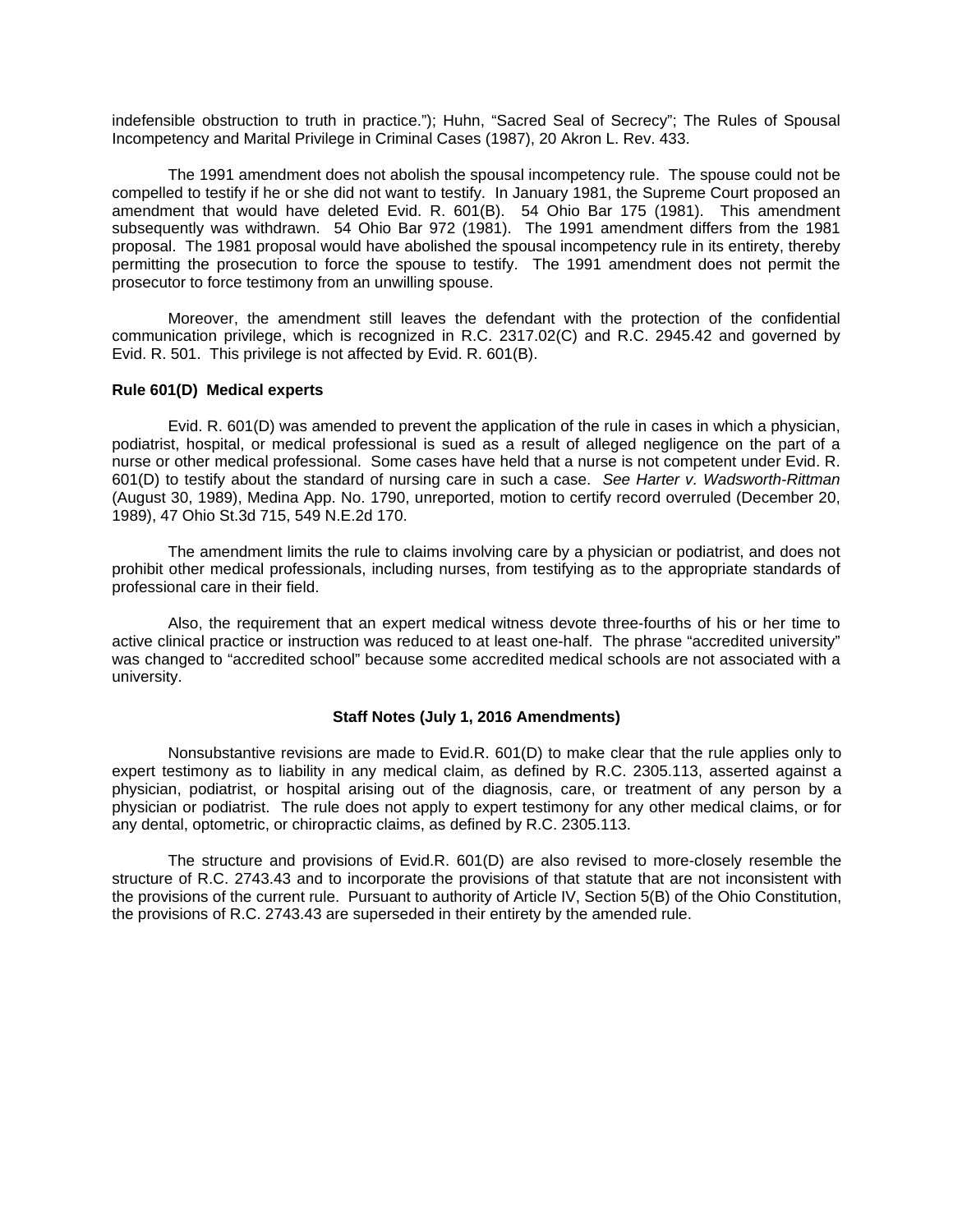indefensible obstruction to truth in practice."); Huhn, "Sacred Seal of Secrecy"; The Rules of Spousal Incompetency and Marital Privilege in Criminal Cases (1987), 20 Akron L. Rev. 433.

The 1991 amendment does not abolish the spousal incompetency rule. The spouse could not be compelled to testify if he or she did not want to testify. In January 1981, the Supreme Court proposed an amendment that would have deleted Evid. R. 601(B). 54 Ohio Bar 175 (1981). This amendment subsequently was withdrawn. 54 Ohio Bar 972 (1981). The 1991 amendment differs from the 1981 proposal. The 1981 proposal would have abolished the spousal incompetency rule in its entirety, thereby permitting the prosecution to force the spouse to testify. The 1991 amendment does not permit the prosecutor to force testimony from an unwilling spouse.

Moreover, the amendment still leaves the defendant with the protection of the confidential communication privilege, which is recognized in R.C. 2317.02(C) and R.C. 2945.42 and governed by Evid. R. 501. This privilege is not affected by Evid. R. 601(B).

#### **Rule 601(D) Medical experts**

Evid. R. 601(D) was amended to prevent the application of the rule in cases in which a physician, podiatrist, hospital, or medical professional is sued as a result of alleged negligence on the part of a nurse or other medical professional. Some cases have held that a nurse is not competent under Evid. R. 601(D) to testify about the standard of nursing care in such a case. *See Harter v. Wadsworth-Rittman* (August 30, 1989), Medina App. No. 1790, unreported, motion to certify record overruled (December 20, 1989), 47 Ohio St.3d 715, 549 N.E.2d 170.

The amendment limits the rule to claims involving care by a physician or podiatrist, and does not prohibit other medical professionals, including nurses, from testifying as to the appropriate standards of professional care in their field.

Also, the requirement that an expert medical witness devote three-fourths of his or her time to active clinical practice or instruction was reduced to at least one-half. The phrase "accredited university" was changed to "accredited school" because some accredited medical schools are not associated with a university.

#### **Staff Notes (July 1, 2016 Amendments)**

Nonsubstantive revisions are made to Evid.R. 601(D) to make clear that the rule applies only to expert testimony as to liability in any medical claim, as defined by R.C. 2305.113, asserted against a physician, podiatrist, or hospital arising out of the diagnosis, care, or treatment of any person by a physician or podiatrist. The rule does not apply to expert testimony for any other medical claims, or for any dental, optometric, or chiropractic claims, as defined by R.C. 2305.113.

The structure and provisions of Evid.R. 601(D) are also revised to more-closely resemble the structure of R.C. 2743.43 and to incorporate the provisions of that statute that are not inconsistent with the provisions of the current rule. Pursuant to authority of Article IV, Section 5(B) of the Ohio Constitution, the provisions of R.C. 2743.43 are superseded in their entirety by the amended rule.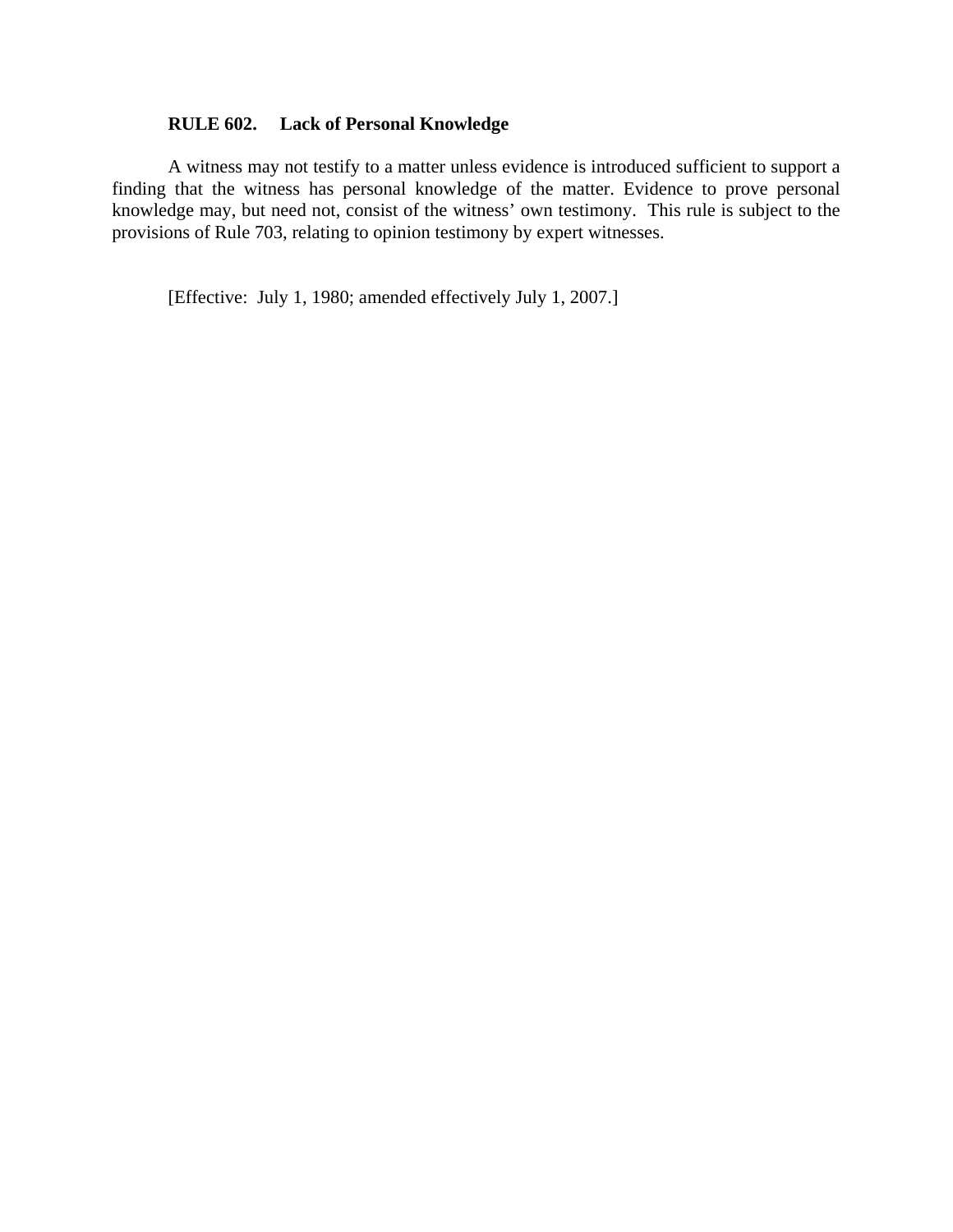### <span id="page-31-0"></span>**RULE 602. Lack of Personal Knowledge**

A witness may not testify to a matter unless evidence is introduced sufficient to support a finding that the witness has personal knowledge of the matter. Evidence to prove personal knowledge may, but need not, consist of the witness' own testimony. This rule is subject to the provisions of Rule 703, relating to opinion testimony by expert witnesses.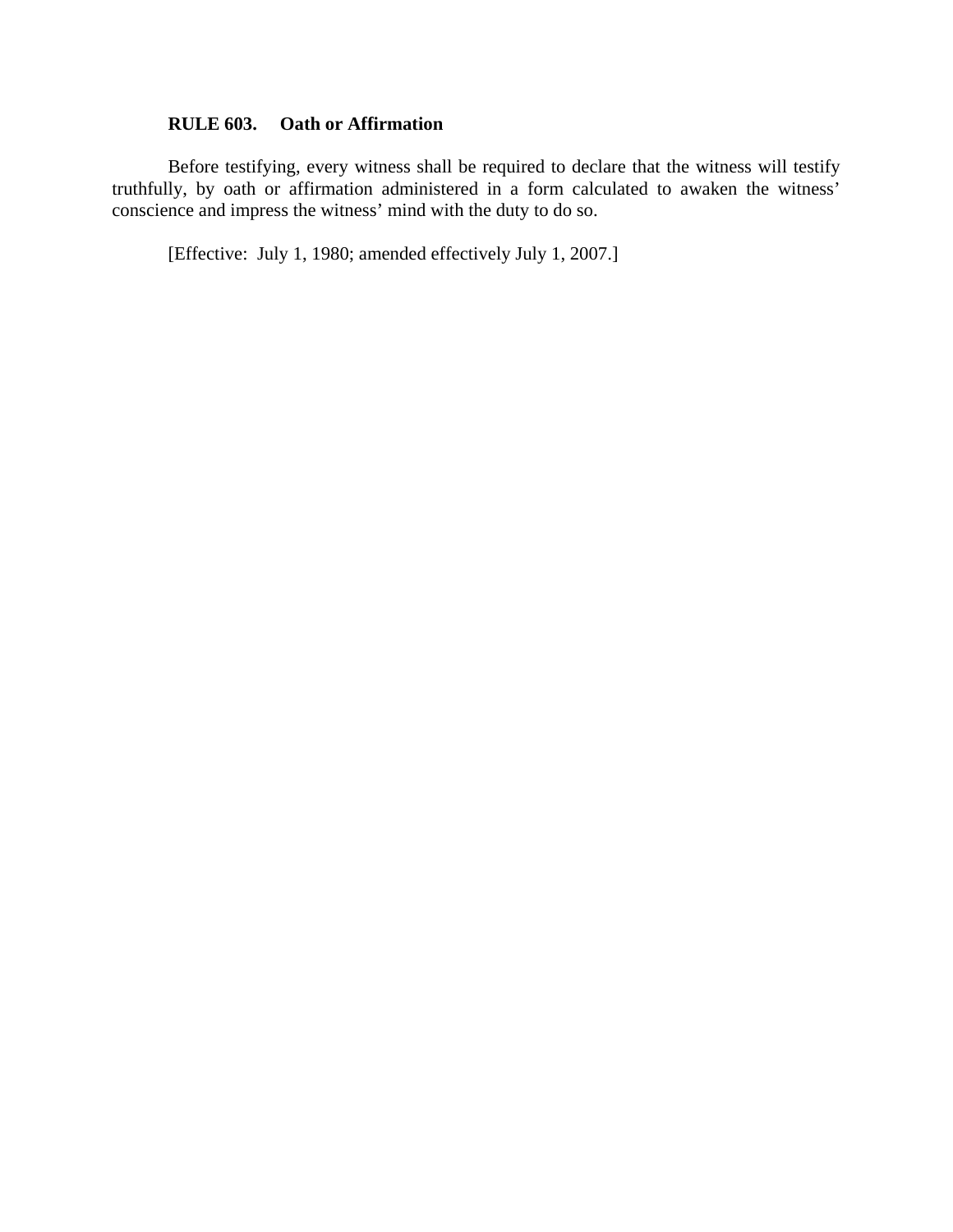### <span id="page-32-0"></span>**RULE 603. Oath or Affirmation**

Before testifying, every witness shall be required to declare that the witness will testify truthfully, by oath or affirmation administered in a form calculated to awaken the witness' conscience and impress the witness' mind with the duty to do so.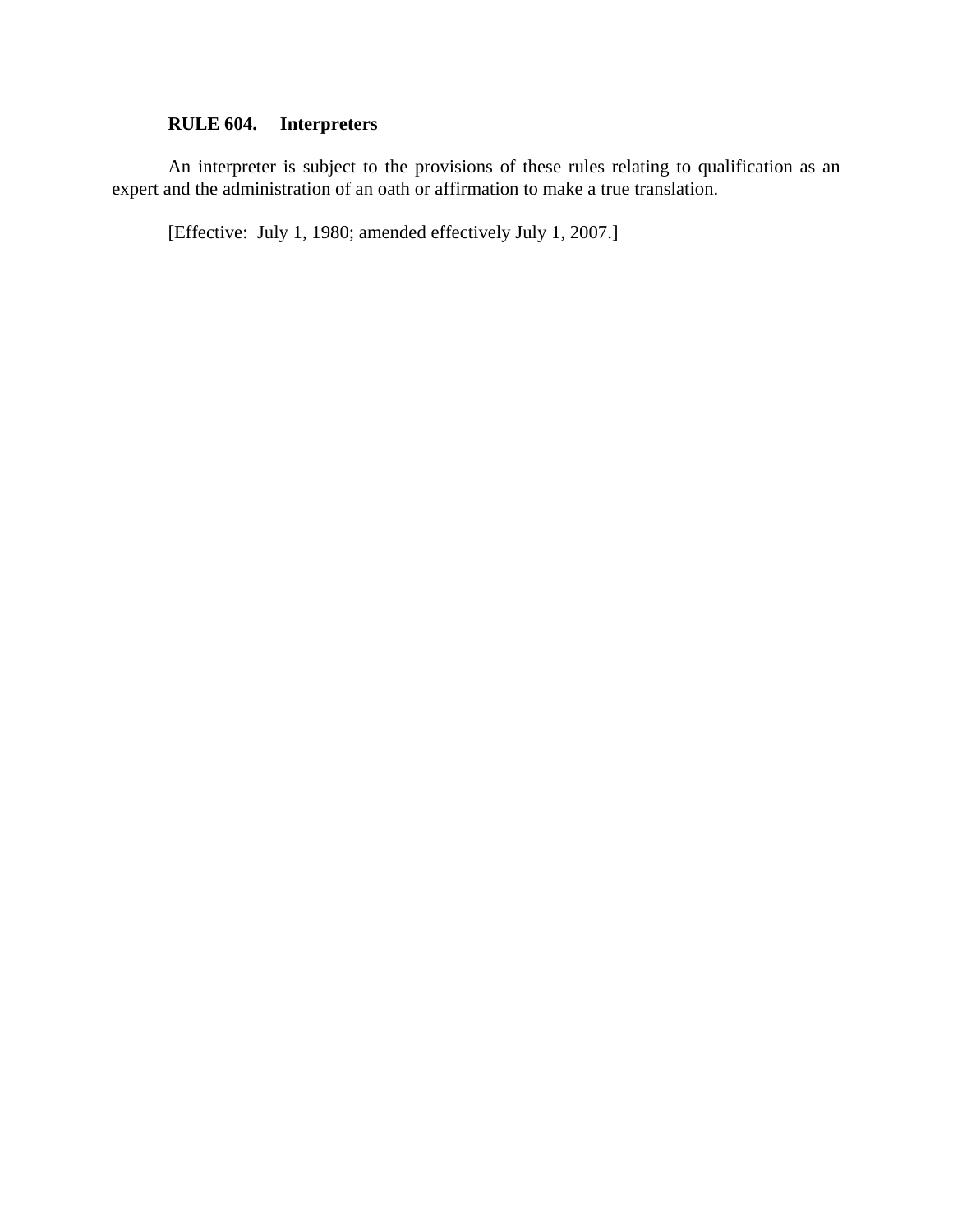### <span id="page-33-0"></span>**RULE 604. Interpreters**

An interpreter is subject to the provisions of these rules relating to qualification as an expert and the administration of an oath or affirmation to make a true translation.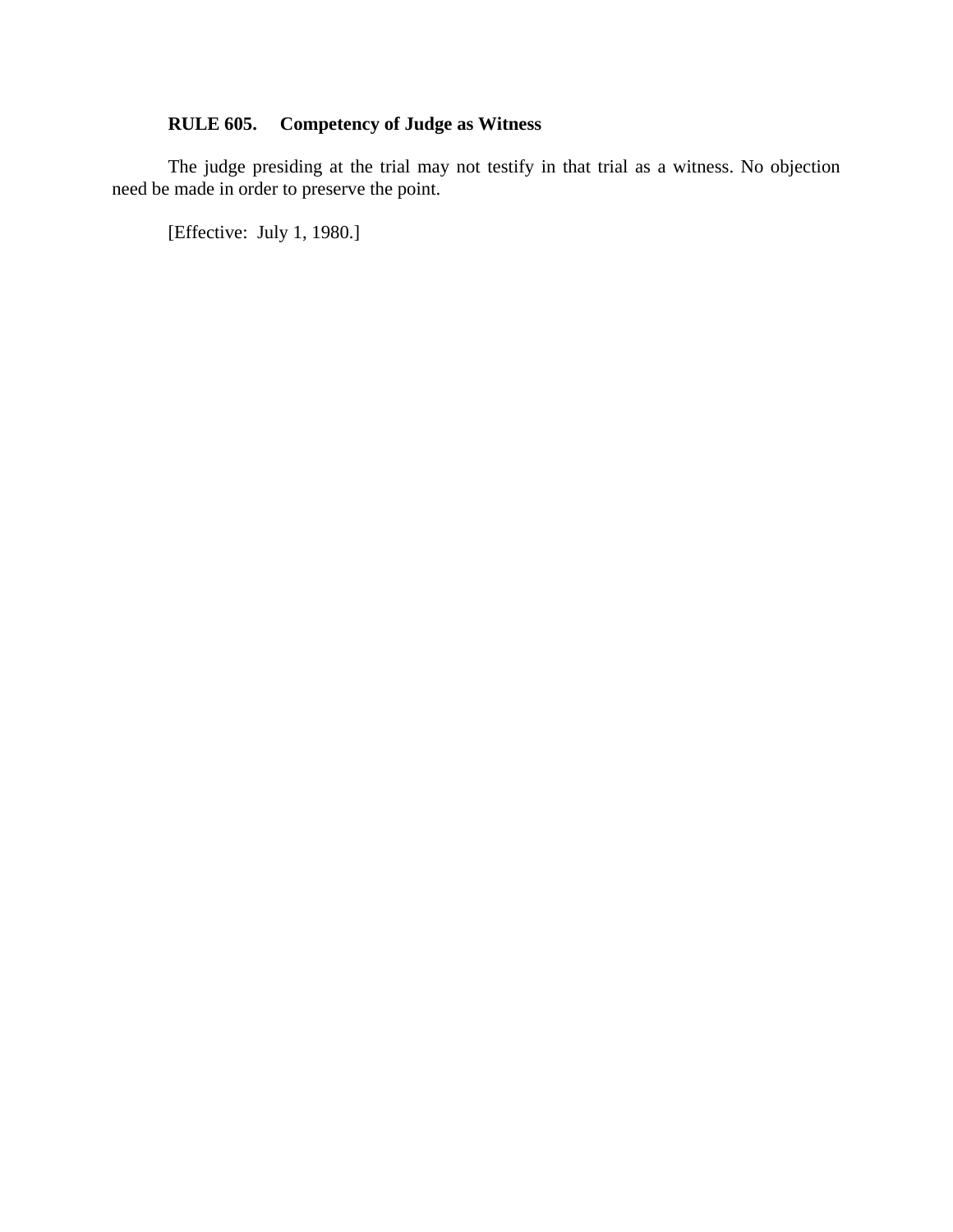## <span id="page-34-0"></span>**RULE 605. Competency of Judge as Witness**

The judge presiding at the trial may not testify in that trial as a witness. No objection need be made in order to preserve the point.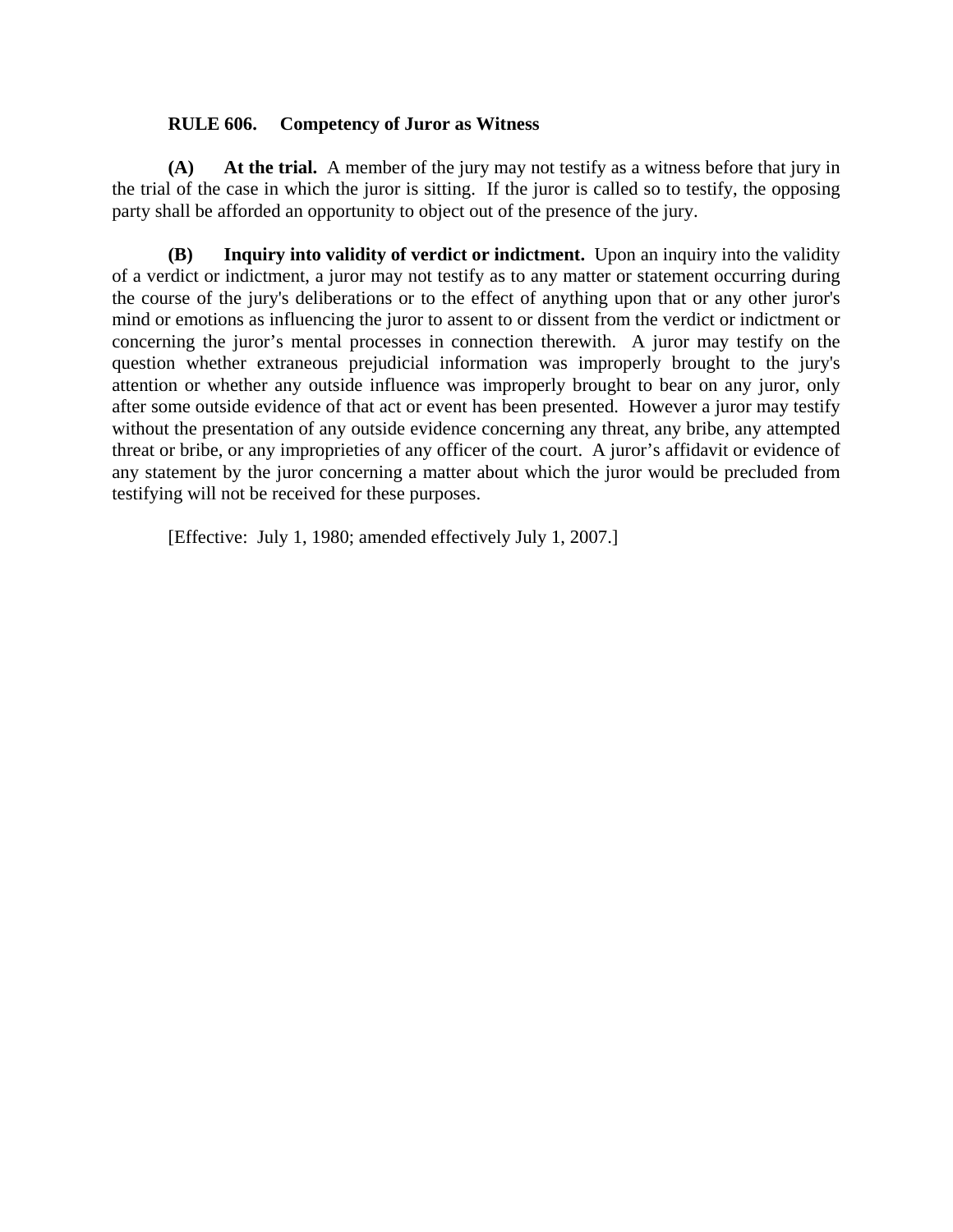### <span id="page-35-0"></span>**RULE 606. Competency of Juror as Witness**

**(A) At the trial.** A member of the jury may not testify as a witness before that jury in the trial of the case in which the juror is sitting. If the juror is called so to testify, the opposing party shall be afforded an opportunity to object out of the presence of the jury.

**(B) Inquiry into validity of verdict or indictment.** Upon an inquiry into the validity of a verdict or indictment, a juror may not testify as to any matter or statement occurring during the course of the jury's deliberations or to the effect of anything upon that or any other juror's mind or emotions as influencing the juror to assent to or dissent from the verdict or indictment or concerning the juror's mental processes in connection therewith. A juror may testify on the question whether extraneous prejudicial information was improperly brought to the jury's attention or whether any outside influence was improperly brought to bear on any juror, only after some outside evidence of that act or event has been presented. However a juror may testify without the presentation of any outside evidence concerning any threat, any bribe, any attempted threat or bribe, or any improprieties of any officer of the court. A juror's affidavit or evidence of any statement by the juror concerning a matter about which the juror would be precluded from testifying will not be received for these purposes.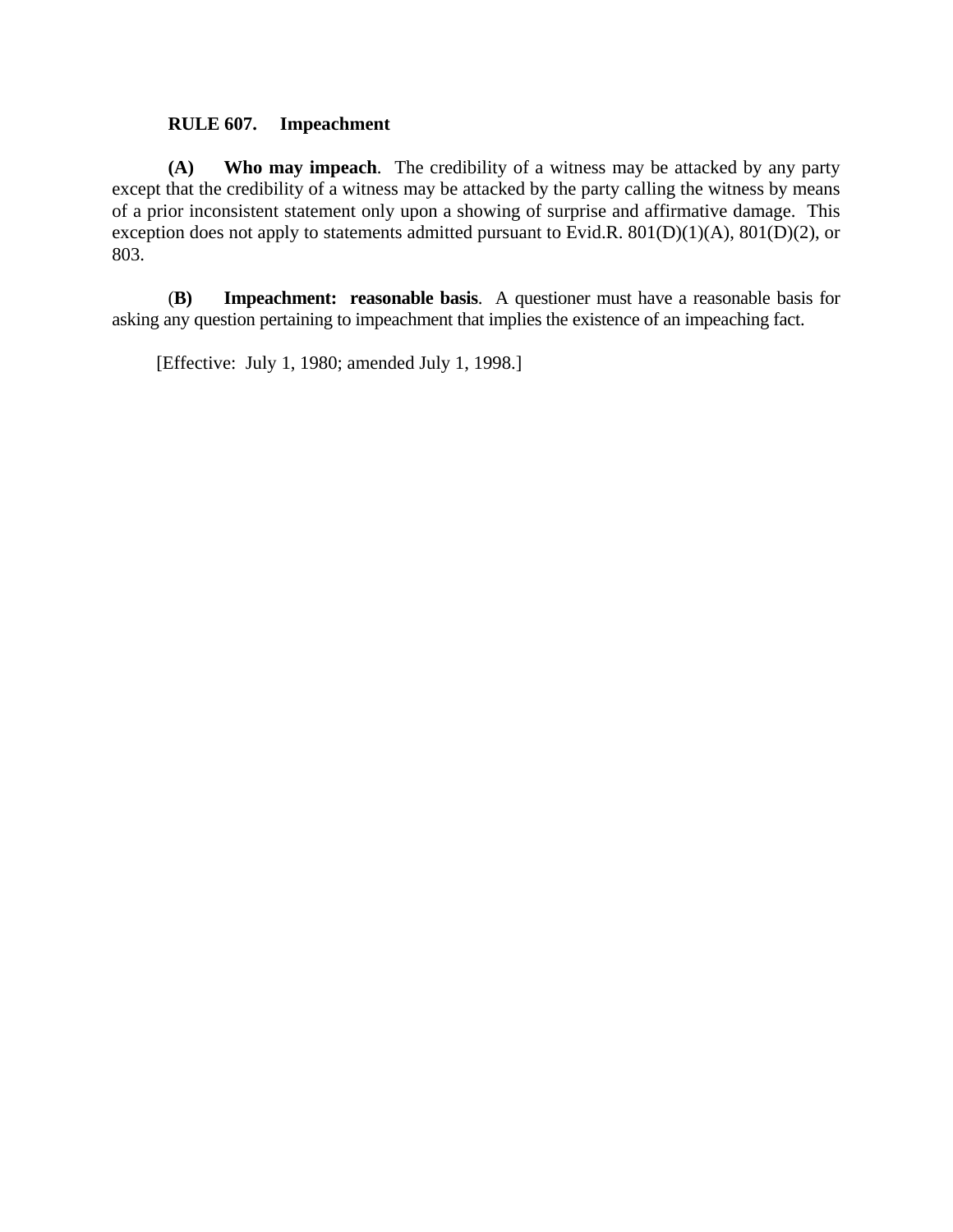# **RULE 607. Impeachment**

**(A) Who may impeach**. The credibility of a witness may be attacked by any party except that the credibility of a witness may be attacked by the party calling the witness by means of a prior inconsistent statement only upon a showing of surprise and affirmative damage. This exception does not apply to statements admitted pursuant to Evid.R.  $801(D)(1)(A)$ ,  $801(D)(2)$ , or 803.

(**B) Impeachment: reasonable basis**. A questioner must have a reasonable basis for asking any question pertaining to impeachment that implies the existence of an impeaching fact.

[Effective: July 1, 1980; amended July 1, 1998.]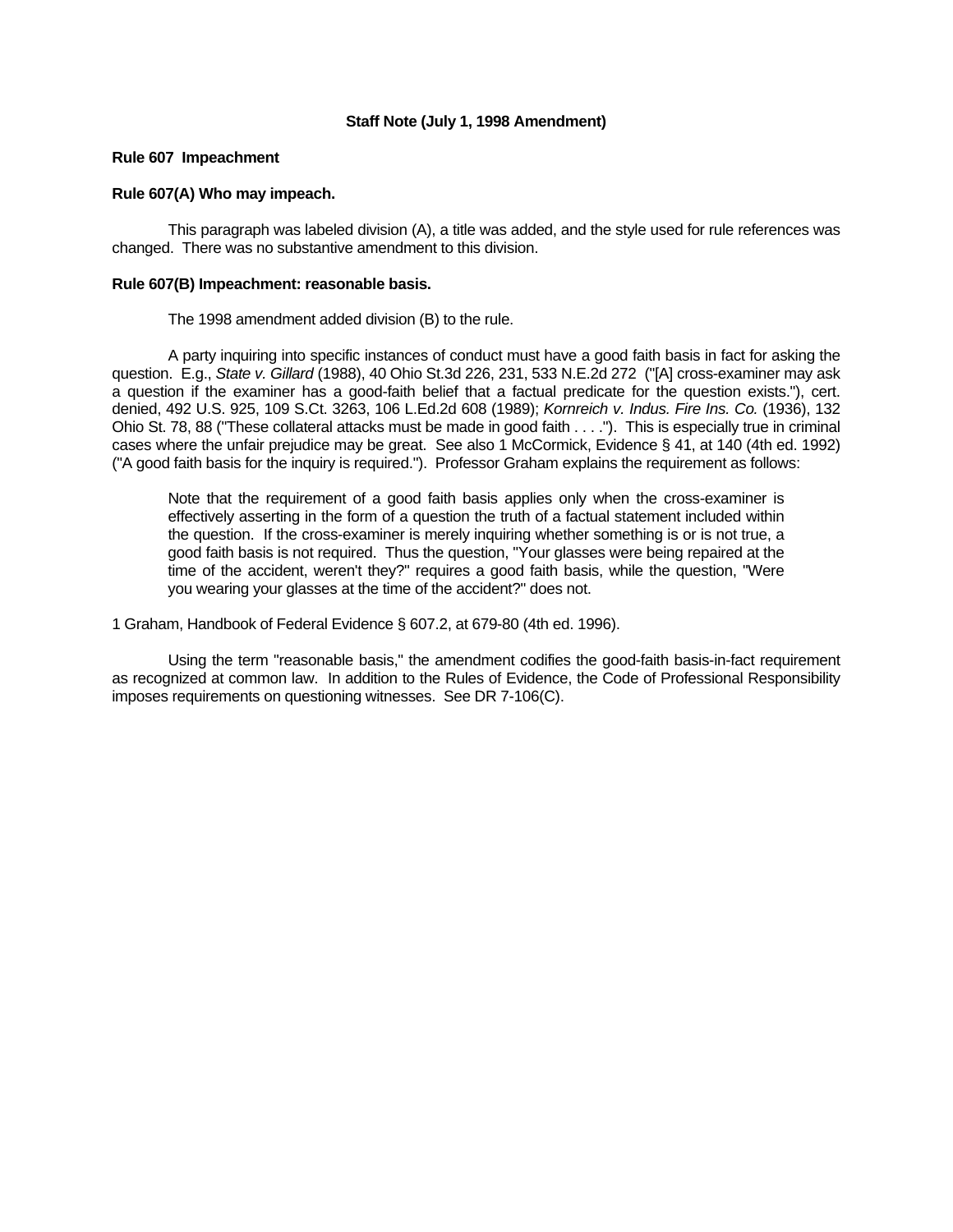### **Staff Note (July 1, 1998 Amendment)**

### **Rule 607 Impeachment**

### **Rule 607(A) Who may impeach.**

This paragraph was labeled division (A), a title was added, and the style used for rule references was changed. There was no substantive amendment to this division.

### **Rule 607(B) Impeachment: reasonable basis.**

The 1998 amendment added division (B) to the rule.

A party inquiring into specific instances of conduct must have a good faith basis in fact for asking the question. E.g., *State v. Gillard* (1988), 40 Ohio St.3d 226, 231, 533 N.E.2d 272 ("[A] cross-examiner may ask a question if the examiner has a good-faith belief that a factual predicate for the question exists."), cert. denied, 492 U.S. 925, 109 S.Ct. 3263, 106 L.Ed.2d 608 (1989); *Kornreich v. Indus. Fire Ins. Co.* (1936), 132 Ohio St. 78, 88 ("These collateral attacks must be made in good faith . . . ."). This is especially true in criminal cases where the unfair prejudice may be great. See also 1 McCormick, Evidence § 41, at 140 (4th ed. 1992) ("A good faith basis for the inquiry is required."). Professor Graham explains the requirement as follows:

Note that the requirement of a good faith basis applies only when the cross-examiner is effectively asserting in the form of a question the truth of a factual statement included within the question. If the cross-examiner is merely inquiring whether something is or is not true, a good faith basis is not required. Thus the question, "Your glasses were being repaired at the time of the accident, weren't they?" requires a good faith basis, while the question, "Were you wearing your glasses at the time of the accident?" does not.

1 Graham, Handbook of Federal Evidence § 607.2, at 679-80 (4th ed. 1996).

Using the term "reasonable basis," the amendment codifies the good-faith basis-in-fact requirement as recognized at common law. In addition to the Rules of Evidence, the Code of Professional Responsibility imposes requirements on questioning witnesses. See DR 7-106(C).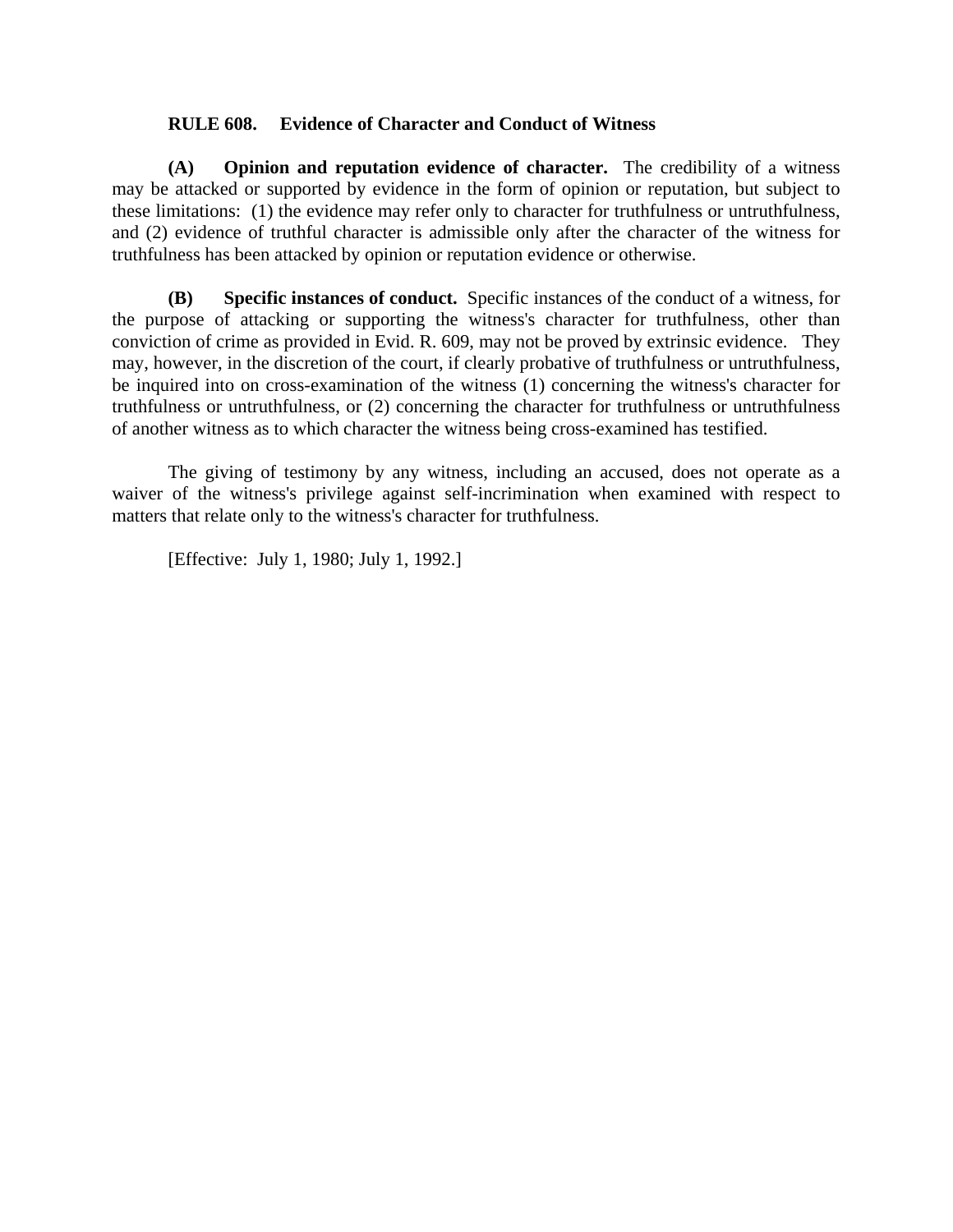# **RULE 608. Evidence of Character and Conduct of Witness**

**(A) Opinion and reputation evidence of character.** The credibility of a witness may be attacked or supported by evidence in the form of opinion or reputation, but subject to these limitations: (1) the evidence may refer only to character for truthfulness or untruthfulness, and (2) evidence of truthful character is admissible only after the character of the witness for truthfulness has been attacked by opinion or reputation evidence or otherwise.

**(B) Specific instances of conduct.** Specific instances of the conduct of a witness, for the purpose of attacking or supporting the witness's character for truthfulness, other than conviction of crime as provided in Evid. R. 609, may not be proved by extrinsic evidence. They may, however, in the discretion of the court, if clearly probative of truthfulness or untruthfulness, be inquired into on cross-examination of the witness (1) concerning the witness's character for truthfulness or untruthfulness, or (2) concerning the character for truthfulness or untruthfulness of another witness as to which character the witness being cross-examined has testified.

The giving of testimony by any witness, including an accused, does not operate as a waiver of the witness's privilege against self-incrimination when examined with respect to matters that relate only to the witness's character for truthfulness.

[Effective: July 1, 1980; July 1, 1992.]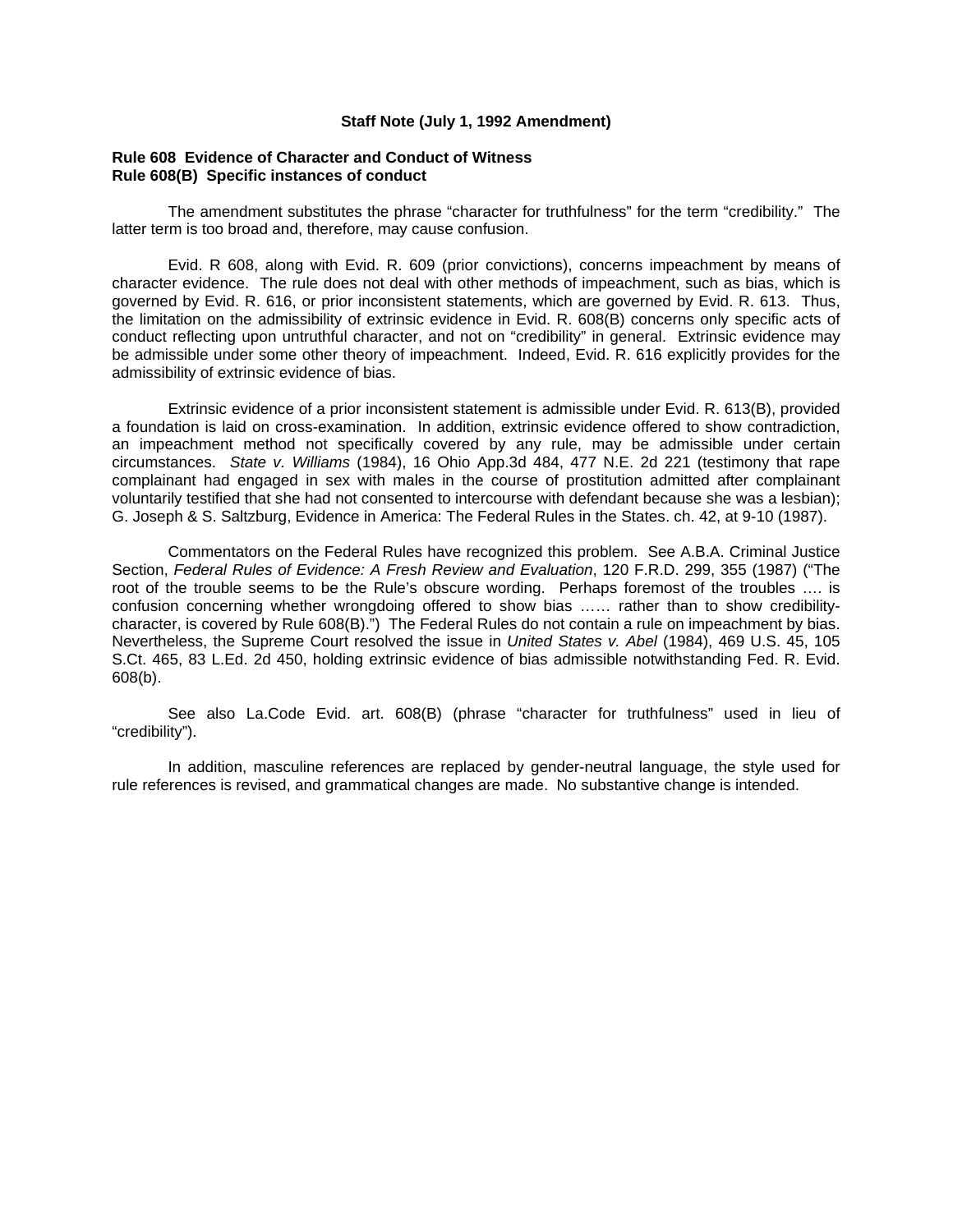### **Staff Note (July 1, 1992 Amendment)**

### **Rule 608 Evidence of Character and Conduct of Witness Rule 608(B) Specific instances of conduct**

The amendment substitutes the phrase "character for truthfulness" for the term "credibility." The latter term is too broad and, therefore, may cause confusion.

Evid. R 608, along with Evid. R. 609 (prior convictions), concerns impeachment by means of character evidence. The rule does not deal with other methods of impeachment, such as bias, which is governed by Evid. R. 616, or prior inconsistent statements, which are governed by Evid. R. 613. Thus, the limitation on the admissibility of extrinsic evidence in Evid. R. 608(B) concerns only specific acts of conduct reflecting upon untruthful character, and not on "credibility" in general. Extrinsic evidence may be admissible under some other theory of impeachment. Indeed, Evid. R. 616 explicitly provides for the admissibility of extrinsic evidence of bias.

Extrinsic evidence of a prior inconsistent statement is admissible under Evid. R. 613(B), provided a foundation is laid on cross-examination. In addition, extrinsic evidence offered to show contradiction, an impeachment method not specifically covered by any rule, may be admissible under certain circumstances. *State v. Williams* (1984), 16 Ohio App.3d 484, 477 N.E. 2d 221 (testimony that rape complainant had engaged in sex with males in the course of prostitution admitted after complainant voluntarily testified that she had not consented to intercourse with defendant because she was a lesbian); G. Joseph & S. Saltzburg, Evidence in America: The Federal Rules in the States. ch. 42, at 9-10 (1987).

Commentators on the Federal Rules have recognized this problem. See A.B.A. Criminal Justice Section, *Federal Rules of Evidence: A Fresh Review and Evaluation*, 120 F.R.D. 299, 355 (1987) ("The root of the trouble seems to be the Rule's obscure wording. Perhaps foremost of the troubles .... is confusion concerning whether wrongdoing offered to show bias …… rather than to show credibilitycharacter, is covered by Rule 608(B).") The Federal Rules do not contain a rule on impeachment by bias. Nevertheless, the Supreme Court resolved the issue in *United States v. Abel* (1984), 469 U.S. 45, 105 S.Ct. 465, 83 L.Ed. 2d 450, holding extrinsic evidence of bias admissible notwithstanding Fed. R. Evid. 608(b).

See also La.Code Evid. art. 608(B) (phrase "character for truthfulness" used in lieu of "credibility").

In addition, masculine references are replaced by gender-neutral language, the style used for rule references is revised, and grammatical changes are made. No substantive change is intended.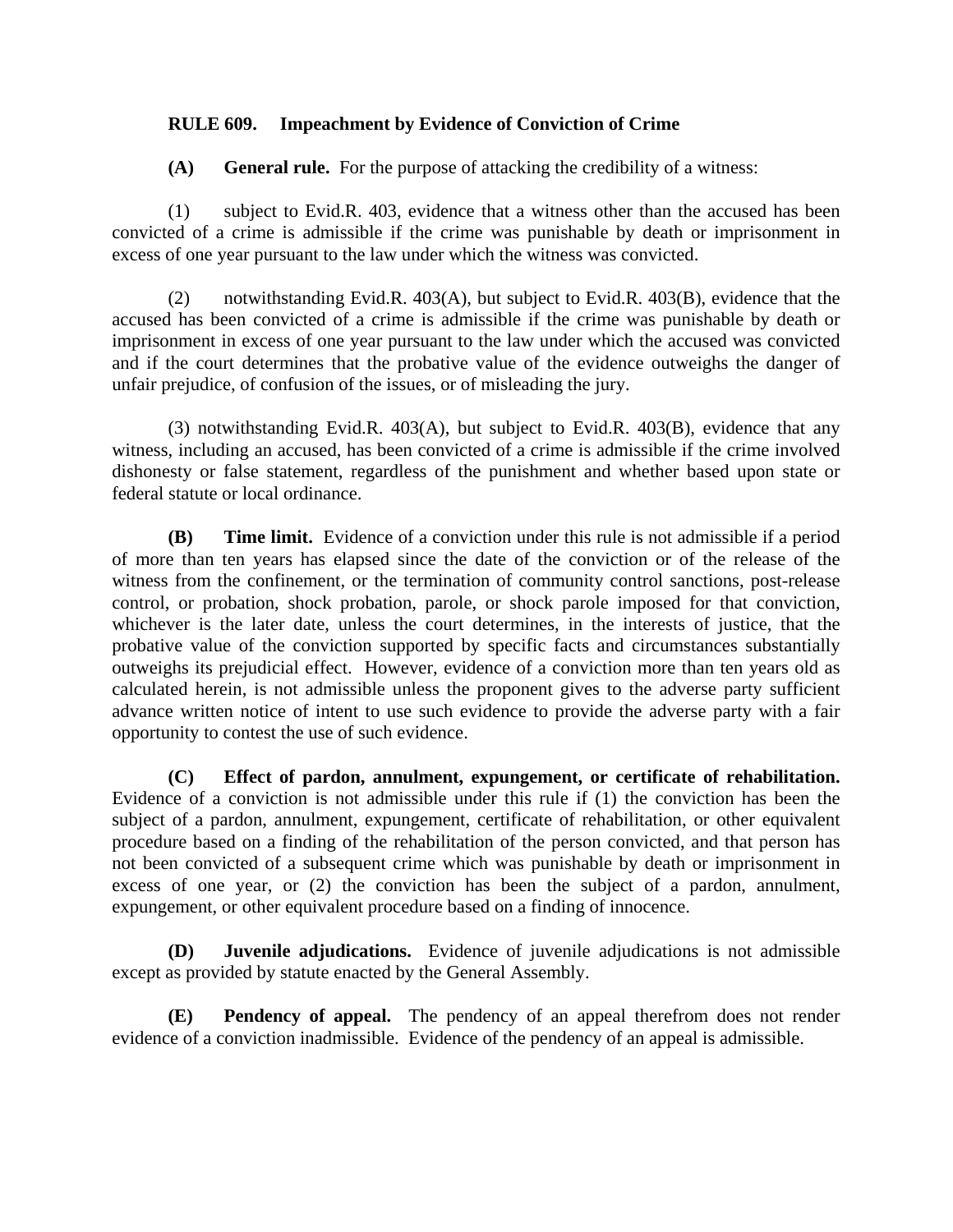# **RULE 609. Impeachment by Evidence of Conviction of Crime**

**(A) General rule.** For the purpose of attacking the credibility of a witness:

(1) subject to Evid.R. 403, evidence that a witness other than the accused has been convicted of a crime is admissible if the crime was punishable by death or imprisonment in excess of one year pursuant to the law under which the witness was convicted.

(2) notwithstanding Evid.R. 403(A), but subject to Evid.R. 403(B), evidence that the accused has been convicted of a crime is admissible if the crime was punishable by death or imprisonment in excess of one year pursuant to the law under which the accused was convicted and if the court determines that the probative value of the evidence outweighs the danger of unfair prejudice, of confusion of the issues, or of misleading the jury.

(3) notwithstanding Evid.R. 403(A), but subject to Evid.R. 403(B), evidence that any witness, including an accused, has been convicted of a crime is admissible if the crime involved dishonesty or false statement, regardless of the punishment and whether based upon state or federal statute or local ordinance.

**(B) Time limit.** Evidence of a conviction under this rule is not admissible if a period of more than ten years has elapsed since the date of the conviction or of the release of the witness from the confinement, or the termination of community control sanctions, post-release control, or probation, shock probation, parole, or shock parole imposed for that conviction, whichever is the later date, unless the court determines, in the interests of justice, that the probative value of the conviction supported by specific facts and circumstances substantially outweighs its prejudicial effect. However, evidence of a conviction more than ten years old as calculated herein, is not admissible unless the proponent gives to the adverse party sufficient advance written notice of intent to use such evidence to provide the adverse party with a fair opportunity to contest the use of such evidence.

**(C) Effect of pardon, annulment, expungement, or certificate of rehabilitation.** Evidence of a conviction is not admissible under this rule if (1) the conviction has been the subject of a pardon, annulment, expungement, certificate of rehabilitation, or other equivalent procedure based on a finding of the rehabilitation of the person convicted, and that person has not been convicted of a subsequent crime which was punishable by death or imprisonment in excess of one year, or (2) the conviction has been the subject of a pardon, annulment, expungement, or other equivalent procedure based on a finding of innocence.

**(D) Juvenile adjudications.** Evidence of juvenile adjudications is not admissible except as provided by statute enacted by the General Assembly.

**(E) Pendency of appeal.** The pendency of an appeal therefrom does not render evidence of a conviction inadmissible. Evidence of the pendency of an appeal is admissible.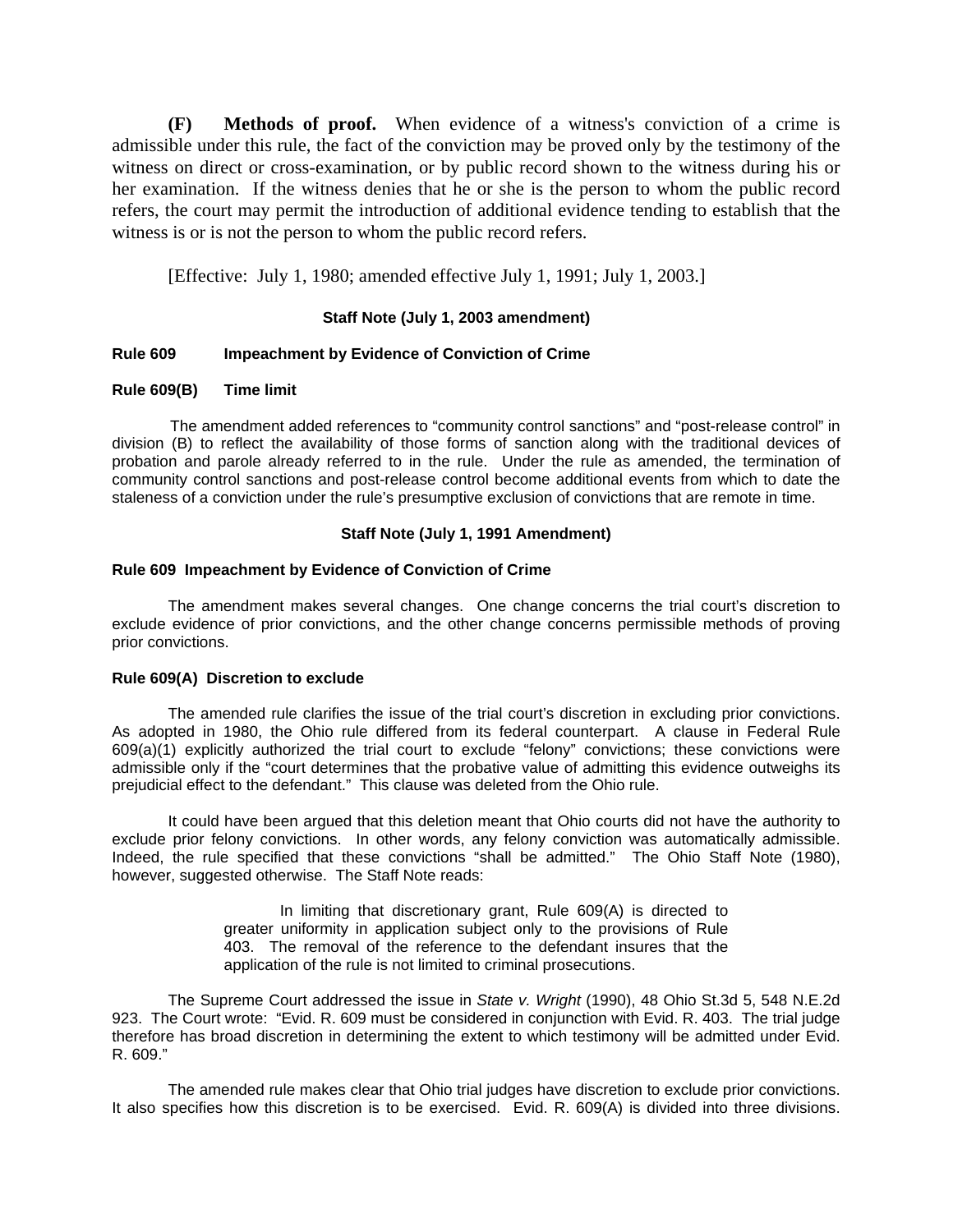**(F) Methods of proof.** When evidence of a witness's conviction of a crime is admissible under this rule, the fact of the conviction may be proved only by the testimony of the witness on direct or cross-examination, or by public record shown to the witness during his or her examination. If the witness denies that he or she is the person to whom the public record refers, the court may permit the introduction of additional evidence tending to establish that the witness is or is not the person to whom the public record refers.

[Effective: July 1, 1980; amended effective July 1, 1991; July 1, 2003.]

## **Staff Note (July 1, 2003 amendment)**

## **Rule 609 Impeachment by Evidence of Conviction of Crime**

## **Rule 609(B) Time limit**

The amendment added references to "community control sanctions" and "post-release control" in division (B) to reflect the availability of those forms of sanction along with the traditional devices of probation and parole already referred to in the rule. Under the rule as amended, the termination of community control sanctions and post-release control become additional events from which to date the staleness of a conviction under the rule's presumptive exclusion of convictions that are remote in time.

## **Staff Note (July 1, 1991 Amendment)**

## **Rule 609 Impeachment by Evidence of Conviction of Crime**

The amendment makes several changes. One change concerns the trial court's discretion to exclude evidence of prior convictions, and the other change concerns permissible methods of proving prior convictions.

## **Rule 609(A) Discretion to exclude**

The amended rule clarifies the issue of the trial court's discretion in excluding prior convictions. As adopted in 1980, the Ohio rule differed from its federal counterpart. A clause in Federal Rule 609(a)(1) explicitly authorized the trial court to exclude "felony" convictions; these convictions were admissible only if the "court determines that the probative value of admitting this evidence outweighs its prejudicial effect to the defendant." This clause was deleted from the Ohio rule.

It could have been argued that this deletion meant that Ohio courts did not have the authority to exclude prior felony convictions. In other words, any felony conviction was automatically admissible. Indeed, the rule specified that these convictions "shall be admitted." The Ohio Staff Note (1980), however, suggested otherwise. The Staff Note reads:

> In limiting that discretionary grant, Rule 609(A) is directed to greater uniformity in application subject only to the provisions of Rule 403. The removal of the reference to the defendant insures that the application of the rule is not limited to criminal prosecutions.

The Supreme Court addressed the issue in *State v. Wright* (1990), 48 Ohio St.3d 5, 548 N.E.2d 923. The Court wrote: "Evid. R. 609 must be considered in conjunction with Evid. R. 403. The trial judge therefore has broad discretion in determining the extent to which testimony will be admitted under Evid. R. 609."

The amended rule makes clear that Ohio trial judges have discretion to exclude prior convictions. It also specifies how this discretion is to be exercised. Evid. R. 609(A) is divided into three divisions.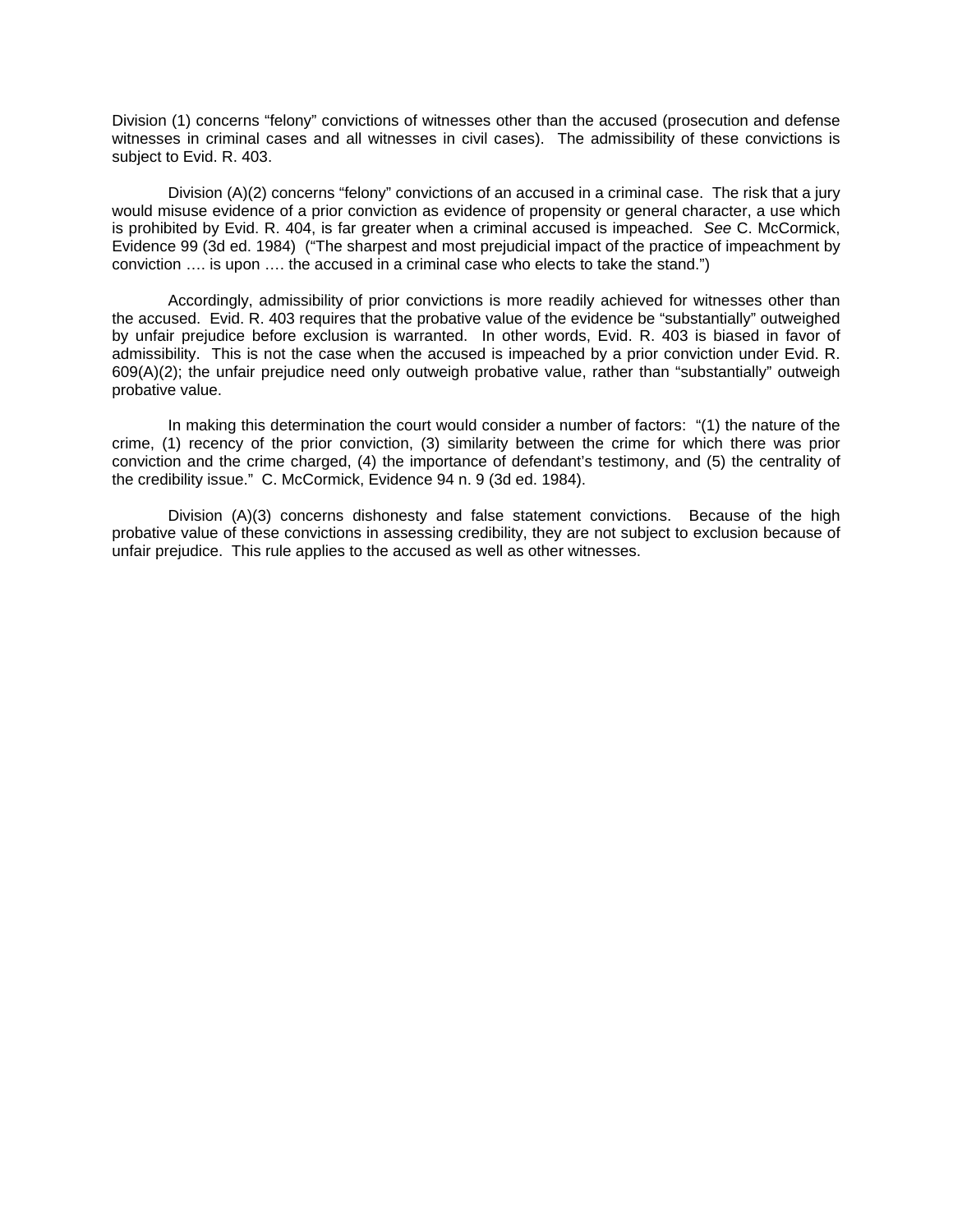Division (1) concerns "felony" convictions of witnesses other than the accused (prosecution and defense witnesses in criminal cases and all witnesses in civil cases). The admissibility of these convictions is subject to Evid. R. 403.

Division (A)(2) concerns "felony" convictions of an accused in a criminal case. The risk that a jury would misuse evidence of a prior conviction as evidence of propensity or general character, a use which is prohibited by Evid. R. 404, is far greater when a criminal accused is impeached. *See* C. McCormick, Evidence 99 (3d ed. 1984) ("The sharpest and most prejudicial impact of the practice of impeachment by conviction …. is upon …. the accused in a criminal case who elects to take the stand.")

Accordingly, admissibility of prior convictions is more readily achieved for witnesses other than the accused. Evid. R. 403 requires that the probative value of the evidence be "substantially" outweighed by unfair prejudice before exclusion is warranted. In other words, Evid. R. 403 is biased in favor of admissibility. This is not the case when the accused is impeached by a prior conviction under Evid. R. 609(A)(2); the unfair prejudice need only outweigh probative value, rather than "substantially" outweigh probative value.

In making this determination the court would consider a number of factors: "(1) the nature of the crime, (1) recency of the prior conviction, (3) similarity between the crime for which there was prior conviction and the crime charged, (4) the importance of defendant's testimony, and (5) the centrality of the credibility issue." C. McCormick, Evidence 94 n. 9 (3d ed. 1984).

Division (A)(3) concerns dishonesty and false statement convictions. Because of the high probative value of these convictions in assessing credibility, they are not subject to exclusion because of unfair prejudice. This rule applies to the accused as well as other witnesses.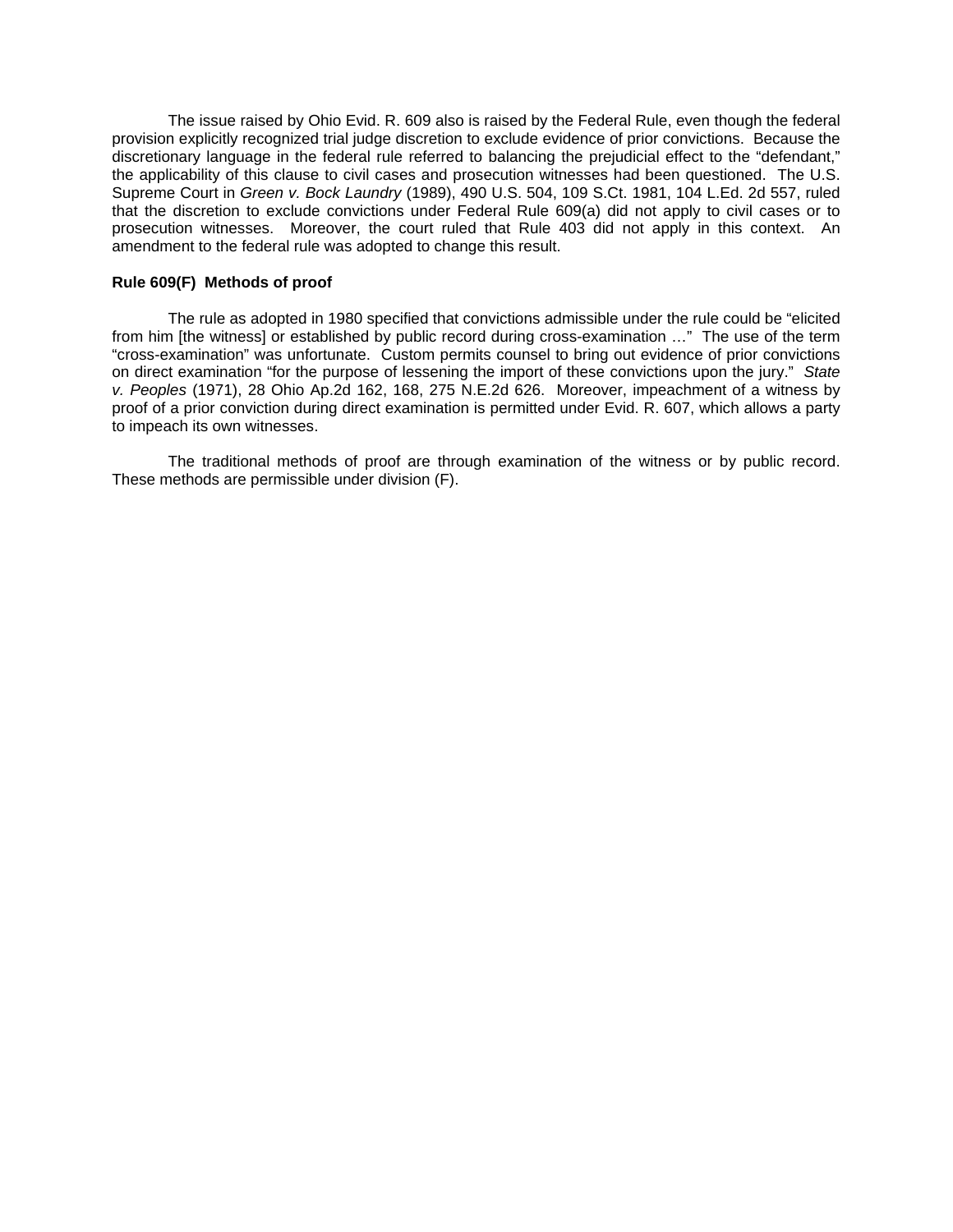The issue raised by Ohio Evid. R. 609 also is raised by the Federal Rule, even though the federal provision explicitly recognized trial judge discretion to exclude evidence of prior convictions. Because the discretionary language in the federal rule referred to balancing the prejudicial effect to the "defendant," the applicability of this clause to civil cases and prosecution witnesses had been questioned. The U.S. Supreme Court in *Green v. Bock Laundry* (1989), 490 U.S. 504, 109 S.Ct. 1981, 104 L.Ed. 2d 557, ruled that the discretion to exclude convictions under Federal Rule 609(a) did not apply to civil cases or to prosecution witnesses. Moreover, the court ruled that Rule 403 did not apply in this context. An amendment to the federal rule was adopted to change this result.

### **Rule 609(F) Methods of proof**

The rule as adopted in 1980 specified that convictions admissible under the rule could be "elicited from him [the witness] or established by public record during cross-examination …" The use of the term "cross-examination" was unfortunate. Custom permits counsel to bring out evidence of prior convictions on direct examination "for the purpose of lessening the import of these convictions upon the jury." *State v. Peoples* (1971), 28 Ohio Ap.2d 162, 168, 275 N.E.2d 626. Moreover, impeachment of a witness by proof of a prior conviction during direct examination is permitted under Evid. R. 607, which allows a party to impeach its own witnesses.

The traditional methods of proof are through examination of the witness or by public record. These methods are permissible under division (F).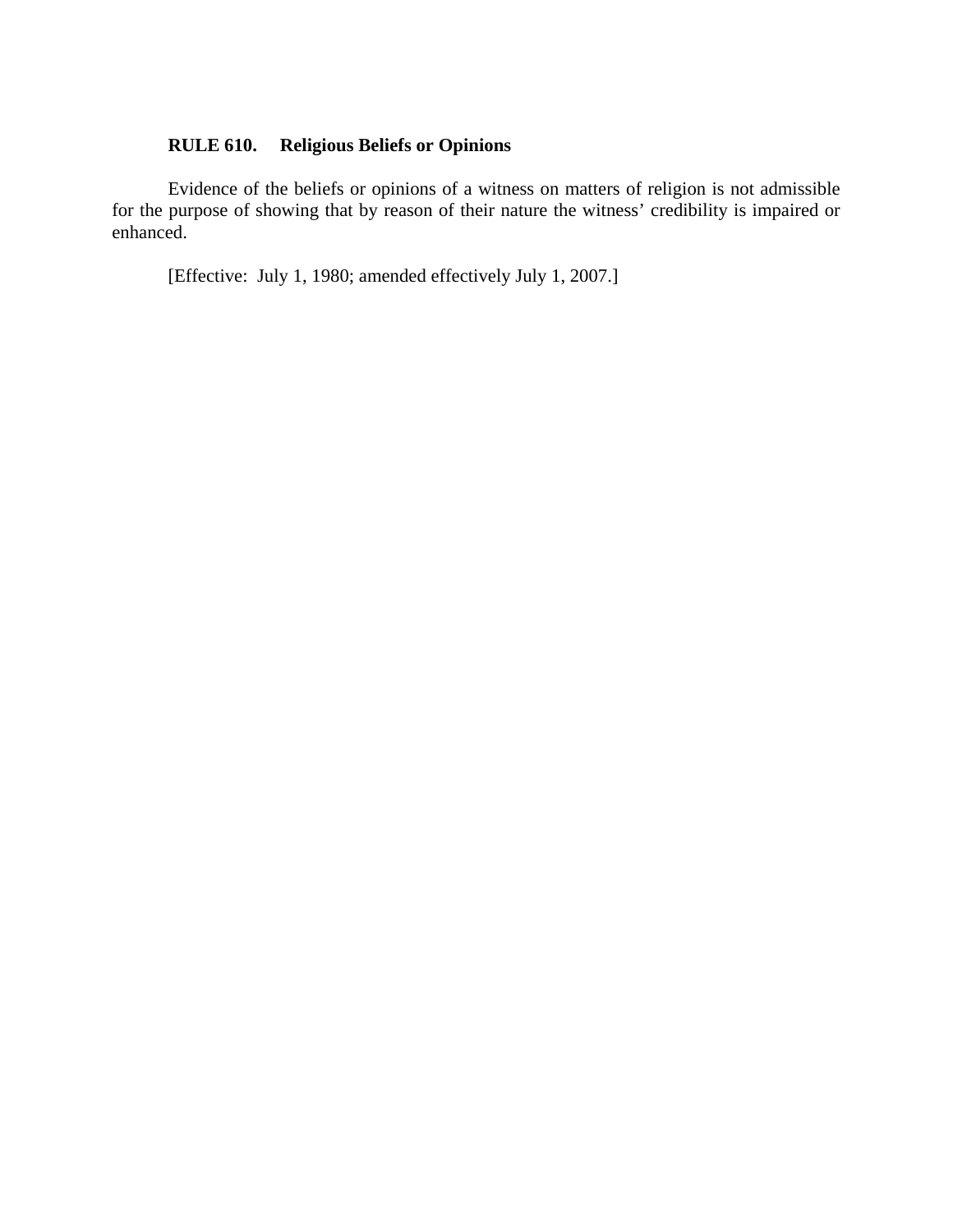# **RULE 610. Religious Beliefs or Opinions**

Evidence of the beliefs or opinions of a witness on matters of religion is not admissible for the purpose of showing that by reason of their nature the witness' credibility is impaired or enhanced.

[Effective: July 1, 1980; amended effectively July 1, 2007.]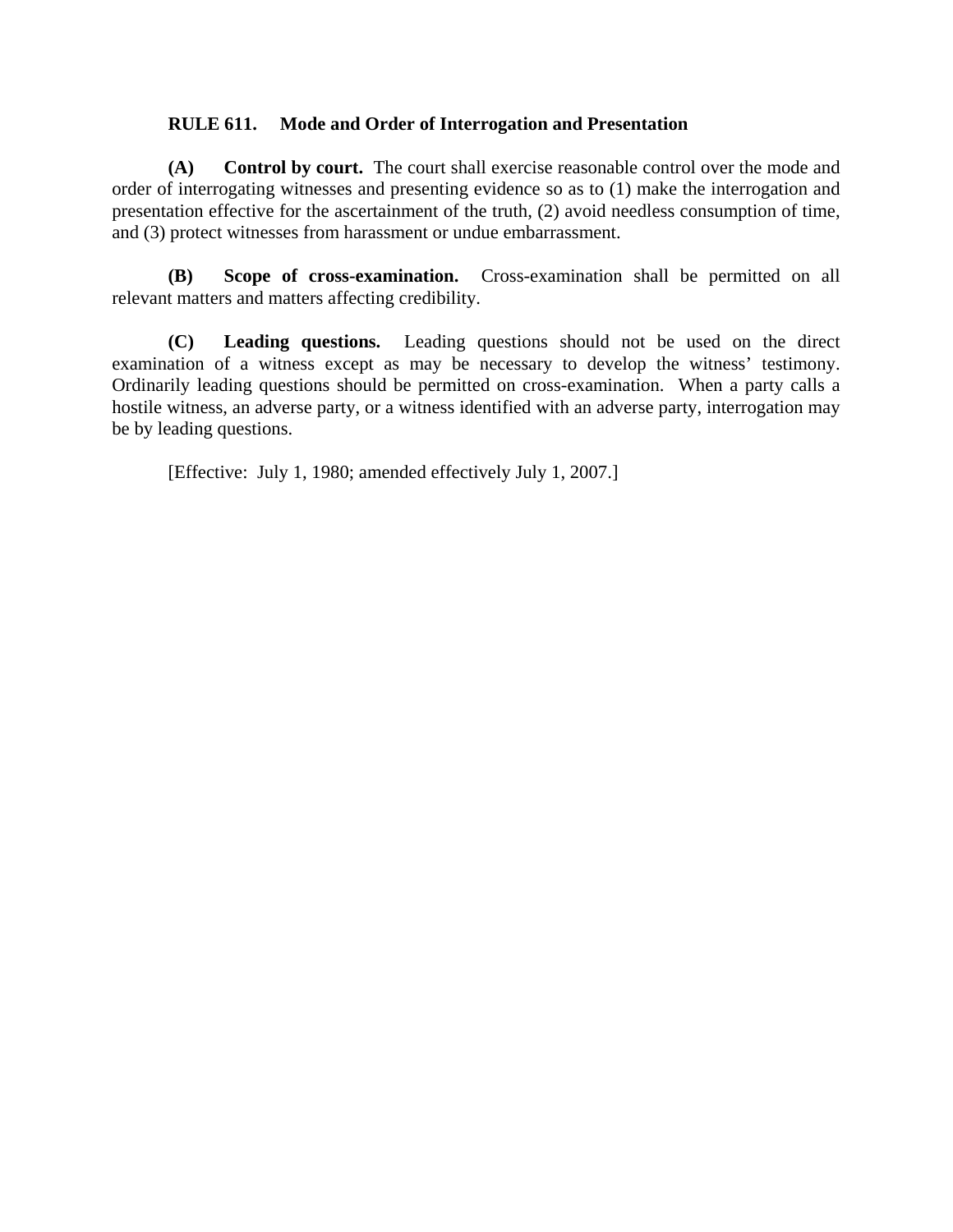# **RULE 611. Mode and Order of Interrogation and Presentation**

**(A) Control by court.** The court shall exercise reasonable control over the mode and order of interrogating witnesses and presenting evidence so as to (1) make the interrogation and presentation effective for the ascertainment of the truth, (2) avoid needless consumption of time, and (3) protect witnesses from harassment or undue embarrassment.

**(B) Scope of cross-examination.** Cross-examination shall be permitted on all relevant matters and matters affecting credibility.

**(C) Leading questions.** Leading questions should not be used on the direct examination of a witness except as may be necessary to develop the witness' testimony. Ordinarily leading questions should be permitted on cross-examination. When a party calls a hostile witness, an adverse party, or a witness identified with an adverse party, interrogation may be by leading questions.

[Effective: July 1, 1980; amended effectively July 1, 2007.]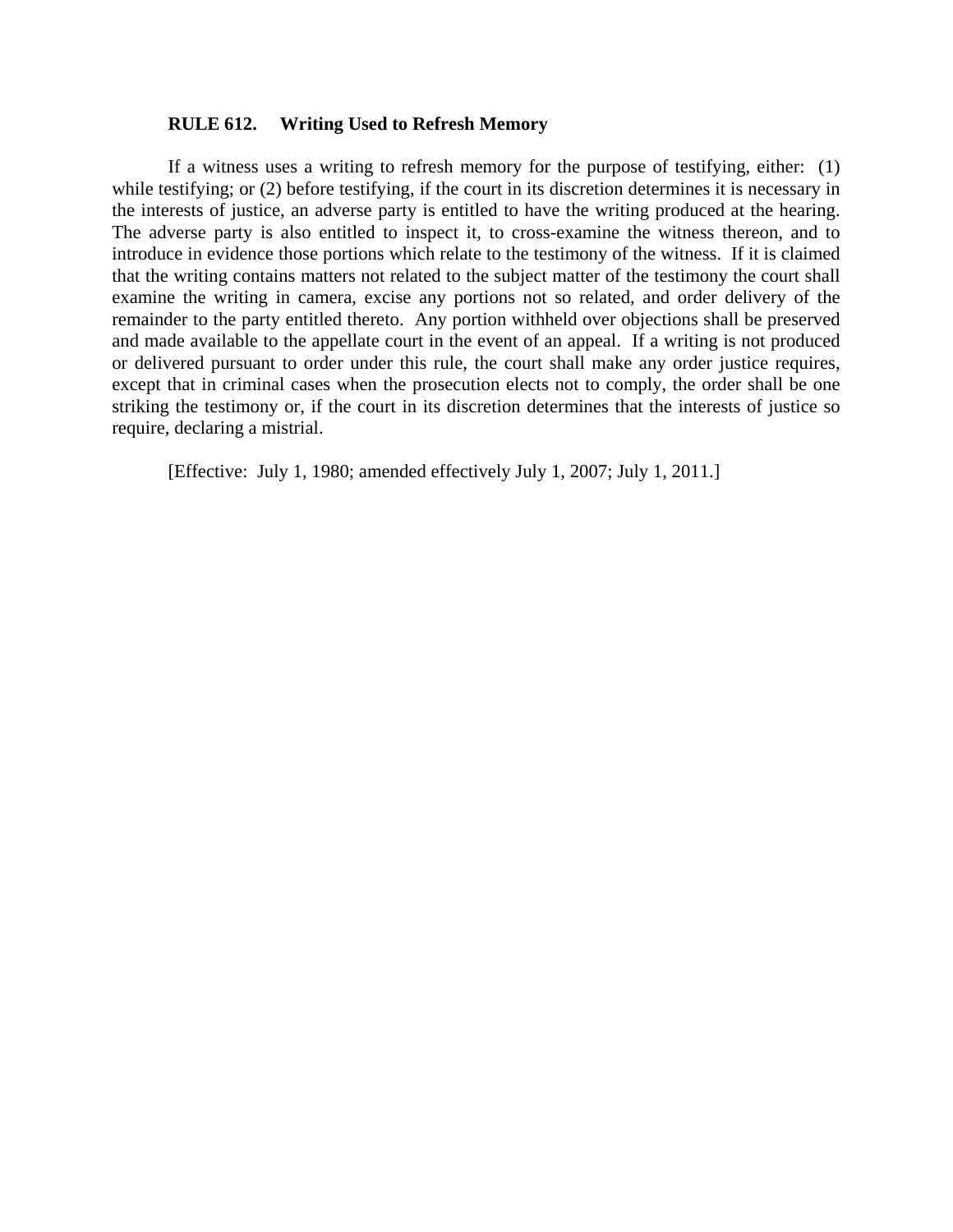## **RULE 612. Writing Used to Refresh Memory**

If a witness uses a writing to refresh memory for the purpose of testifying, either: (1) while testifying; or (2) before testifying, if the court in its discretion determines it is necessary in the interests of justice, an adverse party is entitled to have the writing produced at the hearing. The adverse party is also entitled to inspect it, to cross-examine the witness thereon, and to introduce in evidence those portions which relate to the testimony of the witness. If it is claimed that the writing contains matters not related to the subject matter of the testimony the court shall examine the writing in camera, excise any portions not so related, and order delivery of the remainder to the party entitled thereto. Any portion withheld over objections shall be preserved and made available to the appellate court in the event of an appeal. If a writing is not produced or delivered pursuant to order under this rule, the court shall make any order justice requires, except that in criminal cases when the prosecution elects not to comply, the order shall be one striking the testimony or, if the court in its discretion determines that the interests of justice so require, declaring a mistrial.

[Effective: July 1, 1980; amended effectively July 1, 2007; July 1, 2011.]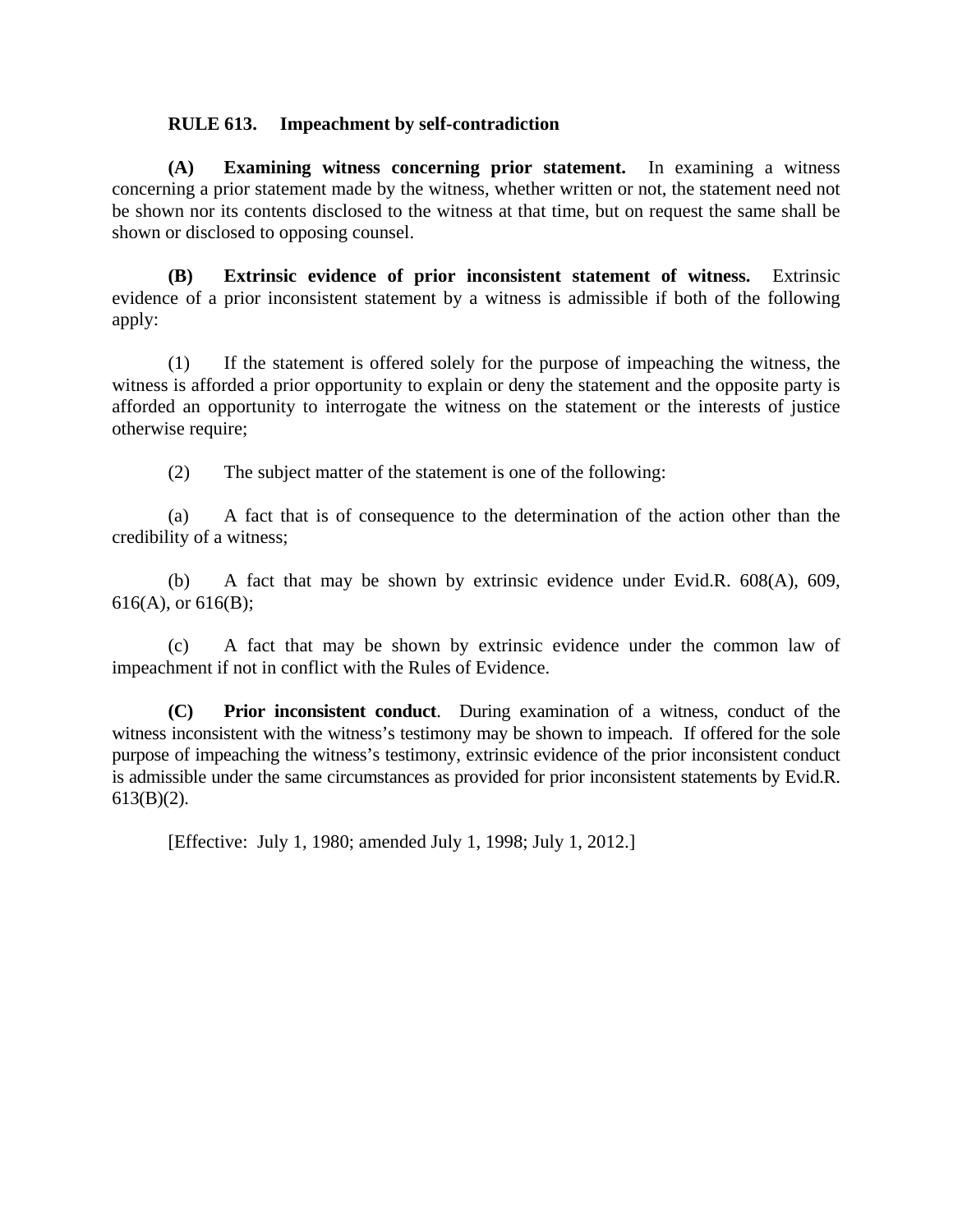# **RULE 613. Impeachment by self-contradiction**

**(A) Examining witness concerning prior statement.** In examining a witness concerning a prior statement made by the witness, whether written or not, the statement need not be shown nor its contents disclosed to the witness at that time, but on request the same shall be shown or disclosed to opposing counsel.

**(B) Extrinsic evidence of prior inconsistent statement of witness.** Extrinsic evidence of a prior inconsistent statement by a witness is admissible if both of the following apply:

(1) If the statement is offered solely for the purpose of impeaching the witness, the witness is afforded a prior opportunity to explain or deny the statement and the opposite party is afforded an opportunity to interrogate the witness on the statement or the interests of justice otherwise require;

(2) The subject matter of the statement is one of the following:

(a) A fact that is of consequence to the determination of the action other than the credibility of a witness;

(b) A fact that may be shown by extrinsic evidence under Evid.R. 608(A), 609, 616(A), or 616(B);

(c) A fact that may be shown by extrinsic evidence under the common law of impeachment if not in conflict with the Rules of Evidence.

**(C) Prior inconsistent conduct**. During examination of a witness, conduct of the witness inconsistent with the witness's testimony may be shown to impeach. If offered for the sole purpose of impeaching the witness's testimony, extrinsic evidence of the prior inconsistent conduct is admissible under the same circumstances as provided for prior inconsistent statements by Evid.R. 613(B)(2).

[Effective: July 1, 1980; amended July 1, 1998; July 1, 2012.]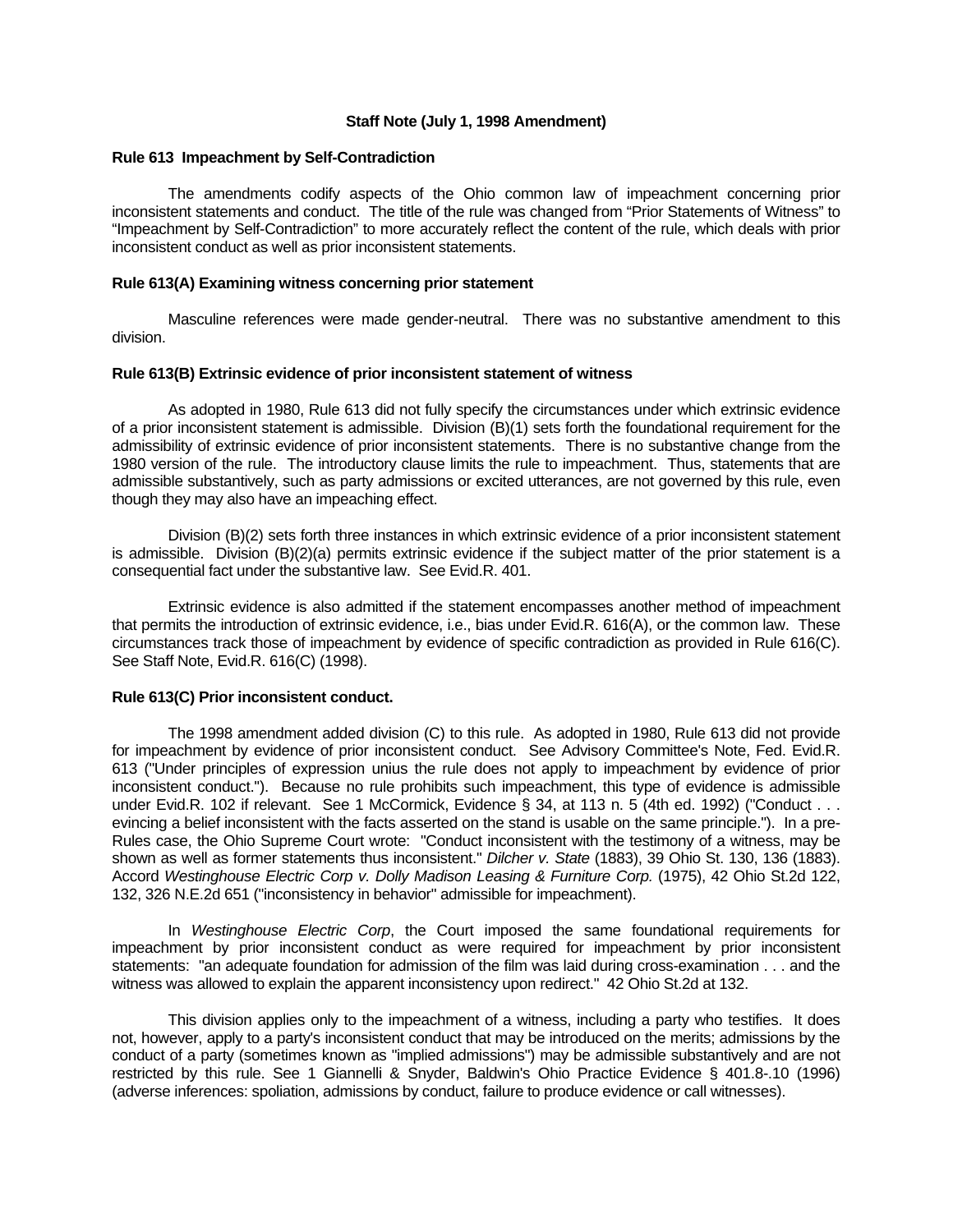### **Staff Note (July 1, 1998 Amendment)**

### **Rule 613 Impeachment by Self-Contradiction**

The amendments codify aspects of the Ohio common law of impeachment concerning prior inconsistent statements and conduct. The title of the rule was changed from "Prior Statements of Witness" to "Impeachment by Self-Contradiction" to more accurately reflect the content of the rule, which deals with prior inconsistent conduct as well as prior inconsistent statements.

### **Rule 613(A) Examining witness concerning prior statement**

Masculine references were made gender-neutral. There was no substantive amendment to this division.

### **Rule 613(B) Extrinsic evidence of prior inconsistent statement of witness**

As adopted in 1980, Rule 613 did not fully specify the circumstances under which extrinsic evidence of a prior inconsistent statement is admissible. Division (B)(1) sets forth the foundational requirement for the admissibility of extrinsic evidence of prior inconsistent statements. There is no substantive change from the 1980 version of the rule. The introductory clause limits the rule to impeachment. Thus, statements that are admissible substantively, such as party admissions or excited utterances, are not governed by this rule, even though they may also have an impeaching effect.

Division (B)(2) sets forth three instances in which extrinsic evidence of a prior inconsistent statement is admissible. Division (B)(2)(a) permits extrinsic evidence if the subject matter of the prior statement is a consequential fact under the substantive law. See Evid.R. 401.

Extrinsic evidence is also admitted if the statement encompasses another method of impeachment that permits the introduction of extrinsic evidence, i.e., bias under Evid.R. 616(A), or the common law. These circumstances track those of impeachment by evidence of specific contradiction as provided in Rule 616(C). See Staff Note, Evid.R. 616(C) (1998).

## **Rule 613(C) Prior inconsistent conduct.**

The 1998 amendment added division (C) to this rule.As adopted in 1980, Rule 613 did not provide for impeachment by evidence of prior inconsistent conduct. See Advisory Committee's Note, Fed. Evid.R. 613 ("Under principles of expression unius the rule does not apply to impeachment by evidence of prior inconsistent conduct.''). Because no rule prohibits such impeachment, this type of evidence is admissible under Evid.R. 102 if relevant. See 1 McCormick, Evidence § 34, at 113 n. 5 (4th ed. 1992) ("Conduct . . . evincing a belief inconsistent with the facts asserted on the stand is usable on the same principle."). In a pre-Rules case, the Ohio Supreme Court wrote: "Conduct inconsistent with the testimony of a witness, may be shown as well as former statements thus inconsistent." *Dilcher v. State* (1883), 39 Ohio St. 130, 136 (1883). Accord *Westinghouse Electric Corp v. Dolly Madison Leasing & Furniture Corp.* (1975), 42 Ohio St.2d 122, 132, 326 N.E.2d 651 ("inconsistency in behavior" admissible for impeachment).

In *Westinghouse Electric Corp*, the Court imposed the same foundational requirements for impeachment by prior inconsistent conduct as were required for impeachment by prior inconsistent statements: "an adequate foundation for admission of the film was laid during cross-examination . . . and the witness was allowed to explain the apparent inconsistency upon redirect." 42 Ohio St.2d at 132.

This division applies only to the impeachment of a witness, including a party who testifies. It does not, however, apply to a party's inconsistent conduct that may be introduced on the merits; admissions by the conduct of a party (sometimes known as "implied admissions") may be admissible substantively and are not restricted by this rule. See 1 Giannelli & Snyder, Baldwin's Ohio Practice Evidence § 401.8-.10 (1996) (adverse inferences: spoliation, admissions by conduct, failure to produce evidence or call witnesses).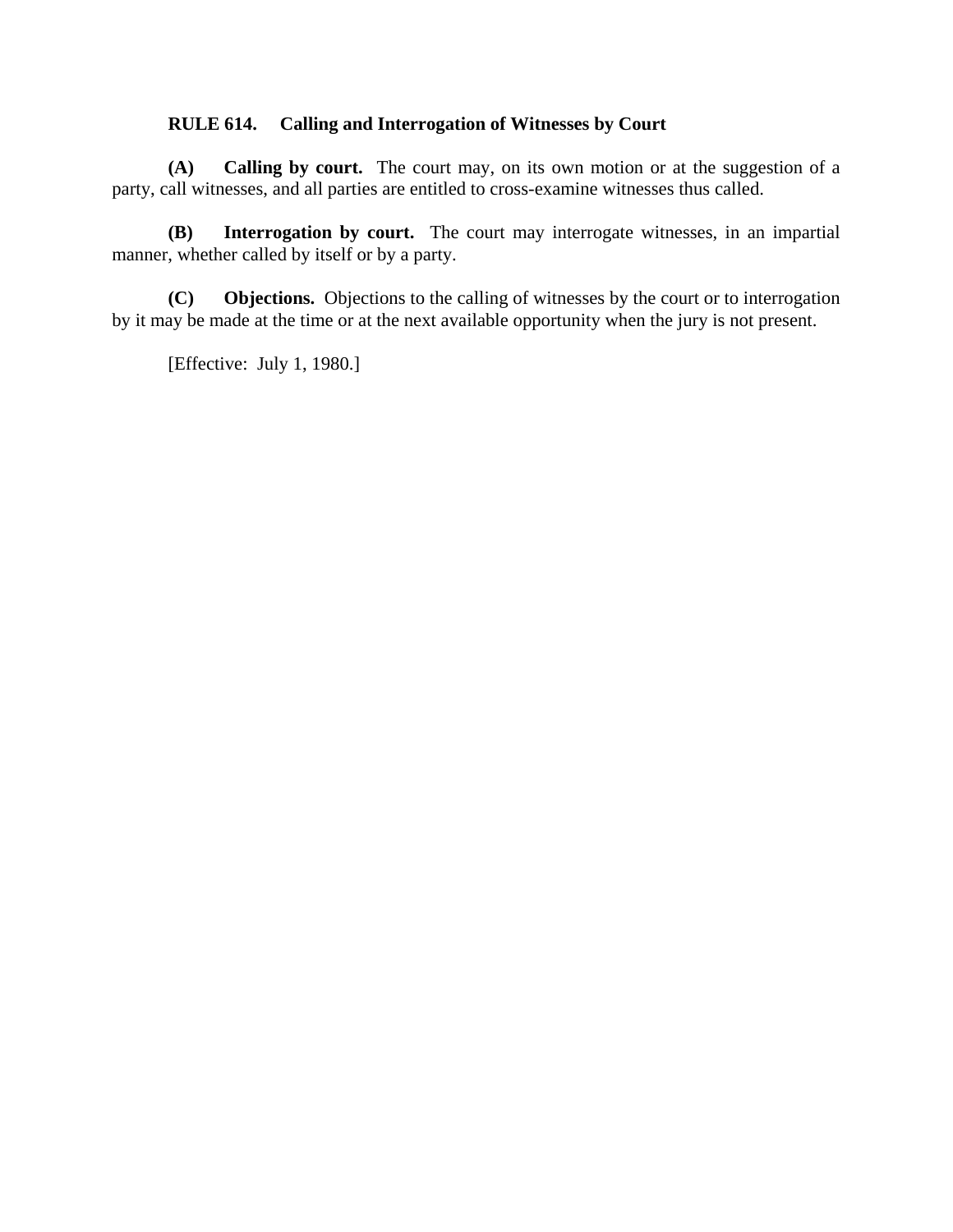# **RULE 614. Calling and Interrogation of Witnesses by Court**

**(A) Calling by court.** The court may, on its own motion or at the suggestion of a party, call witnesses, and all parties are entitled to cross-examine witnesses thus called.

**(B) Interrogation by court.** The court may interrogate witnesses, in an impartial manner, whether called by itself or by a party.

**(C) Objections.** Objections to the calling of witnesses by the court or to interrogation by it may be made at the time or at the next available opportunity when the jury is not present.

[Effective: July 1, 1980.]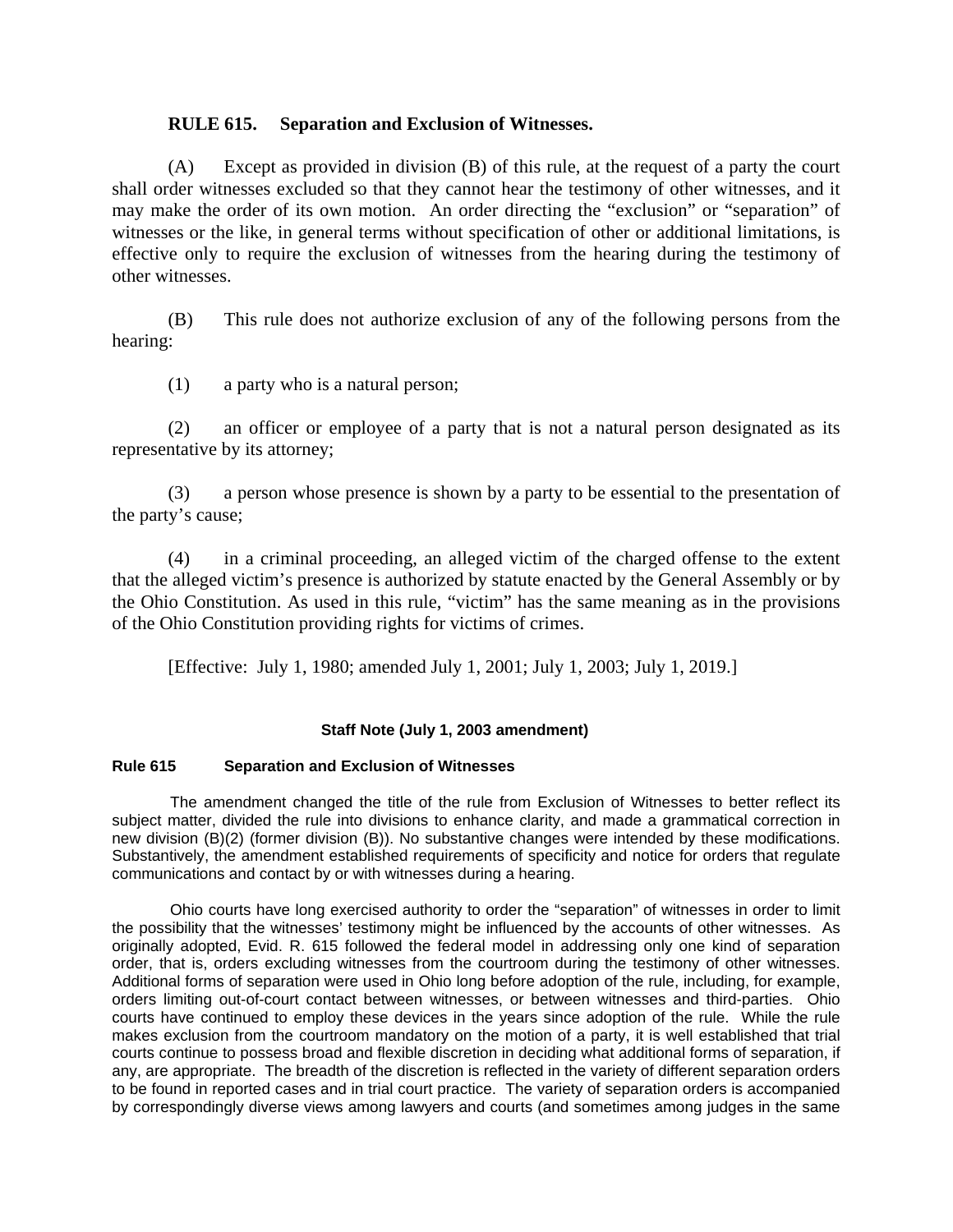## **RULE 615. Separation and Exclusion of Witnesses.**

(A) Except as provided in division (B) of this rule, at the request of a party the court shall order witnesses excluded so that they cannot hear the testimony of other witnesses, and it may make the order of its own motion. An order directing the "exclusion" or "separation" of witnesses or the like, in general terms without specification of other or additional limitations, is effective only to require the exclusion of witnesses from the hearing during the testimony of other witnesses.

(B) This rule does not authorize exclusion of any of the following persons from the hearing:

(1) a party who is a natural person;

(2) an officer or employee of a party that is not a natural person designated as its representative by its attorney;

(3) a person whose presence is shown by a party to be essential to the presentation of the party's cause;

(4) in a criminal proceeding, an alleged victim of the charged offense to the extent that the alleged victim's presence is authorized by statute enacted by the General Assembly or by the Ohio Constitution. As used in this rule, "victim" has the same meaning as in the provisions of the Ohio Constitution providing rights for victims of crimes.

[Effective: July 1, 1980; amended July 1, 2001; July 1, 2003; July 1, 2019.]

## **Staff Note (July 1, 2003 amendment)**

## **Rule 615 Separation and Exclusion of Witnesses**

The amendment changed the title of the rule from Exclusion of Witnesses to better reflect its subject matter, divided the rule into divisions to enhance clarity, and made a grammatical correction in new division (B)(2) (former division (B)). No substantive changes were intended by these modifications. Substantively, the amendment established requirements of specificity and notice for orders that regulate communications and contact by or with witnesses during a hearing.

Ohio courts have long exercised authority to order the "separation" of witnesses in order to limit the possibility that the witnesses' testimony might be influenced by the accounts of other witnesses. As originally adopted, Evid. R. 615 followed the federal model in addressing only one kind of separation order, that is, orders excluding witnesses from the courtroom during the testimony of other witnesses. Additional forms of separation were used in Ohio long before adoption of the rule, including, for example, orders limiting out-of-court contact between witnesses, or between witnesses and third-parties. Ohio courts have continued to employ these devices in the years since adoption of the rule. While the rule makes exclusion from the courtroom mandatory on the motion of a party, it is well established that trial courts continue to possess broad and flexible discretion in deciding what additional forms of separation, if any, are appropriate. The breadth of the discretion is reflected in the variety of different separation orders to be found in reported cases and in trial court practice. The variety of separation orders is accompanied by correspondingly diverse views among lawyers and courts (and sometimes among judges in the same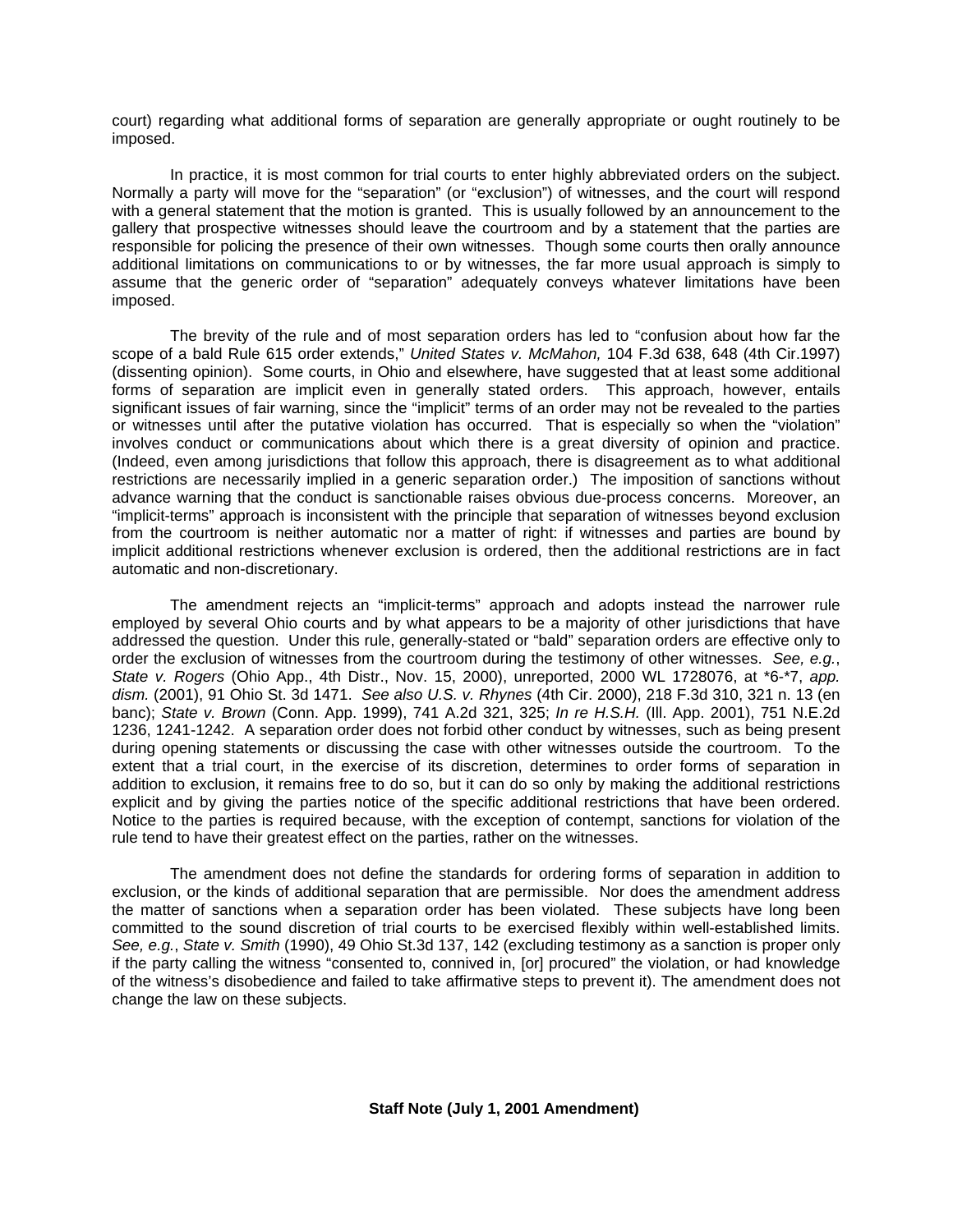court) regarding what additional forms of separation are generally appropriate or ought routinely to be imposed.

In practice, it is most common for trial courts to enter highly abbreviated orders on the subject. Normally a party will move for the "separation" (or "exclusion") of witnesses, and the court will respond with a general statement that the motion is granted. This is usually followed by an announcement to the gallery that prospective witnesses should leave the courtroom and by a statement that the parties are responsible for policing the presence of their own witnesses. Though some courts then orally announce additional limitations on communications to or by witnesses, the far more usual approach is simply to assume that the generic order of "separation" adequately conveys whatever limitations have been imposed.

The brevity of the rule and of most separation orders has led to "confusion about how far the scope of a bald Rule 615 order extends," *United States v. McMahon,* 104 F.3d 638, 648 (4th Cir.1997) (dissenting opinion). Some courts, in Ohio and elsewhere, have suggested that at least some additional forms of separation are implicit even in generally stated orders. This approach, however, entails significant issues of fair warning, since the "implicit" terms of an order may not be revealed to the parties or witnesses until after the putative violation has occurred. That is especially so when the "violation" involves conduct or communications about which there is a great diversity of opinion and practice. (Indeed, even among jurisdictions that follow this approach, there is disagreement as to what additional restrictions are necessarily implied in a generic separation order.) The imposition of sanctions without advance warning that the conduct is sanctionable raises obvious due-process concerns. Moreover, an "implicit-terms" approach is inconsistent with the principle that separation of witnesses beyond exclusion from the courtroom is neither automatic nor a matter of right: if witnesses and parties are bound by implicit additional restrictions whenever exclusion is ordered, then the additional restrictions are in fact automatic and non-discretionary.

The amendment rejects an "implicit-terms" approach and adopts instead the narrower rule employed by several Ohio courts and by what appears to be a majority of other jurisdictions that have addressed the question. Under this rule, generally-stated or "bald" separation orders are effective only to order the exclusion of witnesses from the courtroom during the testimony of other witnesses. *See, e.g.*, *State v. Rogers* (Ohio App., 4th Distr., Nov. 15, 2000), unreported, 2000 WL 1728076, at \*6-\*7, *app. dism.* (2001), 91 Ohio St. 3d 1471. *See also U.S. v. Rhynes* (4th Cir. 2000), 218 F.3d 310, 321 n. 13 (en banc); *State v. Brown* (Conn. App. 1999), 741 A.2d 321, 325; *In re H.S.H.* (Ill. App. 2001), 751 N.E.2d 1236, 1241-1242. A separation order does not forbid other conduct by witnesses, such as being present during opening statements or discussing the case with other witnesses outside the courtroom. To the extent that a trial court, in the exercise of its discretion, determines to order forms of separation in addition to exclusion, it remains free to do so, but it can do so only by making the additional restrictions explicit and by giving the parties notice of the specific additional restrictions that have been ordered. Notice to the parties is required because, with the exception of contempt, sanctions for violation of the rule tend to have their greatest effect on the parties, rather on the witnesses.

The amendment does not define the standards for ordering forms of separation in addition to exclusion, or the kinds of additional separation that are permissible. Nor does the amendment address the matter of sanctions when a separation order has been violated. These subjects have long been committed to the sound discretion of trial courts to be exercised flexibly within well-established limits. *See, e.g.*, *State v. Smith* (1990), 49 Ohio St.3d 137, 142 (excluding testimony as a sanction is proper only if the party calling the witness "consented to, connived in, [or] procured" the violation, or had knowledge of the witness's disobedience and failed to take affirmative steps to prevent it). The amendment does not change the law on these subjects.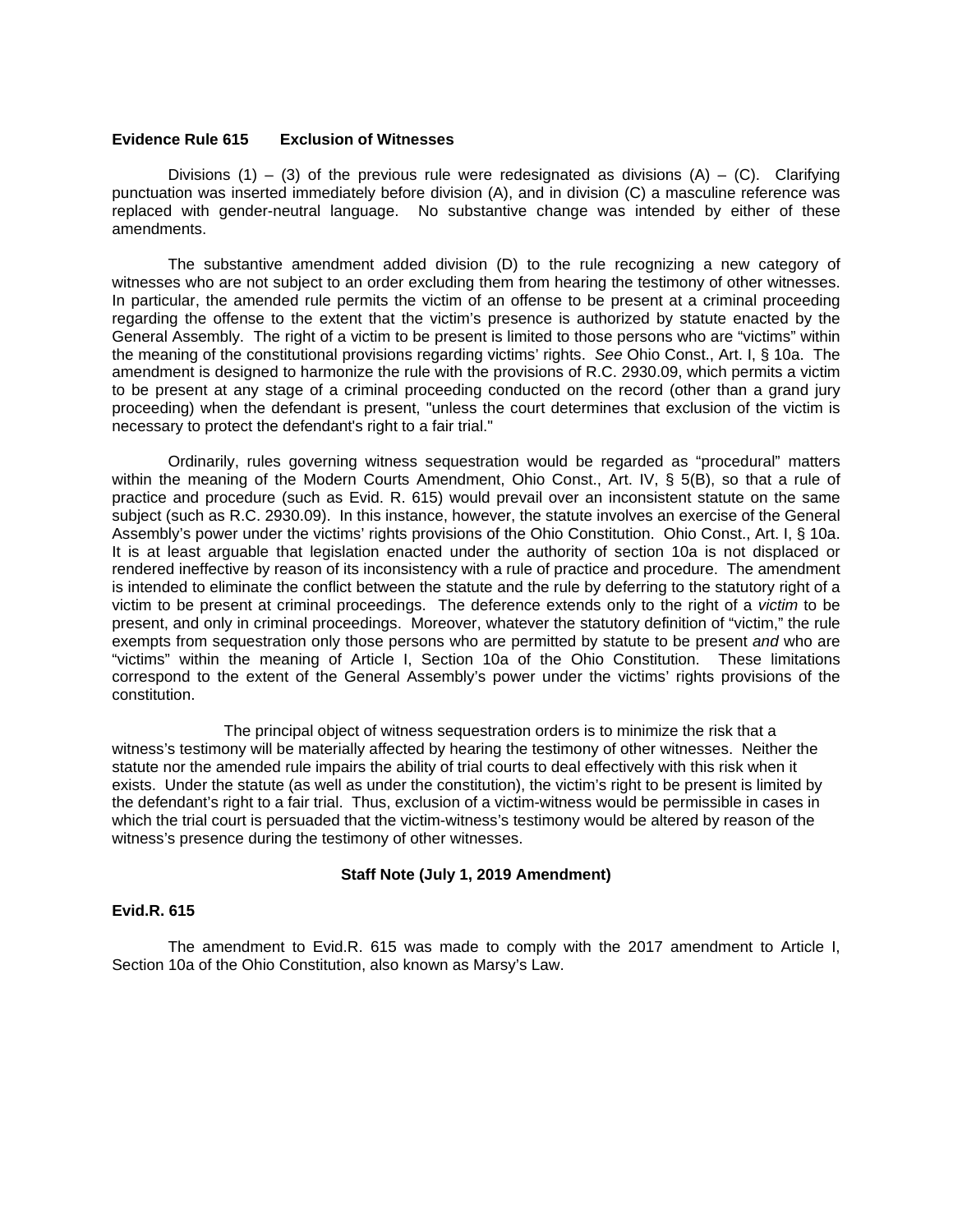### **Evidence Rule 615 Exclusion of Witnesses**

Divisions (1) – (3) of the previous rule were redesignated as divisions (A) – (C). Clarifying punctuation was inserted immediately before division (A), and in division (C) a masculine reference was replaced with gender-neutral language. No substantive change was intended by either of these amendments.

The substantive amendment added division (D) to the rule recognizing a new category of witnesses who are not subject to an order excluding them from hearing the testimony of other witnesses. In particular, the amended rule permits the victim of an offense to be present at a criminal proceeding regarding the offense to the extent that the victim's presence is authorized by statute enacted by the General Assembly. The right of a victim to be present is limited to those persons who are "victims" within the meaning of the constitutional provisions regarding victims' rights. *See* Ohio Const., Art. I, § 10a. The amendment is designed to harmonize the rule with the provisions of R.C. 2930.09, which permits a victim to be present at any stage of a criminal proceeding conducted on the record (other than a grand jury proceeding) when the defendant is present, "unless the court determines that exclusion of the victim is necessary to protect the defendant's right to a fair trial."

Ordinarily, rules governing witness sequestration would be regarded as "procedural" matters within the meaning of the Modern Courts Amendment, Ohio Const., Art. IV, § 5(B), so that a rule of practice and procedure (such as Evid. R. 615) would prevail over an inconsistent statute on the same subject (such as R.C. 2930.09). In this instance, however, the statute involves an exercise of the General Assembly's power under the victims' rights provisions of the Ohio Constitution. Ohio Const., Art. I, § 10a. It is at least arguable that legislation enacted under the authority of section 10a is not displaced or rendered ineffective by reason of its inconsistency with a rule of practice and procedure. The amendment is intended to eliminate the conflict between the statute and the rule by deferring to the statutory right of a victim to be present at criminal proceedings. The deference extends only to the right of a *victim* to be present, and only in criminal proceedings. Moreover, whatever the statutory definition of "victim," the rule exempts from sequestration only those persons who are permitted by statute to be present *and* who are "victims" within the meaning of Article I, Section 10a of the Ohio Constitution. These limitations correspond to the extent of the General Assembly's power under the victims' rights provisions of the constitution.

The principal object of witness sequestration orders is to minimize the risk that a witness's testimony will be materially affected by hearing the testimony of other witnesses. Neither the statute nor the amended rule impairs the ability of trial courts to deal effectively with this risk when it exists. Under the statute (as well as under the constitution), the victim's right to be present is limited by the defendant's right to a fair trial. Thus, exclusion of a victim-witness would be permissible in cases in which the trial court is persuaded that the victim-witness's testimony would be altered by reason of the witness's presence during the testimony of other witnesses.

### **Staff Note (July 1, 2019 Amendment)**

## **Evid.R. 615**

The amendment to Evid.R. 615 was made to comply with the 2017 amendment to Article I, Section 10a of the Ohio Constitution, also known as Marsy's Law.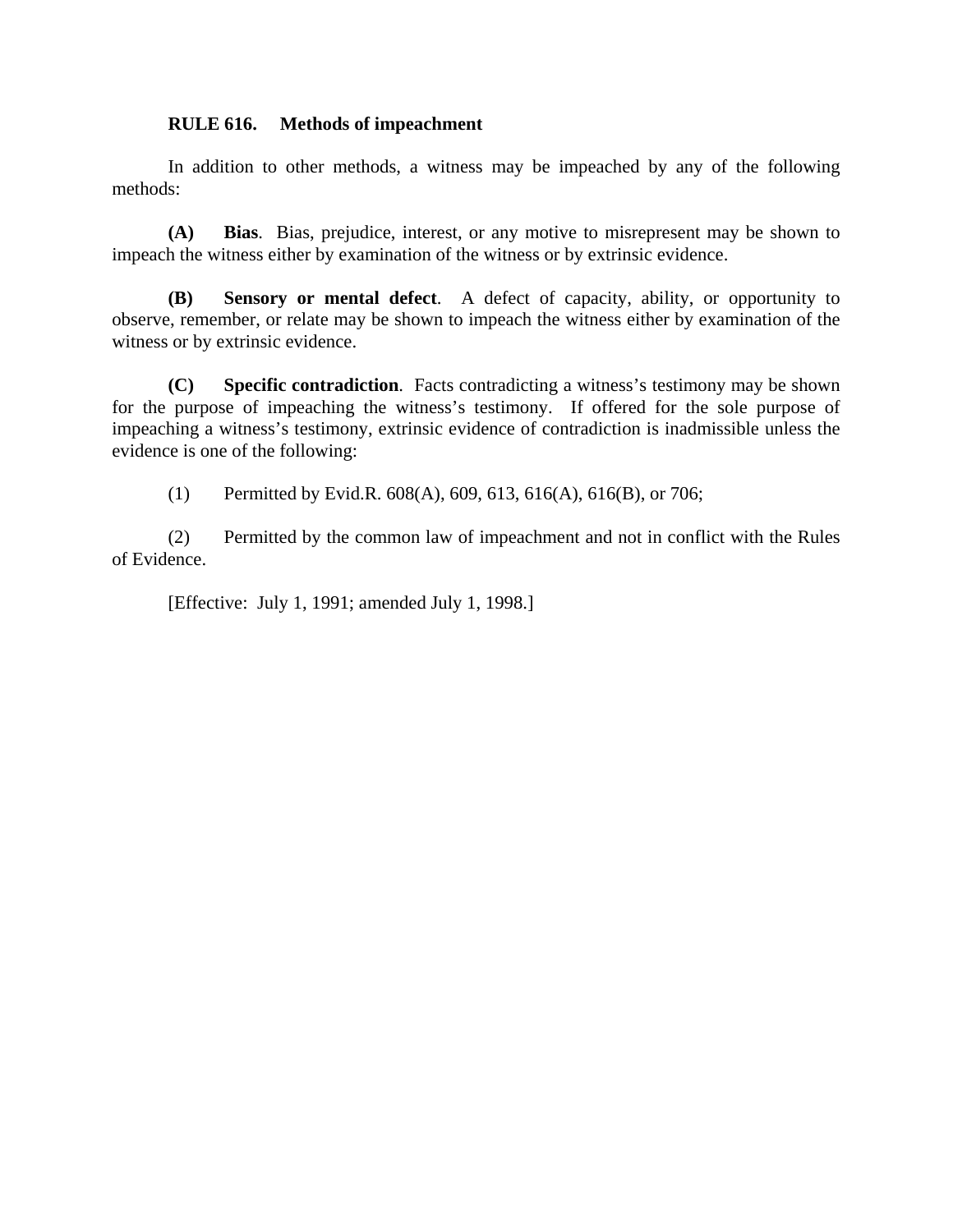# **RULE 616. Methods of impeachment**

In addition to other methods, a witness may be impeached by any of the following methods:

**(A) Bias**. Bias, prejudice, interest, or any motive to misrepresent may be shown to impeach the witness either by examination of the witness or by extrinsic evidence.

**(B) Sensory or mental defect**. A defect of capacity, ability, or opportunity to observe, remember, or relate may be shown to impeach the witness either by examination of the witness or by extrinsic evidence.

**(C) Specific contradiction**. Facts contradicting a witness's testimony may be shown for the purpose of impeaching the witness's testimony. If offered for the sole purpose of impeaching a witness's testimony, extrinsic evidence of contradiction is inadmissible unless the evidence is one of the following:

(1) Permitted by Evid.R. 608(A), 609, 613, 616(A), 616(B), or 706;

(2) Permitted by the common law of impeachment and not in conflict with the Rules of Evidence.

[Effective: July 1, 1991; amended July 1, 1998.]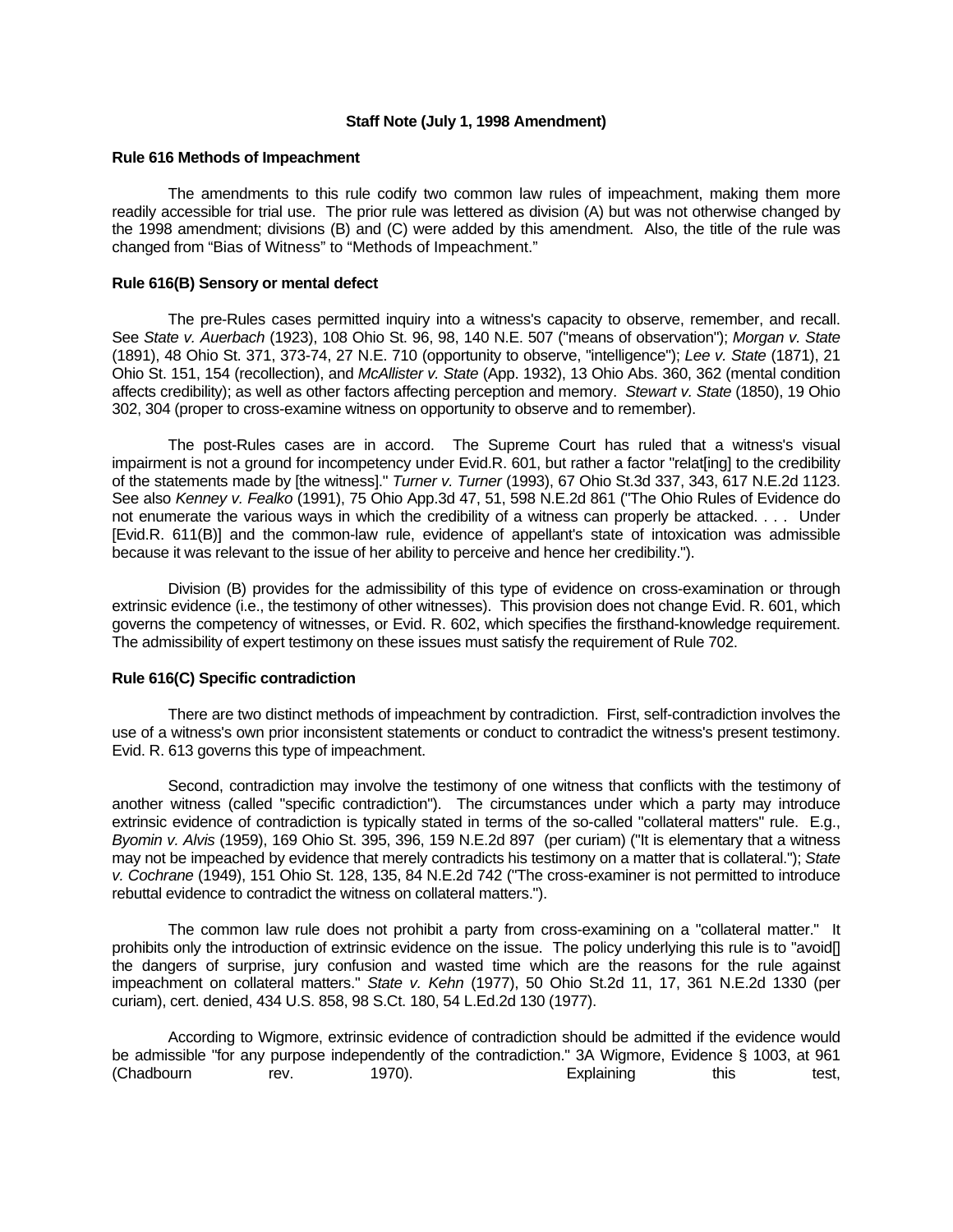### **Staff Note (July 1, 1998 Amendment)**

#### **Rule 616 Methods of Impeachment**

The amendments to this rule codify two common law rules of impeachment, making them more readily accessible for trial use. The prior rule was lettered as division (A) but was not otherwise changed by the 1998 amendment; divisions (B) and (C) were added by this amendment. Also, the title of the rule was changed from "Bias of Witness" to "Methods of Impeachment."

### **Rule 616(B) Sensory or mental defect**

The pre-Rules cases permitted inquiry into a witness's capacity to observe, remember, and recall. See *State v. Auerbach* (1923), 108 Ohio St. 96, 98, 140 N.E. 507 ("means of observation"); *Morgan v. State* (1891), 48 Ohio St. 371, 373-74, 27 N.E. 710 (opportunity to observe, "intelligence"); *Lee v. State* (1871), 21 Ohio St. 151, 154 (recollection), and *McAllister v. State* (App. 1932), 13 Ohio Abs. 360, 362 (mental condition affects credibility); as well as other factors affecting perception and memory. *Stewart v. State* (1850), 19 Ohio 302, 304 (proper to cross-examine witness on opportunity to observe and to remember).

The post-Rules cases are in accord. The Supreme Court has ruled that a witness's visual impairment is not a ground for incompetency under Evid.R. 601, but rather a factor "relat[ing] to the credibility of the statements made by [the witness]." *Turner v. Turner* (1993), 67 Ohio St.3d 337, 343, 617 N.E.2d 1123. See also *Kenney v. Fealko* (1991), 75 Ohio App.3d 47, 51, 598 N.E.2d 861 ("The Ohio Rules of Evidence do not enumerate the various ways in which the credibility of a witness can properly be attacked. . . . Under [Evid.R. 611(B)] and the common-law rule, evidence of appellant's state of intoxication was admissible because it was relevant to the issue of her ability to perceive and hence her credibility.").

Division (B) provides for the admissibility of this type of evidence on cross-examination or through extrinsic evidence (i.e., the testimony of other witnesses). This provision does not change Evid. R. 601, which governs the competency of witnesses, or Evid. R. 602, which specifies the firsthand-knowledge requirement. The admissibility of expert testimony on these issues must satisfy the requirement of Rule 702.

### **Rule 616(C) Specific contradiction**

There are two distinct methods of impeachment by contradiction. First, self-contradiction involves the use of a witness's own prior inconsistent statements or conduct to contradict the witness's present testimony. Evid. R. 613 governs this type of impeachment.

Second, contradiction may involve the testimony of one witness that conflicts with the testimony of another witness (called "specific contradiction"). The circumstances under which a party may introduce extrinsic evidence of contradiction is typically stated in terms of the so-called "collateral matters" rule. E.g., *Byomin v. Alvis* (1959), 169 Ohio St. 395, 396, 159 N.E.2d 897 (per curiam) ("It is elementary that a witness may not be impeached by evidence that merely contradicts his testimony on a matter that is collateral."); *State v. Cochrane* (1949), 151 Ohio St. 128, 135, 84 N.E.2d 742 ("The cross-examiner is not permitted to introduce rebuttal evidence to contradict the witness on collateral matters.").

The common law rule does not prohibit a party from cross-examining on a "collateral matter." It prohibits only the introduction of extrinsic evidence on the issue. The policy underlying this rule is to "avoid[] the dangers of surprise, jury confusion and wasted time which are the reasons for the rule against impeachment on collateral matters." *State v. Kehn* (1977), 50 Ohio St.2d 11, 17, 361 N.E.2d 1330 (per curiam), cert. denied, 434 U.S. 858, 98 S.Ct. 180, 54 L.Ed.2d 130 (1977).

According to Wigmore, extrinsic evidence of contradiction should be admitted if the evidence would be admissible "for any purpose independently of the contradiction." 3A Wigmore, Evidence § 1003, at 961 (Chadbourn rev. 1970). (Chadbourn rev. 1970). Explaining this test,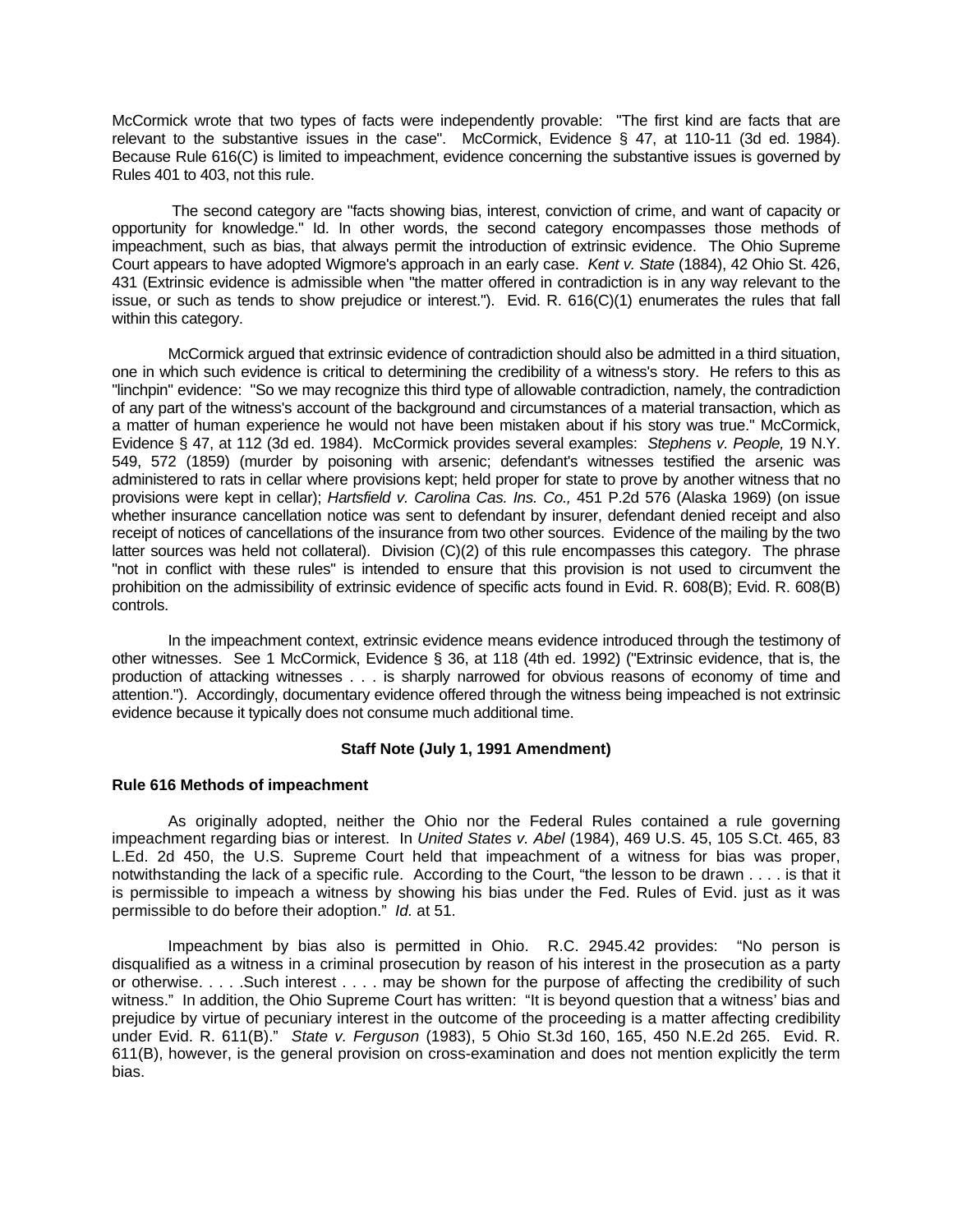McCormick wrote that two types of facts were independently provable: "The first kind are facts that are relevant to the substantive issues in the case". McCormick, Evidence § 47, at 110-11 (3d ed. 1984). Because Rule 616(C) is limited to impeachment, evidence concerning the substantive issues is governed by Rules 401 to 403, not this rule.

The second category are "facts showing bias, interest, conviction of crime, and want of capacity or opportunity for knowledge." Id. In other words, the second category encompasses those methods of impeachment, such as bias, that always permit the introduction of extrinsic evidence. The Ohio Supreme Court appears to have adopted Wigmore's approach in an early case. *Kent v. State* (1884), 42 Ohio St. 426, 431 (Extrinsic evidence is admissible when "the matter offered in contradiction is in any way relevant to the issue, or such as tends to show prejudice or interest."). Evid. R. 616(C)(1) enumerates the rules that fall within this category.

McCormick argued that extrinsic evidence of contradiction should also be admitted in a third situation, one in which such evidence is critical to determining the credibility of a witness's story. He refers to this as "linchpin" evidence: "So we may recognize this third type of allowable contradiction, namely, the contradiction of any part of the witness's account of the background and circumstances of a material transaction, which as a matter of human experience he would not have been mistaken about if his story was true." McCormick, Evidence § 47, at 112 (3d ed. 1984). McCormick provides several examples: *Stephens v. People,* 19 N.Y. 549, 572 (1859) (murder by poisoning with arsenic; defendant's witnesses testified the arsenic was administered to rats in cellar where provisions kept; held proper for state to prove by another witness that no provisions were kept in cellar); *Hartsfield v. Carolina Cas. Ins. Co.,* 451 P.2d 576 (Alaska 1969) (on issue whether insurance cancellation notice was sent to defendant by insurer, defendant denied receipt and also receipt of notices of cancellations of the insurance from two other sources. Evidence of the mailing by the two latter sources was held not collateral). Division (C)(2) of this rule encompasses this category. The phrase "not in conflict with these rules" is intended to ensure that this provision is not used to circumvent the prohibition on the admissibility of extrinsic evidence of specific acts found in Evid. R. 608(B); Evid. R. 608(B) controls.

In the impeachment context, extrinsic evidence means evidence introduced through the testimony of other witnesses. See 1 McCormick, Evidence § 36, at 118 (4th ed. 1992) ("Extrinsic evidence, that is, the production of attacking witnesses . . . is sharply narrowed for obvious reasons of economy of time and attention."). Accordingly, documentary evidence offered through the witness being impeached is not extrinsic evidence because it typically does not consume much additional time.

## **Staff Note (July 1, 1991 Amendment)**

### **Rule 616 Methods of impeachment**

As originally adopted, neither the Ohio nor the Federal Rules contained a rule governing impeachment regarding bias or interest. In *United States v. Abel* (1984), 469 U.S. 45, 105 S.Ct. 465, 83 L.Ed. 2d 450, the U.S. Supreme Court held that impeachment of a witness for bias was proper, notwithstanding the lack of a specific rule. According to the Court, "the lesson to be drawn . . . . is that it is permissible to impeach a witness by showing his bias under the Fed. Rules of Evid. just as it was permissible to do before their adoption." *Id.* at 51.

Impeachment by bias also is permitted in Ohio. R.C. 2945.42 provides: "No person is disqualified as a witness in a criminal prosecution by reason of his interest in the prosecution as a party or otherwise. . . . .Such interest . . . . may be shown for the purpose of affecting the credibility of such witness." In addition, the Ohio Supreme Court has written: "It is beyond question that a witness' bias and prejudice by virtue of pecuniary interest in the outcome of the proceeding is a matter affecting credibility under Evid. R. 611(B)." *State v. Ferguson* (1983), 5 Ohio St.3d 160, 165, 450 N.E.2d 265. Evid. R. 611(B), however, is the general provision on cross-examination and does not mention explicitly the term bias.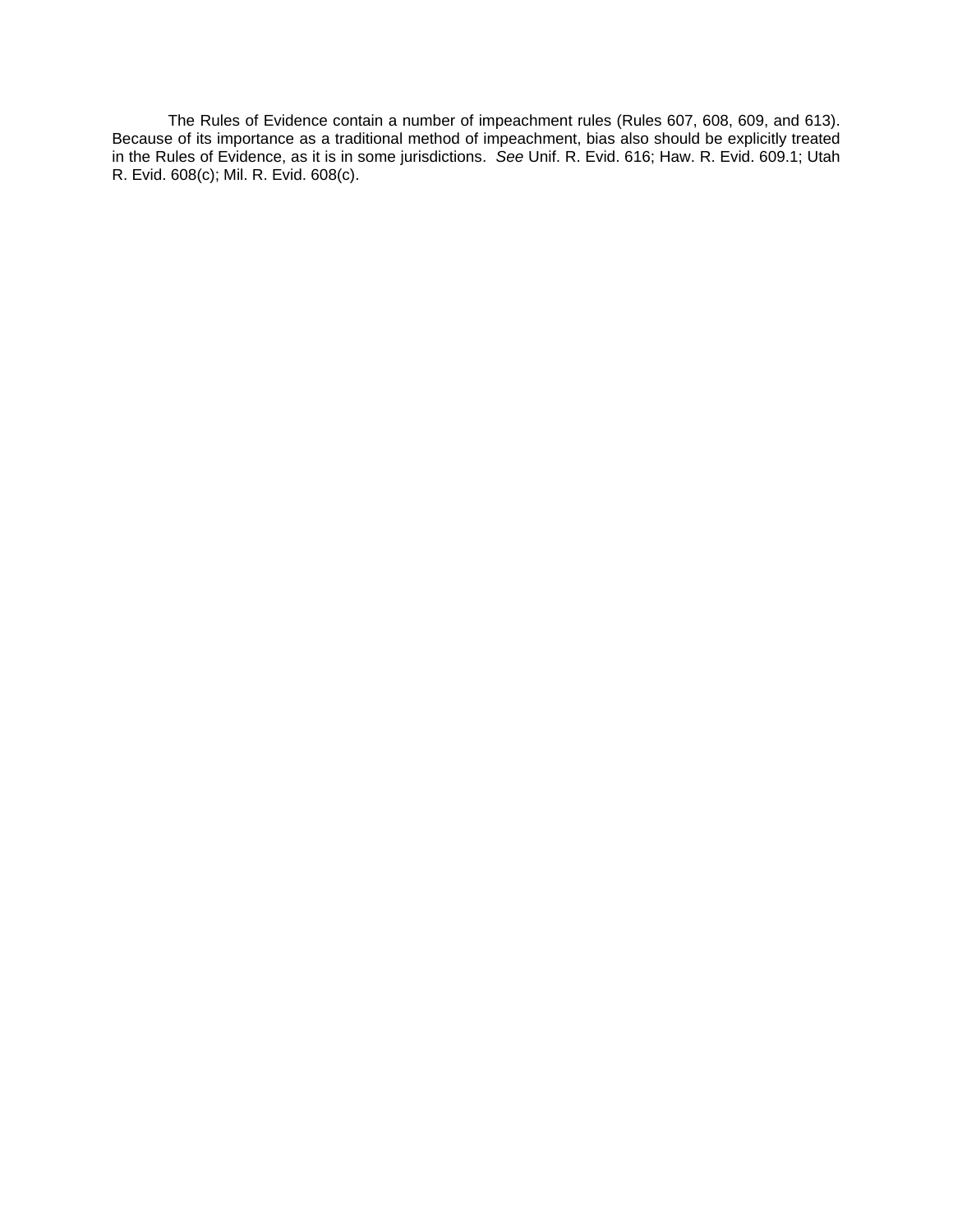The Rules of Evidence contain a number of impeachment rules (Rules 607, 608, 609, and 613). Because of its importance as a traditional method of impeachment, bias also should be explicitly treated in the Rules of Evidence, as it is in some jurisdictions. *See* Unif. R. Evid. 616; Haw. R. Evid. 609.1; Utah R. Evid. 608(c); Mil. R. Evid. 608(c).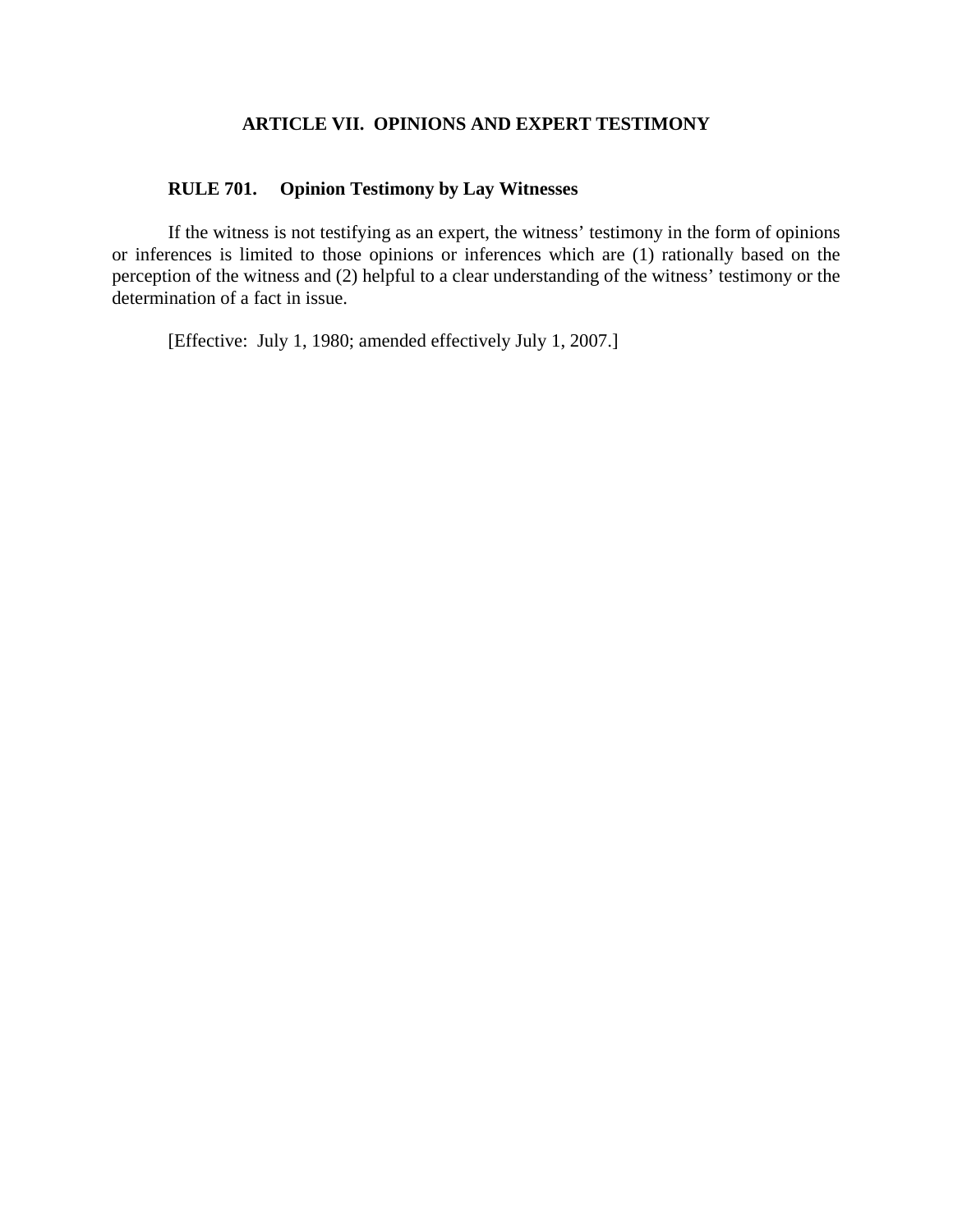# **ARTICLE VII. OPINIONS AND EXPERT TESTIMONY**

# **RULE 701. Opinion Testimony by Lay Witnesses**

If the witness is not testifying as an expert, the witness' testimony in the form of opinions or inferences is limited to those opinions or inferences which are (1) rationally based on the perception of the witness and (2) helpful to a clear understanding of the witness' testimony or the determination of a fact in issue.

[Effective: July 1, 1980; amended effectively July 1, 2007.]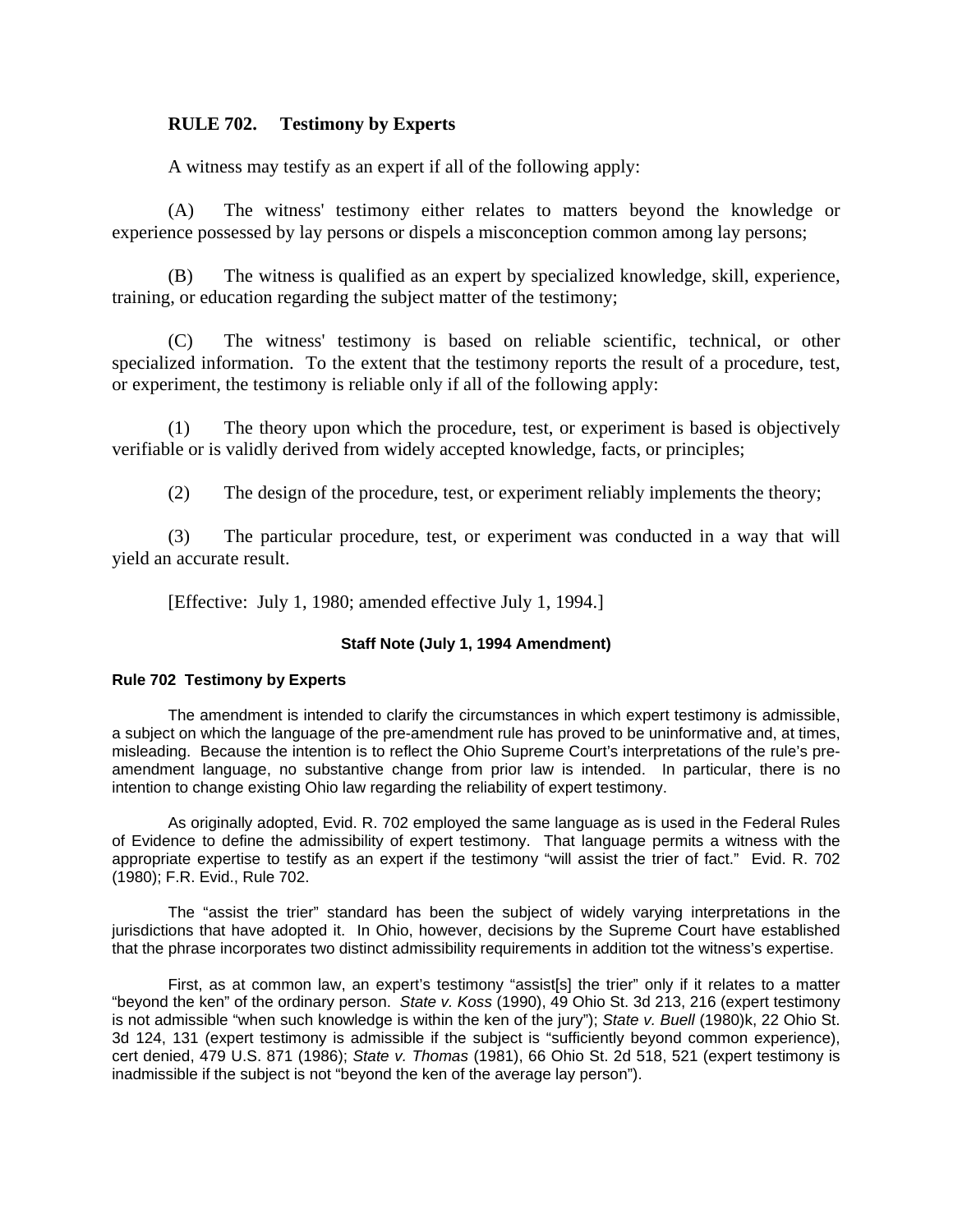# **RULE 702. Testimony by Experts**

A witness may testify as an expert if all of the following apply:

(A) The witness' testimony either relates to matters beyond the knowledge or experience possessed by lay persons or dispels a misconception common among lay persons;

(B) The witness is qualified as an expert by specialized knowledge, skill, experience, training, or education regarding the subject matter of the testimony;

(C) The witness' testimony is based on reliable scientific, technical, or other specialized information. To the extent that the testimony reports the result of a procedure, test, or experiment, the testimony is reliable only if all of the following apply:

(1) The theory upon which the procedure, test, or experiment is based is objectively verifiable or is validly derived from widely accepted knowledge, facts, or principles;

(2) The design of the procedure, test, or experiment reliably implements the theory;

(3) The particular procedure, test, or experiment was conducted in a way that will yield an accurate result.

[Effective: July 1, 1980; amended effective July 1, 1994.]

## **Staff Note (July 1, 1994 Amendment)**

## **Rule 702 Testimony by Experts**

The amendment is intended to clarify the circumstances in which expert testimony is admissible, a subject on which the language of the pre-amendment rule has proved to be uninformative and, at times, misleading. Because the intention is to reflect the Ohio Supreme Court's interpretations of the rule's preamendment language, no substantive change from prior law is intended. In particular, there is no intention to change existing Ohio law regarding the reliability of expert testimony.

As originally adopted, Evid. R. 702 employed the same language as is used in the Federal Rules of Evidence to define the admissibility of expert testimony. That language permits a witness with the appropriate expertise to testify as an expert if the testimony "will assist the trier of fact." Evid. R. 702 (1980); F.R. Evid., Rule 702.

The "assist the trier" standard has been the subject of widely varying interpretations in the jurisdictions that have adopted it. In Ohio, however, decisions by the Supreme Court have established that the phrase incorporates two distinct admissibility requirements in addition tot the witness's expertise.

First, as at common law, an expert's testimony "assist[s] the trier" only if it relates to a matter "beyond the ken" of the ordinary person. *State v. Koss* (1990), 49 Ohio St. 3d 213, 216 (expert testimony is not admissible "when such knowledge is within the ken of the jury"); *State v. Buell* (1980)k, 22 Ohio St. 3d 124, 131 (expert testimony is admissible if the subject is "sufficiently beyond common experience), cert denied, 479 U.S. 871 (1986); *State v. Thomas* (1981), 66 Ohio St. 2d 518, 521 (expert testimony is inadmissible if the subject is not "beyond the ken of the average lay person").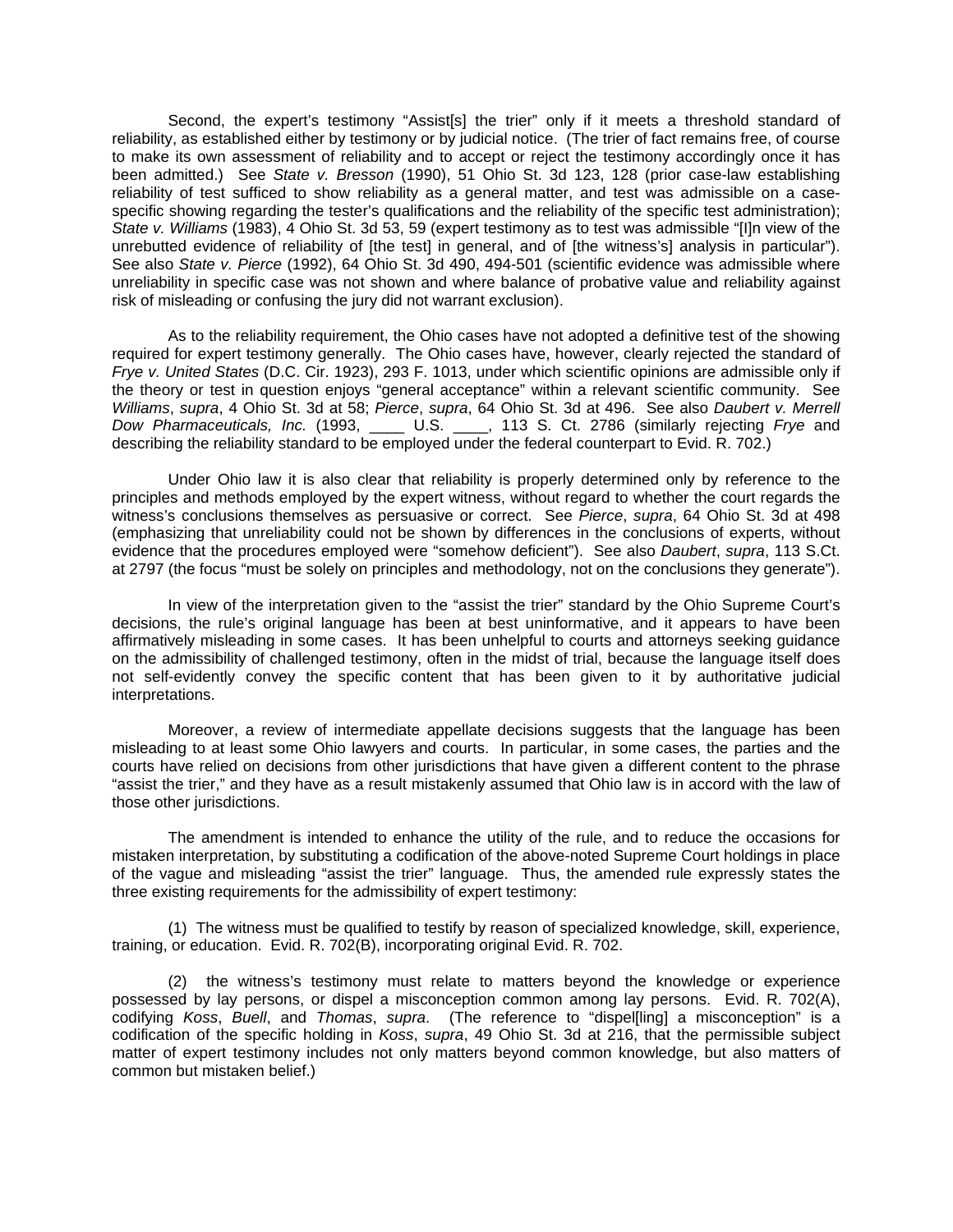Second, the expert's testimony "Assist[s] the trier" only if it meets a threshold standard of reliability, as established either by testimony or by judicial notice. (The trier of fact remains free, of course to make its own assessment of reliability and to accept or reject the testimony accordingly once it has been admitted.) See *State v. Bresson* (1990), 51 Ohio St. 3d 123, 128 (prior case-law establishing reliability of test sufficed to show reliability as a general matter, and test was admissible on a casespecific showing regarding the tester's qualifications and the reliability of the specific test administration); *State v. Williams* (1983), 4 Ohio St. 3d 53, 59 (expert testimony as to test was admissible "[I]n view of the unrebutted evidence of reliability of [the test] in general, and of [the witness's] analysis in particular"). See also *State v. Pierce* (1992), 64 Ohio St. 3d 490, 494-501 (scientific evidence was admissible where unreliability in specific case was not shown and where balance of probative value and reliability against risk of misleading or confusing the jury did not warrant exclusion).

As to the reliability requirement, the Ohio cases have not adopted a definitive test of the showing required for expert testimony generally. The Ohio cases have, however, clearly rejected the standard of *Frye v. United States* (D.C. Cir. 1923), 293 F. 1013, under which scientific opinions are admissible only if the theory or test in question enjoys "general acceptance" within a relevant scientific community. See *Williams*, *supra*, 4 Ohio St. 3d at 58; *Pierce*, *supra*, 64 Ohio St. 3d at 496. See also *Daubert v. Merrell Dow Pharmaceuticals, Inc.* (1993, \_\_\_\_ U.S. \_\_\_\_, 113 S. Ct. 2786 (similarly rejecting *Frye* and describing the reliability standard to be employed under the federal counterpart to Evid. R. 702.)

Under Ohio law it is also clear that reliability is properly determined only by reference to the principles and methods employed by the expert witness, without regard to whether the court regards the witness's conclusions themselves as persuasive or correct. See *Pierce*, *supra*, 64 Ohio St. 3d at 498 (emphasizing that unreliability could not be shown by differences in the conclusions of experts, without evidence that the procedures employed were "somehow deficient"). See also *Daubert*, *supra*, 113 S.Ct. at 2797 (the focus "must be solely on principles and methodology, not on the conclusions they generate").

In view of the interpretation given to the "assist the trier" standard by the Ohio Supreme Court's decisions, the rule's original language has been at best uninformative, and it appears to have been affirmatively misleading in some cases. It has been unhelpful to courts and attorneys seeking guidance on the admissibility of challenged testimony, often in the midst of trial, because the language itself does not self-evidently convey the specific content that has been given to it by authoritative judicial interpretations.

Moreover, a review of intermediate appellate decisions suggests that the language has been misleading to at least some Ohio lawyers and courts. In particular, in some cases, the parties and the courts have relied on decisions from other jurisdictions that have given a different content to the phrase "assist the trier," and they have as a result mistakenly assumed that Ohio law is in accord with the law of those other jurisdictions.

The amendment is intended to enhance the utility of the rule, and to reduce the occasions for mistaken interpretation, by substituting a codification of the above-noted Supreme Court holdings in place of the vague and misleading "assist the trier" language. Thus, the amended rule expressly states the three existing requirements for the admissibility of expert testimony:

(1) The witness must be qualified to testify by reason of specialized knowledge, skill, experience, training, or education. Evid. R. 702(B), incorporating original Evid. R. 702.

(2) the witness's testimony must relate to matters beyond the knowledge or experience possessed by lay persons, or dispel a misconception common among lay persons. Evid. R. 702(A), codifying *Koss*, *Buell*, and *Thomas*, *supra*. (The reference to "dispel[ling] a misconception" is a codification of the specific holding in *Koss*, *supra*, 49 Ohio St. 3d at 216, that the permissible subject matter of expert testimony includes not only matters beyond common knowledge, but also matters of common but mistaken belief.)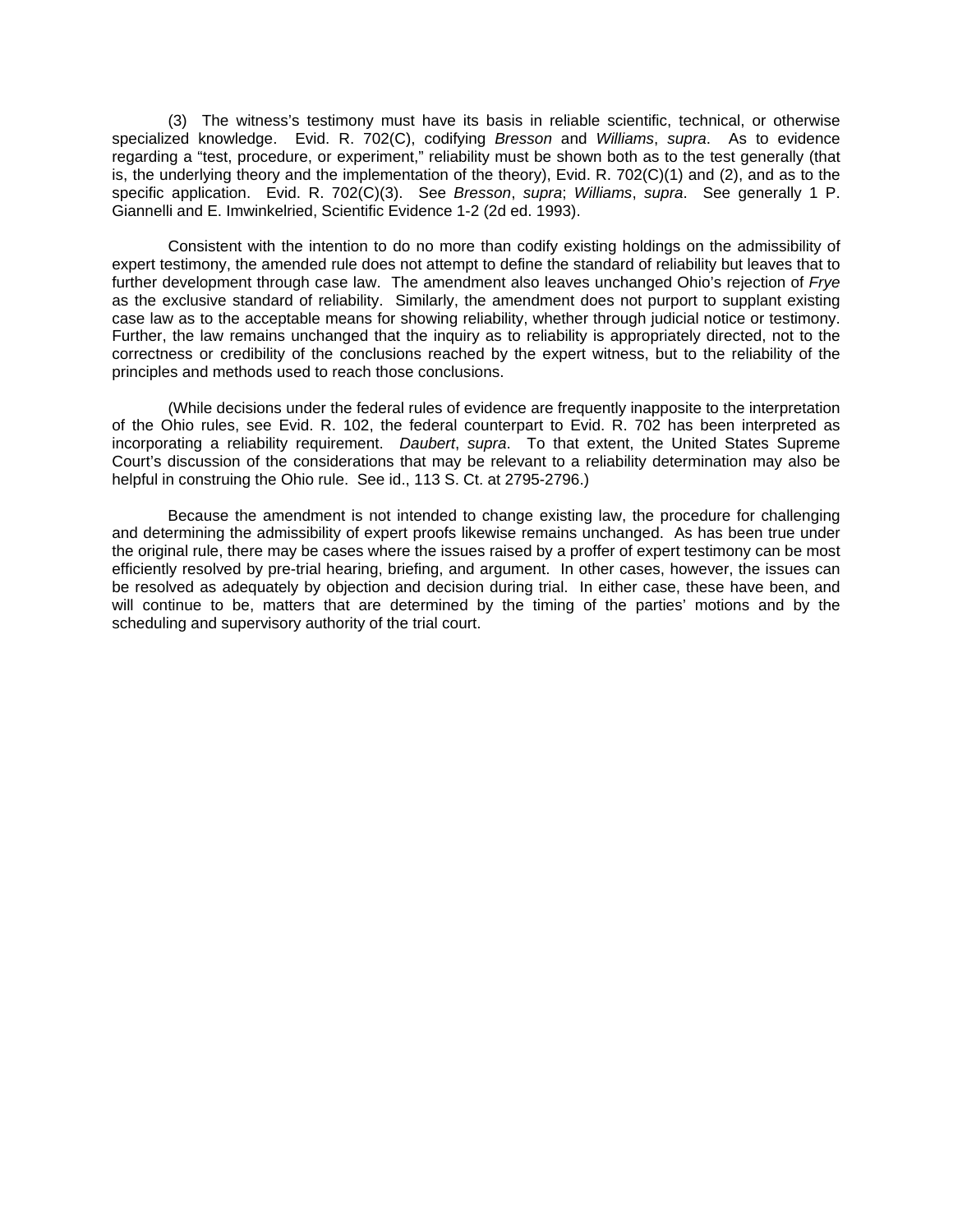(3) The witness's testimony must have its basis in reliable scientific, technical, or otherwise specialized knowledge. Evid. R. 702(C), codifying *Bresson* and *Williams*, *supra*. As to evidence regarding a "test, procedure, or experiment," reliability must be shown both as to the test generally (that is, the underlying theory and the implementation of the theory), Evid. R. 702(C)(1) and (2), and as to the specific application. Evid. R. 702(C)(3). See *Bresson*, *supra*; *Williams*, *supra*. See generally 1 P. Giannelli and E. Imwinkelried, Scientific Evidence 1-2 (2d ed. 1993).

Consistent with the intention to do no more than codify existing holdings on the admissibility of expert testimony, the amended rule does not attempt to define the standard of reliability but leaves that to further development through case law. The amendment also leaves unchanged Ohio's rejection of *Frye* as the exclusive standard of reliability. Similarly, the amendment does not purport to supplant existing case law as to the acceptable means for showing reliability, whether through judicial notice or testimony. Further, the law remains unchanged that the inquiry as to reliability is appropriately directed, not to the correctness or credibility of the conclusions reached by the expert witness, but to the reliability of the principles and methods used to reach those conclusions.

(While decisions under the federal rules of evidence are frequently inapposite to the interpretation of the Ohio rules, see Evid. R. 102, the federal counterpart to Evid. R. 702 has been interpreted as incorporating a reliability requirement. *Daubert*, *supra*. To that extent, the United States Supreme Court's discussion of the considerations that may be relevant to a reliability determination may also be helpful in construing the Ohio rule. See id., 113 S. Ct. at 2795-2796.)

Because the amendment is not intended to change existing law, the procedure for challenging and determining the admissibility of expert proofs likewise remains unchanged. As has been true under the original rule, there may be cases where the issues raised by a proffer of expert testimony can be most efficiently resolved by pre-trial hearing, briefing, and argument. In other cases, however, the issues can be resolved as adequately by objection and decision during trial. In either case, these have been, and will continue to be, matters that are determined by the timing of the parties' motions and by the scheduling and supervisory authority of the trial court.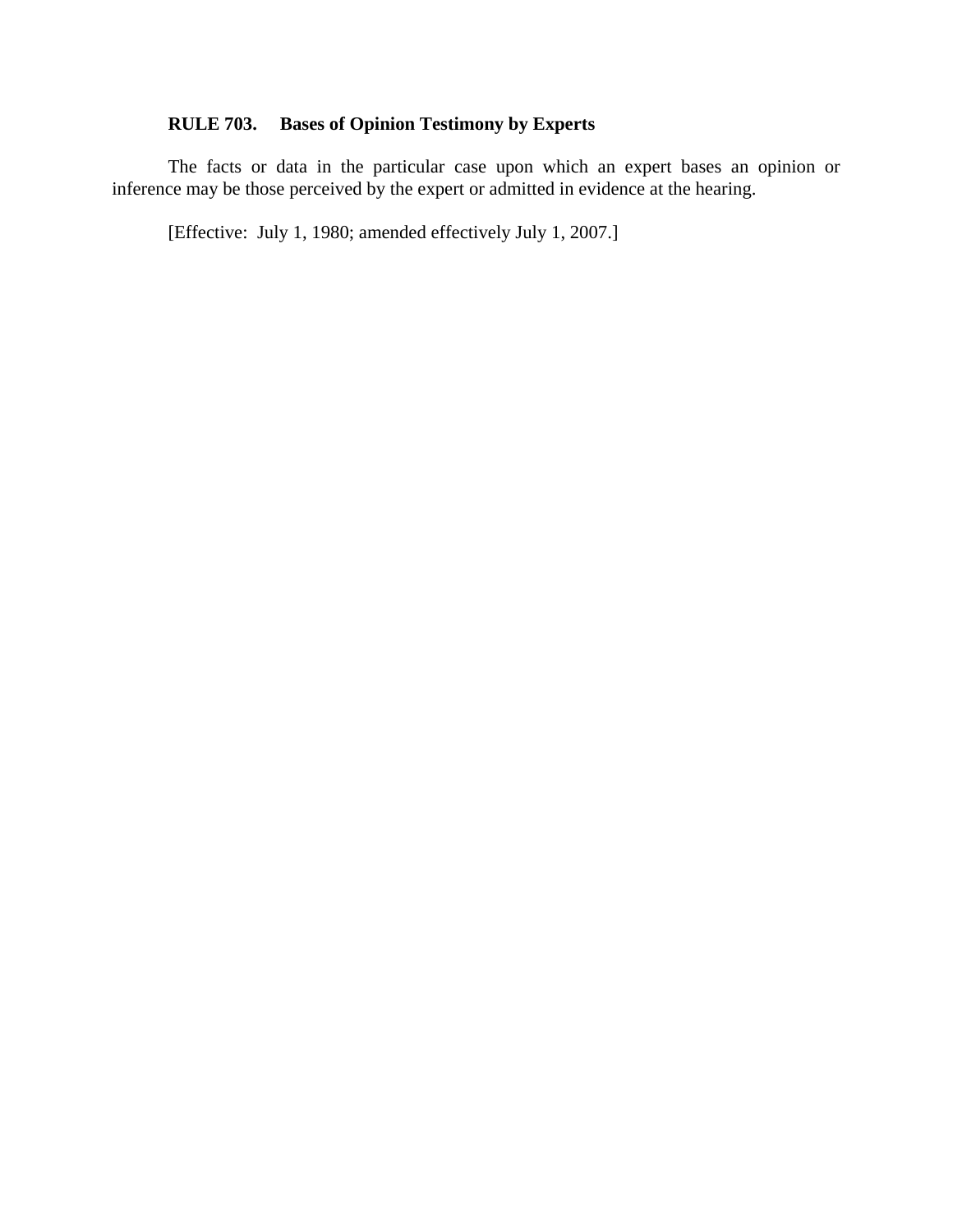# **RULE 703. Bases of Opinion Testimony by Experts**

The facts or data in the particular case upon which an expert bases an opinion or inference may be those perceived by the expert or admitted in evidence at the hearing.

[Effective: July 1, 1980; amended effectively July 1, 2007.]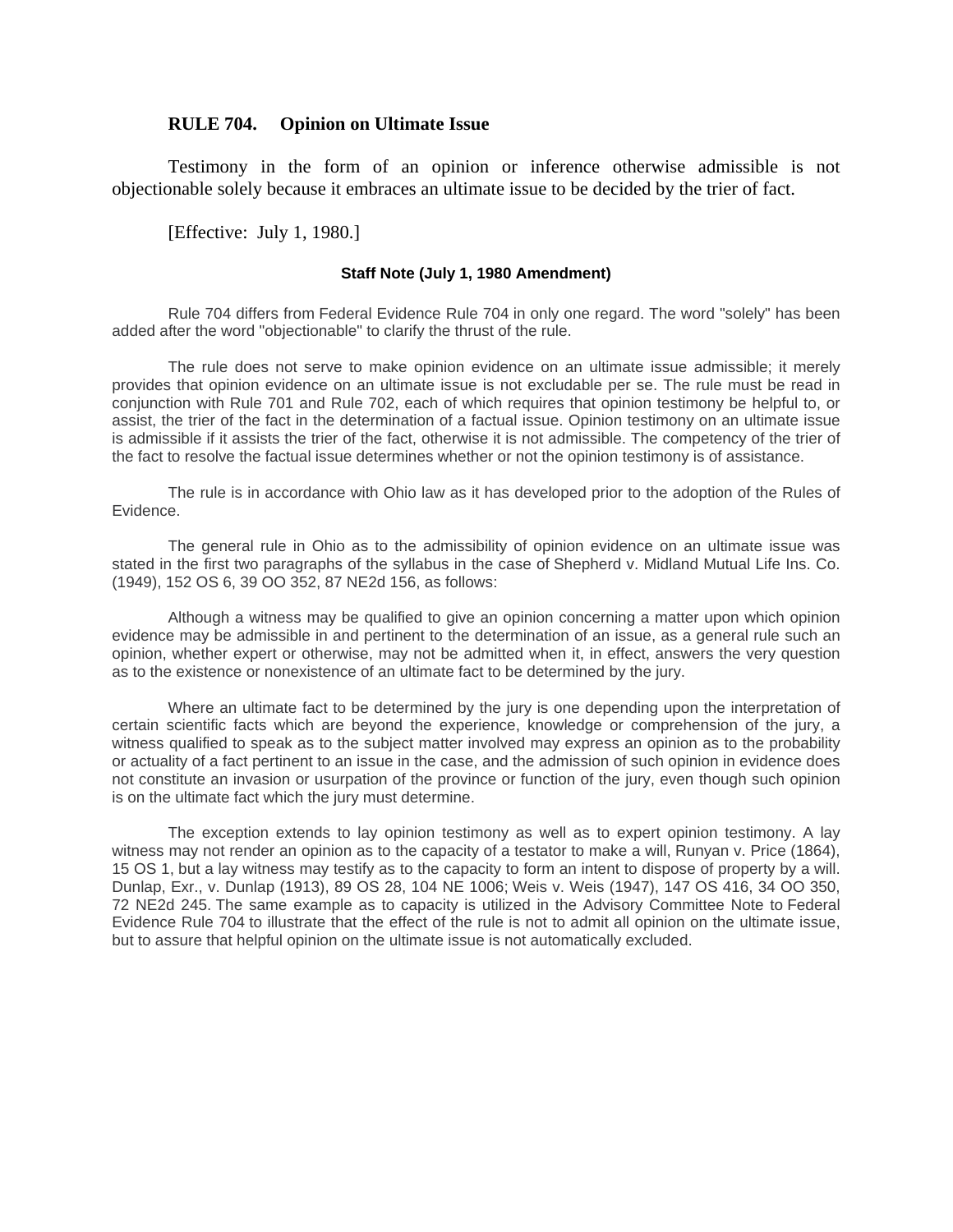## **RULE 704. Opinion on Ultimate Issue**

Testimony in the form of an opinion or inference otherwise admissible is not objectionable solely because it embraces an ultimate issue to be decided by the trier of fact.

[Effective: July 1, 1980.]

## **Staff Note (July 1, 1980 Amendment)**

Rule 704 differs from Federal Evidence Rule 704 in only one regard. The word "solely" has been added after the word "objectionable" to clarify the thrust of the rule.

The rule does not serve to make opinion evidence on an ultimate issue admissible; it merely provides that opinion evidence on an ultimate issue is not excludable per se. The rule must be read in conjunction with Rule 701 and Rule 702, each of which requires that opinion testimony be helpful to, or assist, the trier of the fact in the determination of a factual issue. Opinion testimony on an ultimate issue is admissible if it assists the trier of the fact, otherwise it is not admissible. The competency of the trier of the fact to resolve the factual issue determines whether or not the opinion testimony is of assistance.

The rule is in accordance with Ohio law as it has developed prior to the adoption of the Rules of Evidence.

The general rule in Ohio as to the admissibility of opinion evidence on an ultimate issue was stated in the first two paragraphs of the syllabus in the case of Shepherd v. Midland Mutual Life Ins. Co. (1949), 152 OS 6, 39 OO 352, 87 NE2d 156, as follows:

Although a witness may be qualified to give an opinion concerning a matter upon which opinion evidence may be admissible in and pertinent to the determination of an issue, as a general rule such an opinion, whether expert or otherwise, may not be admitted when it, in effect, answers the very question as to the existence or nonexistence of an ultimate fact to be determined by the jury.

Where an ultimate fact to be determined by the jury is one depending upon the interpretation of certain scientific facts which are beyond the experience, knowledge or comprehension of the jury, a witness qualified to speak as to the subject matter involved may express an opinion as to the probability or actuality of a fact pertinent to an issue in the case, and the admission of such opinion in evidence does not constitute an invasion or usurpation of the province or function of the jury, even though such opinion is on the ultimate fact which the jury must determine.

The exception extends to lay opinion testimony as well as to expert opinion testimony. A lay witness may not render an opinion as to the capacity of a testator to make a will, Runyan v. Price (1864), 15 OS 1, but a lay witness may testify as to the capacity to form an intent to dispose of property by a will. Dunlap, Exr., v. Dunlap (1913), 89 OS 28, 104 NE 1006; Weis v. Weis (1947), 147 OS 416, 34 OO 350, 72 NE2d 245. The same example as to capacity is utilized in the Advisory Committee Note to Federal Evidence Rule 704 to illustrate that the effect of the rule is not to admit all opinion on the ultimate issue, but to assure that helpful opinion on the ultimate issue is not automatically excluded.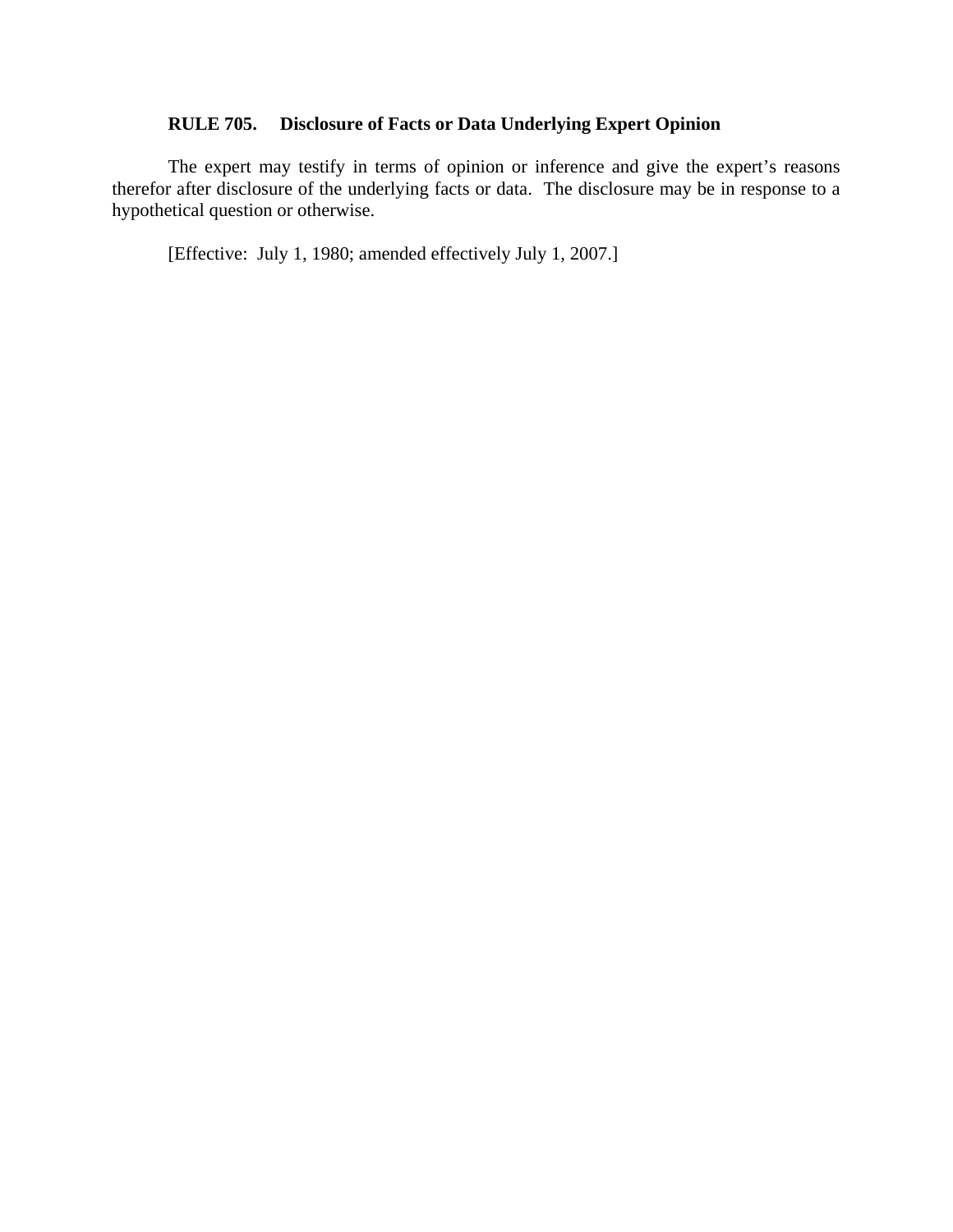# **RULE 705. Disclosure of Facts or Data Underlying Expert Opinion**

The expert may testify in terms of opinion or inference and give the expert's reasons therefor after disclosure of the underlying facts or data. The disclosure may be in response to a hypothetical question or otherwise.

[Effective: July 1, 1980; amended effectively July 1, 2007.]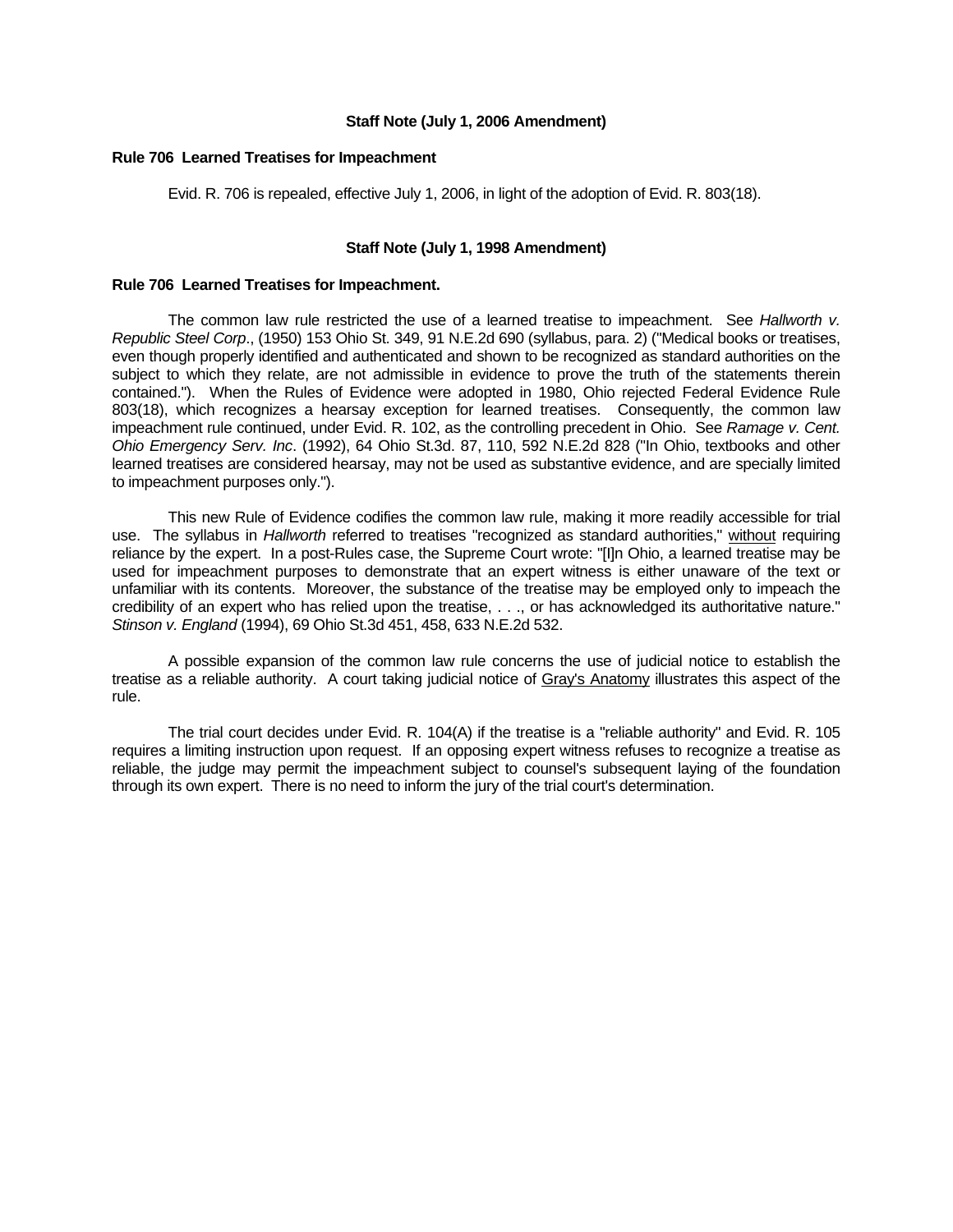### **Staff Note (July 1, 2006 Amendment)**

### **Rule 706 Learned Treatises for Impeachment**

Evid. R. 706 is repealed, effective July 1, 2006, in light of the adoption of Evid. R. 803(18).

# **Staff Note (July 1, 1998 Amendment)**

#### **Rule 706 Learned Treatises for Impeachment.**

The common law rule restricted the use of a learned treatise to impeachment. See *Hallworth v. Republic Steel Corp*., (1950) 153 Ohio St. 349, 91 N.E.2d 690 (syllabus, para. 2) ("Medical books or treatises, even though properly identified and authenticated and shown to be recognized as standard authorities on the subject to which they relate, are not admissible in evidence to prove the truth of the statements therein contained."). When the Rules of Evidence were adopted in 1980, Ohio rejected Federal Evidence Rule 803(18), which recognizes a hearsay exception for learned treatises. Consequently, the common law impeachment rule continued, under Evid. R. 102, as the controlling precedent in Ohio. See *Ramage v. Cent. Ohio Emergency Serv. Inc*. (1992), 64 Ohio St.3d. 87, 110, 592 N.E.2d 828 ("In Ohio, textbooks and other learned treatises are considered hearsay, may not be used as substantive evidence, and are specially limited to impeachment purposes only.").

This new Rule of Evidence codifies the common law rule, making it more readily accessible for trial use. The syllabus in *Hallworth* referred to treatises "recognized as standard authorities," without requiring reliance by the expert. In a post-Rules case, the Supreme Court wrote: "[I]n Ohio, a learned treatise may be used for impeachment purposes to demonstrate that an expert witness is either unaware of the text or unfamiliar with its contents. Moreover, the substance of the treatise may be employed only to impeach the credibility of an expert who has relied upon the treatise, . . ., or has acknowledged its authoritative nature." *Stinson v. England* (1994), 69 Ohio St.3d 451, 458, 633 N.E.2d 532.

A possible expansion of the common law rule concerns the use of judicial notice to establish the treatise as a reliable authority. A court taking judicial notice of Gray's Anatomy illustrates this aspect of the rule.

The trial court decides under Evid. R. 104(A) if the treatise is a "reliable authority" and Evid. R. 105 requires a limiting instruction upon request. If an opposing expert witness refuses to recognize a treatise as reliable, the judge may permit the impeachment subject to counsel's subsequent laying of the foundation through its own expert. There is no need to inform the jury of the trial court's determination.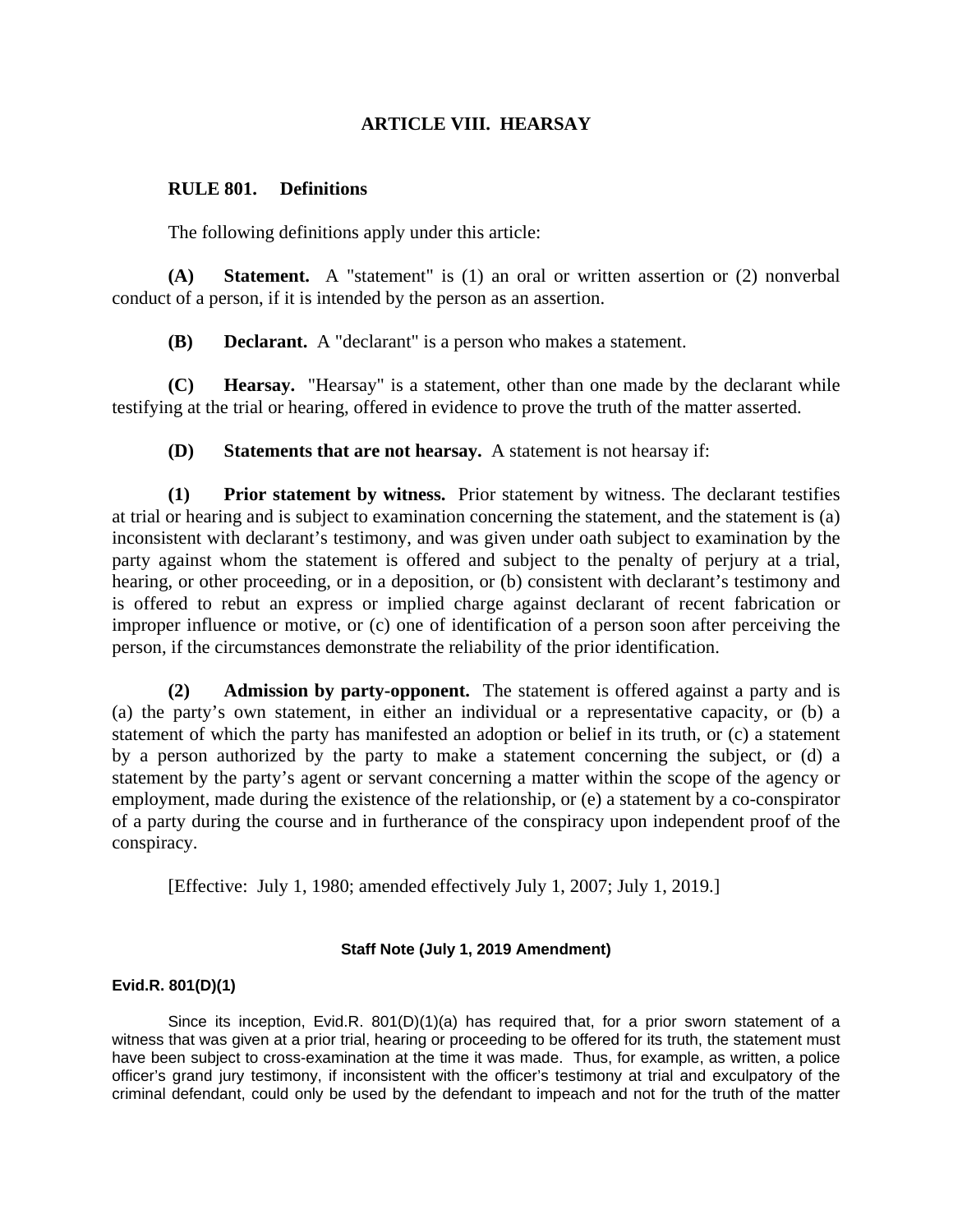# **ARTICLE VIII. HEARSAY**

# **RULE 801. Definitions**

The following definitions apply under this article:

**(A) Statement.** A "statement" is (1) an oral or written assertion or (2) nonverbal conduct of a person, if it is intended by the person as an assertion.

**(B) Declarant.** A "declarant" is a person who makes a statement.

**(C) Hearsay.** "Hearsay" is a statement, other than one made by the declarant while testifying at the trial or hearing, offered in evidence to prove the truth of the matter asserted.

**(D) Statements that are not hearsay.** A statement is not hearsay if:

**(1) Prior statement by witness.** Prior statement by witness. The declarant testifies at trial or hearing and is subject to examination concerning the statement, and the statement is (a) inconsistent with declarant's testimony, and was given under oath subject to examination by the party against whom the statement is offered and subject to the penalty of perjury at a trial, hearing, or other proceeding, or in a deposition, or (b) consistent with declarant's testimony and is offered to rebut an express or implied charge against declarant of recent fabrication or improper influence or motive, or (c) one of identification of a person soon after perceiving the person, if the circumstances demonstrate the reliability of the prior identification.

**(2) Admission by party-opponent.** The statement is offered against a party and is (a) the party's own statement, in either an individual or a representative capacity, or (b) a statement of which the party has manifested an adoption or belief in its truth, or (c) a statement by a person authorized by the party to make a statement concerning the subject, or (d) a statement by the party's agent or servant concerning a matter within the scope of the agency or employment, made during the existence of the relationship, or (e) a statement by a co-conspirator of a party during the course and in furtherance of the conspiracy upon independent proof of the conspiracy.

[Effective: July 1, 1980; amended effectively July 1, 2007; July 1, 2019.]

## **Staff Note (July 1, 2019 Amendment)**

## **Evid.R. 801(D)(1)**

Since its inception, Evid.R. 801(D)(1)(a) has required that, for a prior sworn statement of a witness that was given at a prior trial, hearing or proceeding to be offered for its truth, the statement must have been subject to cross-examination at the time it was made. Thus, for example, as written, a police officer's grand jury testimony, if inconsistent with the officer's testimony at trial and exculpatory of the criminal defendant, could only be used by the defendant to impeach and not for the truth of the matter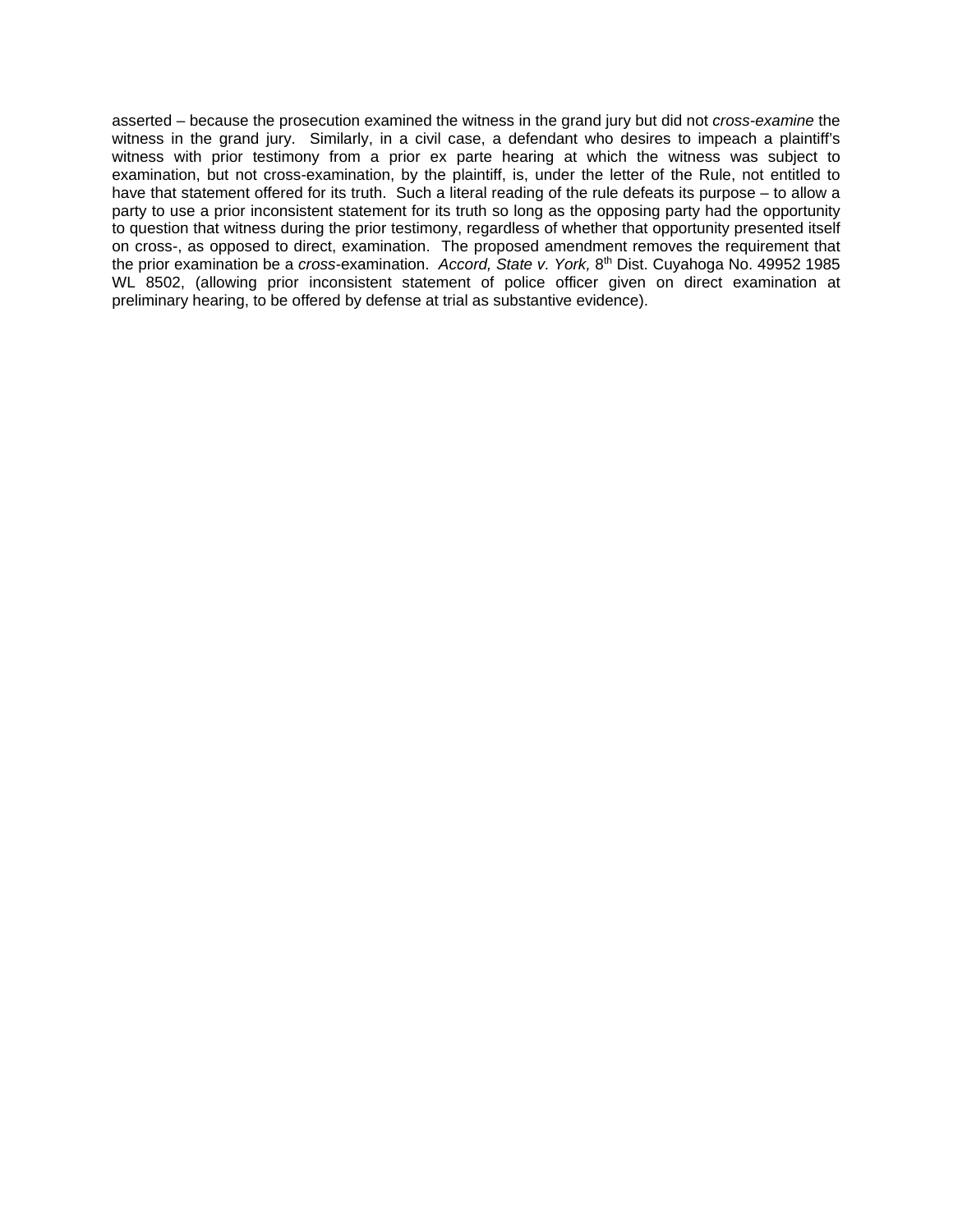asserted – because the prosecution examined the witness in the grand jury but did not *cross-examine* the witness in the grand jury. Similarly, in a civil case, a defendant who desires to impeach a plaintiff's witness with prior testimony from a prior ex parte hearing at which the witness was subject to examination, but not cross-examination, by the plaintiff, is, under the letter of the Rule, not entitled to have that statement offered for its truth. Such a literal reading of the rule defeats its purpose – to allow a party to use a prior inconsistent statement for its truth so long as the opposing party had the opportunity to question that witness during the prior testimony, regardless of whether that opportunity presented itself on cross-, as opposed to direct, examination. The proposed amendment removes the requirement that the prior examination be a *cross-*examination. *Accord, State v. York,* 8th Dist. Cuyahoga No. 49952 1985 WL 8502, (allowing prior inconsistent statement of police officer given on direct examination at preliminary hearing, to be offered by defense at trial as substantive evidence).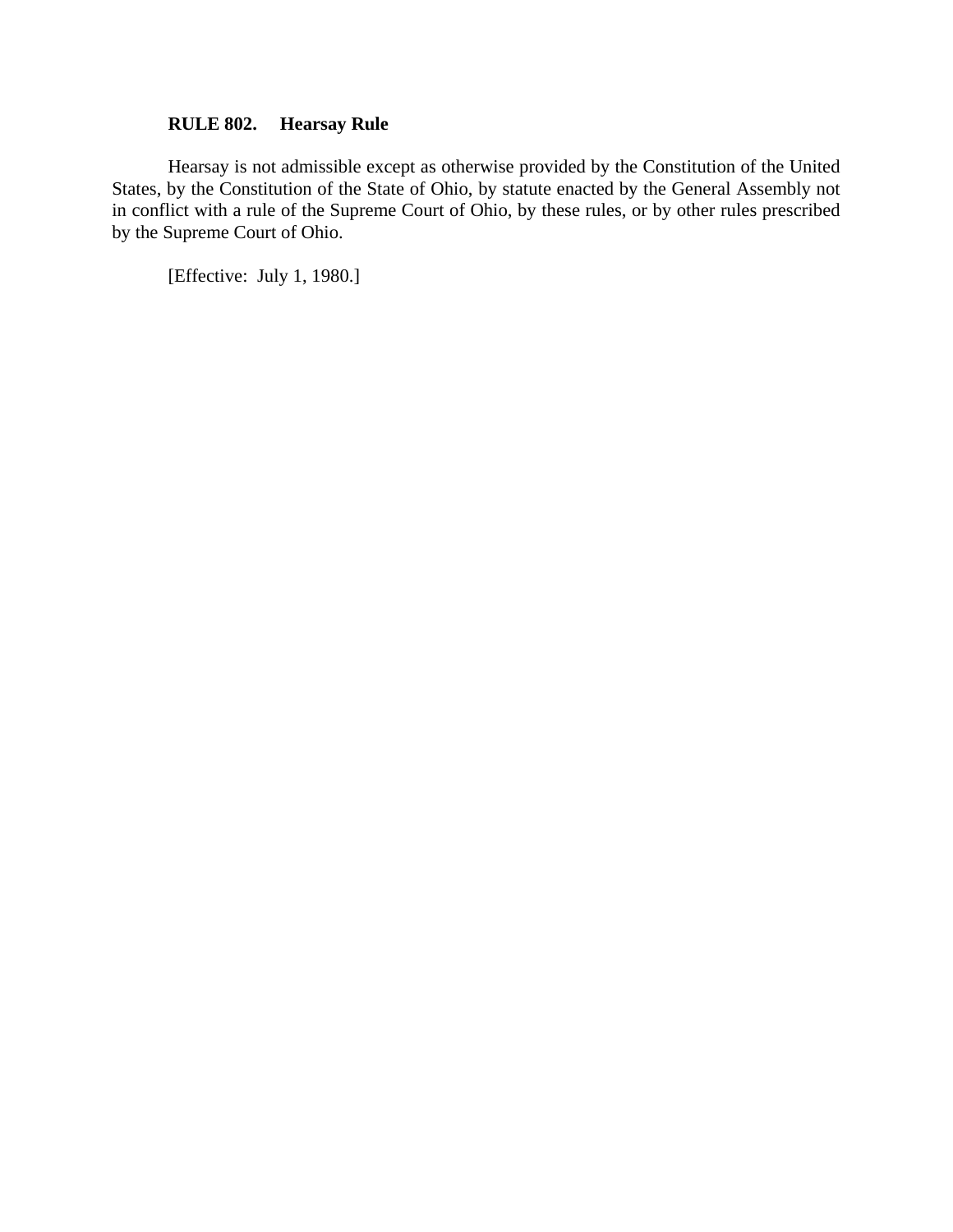# **RULE 802. Hearsay Rule**

Hearsay is not admissible except as otherwise provided by the Constitution of the United States, by the Constitution of the State of Ohio, by statute enacted by the General Assembly not in conflict with a rule of the Supreme Court of Ohio, by these rules, or by other rules prescribed by the Supreme Court of Ohio.

[Effective: July 1, 1980.]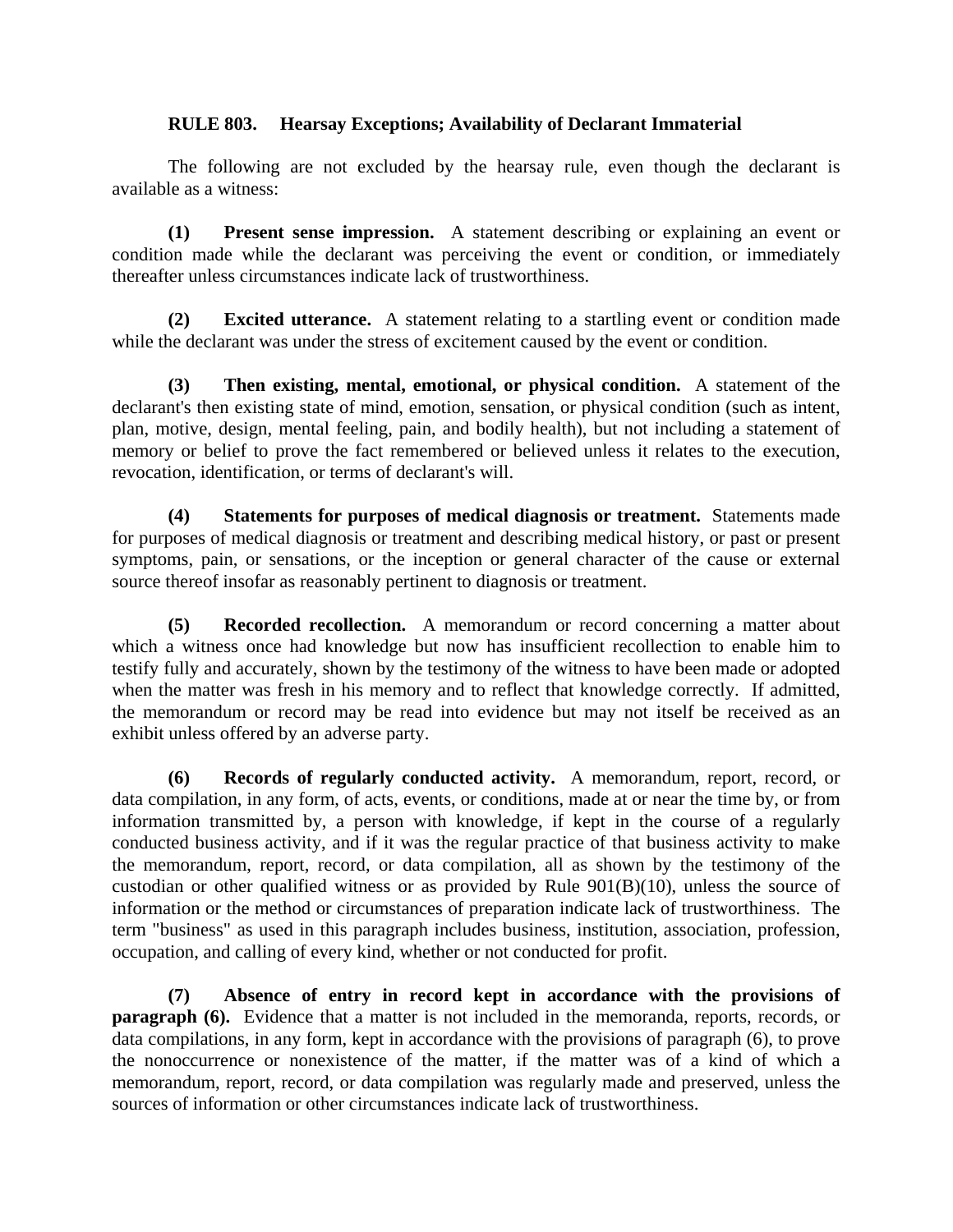# **RULE 803. Hearsay Exceptions; Availability of Declarant Immaterial**

The following are not excluded by the hearsay rule, even though the declarant is available as a witness:

**(1) Present sense impression.** A statement describing or explaining an event or condition made while the declarant was perceiving the event or condition, or immediately thereafter unless circumstances indicate lack of trustworthiness.

**(2) Excited utterance.** A statement relating to a startling event or condition made while the declarant was under the stress of excitement caused by the event or condition.

**(3) Then existing, mental, emotional, or physical condition.** A statement of the declarant's then existing state of mind, emotion, sensation, or physical condition (such as intent, plan, motive, design, mental feeling, pain, and bodily health), but not including a statement of memory or belief to prove the fact remembered or believed unless it relates to the execution, revocation, identification, or terms of declarant's will.

**(4) Statements for purposes of medical diagnosis or treatment.** Statements made for purposes of medical diagnosis or treatment and describing medical history, or past or present symptoms, pain, or sensations, or the inception or general character of the cause or external source thereof insofar as reasonably pertinent to diagnosis or treatment.

**(5) Recorded recollection.** A memorandum or record concerning a matter about which a witness once had knowledge but now has insufficient recollection to enable him to testify fully and accurately, shown by the testimony of the witness to have been made or adopted when the matter was fresh in his memory and to reflect that knowledge correctly. If admitted, the memorandum or record may be read into evidence but may not itself be received as an exhibit unless offered by an adverse party.

**(6) Records of regularly conducted activity.** A memorandum, report, record, or data compilation, in any form, of acts, events, or conditions, made at or near the time by, or from information transmitted by, a person with knowledge, if kept in the course of a regularly conducted business activity, and if it was the regular practice of that business activity to make the memorandum, report, record, or data compilation, all as shown by the testimony of the custodian or other qualified witness or as provided by Rule 901(B)(10), unless the source of information or the method or circumstances of preparation indicate lack of trustworthiness. The term "business" as used in this paragraph includes business, institution, association, profession, occupation, and calling of every kind, whether or not conducted for profit.

**(7) Absence of entry in record kept in accordance with the provisions of paragraph (6).** Evidence that a matter is not included in the memoranda, reports, records, or data compilations, in any form, kept in accordance with the provisions of paragraph (6), to prove the nonoccurrence or nonexistence of the matter, if the matter was of a kind of which a memorandum, report, record, or data compilation was regularly made and preserved, unless the sources of information or other circumstances indicate lack of trustworthiness.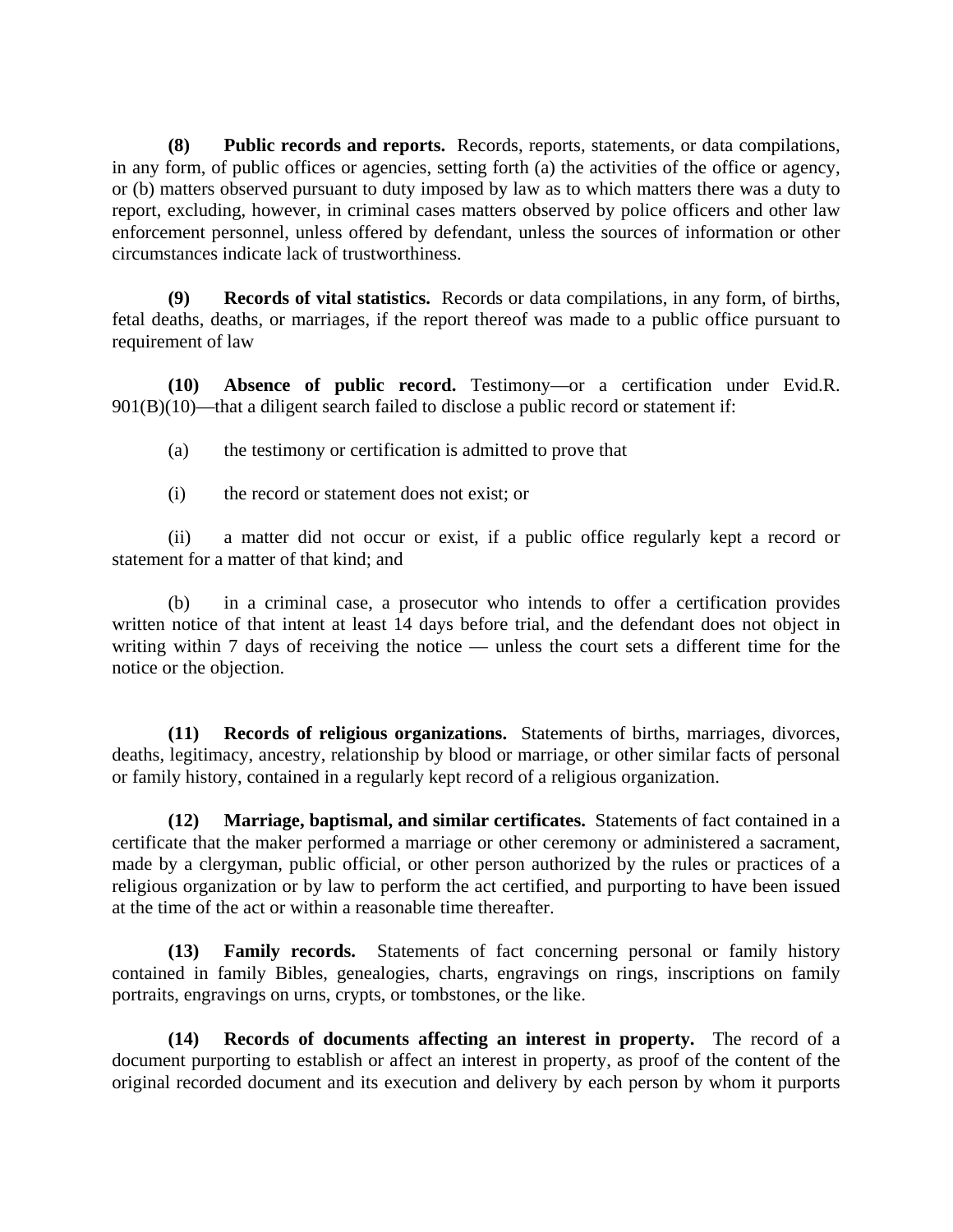**(8) Public records and reports.** Records, reports, statements, or data compilations, in any form, of public offices or agencies, setting forth (a) the activities of the office or agency, or (b) matters observed pursuant to duty imposed by law as to which matters there was a duty to report, excluding, however, in criminal cases matters observed by police officers and other law enforcement personnel, unless offered by defendant, unless the sources of information or other circumstances indicate lack of trustworthiness.

**(9) Records of vital statistics.** Records or data compilations, in any form, of births, fetal deaths, deaths, or marriages, if the report thereof was made to a public office pursuant to requirement of law

**(10) Absence of public record.** Testimony—or a certification under Evid.R. 901(B)(10)—that a diligent search failed to disclose a public record or statement if:

(a) the testimony or certification is admitted to prove that

(i) the record or statement does not exist; or

(ii) a matter did not occur or exist, if a public office regularly kept a record or statement for a matter of that kind; and

(b) in a criminal case, a prosecutor who intends to offer a certification provides written notice of that intent at least 14 days before trial, and the defendant does not object in writing within 7 days of receiving the notice — unless the court sets a different time for the notice or the objection.

**(11) Records of religious organizations.** Statements of births, marriages, divorces, deaths, legitimacy, ancestry, relationship by blood or marriage, or other similar facts of personal or family history, contained in a regularly kept record of a religious organization.

**(12) Marriage, baptismal, and similar certificates.** Statements of fact contained in a certificate that the maker performed a marriage or other ceremony or administered a sacrament, made by a clergyman, public official, or other person authorized by the rules or practices of a religious organization or by law to perform the act certified, and purporting to have been issued at the time of the act or within a reasonable time thereafter.

**(13) Family records.** Statements of fact concerning personal or family history contained in family Bibles, genealogies, charts, engravings on rings, inscriptions on family portraits, engravings on urns, crypts, or tombstones, or the like.

**(14) Records of documents affecting an interest in property.** The record of a document purporting to establish or affect an interest in property, as proof of the content of the original recorded document and its execution and delivery by each person by whom it purports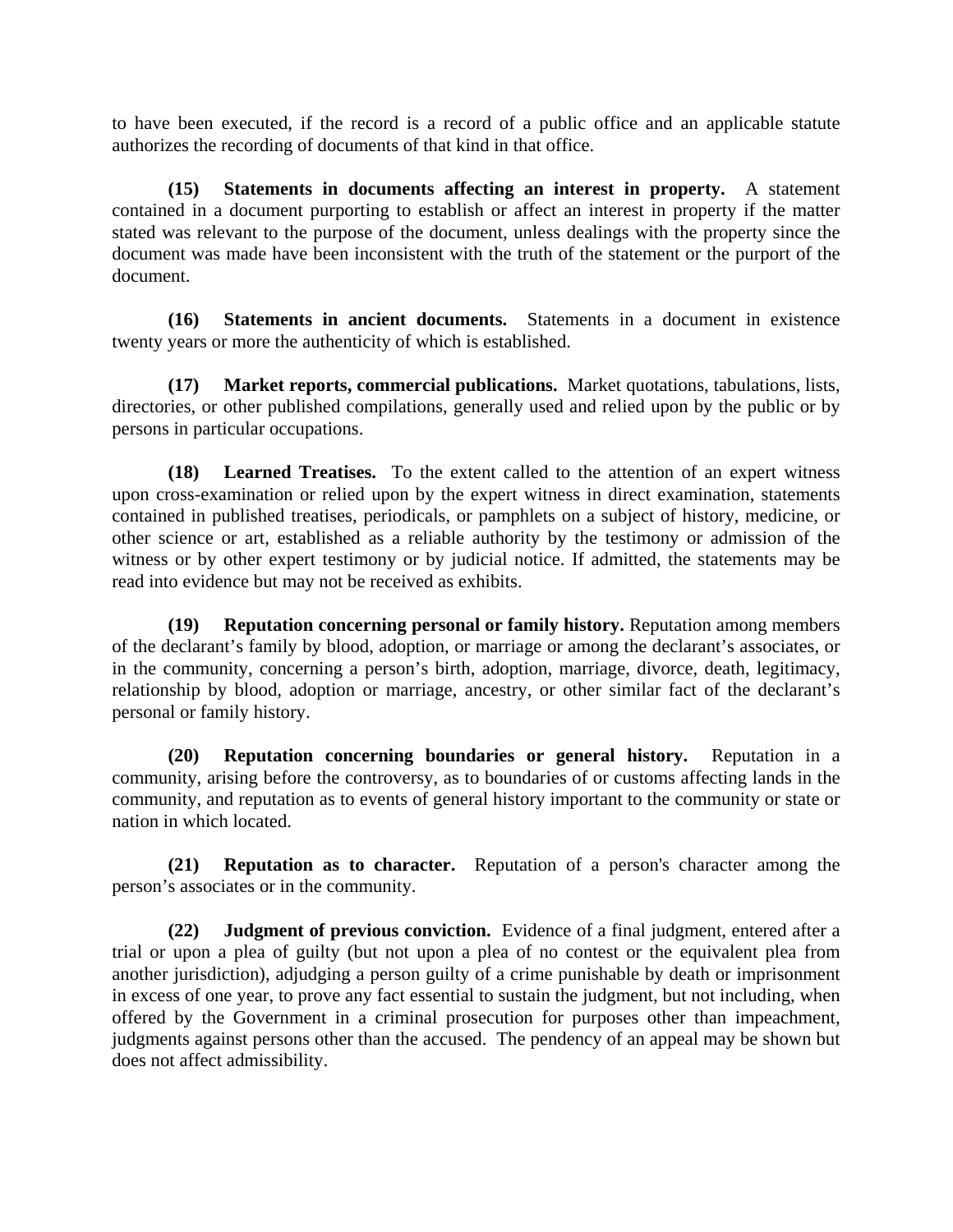to have been executed, if the record is a record of a public office and an applicable statute authorizes the recording of documents of that kind in that office.

**(15) Statements in documents affecting an interest in property.** A statement contained in a document purporting to establish or affect an interest in property if the matter stated was relevant to the purpose of the document, unless dealings with the property since the document was made have been inconsistent with the truth of the statement or the purport of the document.

**(16) Statements in ancient documents.** Statements in a document in existence twenty years or more the authenticity of which is established.

**(17) Market reports, commercial publications.** Market quotations, tabulations, lists, directories, or other published compilations, generally used and relied upon by the public or by persons in particular occupations.

**(18) Learned Treatises.** To the extent called to the attention of an expert witness upon cross-examination or relied upon by the expert witness in direct examination, statements contained in published treatises, periodicals, or pamphlets on a subject of history, medicine, or other science or art, established as a reliable authority by the testimony or admission of the witness or by other expert testimony or by judicial notice. If admitted, the statements may be read into evidence but may not be received as exhibits.

**(19) Reputation concerning personal or family history.** Reputation among members of the declarant's family by blood, adoption, or marriage or among the declarant's associates, or in the community, concerning a person's birth, adoption, marriage, divorce, death, legitimacy, relationship by blood, adoption or marriage, ancestry, or other similar fact of the declarant's personal or family history.

**(20) Reputation concerning boundaries or general history.** Reputation in a community, arising before the controversy, as to boundaries of or customs affecting lands in the community, and reputation as to events of general history important to the community or state or nation in which located.

**(21) Reputation as to character.** Reputation of a person's character among the person's associates or in the community.

**(22) Judgment of previous conviction.** Evidence of a final judgment, entered after a trial or upon a plea of guilty (but not upon a plea of no contest or the equivalent plea from another jurisdiction), adjudging a person guilty of a crime punishable by death or imprisonment in excess of one year, to prove any fact essential to sustain the judgment, but not including, when offered by the Government in a criminal prosecution for purposes other than impeachment, judgments against persons other than the accused. The pendency of an appeal may be shown but does not affect admissibility.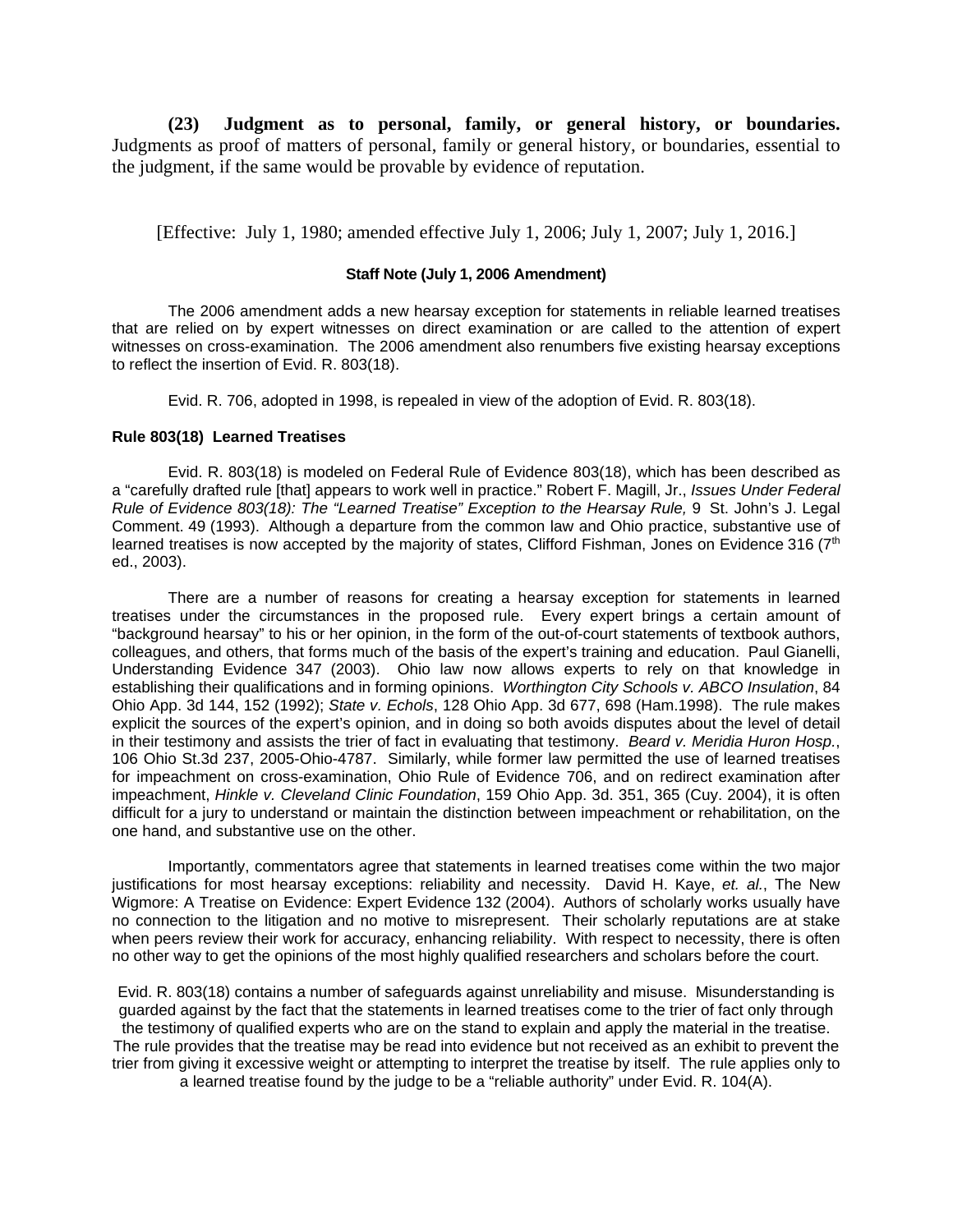**(23) Judgment as to personal, family, or general history, or boundaries.** Judgments as proof of matters of personal, family or general history, or boundaries, essential to the judgment, if the same would be provable by evidence of reputation.

[Effective: July 1, 1980; amended effective July 1, 2006; July 1, 2007; July 1, 2016.]

#### **Staff Note (July 1, 2006 Amendment)**

The 2006 amendment adds a new hearsay exception for statements in reliable learned treatises that are relied on by expert witnesses on direct examination or are called to the attention of expert witnesses on cross-examination. The 2006 amendment also renumbers five existing hearsay exceptions to reflect the insertion of Evid. R. 803(18).

Evid. R. 706, adopted in 1998, is repealed in view of the adoption of Evid. R. 803(18).

#### **Rule 803(18) Learned Treatises**

Evid. R. 803(18) is modeled on Federal Rule of Evidence 803(18), which has been described as a "carefully drafted rule [that] appears to work well in practice." Robert F. Magill, Jr., *Issues Under Federal Rule of Evidence 803(18): The "Learned Treatise" Exception to the Hearsay Rule, 9 St. John's J. Legal* Comment. 49 (1993). Although a departure from the common law and Ohio practice, substantive use of learned treatises is now accepted by the majority of states, Clifford Fishman, Jones on Evidence 316 (7<sup>th</sup> ed., 2003).

There are a number of reasons for creating a hearsay exception for statements in learned treatises under the circumstances in the proposed rule. Every expert brings a certain amount of "background hearsay" to his or her opinion, in the form of the out-of-court statements of textbook authors, colleagues, and others, that forms much of the basis of the expert's training and education. Paul Gianelli, Understanding Evidence 347 (2003). Ohio law now allows experts to rely on that knowledge in establishing their qualifications and in forming opinions. *Worthington City Schools v. ABCO Insulation*, 84 Ohio App. 3d 144, 152 (1992); *State v. Echols*, 128 Ohio App. 3d 677, 698 (Ham.1998). The rule makes explicit the sources of the expert's opinion, and in doing so both avoids disputes about the level of detail in their testimony and assists the trier of fact in evaluating that testimony. *Beard v. Meridia Huron Hosp.*, 106 Ohio St.3d 237, 2005-Ohio-4787. Similarly, while former law permitted the use of learned treatises for impeachment on cross-examination, Ohio Rule of Evidence 706, and on redirect examination after impeachment, *Hinkle v. Cleveland Clinic Foundation*, 159 Ohio App. 3d. 351, 365 (Cuy. 2004), it is often difficult for a jury to understand or maintain the distinction between impeachment or rehabilitation, on the one hand, and substantive use on the other.

Importantly, commentators agree that statements in learned treatises come within the two major justifications for most hearsay exceptions: reliability and necessity. David H. Kaye, *et. al.*, The New Wigmore: A Treatise on Evidence: Expert Evidence 132 (2004). Authors of scholarly works usually have no connection to the litigation and no motive to misrepresent. Their scholarly reputations are at stake when peers review their work for accuracy, enhancing reliability. With respect to necessity, there is often no other way to get the opinions of the most highly qualified researchers and scholars before the court.

Evid. R. 803(18) contains a number of safeguards against unreliability and misuse. Misunderstanding is guarded against by the fact that the statements in learned treatises come to the trier of fact only through the testimony of qualified experts who are on the stand to explain and apply the material in the treatise. The rule provides that the treatise may be read into evidence but not received as an exhibit to prevent the trier from giving it excessive weight or attempting to interpret the treatise by itself. The rule applies only to a learned treatise found by the judge to be a "reliable authority" under Evid. R. 104(A).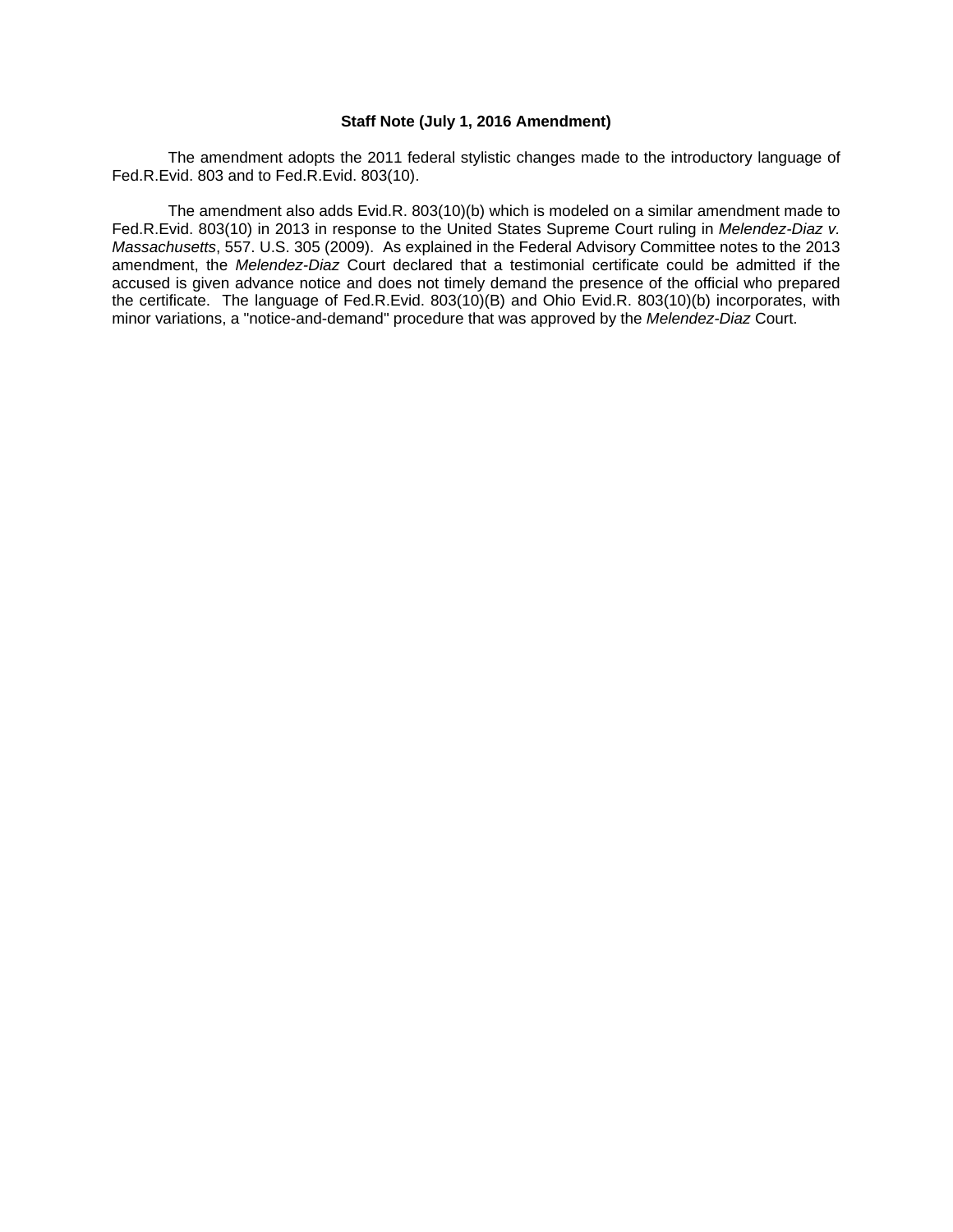#### **Staff Note (July 1, 2016 Amendment)**

The amendment adopts the 2011 federal stylistic changes made to the introductory language of Fed.R.Evid. 803 and to Fed.R.Evid. 803(10).

The amendment also adds Evid.R. 803(10)(b) which is modeled on a similar amendment made to Fed.R.Evid. 803(10) in 2013 in response to the United States Supreme Court ruling in *Melendez-Diaz v. Massachusetts*, 557. U.S. 305 (2009). As explained in the Federal Advisory Committee notes to the 2013 amendment, the *Melendez-Diaz* Court declared that a testimonial certificate could be admitted if the accused is given advance notice and does not timely demand the presence of the official who prepared the certificate. The language of Fed.R.Evid. 803(10)(B) and Ohio Evid.R. 803(10)(b) incorporates, with minor variations, a "notice-and-demand" procedure that was approved by the *Melendez-Diaz* Court.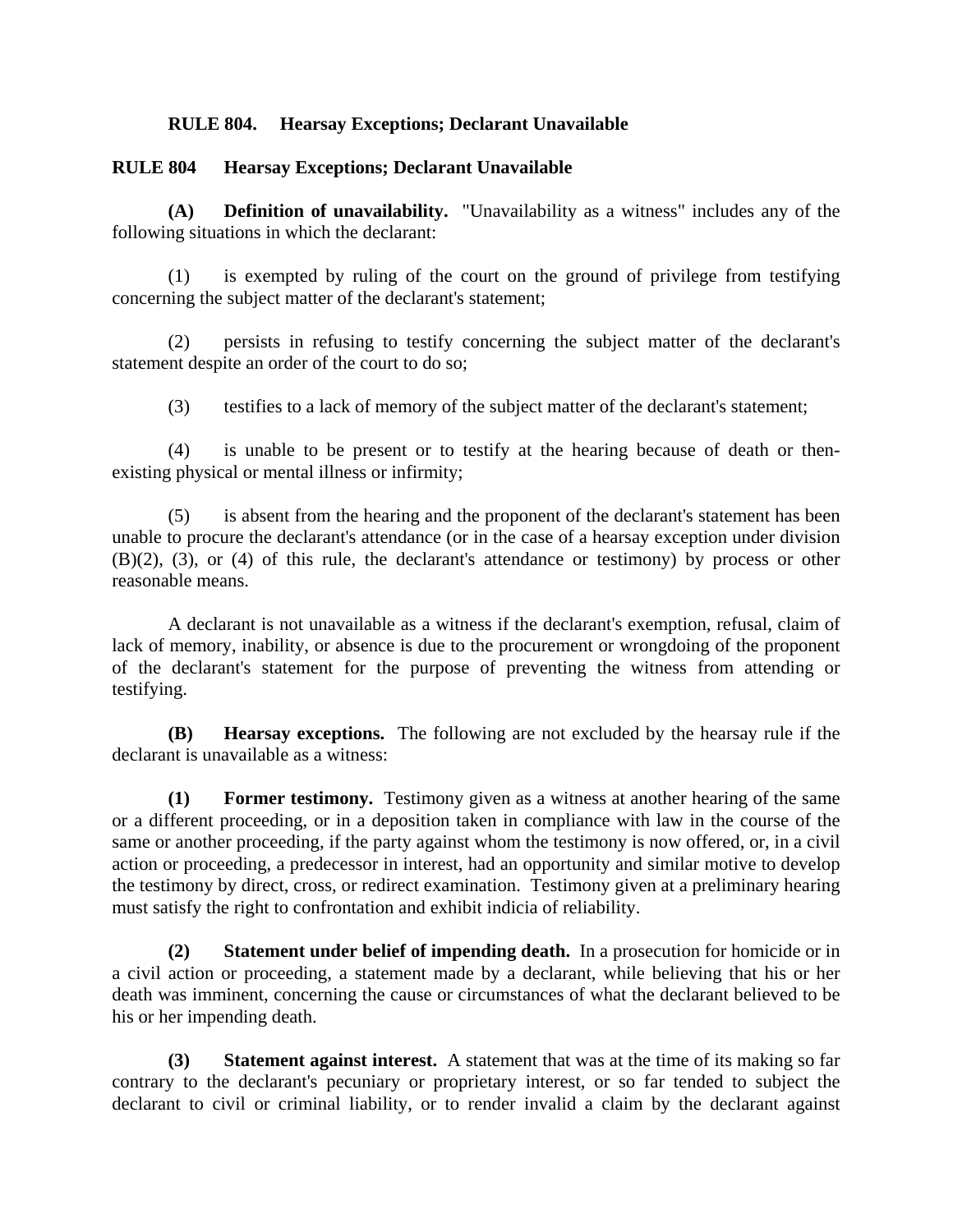## **RULE 804. Hearsay Exceptions; Declarant Unavailable**

## **RULE 804 Hearsay Exceptions; Declarant Unavailable**

**(A) Definition of unavailability.** "Unavailability as a witness" includes any of the following situations in which the declarant:

(1) is exempted by ruling of the court on the ground of privilege from testifying concerning the subject matter of the declarant's statement;

(2) persists in refusing to testify concerning the subject matter of the declarant's statement despite an order of the court to do so;

(3) testifies to a lack of memory of the subject matter of the declarant's statement;

(4) is unable to be present or to testify at the hearing because of death or thenexisting physical or mental illness or infirmity;

(5) is absent from the hearing and the proponent of the declarant's statement has been unable to procure the declarant's attendance (or in the case of a hearsay exception under division (B)(2), (3), or (4) of this rule, the declarant's attendance or testimony) by process or other reasonable means.

A declarant is not unavailable as a witness if the declarant's exemption, refusal, claim of lack of memory, inability, or absence is due to the procurement or wrongdoing of the proponent of the declarant's statement for the purpose of preventing the witness from attending or testifying.

**(B) Hearsay exceptions.** The following are not excluded by the hearsay rule if the declarant is unavailable as a witness:

**(1) Former testimony.** Testimony given as a witness at another hearing of the same or a different proceeding, or in a deposition taken in compliance with law in the course of the same or another proceeding, if the party against whom the testimony is now offered, or, in a civil action or proceeding, a predecessor in interest, had an opportunity and similar motive to develop the testimony by direct, cross, or redirect examination. Testimony given at a preliminary hearing must satisfy the right to confrontation and exhibit indicia of reliability.

**(2) Statement under belief of impending death.** In a prosecution for homicide or in a civil action or proceeding, a statement made by a declarant, while believing that his or her death was imminent, concerning the cause or circumstances of what the declarant believed to be his or her impending death.

**(3) Statement against interest.** A statement that was at the time of its making so far contrary to the declarant's pecuniary or proprietary interest, or so far tended to subject the declarant to civil or criminal liability, or to render invalid a claim by the declarant against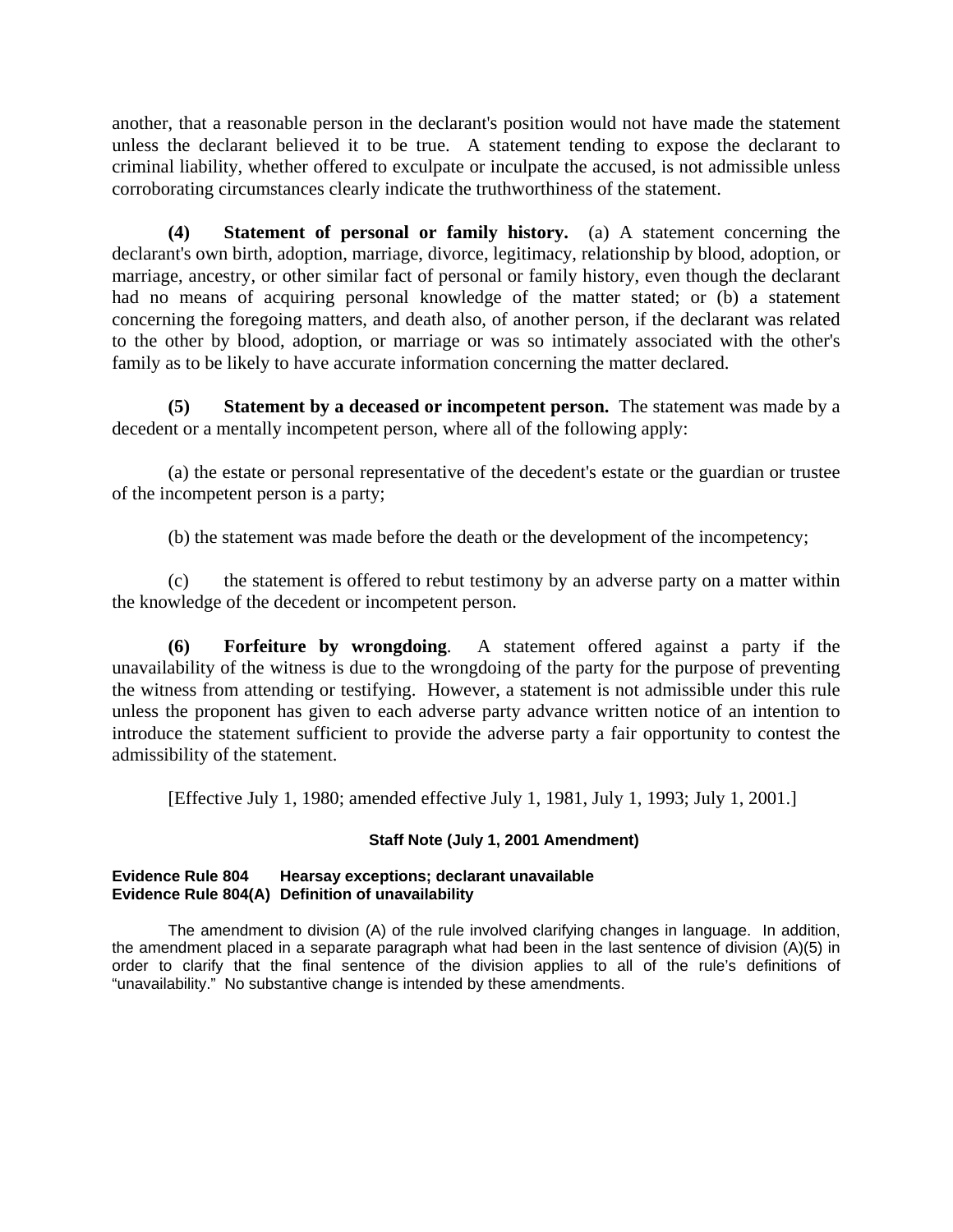another, that a reasonable person in the declarant's position would not have made the statement unless the declarant believed it to be true. A statement tending to expose the declarant to criminal liability, whether offered to exculpate or inculpate the accused, is not admissible unless corroborating circumstances clearly indicate the truthworthiness of the statement.

**(4) Statement of personal or family history.** (a) A statement concerning the declarant's own birth, adoption, marriage, divorce, legitimacy, relationship by blood, adoption, or marriage, ancestry, or other similar fact of personal or family history, even though the declarant had no means of acquiring personal knowledge of the matter stated; or (b) a statement concerning the foregoing matters, and death also, of another person, if the declarant was related to the other by blood, adoption, or marriage or was so intimately associated with the other's family as to be likely to have accurate information concerning the matter declared.

**(5) Statement by a deceased or incompetent person.** The statement was made by a decedent or a mentally incompetent person, where all of the following apply:

(a) the estate or personal representative of the decedent's estate or the guardian or trustee of the incompetent person is a party;

(b) the statement was made before the death or the development of the incompetency;

(c) the statement is offered to rebut testimony by an adverse party on a matter within the knowledge of the decedent or incompetent person.

**(6) Forfeiture by wrongdoing**. A statement offered against a party if the unavailability of the witness is due to the wrongdoing of the party for the purpose of preventing the witness from attending or testifying. However, a statement is not admissible under this rule unless the proponent has given to each adverse party advance written notice of an intention to introduce the statement sufficient to provide the adverse party a fair opportunity to contest the admissibility of the statement.

[Effective July 1, 1980; amended effective July 1, 1981, July 1, 1993; July 1, 2001.]

### **Staff Note (July 1, 2001 Amendment)**

#### **Evidence Rule 804 Hearsay exceptions; declarant unavailable Evidence Rule 804(A) Definition of unavailability**

The amendment to division (A) of the rule involved clarifying changes in language. In addition, the amendment placed in a separate paragraph what had been in the last sentence of division (A)(5) in order to clarify that the final sentence of the division applies to all of the rule's definitions of "unavailability." No substantive change is intended by these amendments.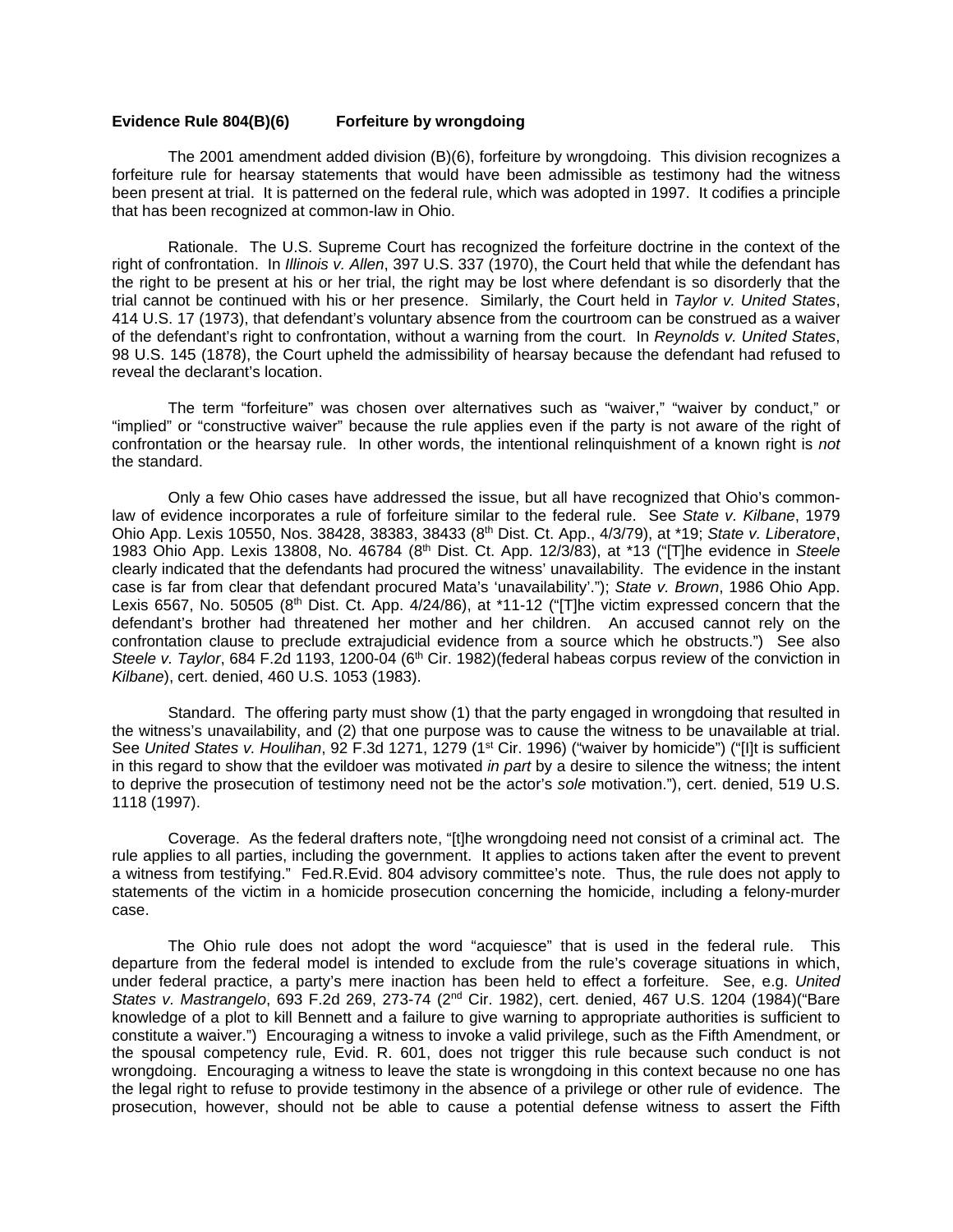#### **Evidence Rule 804(B)(6) Forfeiture by wrongdoing**

The 2001 amendment added division (B)(6), forfeiture by wrongdoing. This division recognizes a forfeiture rule for hearsay statements that would have been admissible as testimony had the witness been present at trial. It is patterned on the federal rule, which was adopted in 1997. It codifies a principle that has been recognized at common-law in Ohio.

Rationale. The U.S. Supreme Court has recognized the forfeiture doctrine in the context of the right of confrontation. In *Illinois v. Allen*, 397 U.S. 337 (1970), the Court held that while the defendant has the right to be present at his or her trial, the right may be lost where defendant is so disorderly that the trial cannot be continued with his or her presence. Similarly, the Court held in *Taylor v. United States*, 414 U.S. 17 (1973), that defendant's voluntary absence from the courtroom can be construed as a waiver of the defendant's right to confrontation, without a warning from the court. In *Reynolds v. United States*, 98 U.S. 145 (1878), the Court upheld the admissibility of hearsay because the defendant had refused to reveal the declarant's location.

The term "forfeiture" was chosen over alternatives such as "waiver," "waiver by conduct," or "implied" or "constructive waiver" because the rule applies even if the party is not aware of the right of confrontation or the hearsay rule. In other words, the intentional relinquishment of a known right is *not* the standard.

Only a few Ohio cases have addressed the issue, but all have recognized that Ohio's commonlaw of evidence incorporates a rule of forfeiture similar to the federal rule. See *State v. Kilbane*, 1979 Ohio App. Lexis 10550, Nos. 38428, 38383, 38433 (8th Dist. Ct. App., 4/3/79), at \*19; *State v. Liberatore*, 1983 Ohio App. Lexis 13808, No. 46784 (8th Dist. Ct. App. 12/3/83), at \*13 ("[T]he evidence in *Steele* clearly indicated that the defendants had procured the witness' unavailability. The evidence in the instant case is far from clear that defendant procured Mata's 'unavailability'."); *State v. Brown*, 1986 Ohio App. Lexis 6567, No. 50505 (8<sup>th</sup> Dist. Ct. App. 4/24/86), at \*11-12 ("The victim expressed concern that the defendant's brother had threatened her mother and her children. An accused cannot rely on the confrontation clause to preclude extrajudicial evidence from a source which he obstructs.") See also *Steele v. Taylor*, 684 F.2d 1193, 1200-04 (6<sup>th</sup> Cir. 1982)(federal habeas corpus review of the conviction in *Kilbane*), cert. denied, 460 U.S. 1053 (1983).

Standard. The offering party must show (1) that the party engaged in wrongdoing that resulted in the witness's unavailability, and (2) that one purpose was to cause the witness to be unavailable at trial. See United States v. Houlihan, 92 F.3d 1271, 1279 (1<sup>st</sup> Cir. 1996) ("waiver by homicide") ("[I]t is sufficient in this regard to show that the evildoer was motivated *in part* by a desire to silence the witness; the intent to deprive the prosecution of testimony need not be the actor's *sole* motivation."), cert. denied, 519 U.S. 1118 (1997).

Coverage. As the federal drafters note, "[t]he wrongdoing need not consist of a criminal act. The rule applies to all parties, including the government. It applies to actions taken after the event to prevent a witness from testifying." Fed.R.Evid. 804 advisory committee's note. Thus, the rule does not apply to statements of the victim in a homicide prosecution concerning the homicide, including a felony-murder case.

The Ohio rule does not adopt the word "acquiesce" that is used in the federal rule. This departure from the federal model is intended to exclude from the rule's coverage situations in which, under federal practice, a party's mere inaction has been held to effect a forfeiture. See, e.g. *United States v. Mastrangelo*, 693 F.2d 269, 273-74 (2nd Cir. 1982), cert. denied, 467 U.S. 1204 (1984)("Bare knowledge of a plot to kill Bennett and a failure to give warning to appropriate authorities is sufficient to constitute a waiver.") Encouraging a witness to invoke a valid privilege, such as the Fifth Amendment, or the spousal competency rule, Evid. R. 601, does not trigger this rule because such conduct is not wrongdoing. Encouraging a witness to leave the state is wrongdoing in this context because no one has the legal right to refuse to provide testimony in the absence of a privilege or other rule of evidence. The prosecution, however, should not be able to cause a potential defense witness to assert the Fifth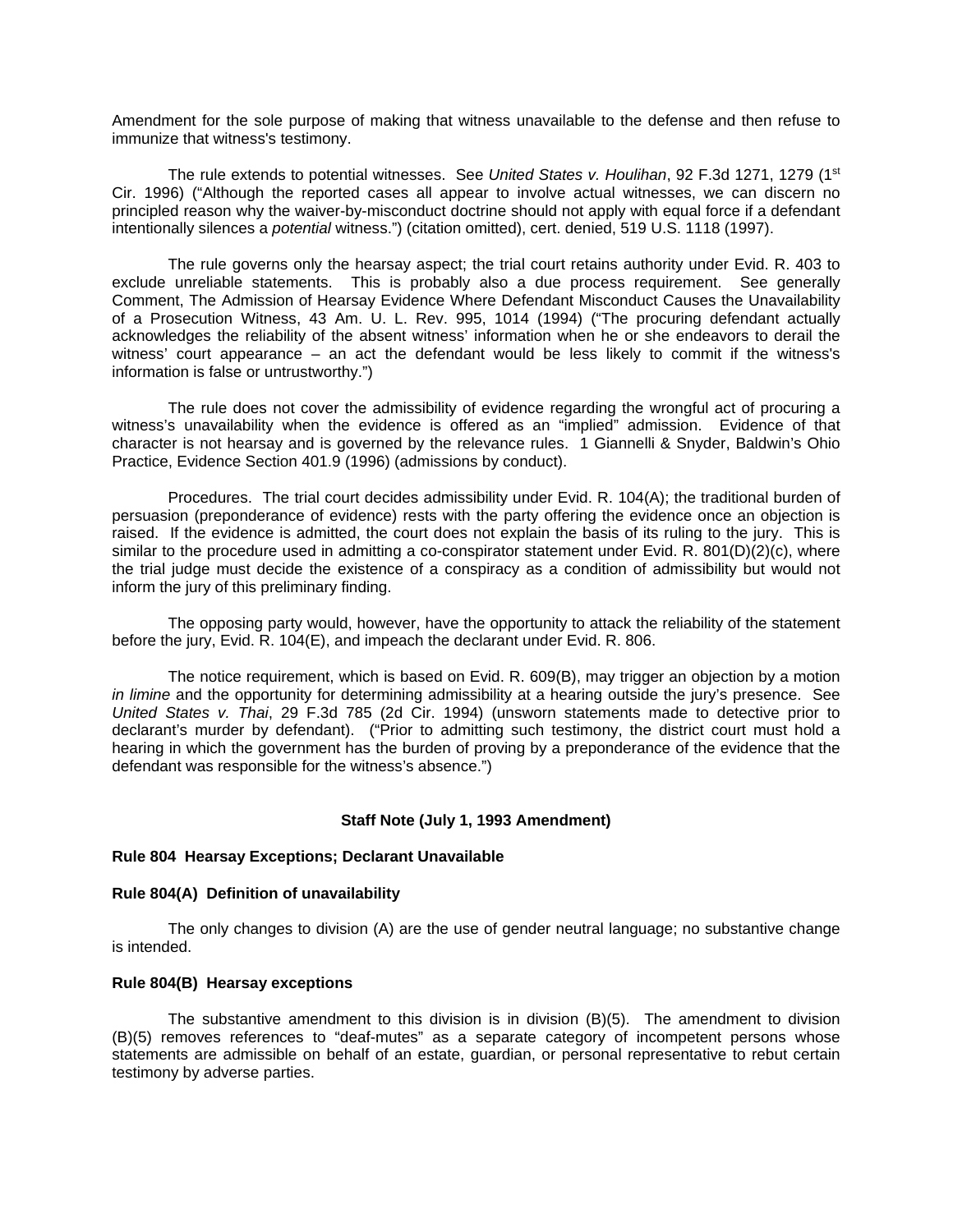Amendment for the sole purpose of making that witness unavailable to the defense and then refuse to immunize that witness's testimony.

The rule extends to potential witnesses. See *United States v. Houlihan*, 92 F.3d 1271, 1279 (1st Cir. 1996) ("Although the reported cases all appear to involve actual witnesses, we can discern no principled reason why the waiver-by-misconduct doctrine should not apply with equal force if a defendant intentionally silences a *potential* witness.") (citation omitted), cert. denied, 519 U.S. 1118 (1997).

The rule governs only the hearsay aspect; the trial court retains authority under Evid. R. 403 to exclude unreliable statements. This is probably also a due process requirement. See generally Comment, The Admission of Hearsay Evidence Where Defendant Misconduct Causes the Unavailability of a Prosecution Witness, 43 Am. U. L. Rev. 995, 1014 (1994) ("The procuring defendant actually acknowledges the reliability of the absent witness' information when he or she endeavors to derail the witness' court appearance – an act the defendant would be less likely to commit if the witness's information is false or untrustworthy.")

The rule does not cover the admissibility of evidence regarding the wrongful act of procuring a witness's unavailability when the evidence is offered as an "implied" admission. Evidence of that character is not hearsay and is governed by the relevance rules. 1 Giannelli & Snyder, Baldwin's Ohio Practice, Evidence Section 401.9 (1996) (admissions by conduct).

Procedures. The trial court decides admissibility under Evid. R. 104(A); the traditional burden of persuasion (preponderance of evidence) rests with the party offering the evidence once an objection is raised. If the evidence is admitted, the court does not explain the basis of its ruling to the jury. This is similar to the procedure used in admitting a co-conspirator statement under Evid. R. 801(D)(2)(c), where the trial judge must decide the existence of a conspiracy as a condition of admissibility but would not inform the jury of this preliminary finding.

The opposing party would, however, have the opportunity to attack the reliability of the statement before the jury, Evid. R. 104(E), and impeach the declarant under Evid. R. 806.

The notice requirement, which is based on Evid. R. 609(B), may trigger an objection by a motion *in limine* and the opportunity for determining admissibility at a hearing outside the jury's presence. See *United States v. Thai*, 29 F.3d 785 (2d Cir. 1994) (unsworn statements made to detective prior to declarant's murder by defendant). ("Prior to admitting such testimony, the district court must hold a hearing in which the government has the burden of proving by a preponderance of the evidence that the defendant was responsible for the witness's absence.")

#### **Staff Note (July 1, 1993 Amendment)**

#### **Rule 804 Hearsay Exceptions; Declarant Unavailable**

#### **Rule 804(A) Definition of unavailability**

The only changes to division (A) are the use of gender neutral language; no substantive change is intended.

#### **Rule 804(B) Hearsay exceptions**

The substantive amendment to this division is in division (B)(5). The amendment to division (B)(5) removes references to "deaf-mutes" as a separate category of incompetent persons whose statements are admissible on behalf of an estate, guardian, or personal representative to rebut certain testimony by adverse parties.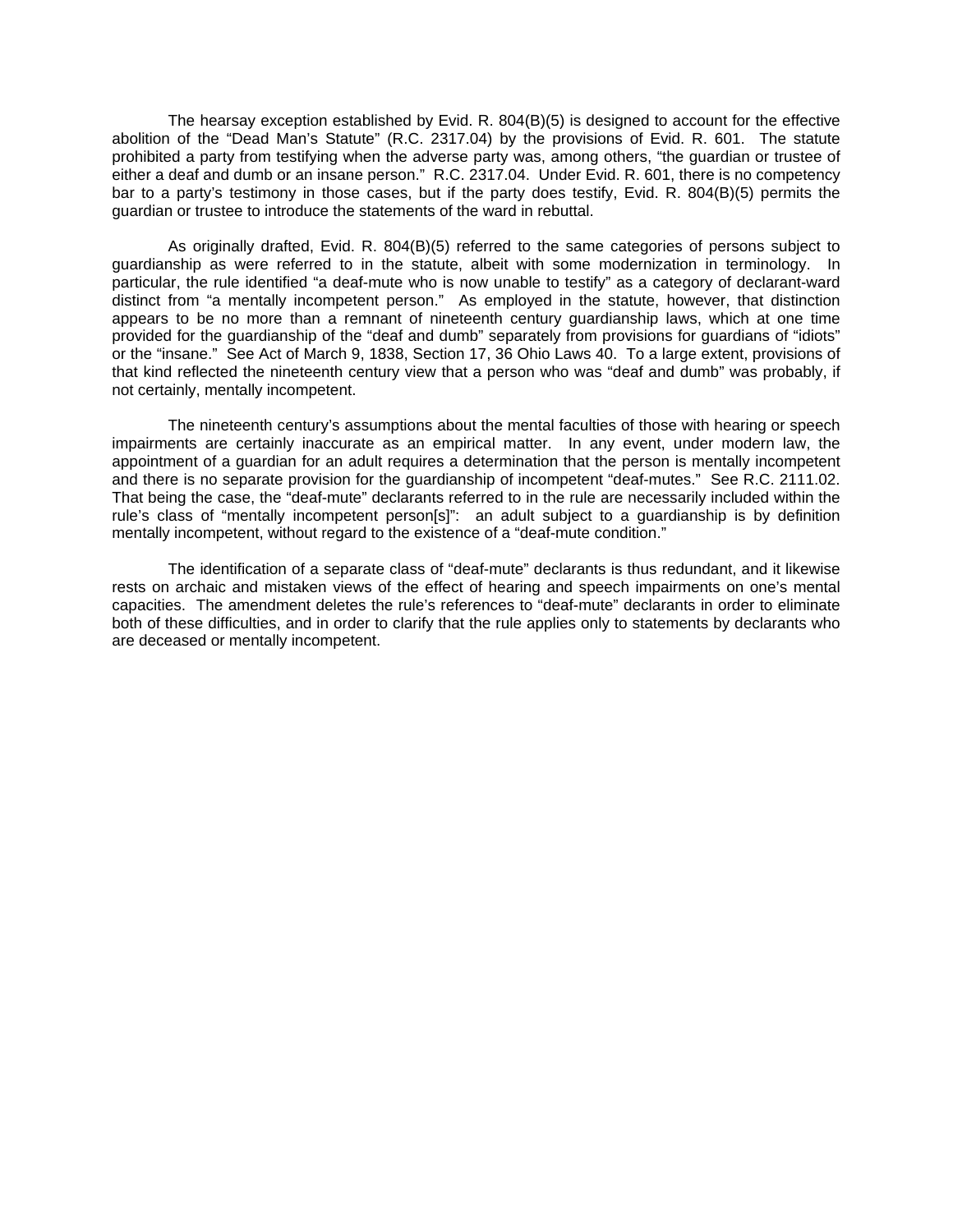The hearsay exception established by Evid. R. 804(B)(5) is designed to account for the effective abolition of the "Dead Man's Statute" (R.C. 2317.04) by the provisions of Evid. R. 601. The statute prohibited a party from testifying when the adverse party was, among others, "the guardian or trustee of either a deaf and dumb or an insane person." R.C. 2317.04. Under Evid. R. 601, there is no competency bar to a party's testimony in those cases, but if the party does testify, Evid. R. 804(B)(5) permits the guardian or trustee to introduce the statements of the ward in rebuttal.

As originally drafted, Evid. R. 804(B)(5) referred to the same categories of persons subject to guardianship as were referred to in the statute, albeit with some modernization in terminology. In particular, the rule identified "a deaf-mute who is now unable to testify" as a category of declarant-ward distinct from "a mentally incompetent person." As employed in the statute, however, that distinction appears to be no more than a remnant of nineteenth century guardianship laws, which at one time provided for the guardianship of the "deaf and dumb" separately from provisions for guardians of "idiots" or the "insane." See Act of March 9, 1838, Section 17, 36 Ohio Laws 40. To a large extent, provisions of that kind reflected the nineteenth century view that a person who was "deaf and dumb" was probably, if not certainly, mentally incompetent.

The nineteenth century's assumptions about the mental faculties of those with hearing or speech impairments are certainly inaccurate as an empirical matter. In any event, under modern law, the appointment of a guardian for an adult requires a determination that the person is mentally incompetent and there is no separate provision for the guardianship of incompetent "deaf-mutes." See R.C. 2111.02. That being the case, the "deaf-mute" declarants referred to in the rule are necessarily included within the rule's class of "mentally incompetent person[s]": an adult subject to a guardianship is by definition mentally incompetent, without regard to the existence of a "deaf-mute condition."

The identification of a separate class of "deaf-mute" declarants is thus redundant, and it likewise rests on archaic and mistaken views of the effect of hearing and speech impairments on one's mental capacities. The amendment deletes the rule's references to "deaf-mute" declarants in order to eliminate both of these difficulties, and in order to clarify that the rule applies only to statements by declarants who are deceased or mentally incompetent.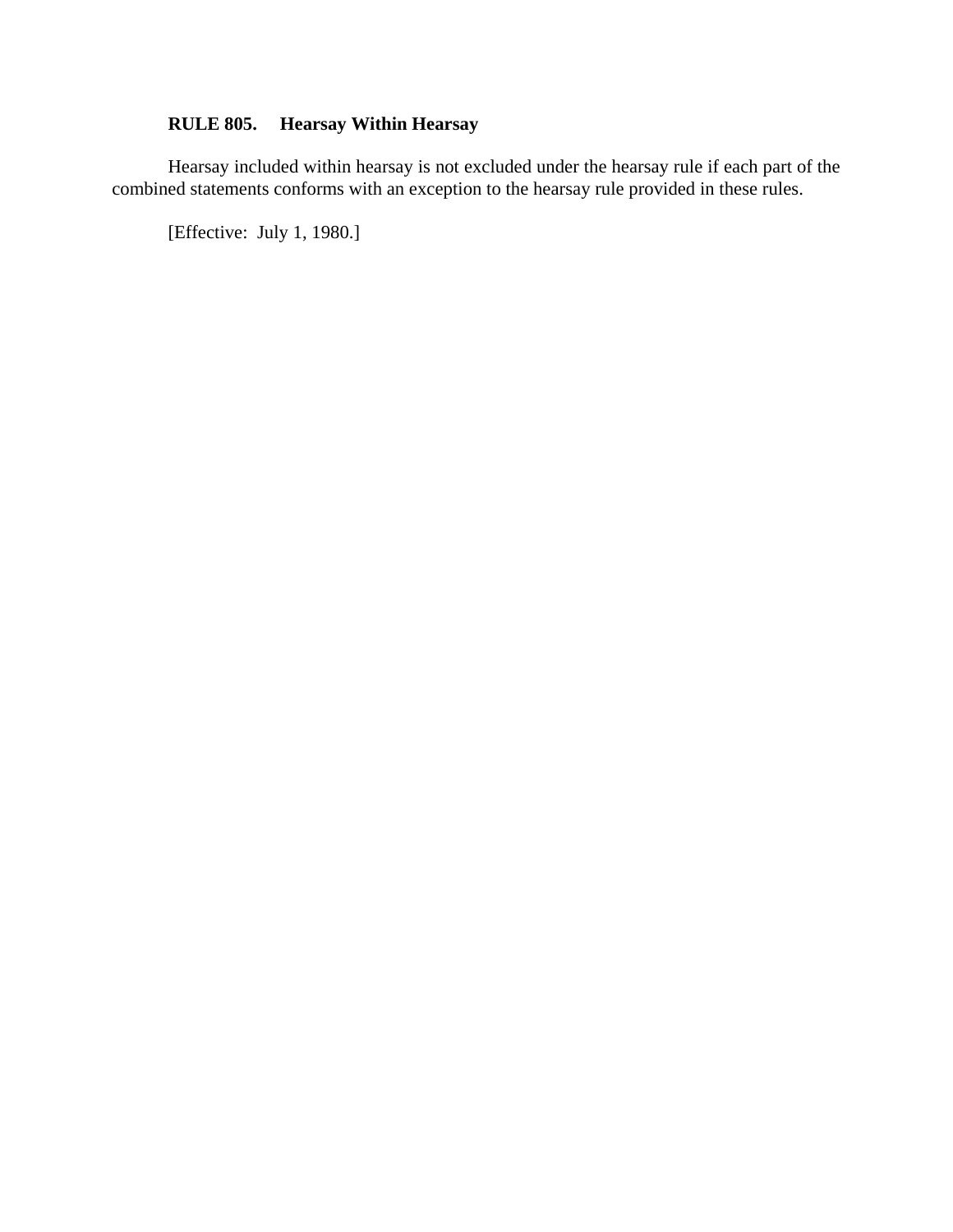## **RULE 805. Hearsay Within Hearsay**

Hearsay included within hearsay is not excluded under the hearsay rule if each part of the combined statements conforms with an exception to the hearsay rule provided in these rules.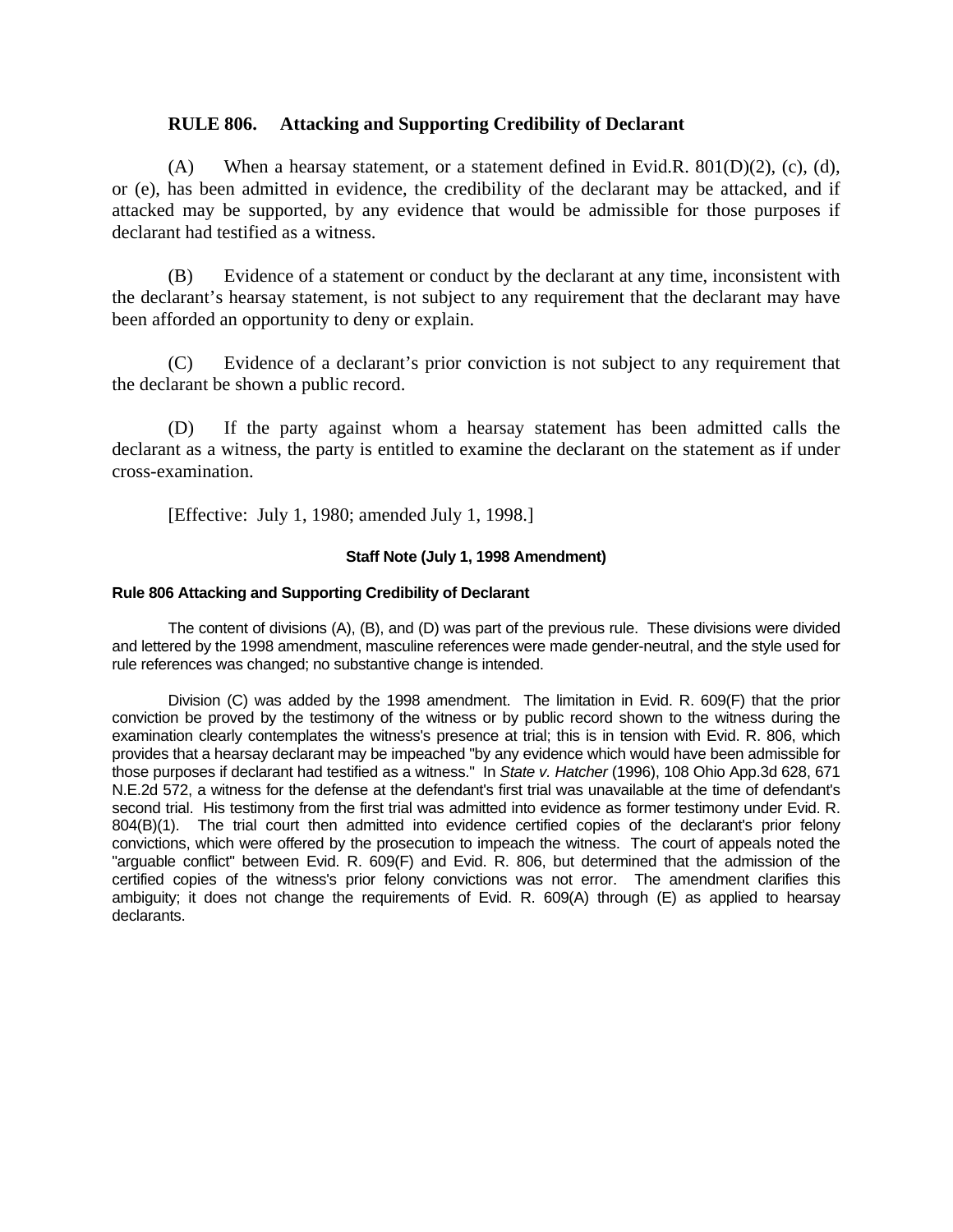### **RULE 806. Attacking and Supporting Credibility of Declarant**

(A) When a hearsay statement, or a statement defined in Evid.R.  $801(D)(2)$ , (c), (d), or (e), has been admitted in evidence, the credibility of the declarant may be attacked, and if attacked may be supported, by any evidence that would be admissible for those purposes if declarant had testified as a witness.

(B) Evidence of a statement or conduct by the declarant at any time, inconsistent with the declarant's hearsay statement, is not subject to any requirement that the declarant may have been afforded an opportunity to deny or explain.

(C) Evidence of a declarant's prior conviction is not subject to any requirement that the declarant be shown a public record.

(D) If the party against whom a hearsay statement has been admitted calls the declarant as a witness, the party is entitled to examine the declarant on the statement as if under cross-examination.

[Effective: July 1, 1980; amended July 1, 1998.]

### **Staff Note (July 1, 1998 Amendment)**

#### **Rule 806 Attacking and Supporting Credibility of Declarant**

The content of divisions (A), (B), and (D) was part of the previous rule. These divisions were divided and lettered by the 1998 amendment, masculine references were made gender-neutral, and the style used for rule references was changed; no substantive change is intended.

Division (C) was added by the 1998 amendment. The limitation in Evid. R. 609(F) that the prior conviction be proved by the testimony of the witness or by public record shown to the witness during the examination clearly contemplates the witness's presence at trial; this is in tension with Evid. R. 806, which provides that a hearsay declarant may be impeached "by any evidence which would have been admissible for those purposes if declarant had testified as a witness." In *State v. Hatcher* (1996), 108 Ohio App.3d 628, 671 N.E.2d 572, a witness for the defense at the defendant's first trial was unavailable at the time of defendant's second trial. His testimony from the first trial was admitted into evidence as former testimony under Evid. R. 804(B)(1). The trial court then admitted into evidence certified copies of the declarant's prior felony convictions, which were offered by the prosecution to impeach the witness. The court of appeals noted the "arguable conflict" between Evid. R. 609(F) and Evid. R. 806, but determined that the admission of the certified copies of the witness's prior felony convictions was not error. The amendment clarifies this ambiguity; it does not change the requirements of Evid. R. 609(A) through (E) as applied to hearsay declarants.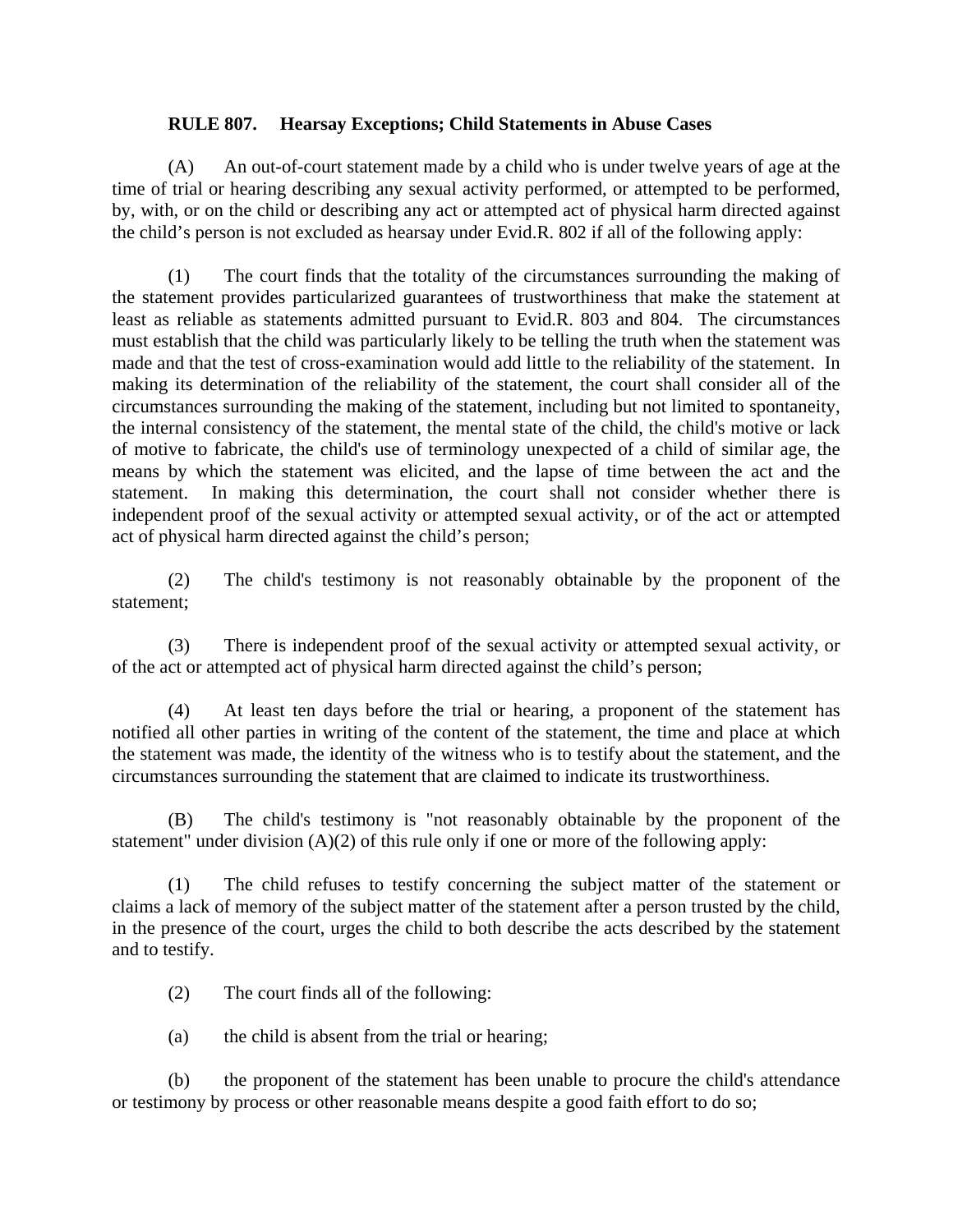## **RULE 807. Hearsay Exceptions; Child Statements in Abuse Cases**

(A) An out-of-court statement made by a child who is under twelve years of age at the time of trial or hearing describing any sexual activity performed, or attempted to be performed, by, with, or on the child or describing any act or attempted act of physical harm directed against the child's person is not excluded as hearsay under Evid.R. 802 if all of the following apply:

(1) The court finds that the totality of the circumstances surrounding the making of the statement provides particularized guarantees of trustworthiness that make the statement at least as reliable as statements admitted pursuant to Evid.R. 803 and 804. The circumstances must establish that the child was particularly likely to be telling the truth when the statement was made and that the test of cross-examination would add little to the reliability of the statement. In making its determination of the reliability of the statement, the court shall consider all of the circumstances surrounding the making of the statement, including but not limited to spontaneity, the internal consistency of the statement, the mental state of the child, the child's motive or lack of motive to fabricate, the child's use of terminology unexpected of a child of similar age, the means by which the statement was elicited, and the lapse of time between the act and the statement. In making this determination, the court shall not consider whether there is independent proof of the sexual activity or attempted sexual activity, or of the act or attempted act of physical harm directed against the child's person;

(2) The child's testimony is not reasonably obtainable by the proponent of the statement;

(3) There is independent proof of the sexual activity or attempted sexual activity, or of the act or attempted act of physical harm directed against the child's person;

(4) At least ten days before the trial or hearing, a proponent of the statement has notified all other parties in writing of the content of the statement, the time and place at which the statement was made, the identity of the witness who is to testify about the statement, and the circumstances surrounding the statement that are claimed to indicate its trustworthiness.

(B) The child's testimony is "not reasonably obtainable by the proponent of the statement" under division (A)(2) of this rule only if one or more of the following apply:

(1) The child refuses to testify concerning the subject matter of the statement or claims a lack of memory of the subject matter of the statement after a person trusted by the child, in the presence of the court, urges the child to both describe the acts described by the statement and to testify.

(2) The court finds all of the following:

(a) the child is absent from the trial or hearing;

(b) the proponent of the statement has been unable to procure the child's attendance or testimony by process or other reasonable means despite a good faith effort to do so;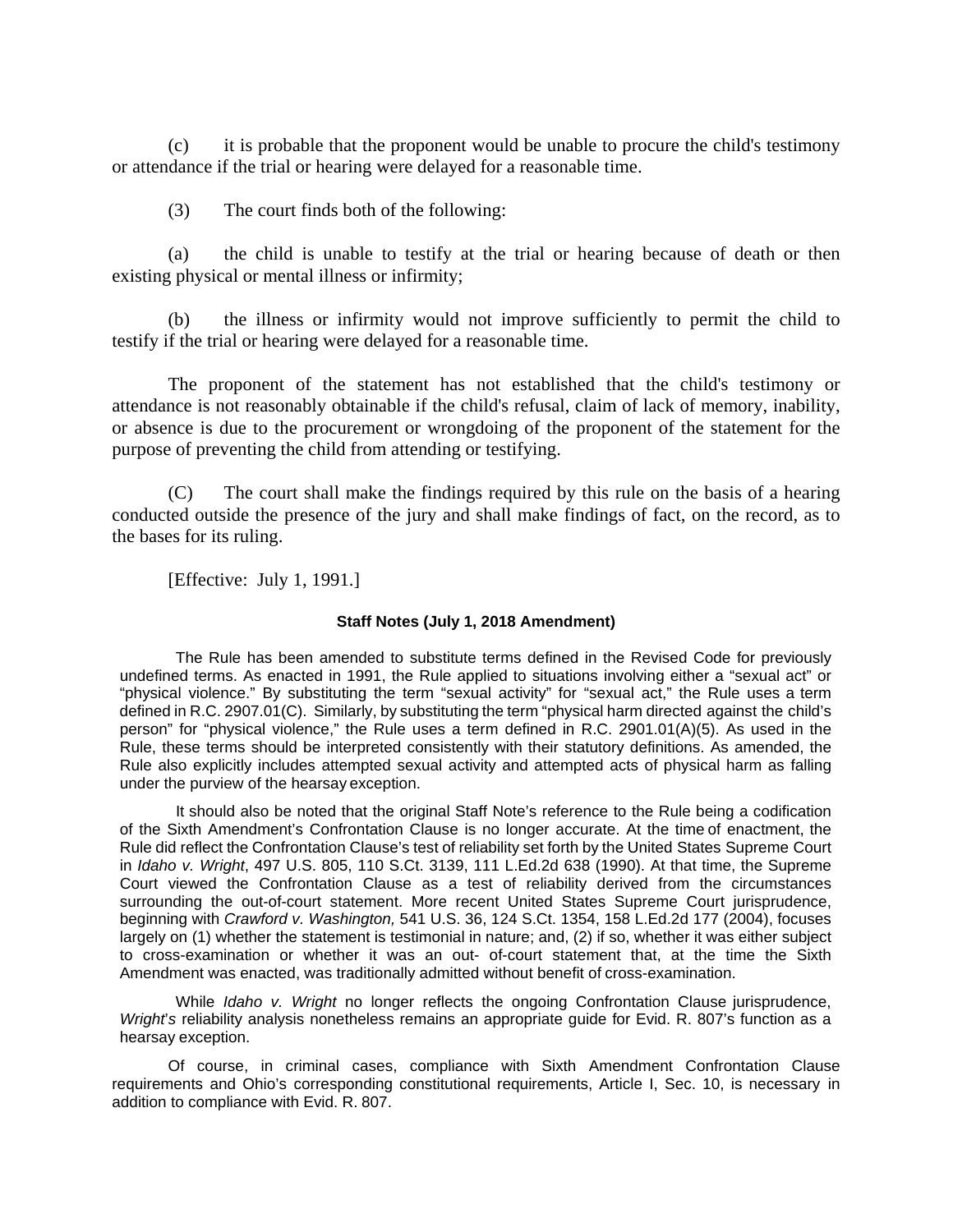(c) it is probable that the proponent would be unable to procure the child's testimony or attendance if the trial or hearing were delayed for a reasonable time.

(3) The court finds both of the following:

(a) the child is unable to testify at the trial or hearing because of death or then existing physical or mental illness or infirmity;

(b) the illness or infirmity would not improve sufficiently to permit the child to testify if the trial or hearing were delayed for a reasonable time.

The proponent of the statement has not established that the child's testimony or attendance is not reasonably obtainable if the child's refusal, claim of lack of memory, inability, or absence is due to the procurement or wrongdoing of the proponent of the statement for the purpose of preventing the child from attending or testifying.

(C) The court shall make the findings required by this rule on the basis of a hearing conducted outside the presence of the jury and shall make findings of fact, on the record, as to the bases for its ruling.

[Effective: July 1, 1991.]

#### **Staff Notes (July 1, 2018 Amendment)**

The Rule has been amended to substitute terms defined in the Revised Code for previously undefined terms. As enacted in 1991, the Rule applied to situations involving either a "sexual act" or "physical violence." By substituting the term "sexual activity" for "sexual act," the Rule uses a term defined in R.C. 2907.01(C). Similarly, by substituting the term "physical harm directed against the child's person" for "physical violence," the Rule uses a term defined in R.C. 2901.01(A)(5). As used in the Rule, these terms should be interpreted consistently with their statutory definitions. As amended, the Rule also explicitly includes attempted sexual activity and attempted acts of physical harm as falling under the purview of the hearsay exception.

It should also be noted that the original Staff Note's reference to the Rule being a codification of the Sixth Amendment's Confrontation Clause is no longer accurate. At the time of enactment, the Rule did reflect the Confrontation Clause's test of reliability set forth by the United States Supreme Court in *Idaho v. Wright*, 497 U.S. 805, 110 S.Ct. 3139, 111 L.Ed.2d 638 (1990). At that time, the Supreme Court viewed the Confrontation Clause as a test of reliability derived from the circumstances surrounding the out-of-court statement. More recent United States Supreme Court jurisprudence, beginning with *Crawford v. Washington,* 541 U.S. 36, 124 S.Ct. 1354, 158 L.Ed.2d 177 (2004), focuses largely on (1) whether the statement is testimonial in nature; and, (2) if so, whether it was either subject to cross-examination or whether it was an out- of-court statement that, at the time the Sixth Amendment was enacted, was traditionally admitted without benefit of cross-examination.

While *Idaho v. Wright* no longer reflects the ongoing Confrontation Clause jurisprudence, *Wright*'*s* reliability analysis nonetheless remains an appropriate guide for Evid. R. 807's function as a hearsay exception.

Of course, in criminal cases, compliance with Sixth Amendment Confrontation Clause requirements and Ohio's corresponding constitutional requirements, Article I, Sec. 10, is necessary in addition to compliance with Evid. R. 807.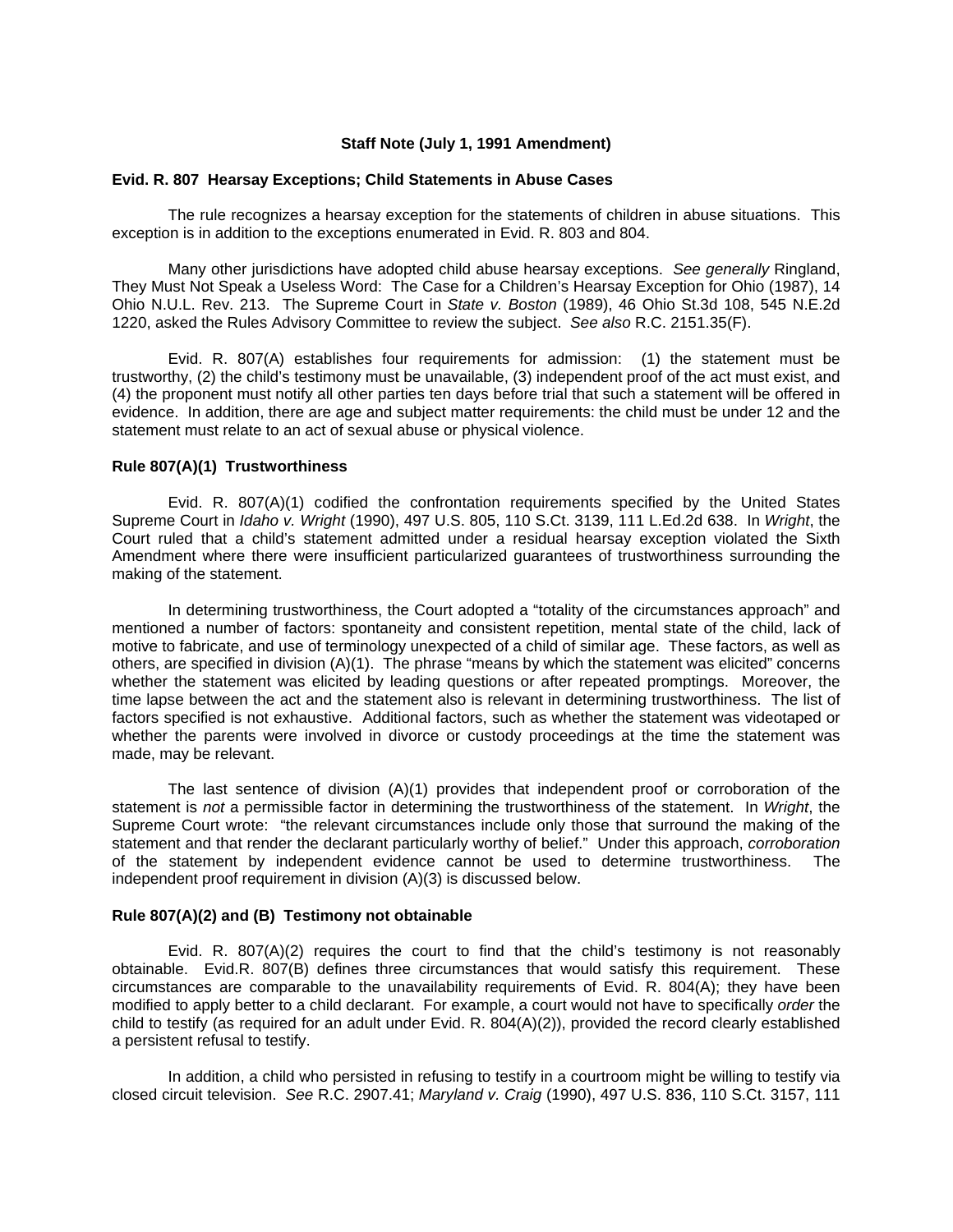#### **Staff Note (July 1, 1991 Amendment)**

#### **Evid. R. 807 Hearsay Exceptions; Child Statements in Abuse Cases**

The rule recognizes a hearsay exception for the statements of children in abuse situations. This exception is in addition to the exceptions enumerated in Evid. R. 803 and 804.

Many other jurisdictions have adopted child abuse hearsay exceptions. *See generally* Ringland, They Must Not Speak a Useless Word: The Case for a Children's Hearsay Exception for Ohio (1987), 14 Ohio N.U.L. Rev. 213. The Supreme Court in *State v. Boston* (1989), 46 Ohio St.3d 108, 545 N.E.2d 1220, asked the Rules Advisory Committee to review the subject. *See also* R.C. 2151.35(F).

Evid. R. 807(A) establishes four requirements for admission: (1) the statement must be trustworthy, (2) the child's testimony must be unavailable, (3) independent proof of the act must exist, and (4) the proponent must notify all other parties ten days before trial that such a statement will be offered in evidence. In addition, there are age and subject matter requirements: the child must be under 12 and the statement must relate to an act of sexual abuse or physical violence.

#### **Rule 807(A)(1) Trustworthiness**

Evid. R. 807(A)(1) codified the confrontation requirements specified by the United States Supreme Court in *Idaho v. Wright* (1990), 497 U.S. 805, 110 S.Ct. 3139, 111 L.Ed.2d 638. In *Wright*, the Court ruled that a child's statement admitted under a residual hearsay exception violated the Sixth Amendment where there were insufficient particularized guarantees of trustworthiness surrounding the making of the statement.

In determining trustworthiness, the Court adopted a "totality of the circumstances approach" and mentioned a number of factors: spontaneity and consistent repetition, mental state of the child, lack of motive to fabricate, and use of terminology unexpected of a child of similar age. These factors, as well as others, are specified in division  $(A)(1)$ . The phrase "means by which the statement was elicited" concerns whether the statement was elicited by leading questions or after repeated promptings. Moreover, the time lapse between the act and the statement also is relevant in determining trustworthiness. The list of factors specified is not exhaustive. Additional factors, such as whether the statement was videotaped or whether the parents were involved in divorce or custody proceedings at the time the statement was made, may be relevant.

The last sentence of division (A)(1) provides that independent proof or corroboration of the statement is *not* a permissible factor in determining the trustworthiness of the statement. In *Wright*, the Supreme Court wrote: "the relevant circumstances include only those that surround the making of the statement and that render the declarant particularly worthy of belief." Under this approach, *corroboration* of the statement by independent evidence cannot be used to determine trustworthiness. The independent proof requirement in division (A)(3) is discussed below.

#### **Rule 807(A)(2) and (B) Testimony not obtainable**

Evid. R.  $807(A)(2)$  requires the court to find that the child's testimony is not reasonably obtainable. Evid.R. 807(B) defines three circumstances that would satisfy this requirement. These circumstances are comparable to the unavailability requirements of Evid. R. 804(A); they have been modified to apply better to a child declarant. For example, a court would not have to specifically *order* the child to testify (as required for an adult under Evid. R. 804(A)(2)), provided the record clearly established a persistent refusal to testify.

In addition, a child who persisted in refusing to testify in a courtroom might be willing to testify via closed circuit television. *See* R.C. 2907.41; *Maryland v. Craig* (1990), 497 U.S. 836, 110 S.Ct. 3157, 111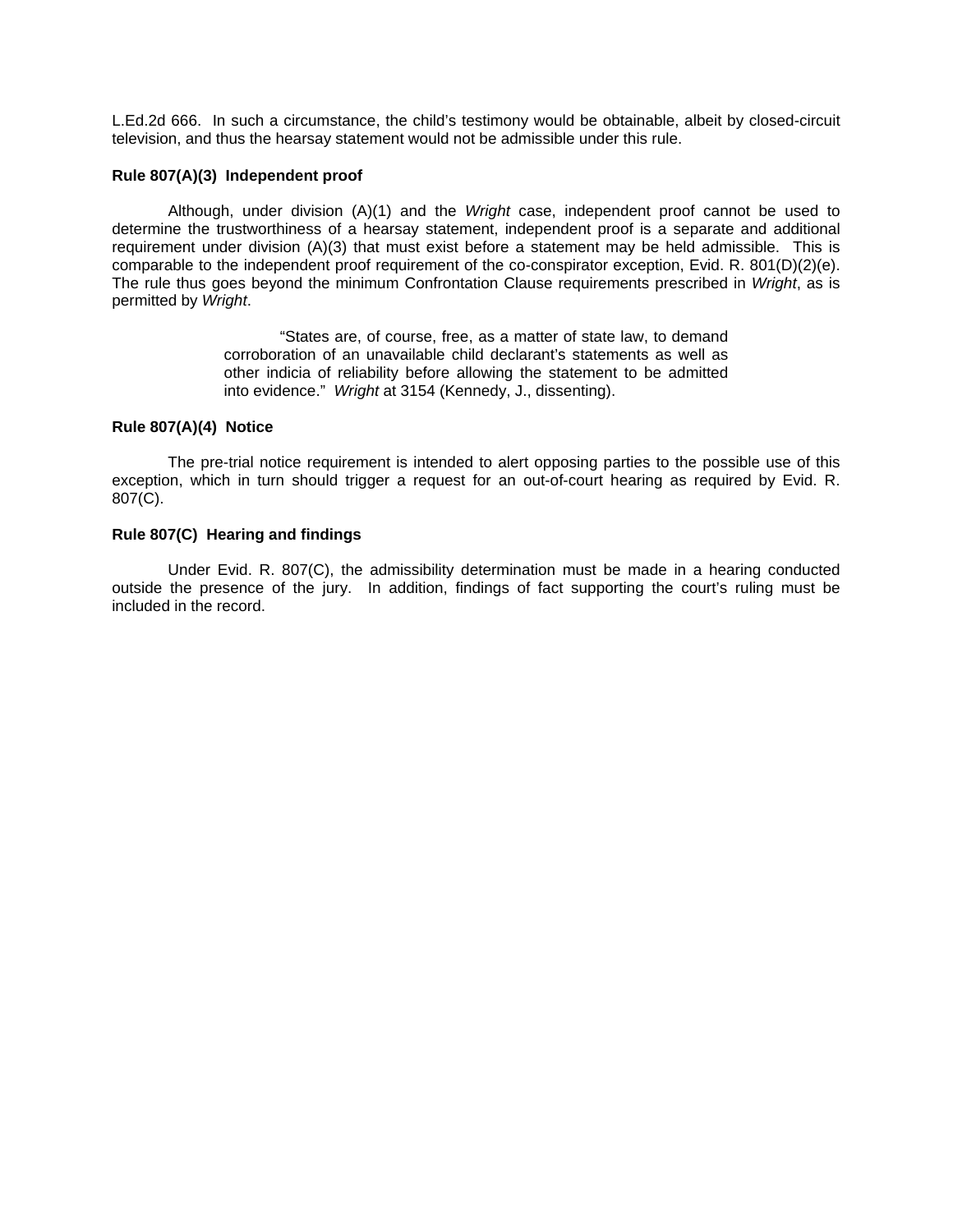L.Ed.2d 666. In such a circumstance, the child's testimony would be obtainable, albeit by closed-circuit television, and thus the hearsay statement would not be admissible under this rule.

#### **Rule 807(A)(3) Independent proof**

Although, under division (A)(1) and the *Wright* case, independent proof cannot be used to determine the trustworthiness of a hearsay statement, independent proof is a separate and additional requirement under division (A)(3) that must exist before a statement may be held admissible. This is comparable to the independent proof requirement of the co-conspirator exception, Evid. R. 801(D)(2)(e). The rule thus goes beyond the minimum Confrontation Clause requirements prescribed in *Wright*, as is permitted by *Wright*.

> "States are, of course, free, as a matter of state law, to demand corroboration of an unavailable child declarant's statements as well as other indicia of reliability before allowing the statement to be admitted into evidence." *Wright* at 3154 (Kennedy, J., dissenting).

#### **Rule 807(A)(4) Notice**

The pre-trial notice requirement is intended to alert opposing parties to the possible use of this exception, which in turn should trigger a request for an out-of-court hearing as required by Evid. R. 807(C).

#### **Rule 807(C) Hearing and findings**

Under Evid. R. 807(C), the admissibility determination must be made in a hearing conducted outside the presence of the jury. In addition, findings of fact supporting the court's ruling must be included in the record.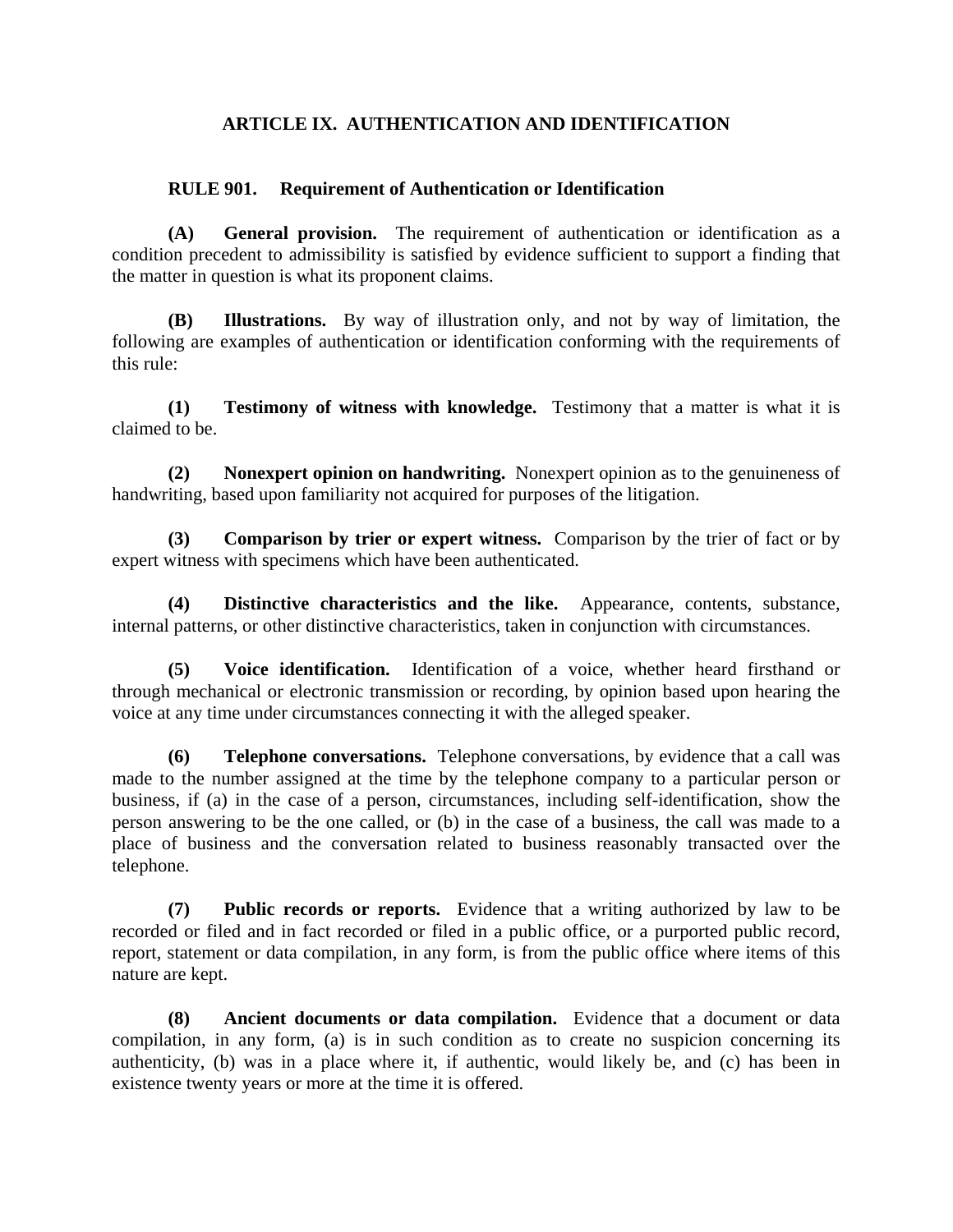## **ARTICLE IX. AUTHENTICATION AND IDENTIFICATION**

## **RULE 901. Requirement of Authentication or Identification**

**(A) General provision.** The requirement of authentication or identification as a condition precedent to admissibility is satisfied by evidence sufficient to support a finding that the matter in question is what its proponent claims.

**(B) Illustrations.** By way of illustration only, and not by way of limitation, the following are examples of authentication or identification conforming with the requirements of this rule:

**(1) Testimony of witness with knowledge.** Testimony that a matter is what it is claimed to be.

**(2) Nonexpert opinion on handwriting.** Nonexpert opinion as to the genuineness of handwriting, based upon familiarity not acquired for purposes of the litigation.

**(3) Comparison by trier or expert witness.** Comparison by the trier of fact or by expert witness with specimens which have been authenticated.

**(4) Distinctive characteristics and the like.** Appearance, contents, substance, internal patterns, or other distinctive characteristics, taken in conjunction with circumstances.

**(5) Voice identification.** Identification of a voice, whether heard firsthand or through mechanical or electronic transmission or recording, by opinion based upon hearing the voice at any time under circumstances connecting it with the alleged speaker.

**(6) Telephone conversations.** Telephone conversations, by evidence that a call was made to the number assigned at the time by the telephone company to a particular person or business, if (a) in the case of a person, circumstances, including self-identification, show the person answering to be the one called, or (b) in the case of a business, the call was made to a place of business and the conversation related to business reasonably transacted over the telephone.

**(7) Public records or reports.** Evidence that a writing authorized by law to be recorded or filed and in fact recorded or filed in a public office, or a purported public record, report, statement or data compilation, in any form, is from the public office where items of this nature are kept.

**(8) Ancient documents or data compilation.** Evidence that a document or data compilation, in any form, (a) is in such condition as to create no suspicion concerning its authenticity, (b) was in a place where it, if authentic, would likely be, and (c) has been in existence twenty years or more at the time it is offered.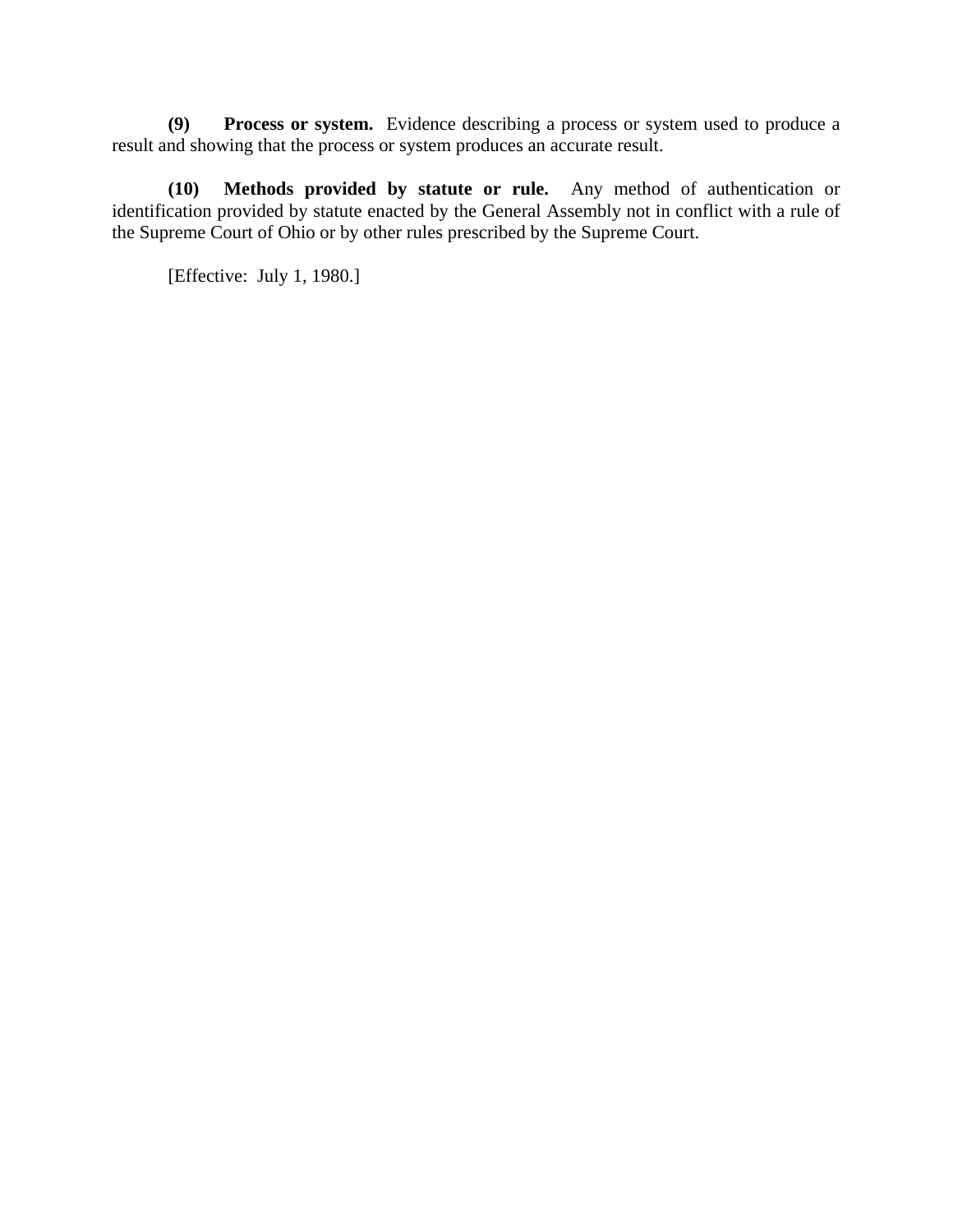**(9) Process or system.** Evidence describing a process or system used to produce a result and showing that the process or system produces an accurate result.

**(10) Methods provided by statute or rule.** Any method of authentication or identification provided by statute enacted by the General Assembly not in conflict with a rule of the Supreme Court of Ohio or by other rules prescribed by the Supreme Court.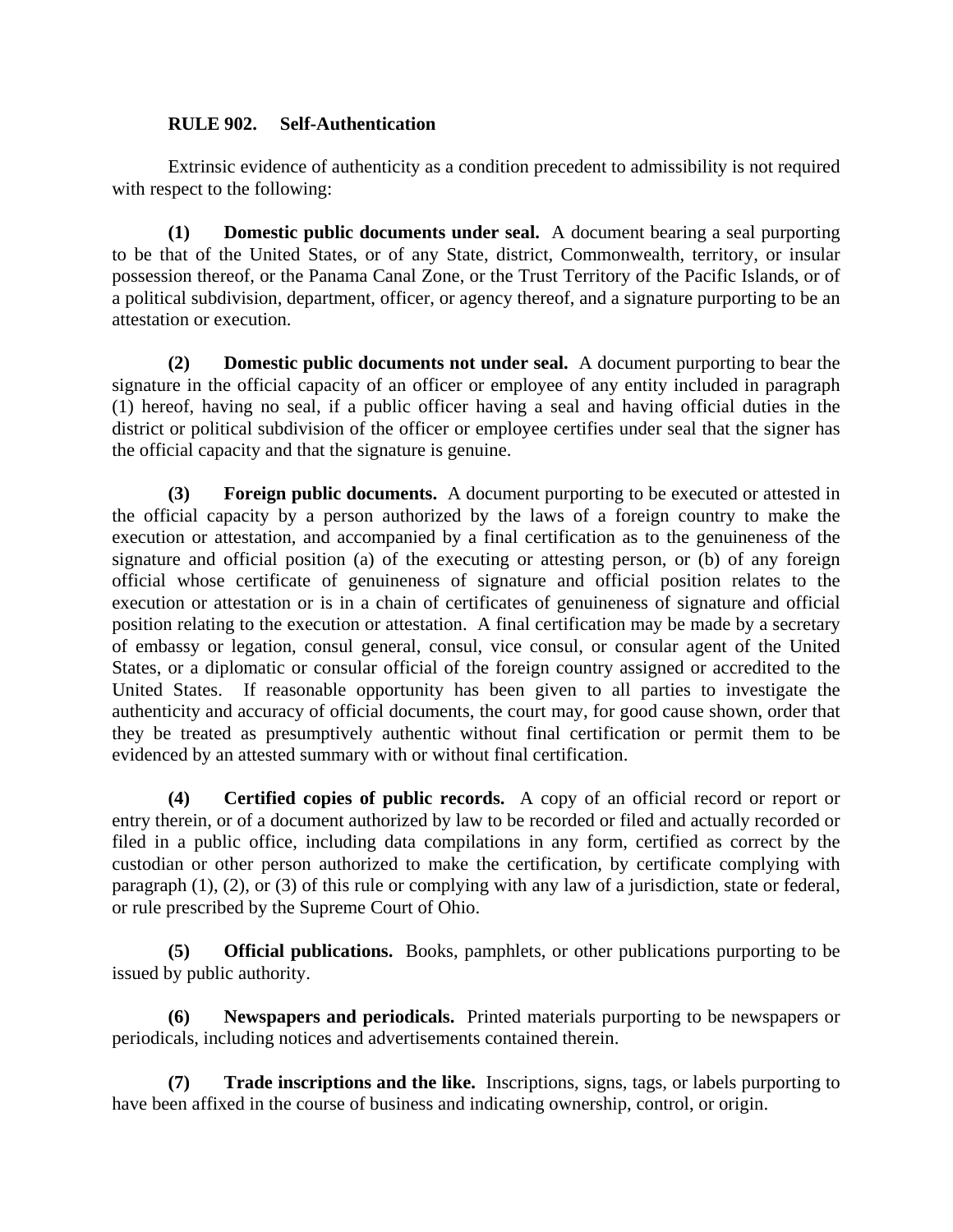## **RULE 902. Self-Authentication**

Extrinsic evidence of authenticity as a condition precedent to admissibility is not required with respect to the following:

**(1) Domestic public documents under seal.** A document bearing a seal purporting to be that of the United States, or of any State, district, Commonwealth, territory, or insular possession thereof, or the Panama Canal Zone, or the Trust Territory of the Pacific Islands, or of a political subdivision, department, officer, or agency thereof, and a signature purporting to be an attestation or execution.

**(2) Domestic public documents not under seal.** A document purporting to bear the signature in the official capacity of an officer or employee of any entity included in paragraph (1) hereof, having no seal, if a public officer having a seal and having official duties in the district or political subdivision of the officer or employee certifies under seal that the signer has the official capacity and that the signature is genuine.

**(3) Foreign public documents.** A document purporting to be executed or attested in the official capacity by a person authorized by the laws of a foreign country to make the execution or attestation, and accompanied by a final certification as to the genuineness of the signature and official position (a) of the executing or attesting person, or (b) of any foreign official whose certificate of genuineness of signature and official position relates to the execution or attestation or is in a chain of certificates of genuineness of signature and official position relating to the execution or attestation. A final certification may be made by a secretary of embassy or legation, consul general, consul, vice consul, or consular agent of the United States, or a diplomatic or consular official of the foreign country assigned or accredited to the United States. If reasonable opportunity has been given to all parties to investigate the authenticity and accuracy of official documents, the court may, for good cause shown, order that they be treated as presumptively authentic without final certification or permit them to be evidenced by an attested summary with or without final certification.

**(4) Certified copies of public records.** A copy of an official record or report or entry therein, or of a document authorized by law to be recorded or filed and actually recorded or filed in a public office, including data compilations in any form, certified as correct by the custodian or other person authorized to make the certification, by certificate complying with paragraph (1), (2), or (3) of this rule or complying with any law of a jurisdiction, state or federal, or rule prescribed by the Supreme Court of Ohio.

**(5) Official publications.** Books, pamphlets, or other publications purporting to be issued by public authority.

**(6) Newspapers and periodicals.** Printed materials purporting to be newspapers or periodicals, including notices and advertisements contained therein.

**(7) Trade inscriptions and the like.** Inscriptions, signs, tags, or labels purporting to have been affixed in the course of business and indicating ownership, control, or origin.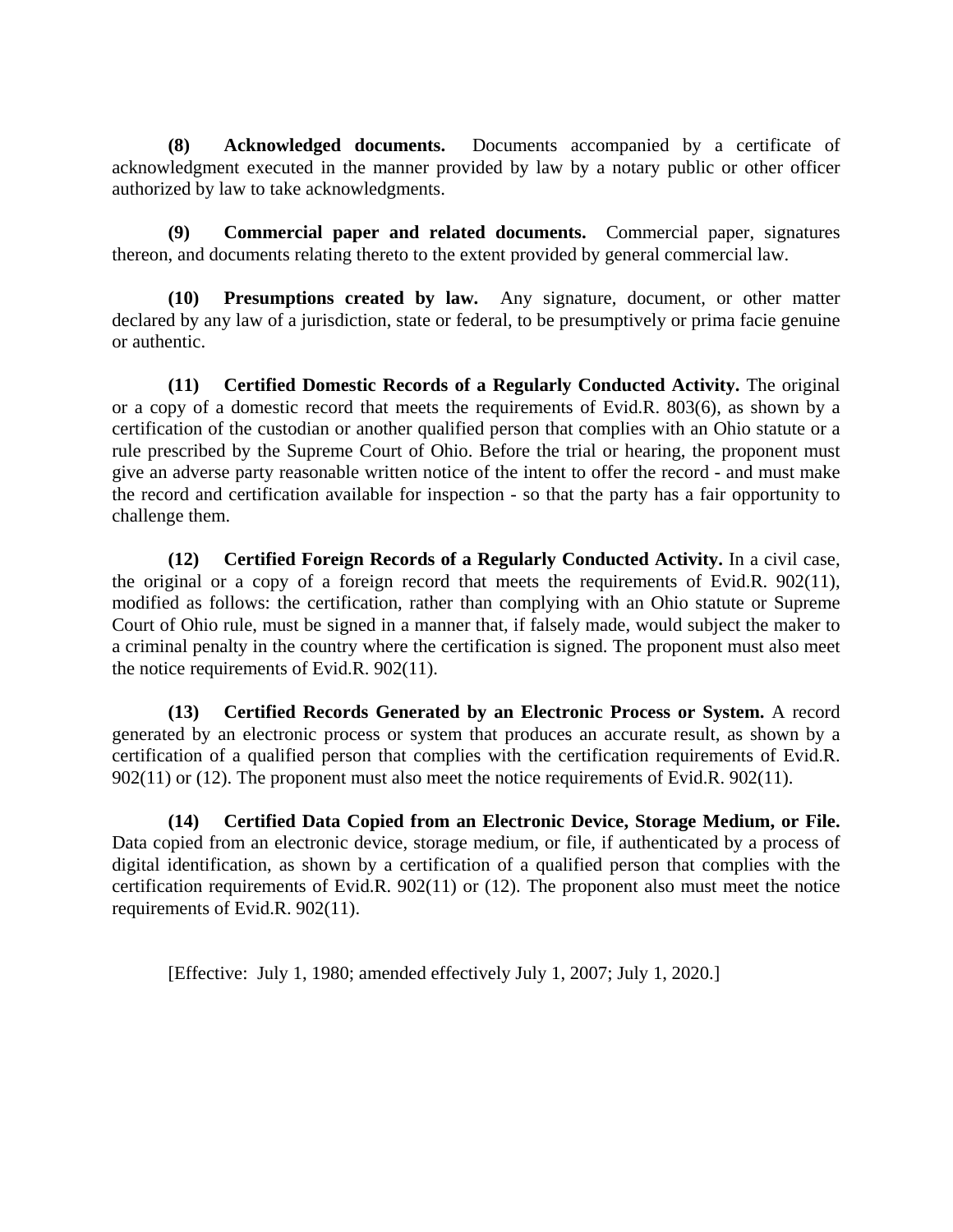**(8) Acknowledged documents.** Documents accompanied by a certificate of acknowledgment executed in the manner provided by law by a notary public or other officer authorized by law to take acknowledgments.

**(9) Commercial paper and related documents.** Commercial paper, signatures thereon, and documents relating thereto to the extent provided by general commercial law.

**(10) Presumptions created by law.** Any signature, document, or other matter declared by any law of a jurisdiction, state or federal, to be presumptively or prima facie genuine or authentic.

**(11) Certified Domestic Records of a Regularly Conducted Activity.** The original or a copy of a domestic record that meets the requirements of Evid.R. 803(6), as shown by a certification of the custodian or another qualified person that complies with an Ohio statute or a rule prescribed by the Supreme Court of Ohio. Before the trial or hearing, the proponent must give an adverse party reasonable written notice of the intent to offer the record - and must make the record and certification available for inspection - so that the party has a fair opportunity to challenge them.

**(12) Certified Foreign Records of a Regularly Conducted Activity.** In a civil case, the original or a copy of a foreign record that meets the requirements of Evid.R. 902(11), modified as follows: the certification, rather than complying with an Ohio statute or Supreme Court of Ohio rule, must be signed in a manner that, if falsely made, would subject the maker to a criminal penalty in the country where the certification is signed. The proponent must also meet the notice requirements of Evid.R. 902(11).

**(13) Certified Records Generated by an Electronic Process or System.** A record generated by an electronic process or system that produces an accurate result, as shown by a certification of a qualified person that complies with the certification requirements of Evid.R. 902(11) or (12). The proponent must also meet the notice requirements of Evid.R. 902(11).

**(14) Certified Data Copied from an Electronic Device, Storage Medium, or File.** Data copied from an electronic device, storage medium, or file, if authenticated by a process of digital identification, as shown by a certification of a qualified person that complies with the certification requirements of Evid.R. 902(11) or (12). The proponent also must meet the notice requirements of Evid.R. 902(11).

[Effective: July 1, 1980; amended effectively July 1, 2007; July 1, 2020.]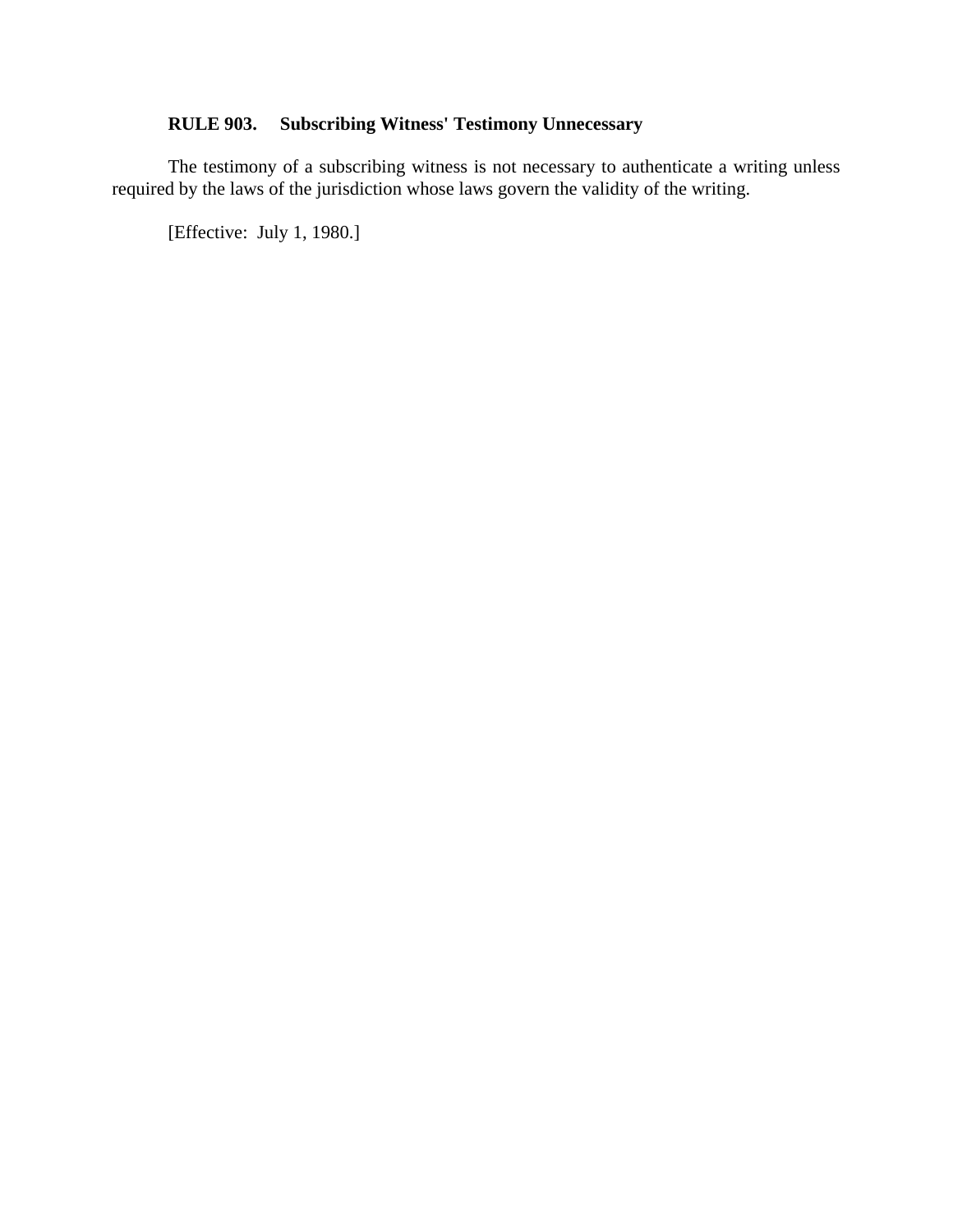# **RULE 903. Subscribing Witness' Testimony Unnecessary**

The testimony of a subscribing witness is not necessary to authenticate a writing unless required by the laws of the jurisdiction whose laws govern the validity of the writing.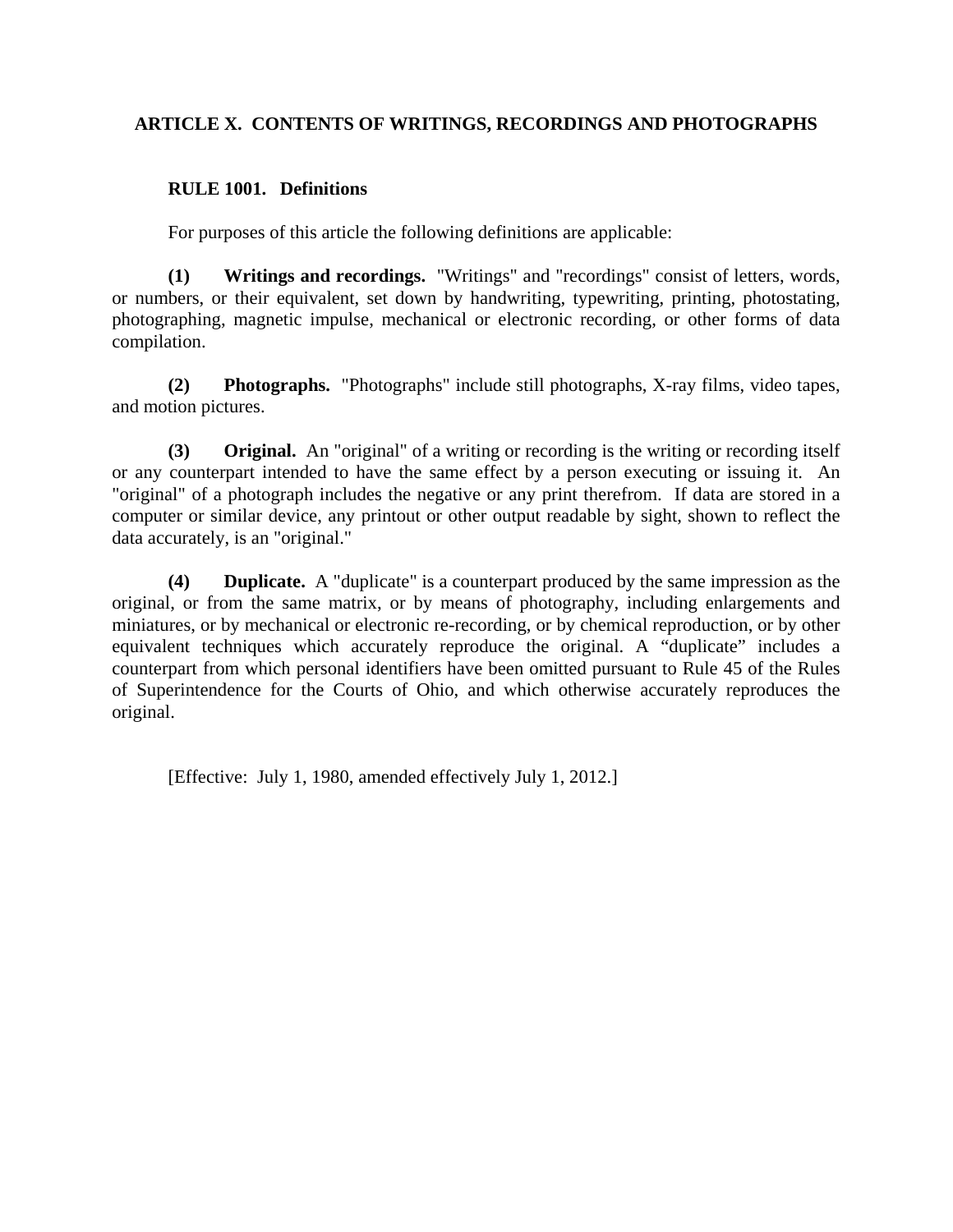## **ARTICLE X. CONTENTS OF WRITINGS, RECORDINGS AND PHOTOGRAPHS**

## **RULE 1001. Definitions**

For purposes of this article the following definitions are applicable:

**(1) Writings and recordings.** "Writings" and "recordings" consist of letters, words, or numbers, or their equivalent, set down by handwriting, typewriting, printing, photostating, photographing, magnetic impulse, mechanical or electronic recording, or other forms of data compilation.

**(2) Photographs.** "Photographs" include still photographs, X-ray films, video tapes, and motion pictures.

**(3) Original.** An "original" of a writing or recording is the writing or recording itself or any counterpart intended to have the same effect by a person executing or issuing it. An "original" of a photograph includes the negative or any print therefrom. If data are stored in a computer or similar device, any printout or other output readable by sight, shown to reflect the data accurately, is an "original."

**(4) Duplicate.** A "duplicate" is a counterpart produced by the same impression as the original, or from the same matrix, or by means of photography, including enlargements and miniatures, or by mechanical or electronic re-recording, or by chemical reproduction, or by other equivalent techniques which accurately reproduce the original. A "duplicate" includes a counterpart from which personal identifiers have been omitted pursuant to Rule 45 of the Rules of Superintendence for the Courts of Ohio, and which otherwise accurately reproduces the original.

[Effective: July 1, 1980, amended effectively July 1, 2012.]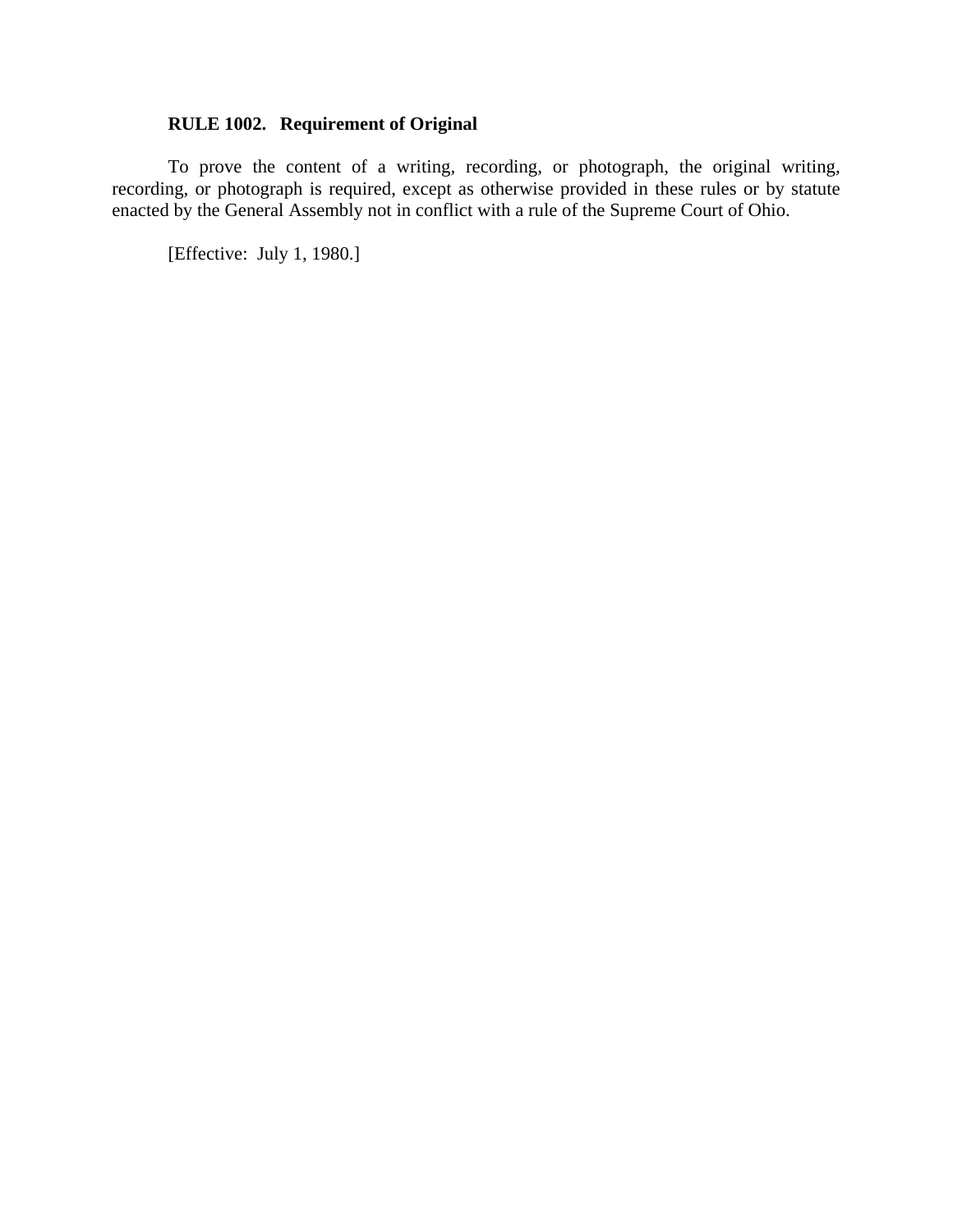## **RULE 1002. Requirement of Original**

To prove the content of a writing, recording, or photograph, the original writing, recording, or photograph is required, except as otherwise provided in these rules or by statute enacted by the General Assembly not in conflict with a rule of the Supreme Court of Ohio.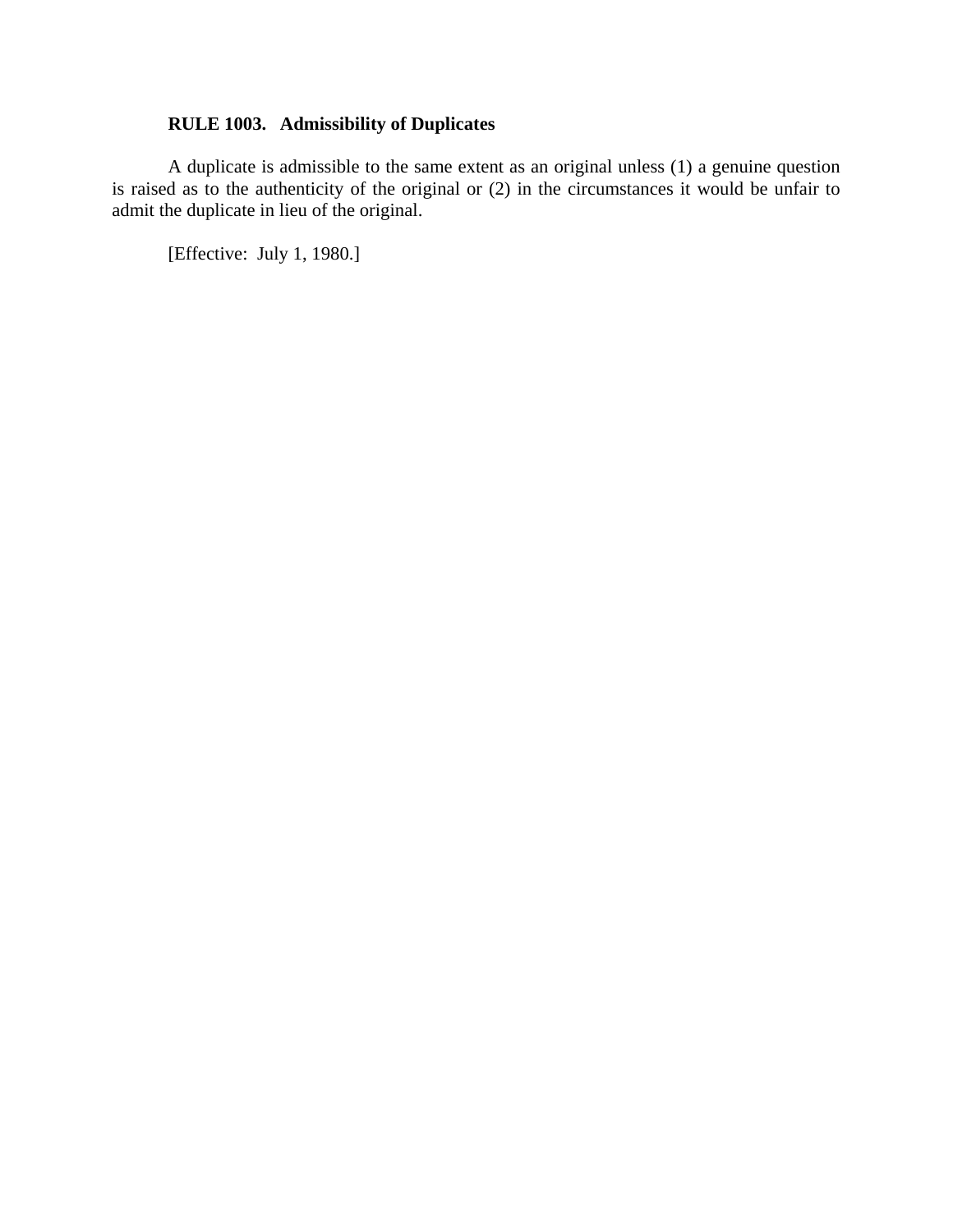## **RULE 1003. Admissibility of Duplicates**

A duplicate is admissible to the same extent as an original unless (1) a genuine question is raised as to the authenticity of the original or (2) in the circumstances it would be unfair to admit the duplicate in lieu of the original.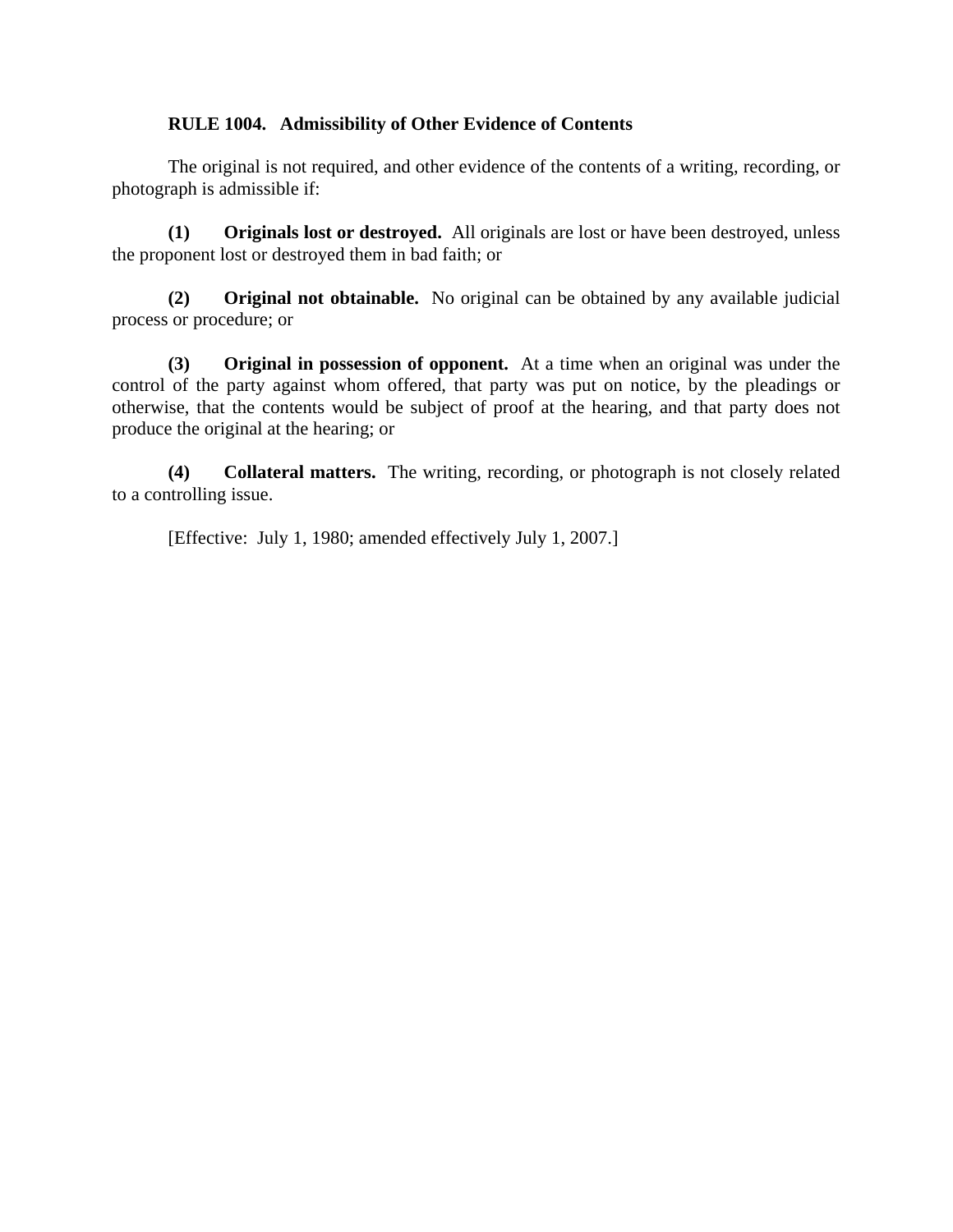## **RULE 1004. Admissibility of Other Evidence of Contents**

The original is not required, and other evidence of the contents of a writing, recording, or photograph is admissible if:

**(1) Originals lost or destroyed.** All originals are lost or have been destroyed, unless the proponent lost or destroyed them in bad faith; or

**(2) Original not obtainable.** No original can be obtained by any available judicial process or procedure; or

**(3) Original in possession of opponent.** At a time when an original was under the control of the party against whom offered, that party was put on notice, by the pleadings or otherwise, that the contents would be subject of proof at the hearing, and that party does not produce the original at the hearing; or

**(4) Collateral matters.** The writing, recording, or photograph is not closely related to a controlling issue.

[Effective: July 1, 1980; amended effectively July 1, 2007.]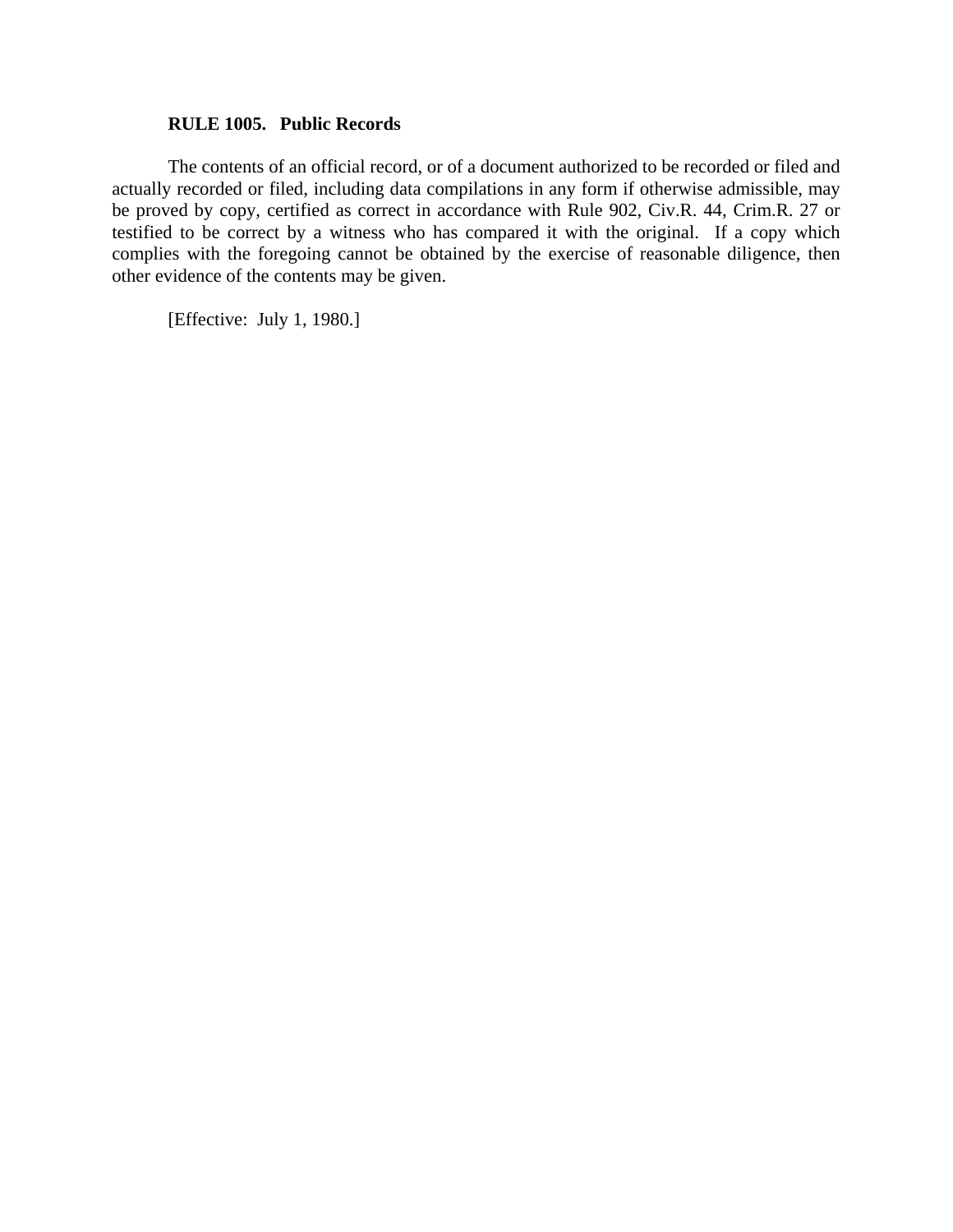### **RULE 1005. Public Records**

The contents of an official record, or of a document authorized to be recorded or filed and actually recorded or filed, including data compilations in any form if otherwise admissible, may be proved by copy, certified as correct in accordance with Rule 902, Civ.R. 44, Crim.R. 27 or testified to be correct by a witness who has compared it with the original. If a copy which complies with the foregoing cannot be obtained by the exercise of reasonable diligence, then other evidence of the contents may be given.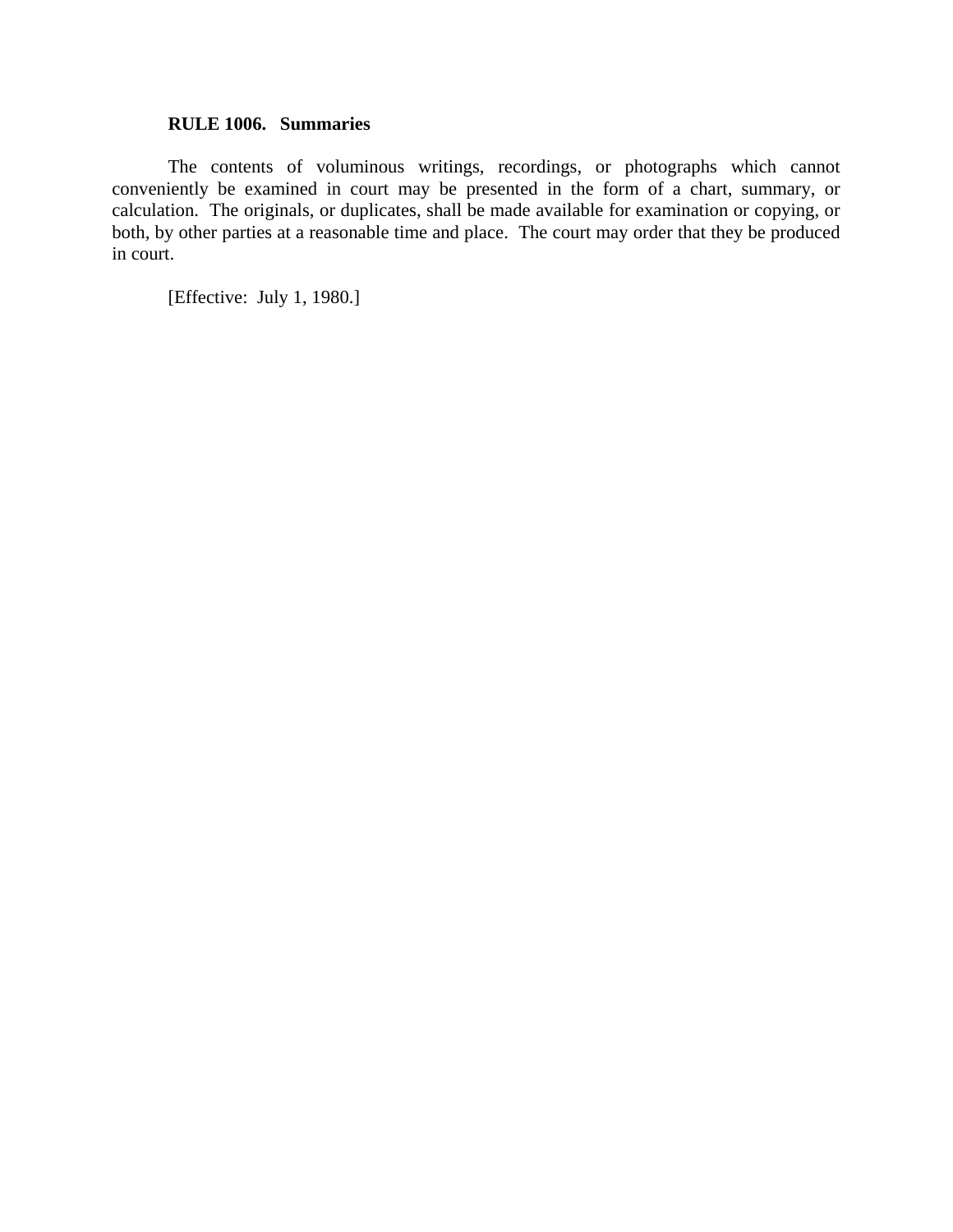## **RULE 1006. Summaries**

The contents of voluminous writings, recordings, or photographs which cannot conveniently be examined in court may be presented in the form of a chart, summary, or calculation. The originals, or duplicates, shall be made available for examination or copying, or both, by other parties at a reasonable time and place. The court may order that they be produced in court.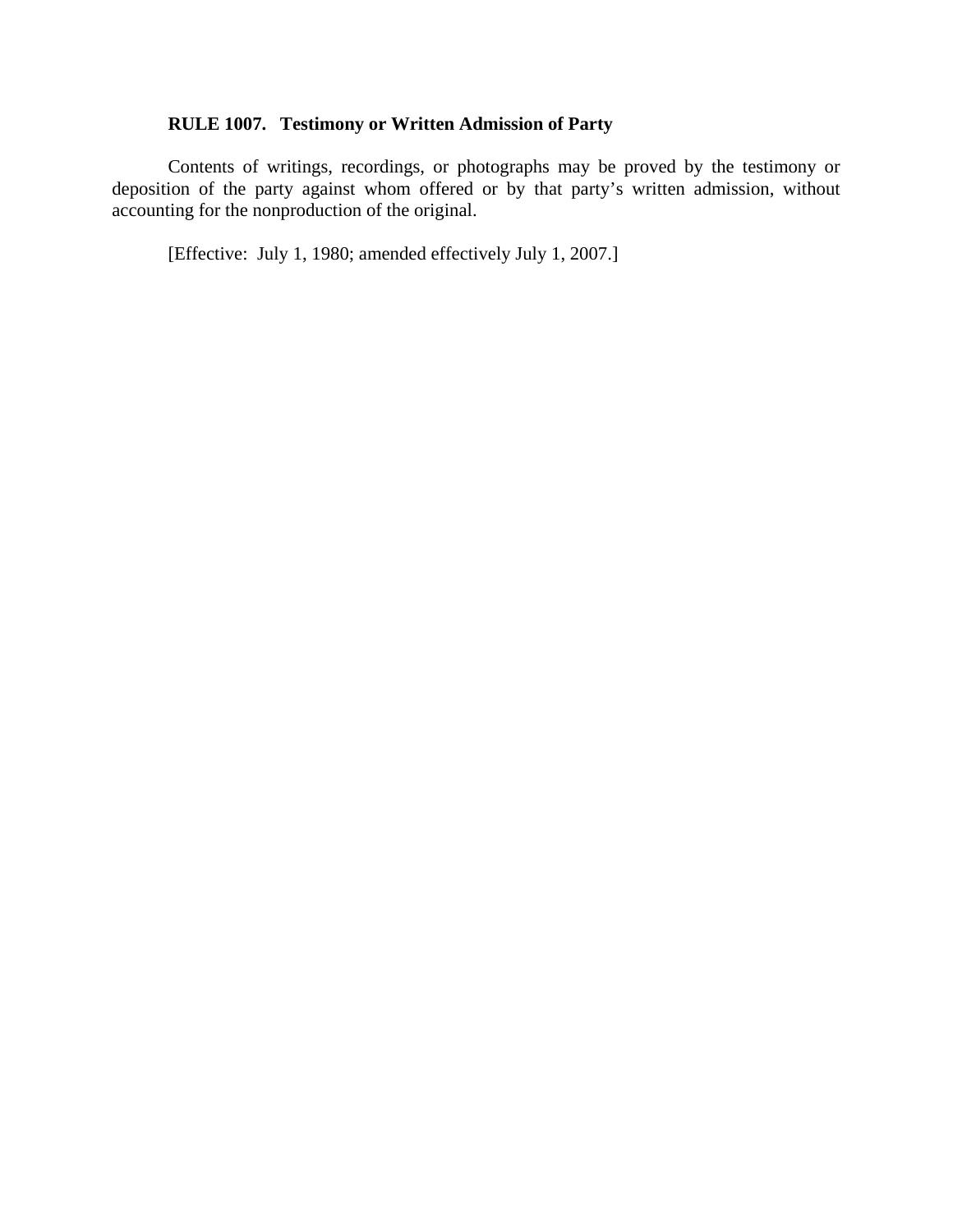## **RULE 1007. Testimony or Written Admission of Party**

Contents of writings, recordings, or photographs may be proved by the testimony or deposition of the party against whom offered or by that party's written admission, without accounting for the nonproduction of the original.

[Effective: July 1, 1980; amended effectively July 1, 2007.]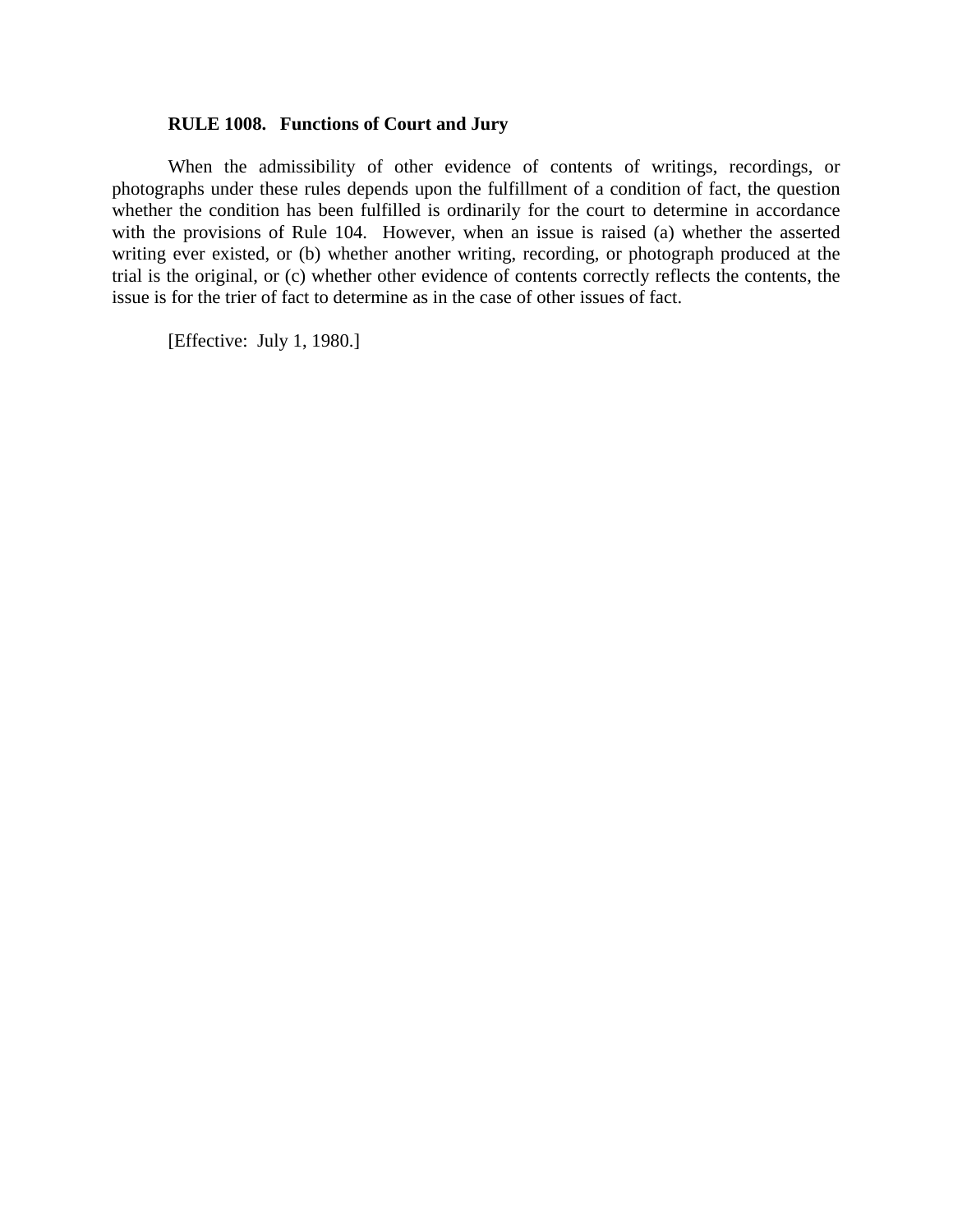### **RULE 1008. Functions of Court and Jury**

When the admissibility of other evidence of contents of writings, recordings, or photographs under these rules depends upon the fulfillment of a condition of fact, the question whether the condition has been fulfilled is ordinarily for the court to determine in accordance with the provisions of Rule 104. However, when an issue is raised (a) whether the asserted writing ever existed, or (b) whether another writing, recording, or photograph produced at the trial is the original, or (c) whether other evidence of contents correctly reflects the contents, the issue is for the trier of fact to determine as in the case of other issues of fact.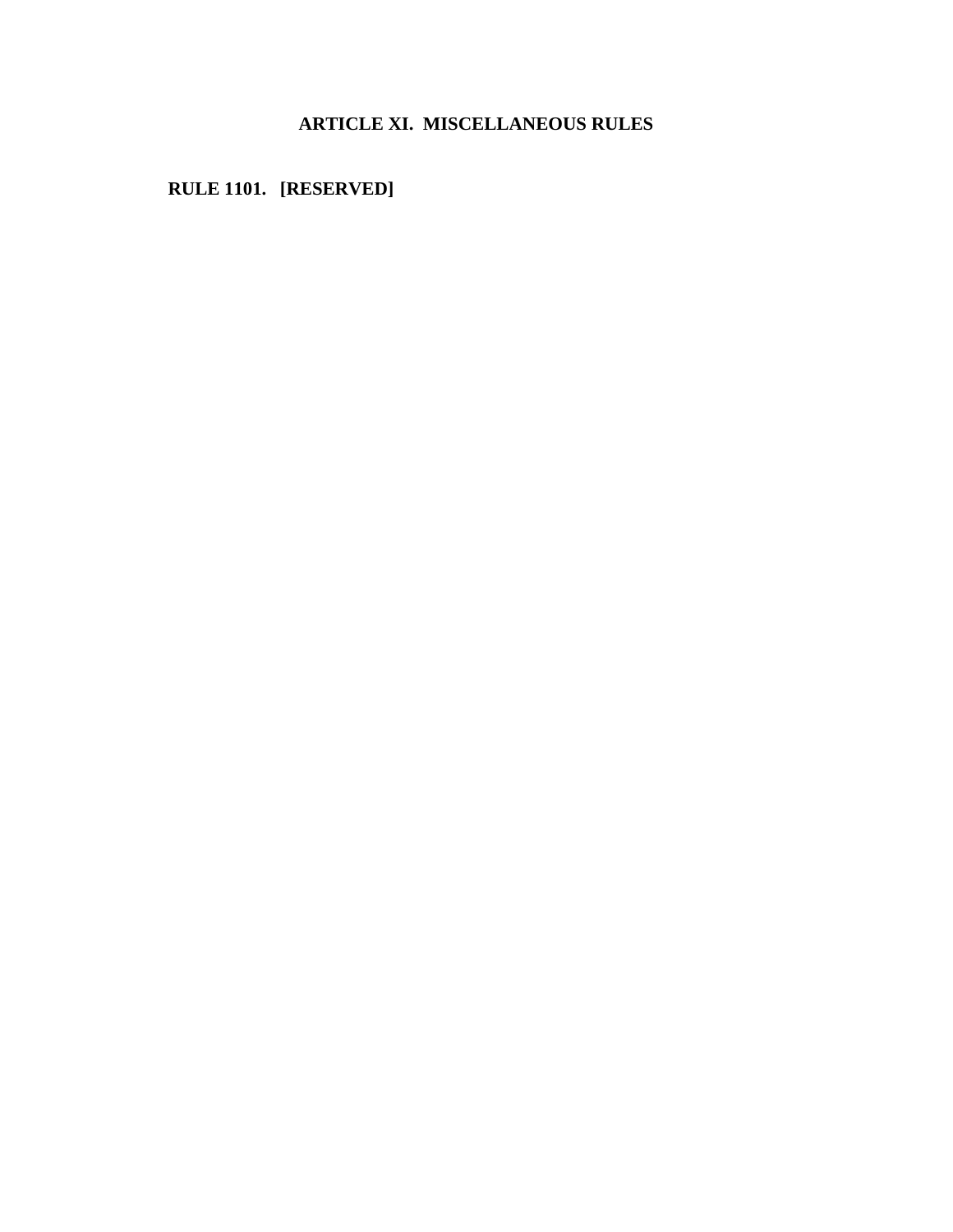# **ARTICLE XI. MISCELLANEOUS RULES**

**RULE 1101. [RESERVED]**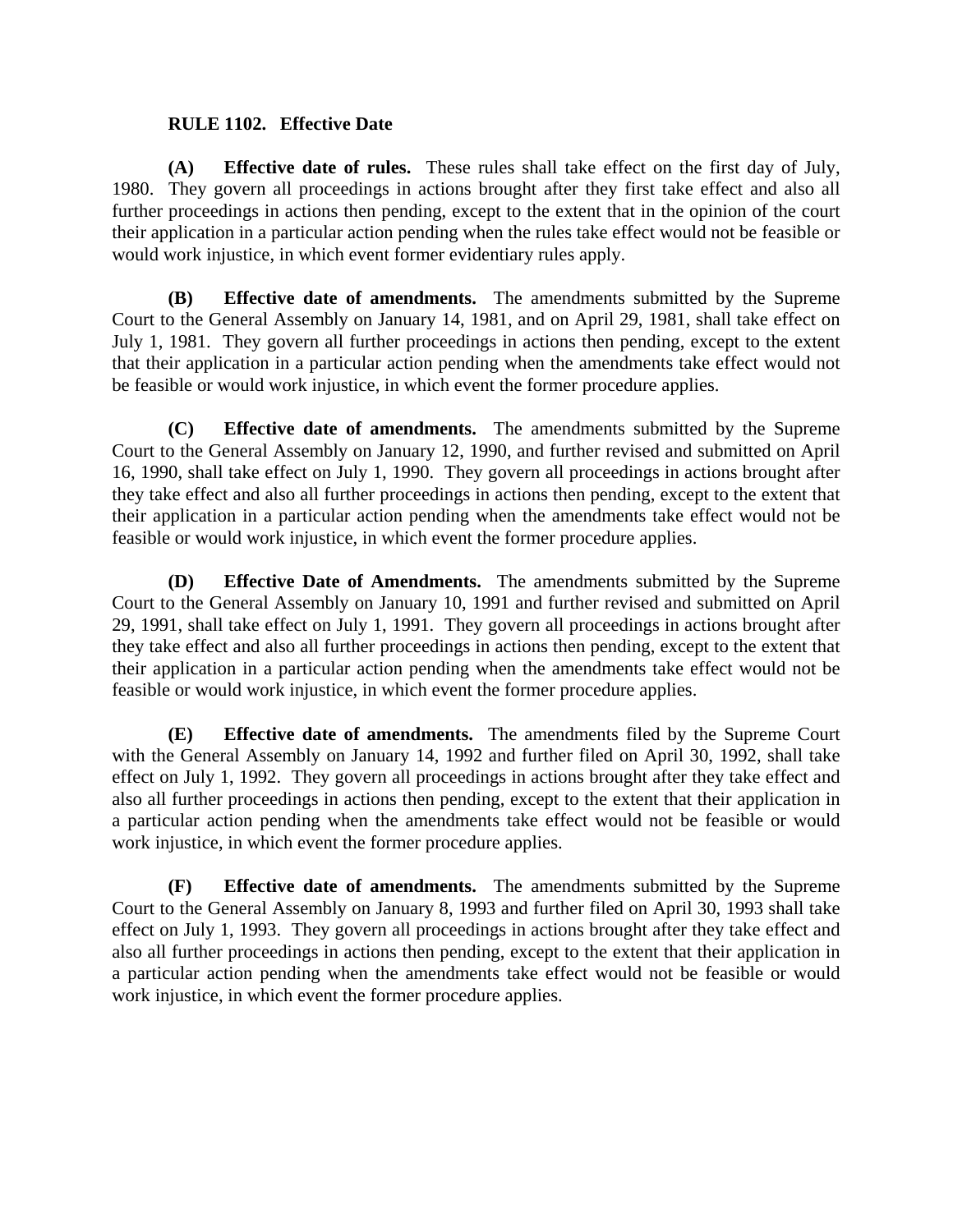## **RULE 1102. Effective Date**

**(A) Effective date of rules.** These rules shall take effect on the first day of July, 1980. They govern all proceedings in actions brought after they first take effect and also all further proceedings in actions then pending, except to the extent that in the opinion of the court their application in a particular action pending when the rules take effect would not be feasible or would work injustice, in which event former evidentiary rules apply.

**(B) Effective date of amendments.** The amendments submitted by the Supreme Court to the General Assembly on January 14, 1981, and on April 29, 1981, shall take effect on July 1, 1981. They govern all further proceedings in actions then pending, except to the extent that their application in a particular action pending when the amendments take effect would not be feasible or would work injustice, in which event the former procedure applies.

**(C) Effective date of amendments.** The amendments submitted by the Supreme Court to the General Assembly on January 12, 1990, and further revised and submitted on April 16, 1990, shall take effect on July 1, 1990. They govern all proceedings in actions brought after they take effect and also all further proceedings in actions then pending, except to the extent that their application in a particular action pending when the amendments take effect would not be feasible or would work injustice, in which event the former procedure applies.

**(D) Effective Date of Amendments.** The amendments submitted by the Supreme Court to the General Assembly on January 10, 1991 and further revised and submitted on April 29, 1991, shall take effect on July 1, 1991. They govern all proceedings in actions brought after they take effect and also all further proceedings in actions then pending, except to the extent that their application in a particular action pending when the amendments take effect would not be feasible or would work injustice, in which event the former procedure applies.

**(E) Effective date of amendments.** The amendments filed by the Supreme Court with the General Assembly on January 14, 1992 and further filed on April 30, 1992, shall take effect on July 1, 1992. They govern all proceedings in actions brought after they take effect and also all further proceedings in actions then pending, except to the extent that their application in a particular action pending when the amendments take effect would not be feasible or would work injustice, in which event the former procedure applies.

**(F) Effective date of amendments.** The amendments submitted by the Supreme Court to the General Assembly on January 8, 1993 and further filed on April 30, 1993 shall take effect on July 1, 1993. They govern all proceedings in actions brought after they take effect and also all further proceedings in actions then pending, except to the extent that their application in a particular action pending when the amendments take effect would not be feasible or would work injustice, in which event the former procedure applies.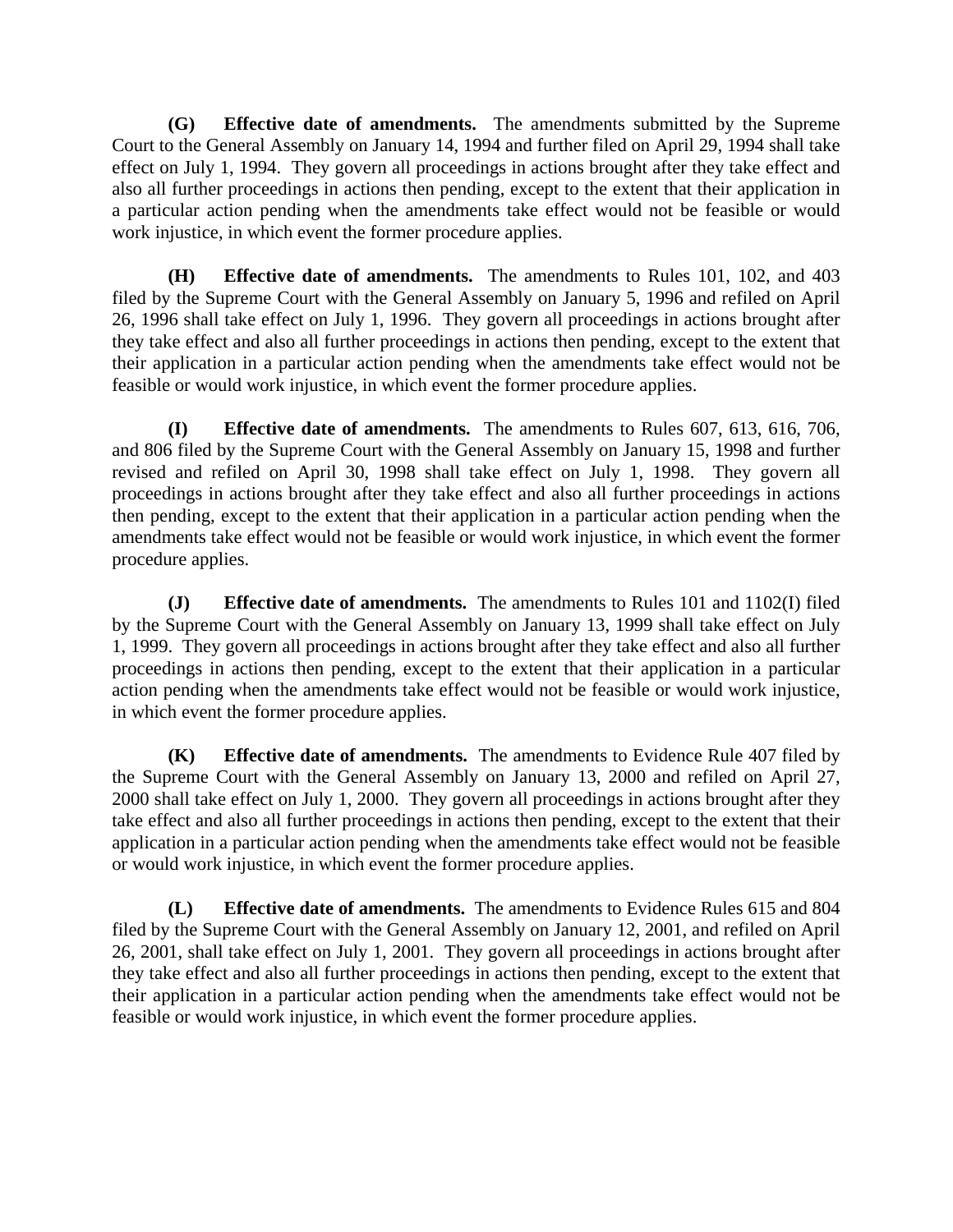**(G) Effective date of amendments.** The amendments submitted by the Supreme Court to the General Assembly on January 14, 1994 and further filed on April 29, 1994 shall take effect on July 1, 1994. They govern all proceedings in actions brought after they take effect and also all further proceedings in actions then pending, except to the extent that their application in a particular action pending when the amendments take effect would not be feasible or would work injustice, in which event the former procedure applies.

**(H) Effective date of amendments.** The amendments to Rules 101, 102, and 403 filed by the Supreme Court with the General Assembly on January 5, 1996 and refiled on April 26, 1996 shall take effect on July 1, 1996. They govern all proceedings in actions brought after they take effect and also all further proceedings in actions then pending, except to the extent that their application in a particular action pending when the amendments take effect would not be feasible or would work injustice, in which event the former procedure applies.

**(I) Effective date of amendments.** The amendments to Rules 607, 613, 616, 706, and 806 filed by the Supreme Court with the General Assembly on January 15, 1998 and further revised and refiled on April 30, 1998 shall take effect on July 1, 1998. They govern all proceedings in actions brought after they take effect and also all further proceedings in actions then pending, except to the extent that their application in a particular action pending when the amendments take effect would not be feasible or would work injustice, in which event the former procedure applies.

**(J) Effective date of amendments.** The amendments to Rules 101 and 1102(I) filed by the Supreme Court with the General Assembly on January 13, 1999 shall take effect on July 1, 1999. They govern all proceedings in actions brought after they take effect and also all further proceedings in actions then pending, except to the extent that their application in a particular action pending when the amendments take effect would not be feasible or would work injustice, in which event the former procedure applies.

**(K) Effective date of amendments.** The amendments to Evidence Rule 407 filed by the Supreme Court with the General Assembly on January 13, 2000 and refiled on April 27, 2000 shall take effect on July 1, 2000. They govern all proceedings in actions brought after they take effect and also all further proceedings in actions then pending, except to the extent that their application in a particular action pending when the amendments take effect would not be feasible or would work injustice, in which event the former procedure applies.

**(L) Effective date of amendments.** The amendments to Evidence Rules 615 and 804 filed by the Supreme Court with the General Assembly on January 12, 2001, and refiled on April 26, 2001, shall take effect on July 1, 2001. They govern all proceedings in actions brought after they take effect and also all further proceedings in actions then pending, except to the extent that their application in a particular action pending when the amendments take effect would not be feasible or would work injustice, in which event the former procedure applies.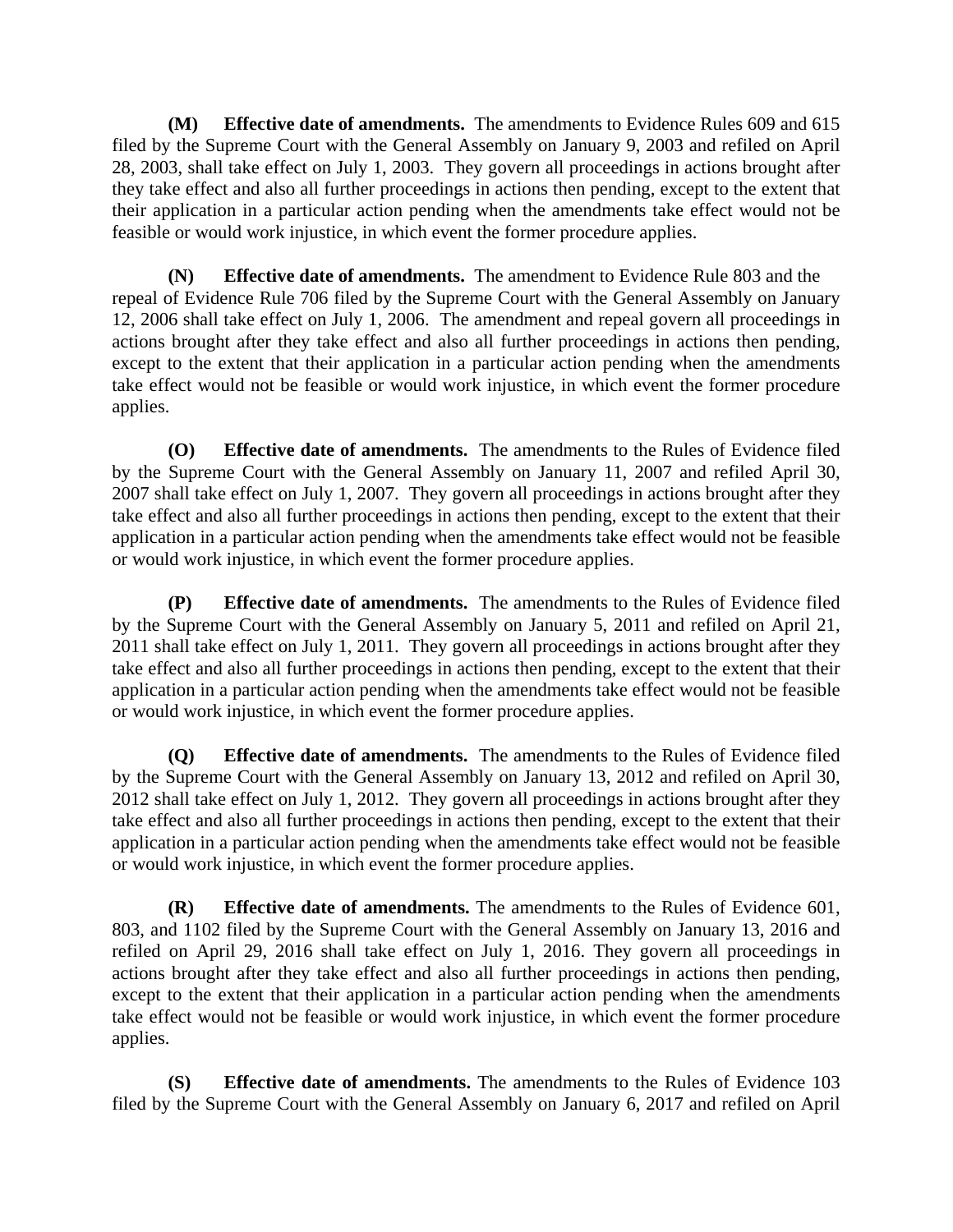**(M) Effective date of amendments.** The amendments to Evidence Rules 609 and 615 filed by the Supreme Court with the General Assembly on January 9, 2003 and refiled on April 28, 2003, shall take effect on July 1, 2003. They govern all proceedings in actions brought after they take effect and also all further proceedings in actions then pending, except to the extent that their application in a particular action pending when the amendments take effect would not be feasible or would work injustice, in which event the former procedure applies.

**(N) Effective date of amendments.** The amendment to Evidence Rule 803 and the repeal of Evidence Rule 706 filed by the Supreme Court with the General Assembly on January 12, 2006 shall take effect on July 1, 2006. The amendment and repeal govern all proceedings in actions brought after they take effect and also all further proceedings in actions then pending, except to the extent that their application in a particular action pending when the amendments take effect would not be feasible or would work injustice, in which event the former procedure applies.

**(O) Effective date of amendments.** The amendments to the Rules of Evidence filed by the Supreme Court with the General Assembly on January 11, 2007 and refiled April 30, 2007 shall take effect on July 1, 2007. They govern all proceedings in actions brought after they take effect and also all further proceedings in actions then pending, except to the extent that their application in a particular action pending when the amendments take effect would not be feasible or would work injustice, in which event the former procedure applies.

**(P) Effective date of amendments.** The amendments to the Rules of Evidence filed by the Supreme Court with the General Assembly on January 5, 2011 and refiled on April 21, 2011 shall take effect on July 1, 2011. They govern all proceedings in actions brought after they take effect and also all further proceedings in actions then pending, except to the extent that their application in a particular action pending when the amendments take effect would not be feasible or would work injustice, in which event the former procedure applies.

**(Q) Effective date of amendments.** The amendments to the Rules of Evidence filed by the Supreme Court with the General Assembly on January 13, 2012 and refiled on April 30, 2012 shall take effect on July 1, 2012. They govern all proceedings in actions brought after they take effect and also all further proceedings in actions then pending, except to the extent that their application in a particular action pending when the amendments take effect would not be feasible or would work injustice, in which event the former procedure applies.

**(R) Effective date of amendments.** The amendments to the Rules of Evidence 601, 803, and 1102 filed by the Supreme Court with the General Assembly on January 13, 2016 and refiled on April 29, 2016 shall take effect on July 1, 2016. They govern all proceedings in actions brought after they take effect and also all further proceedings in actions then pending, except to the extent that their application in a particular action pending when the amendments take effect would not be feasible or would work injustice, in which event the former procedure applies.

**(S) Effective date of amendments.** The amendments to the Rules of Evidence 103 filed by the Supreme Court with the General Assembly on January 6, 2017 and refiled on April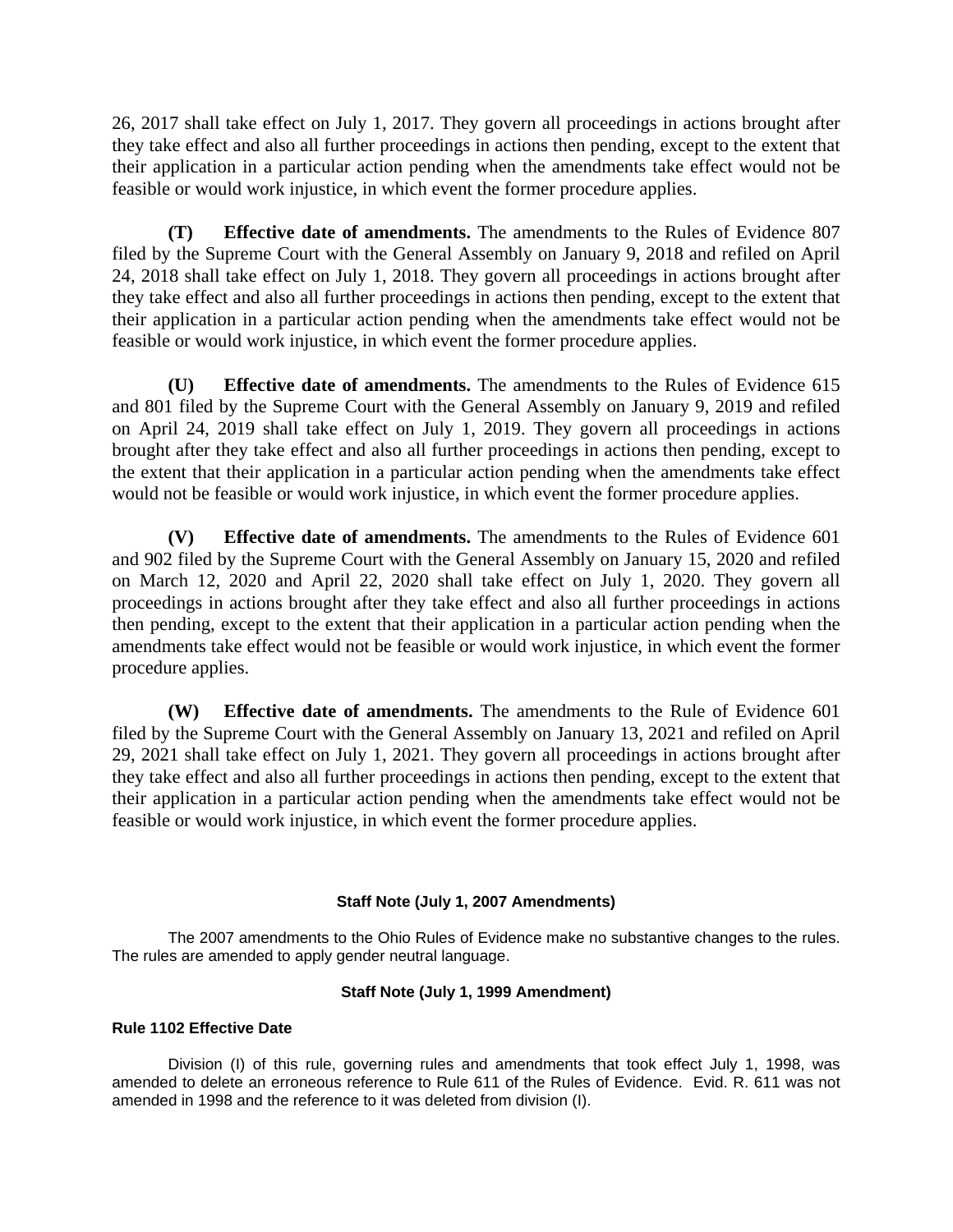26, 2017 shall take effect on July 1, 2017. They govern all proceedings in actions brought after they take effect and also all further proceedings in actions then pending, except to the extent that their application in a particular action pending when the amendments take effect would not be feasible or would work injustice, in which event the former procedure applies.

**(T) Effective date of amendments.** The amendments to the Rules of Evidence 807 filed by the Supreme Court with the General Assembly on January 9, 2018 and refiled on April 24, 2018 shall take effect on July 1, 2018. They govern all proceedings in actions brought after they take effect and also all further proceedings in actions then pending, except to the extent that their application in a particular action pending when the amendments take effect would not be feasible or would work injustice, in which event the former procedure applies.

**(U) Effective date of amendments.** The amendments to the Rules of Evidence 615 and 801 filed by the Supreme Court with the General Assembly on January 9, 2019 and refiled on April 24, 2019 shall take effect on July 1, 2019. They govern all proceedings in actions brought after they take effect and also all further proceedings in actions then pending, except to the extent that their application in a particular action pending when the amendments take effect would not be feasible or would work injustice, in which event the former procedure applies.

**(V) Effective date of amendments.** The amendments to the Rules of Evidence 601 and 902 filed by the Supreme Court with the General Assembly on January 15, 2020 and refiled on March 12, 2020 and April 22, 2020 shall take effect on July 1, 2020. They govern all proceedings in actions brought after they take effect and also all further proceedings in actions then pending, except to the extent that their application in a particular action pending when the amendments take effect would not be feasible or would work injustice, in which event the former procedure applies.

**(W) Effective date of amendments.** The amendments to the Rule of Evidence 601 filed by the Supreme Court with the General Assembly on January 13, 2021 and refiled on April 29, 2021 shall take effect on July 1, 2021. They govern all proceedings in actions brought after they take effect and also all further proceedings in actions then pending, except to the extent that their application in a particular action pending when the amendments take effect would not be feasible or would work injustice, in which event the former procedure applies.

## **Staff Note (July 1, 2007 Amendments)**

The 2007 amendments to the Ohio Rules of Evidence make no substantive changes to the rules. The rules are amended to apply gender neutral language.

### **Staff Note (July 1, 1999 Amendment)**

### **Rule 1102 Effective Date**

Division (I) of this rule, governing rules and amendments that took effect July 1, 1998, was amended to delete an erroneous reference to Rule 611 of the Rules of Evidence. Evid. R. 611 was not amended in 1998 and the reference to it was deleted from division (I).